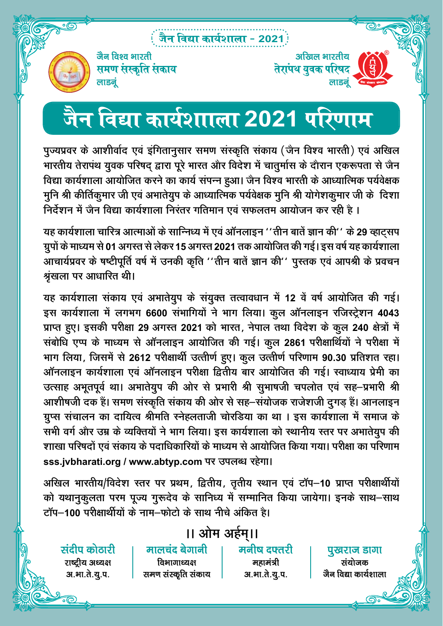### .<br>: जैन विद्या कार्यशाला - 2021<sup>)</sup>



जैन विश्व भारती समण संस्कृति स<mark>ंकाय</mark> लाडनूं

## <u>जैन विद्या कार्यशााला 2021 परिणाम</u>

पुज्यप्रवर के आशीर्वाद एवं इंगितानुसार समण संस्कृति संकाय (जैन विश्व भारती) एवं अखिल भारतीय तेरापंथ युवक परिषद् द्वारा पूरे भारत और विदेश में चातुर्मास के दौरान एकरूपता से जैन विद्या कार्यशाला आयोजित करने का कार्य संपन्न हुआ। जैन विश्व भारती के आध्यात्मिक पर्यवेक्षक <u>मुनि श्री कीर्तिकु</u>मार जी एवं अभातेयुप के आध्यात्मिक पर्यवेक्षक मुनि श्री योगेशकुमार जी के दिशा <u>निर्देशन में जैन विद्या कार्यशाला निरंतर गतिमान एवं सफलतम आयोजन कर रही है ।</u>

यह कार्यशाला चारित्र आत्माओं के सान्निध्य में एवं ऑनलाइन ''तीन बातें ज्ञान की'' के 29 व्हाटसप **xzqiksa ds ek/;e ls 01 vxLr ls ysdj 15 vxLr 2021 rd vk;ksftr dh xbZA bl o"kZ ;g dk;Z'kkyk**  आचार्यप्रवर के षष्टीपूर्ति वर्ष में उनकी कृति ''तीन बातें ज्ञान की'' पुस्तक एवं आपश्री के प्रवचन श्रंखला पर आधारित थी।

यह कार्यशाला संकाय एवं अभातेयुप के संयुक्त तत्वावधान में 12 वें वर्ष आयोजित की गई। इस कार्यशाला में लगभग 6600 संभागियों ने भाग लिया। कुल ऑनलाइन रजिस्ट्रेशन 4043 **izkIr gq,A bldh ijh{kk 29 vxLr 2021 dks Hkkjr] usiky rFkk fons'k ds dqy 240 {ks=ksa esa laCkksf/k ,Ii ds ek/;e ls vkWuykbu vk;ksftr dh xbZA dqy 2861 ijh{kkfFkZ;ksa us ijh{kk esa**  भाग लिया, जिसमें से 2612 परीक्षार्थी उत्त्तीर्ण हुए। कुल उत्तीर्ण परिणाम 90.30 प्रतिशत रहा। <u>ऑनलाइन कार्यशाला एवं ऑनलाइन परीक्षा द्वितीय बार आयोजित की गई। स्वाध्याय प्रेमी का</u> उत्साह अभूतपूर्व था। अभातेयुप की ओर से प्रभारी श्री सुभाषजी चपलोत एवं सह-प्रभारी श्री आशीषजी दक हैं। समण संस्कृति संकाय की ओर से सह–संयोजक राजेशजी दुगड़ हैं। आनलाइन ग्रुप्स संचालन का दायित्व श्रीमति स्नेहलताजी चोरडिया का था । इस कार्यशाला में समाज के सभी वर्ग और उम्र के व्यक्तियों ने भाग लिया। इस कार्यशाला को स्थानीय स्तर पर अभातेयुप की .<br>'kika Tezar से आयोजित को प्रवाधिकारियों के माध्यम से आयोजित किया गया। परीक्षा का परिणाम sss.jvbharati.org / www.abtyp.com पर उपलब्ध रहेगा।

अखिल भारतीय/विदेश स्तर पर प्रथम, द्वितीय, तृतीय स्थान एवं टॉप–10 प्राप्त परीक्षार्थीयों को यथानुकुलता परम पूज्य गुरूदेव के सानिध्य में सम्मानित किया जायेगा। इनके साथ–साथ  $\vec{c}$   $\vec{v}$   $\vec{v}$  **100** परीक्षार्थीयों के नाम-फोटो के साथ नीचे अंकित है।

### $II$  ओम अर्हम् ।।

मनीष दफ्तरी महामंत्री अ.भा.ते.यू.**प**.

पुखरान डांगा संयोजक जैन विद्या कार्यशाला

मालचंद बेगानी विभागाध्यक्ष समण संस्कृति संकाय

संदीप कोठारी राष्ट्रीय अध्यक्ष अ.भा.ते.यू.प.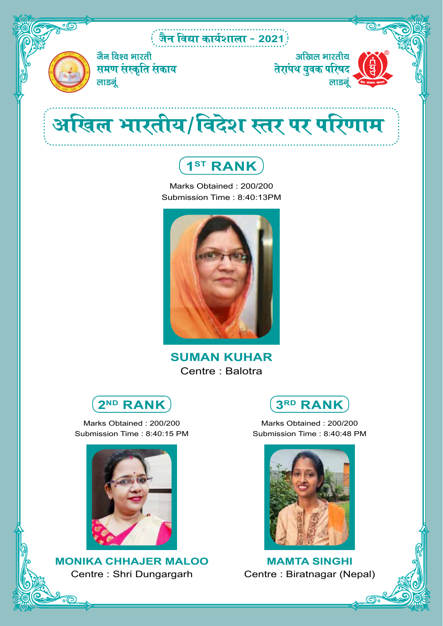### tSu fo|k dk;Z'kkyk & **2021**



जैन विश्व भारती समण संस्कृति सं<mark>काय</mark> लाडनूं

अखिल भारतीय साखल भारताय<br>तेरांपथ युवक परिषद लाडनं

# अखिल भारतीय/विदेश स्तर पर परिणाम



Marks Obtained : 200/200 Submission Time : 8:40:13PM



**SUMAN KUHAR** Centre : Balotra

**2ND RANK**

Marks Obtained : 200/200 Submission Time : 8:40:15 PM



**MONIKA CHHAJER MALOO** Centre : Shri Dungargarh



Marks Obtained : 200/200 Submission Time : 8:40:48 PM



**MAMTA SINGHI** Centre : Biratnagar (Nepal)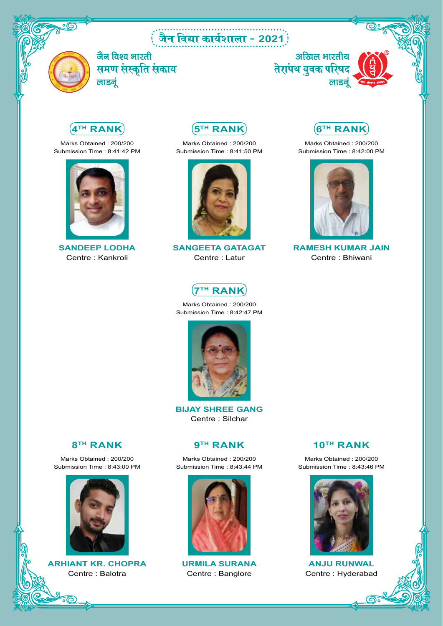### : जैन विद्या कार्यशाला - 2021<sup>)</sup>



जैन विश्व भारती ्रास्त्राः<br>समण संस्कृति संकाय लाडनूं





Marks Obtained : 200/200 Submission Time : 8:41:42 PM



**SANDEEP LODHA** Centre : Kankroli

**5TH RANK**

Marks Obtained : 200/200 Submission Time : 8:41:50 PM



**SANGEETA GATAGAT** Centre : Latur



Marks Obtained : 200/200 Submission Time : 8:42:00 PM



**RAMESH KUMAR JAIN** Centre : Bhiwani



Marks Obtained : 200/200 Submission Time : 8:42:47 PM



**BIJAY SHREE GANG** Centre : Silchar

#### **8TH RANK**

Marks Obtained : 200/200 Submission Time : 8:43:00 PM



**ARHIANT KR. CHOPRA** Centre : Balotra

#### **9TH RANK**

Marks Obtained : 200/200 Submission Time : 8:43:44 PM



**URMILA SURANA** Centre : Banglore

#### **10TH RANK**

Marks Obtained : 200/200 Submission Time : 8:43:46 PM



**ANJU RUNWAL** Centre : Hyderabad

෬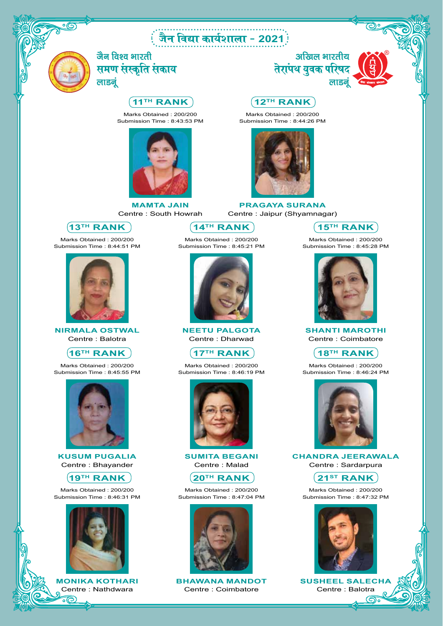### <u>ं</u> जैन विद्या कार्यशाला - 2021 :



जैन विश्व भारती समण संस्कृति संकाय लाडनं

#### **11TH RANK**

Marks Obtained : 200/200 Submission Time : 8:43:53 PM



**MAMTA JAIN** Centre : South Howrah

**13TH RANK**

Marks Obtained : 200/200 Submission Time : 8:44:51 PM



**NIRMALA OSTWAL** Centre : Balotra

#### **16TH RANK**

Marks Obtained : 200/200 Submission Time : 8:45:55 PM



**KUSUM PUGALIA** Centre : Bhayander

#### **19TH RANK**

Marks Obtained : 200/200 Submission Time : 8:46:31 PM



**MONIKA KOTHARI** Centre : Nathdwara

 $\widehat{\circ}$ 

**14TH RANK**

Marks Obtained : 200/200 Submission Time : 8:45:21 PM



**NEETU PALGOTA** Centre : Dharwad

#### $(17^{TH}$  RANK

Marks Obtained : 200/200 Submission Time : 8:46:19 PM



**SUMITA BEGANI** Centre : Malad



Marks Obtained : 200/200 Submission Time : 8:47:04 PM



**BHAWANA MANDOT** Centre : Coimbatore



#### **12TH RANK**

Marks Obtained : 200/200 Submission Time : 8:44:26 PM



**PRAGAYA SURANA** Centre : Jaipur (Shyamnagar)



Marks Obtained : 200/200 Submission Time : 8:45:28 PM



**SHANTI MAROTHI** Centre : Coimbatore

**18TH RANK**

Marks Obtained : 200/200 Submission Time : 8:46:24 PM



**CHANDRA JEERAWALA** Centre : Sardarpura



Marks Obtained : 200/200 Submission Time : 8:47:32 PM



**SUSHEEL SALECHA** Centre : Balotra

෬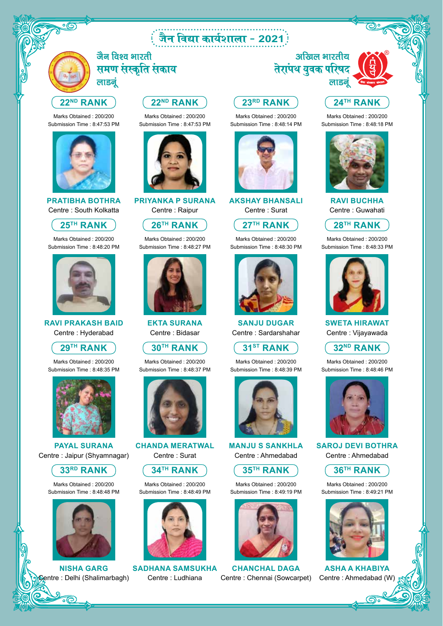### tSu fo|k dk;Z'kkyk & **2021**



जैन विश्व भारती समण संस्कृति संकाय लाडनं

#### **22ND RANK**

Marks Obtained : 200/200 Submission Time : 8:47:53 PM



#### **PRATIBHA BOTHRA** Centre : South Kolkatta

**25TH RANK**

Marks Obtained : 200/200 Submission Time : 8:48:20 PM



**RAVI PRAKASH BAID** Centre : Hyderabad



Marks Obtained : 200/200 Submission Time : 8:48:35 PM



**PAYAL SURANA** Centre : Jaipur (Shyamnagar)



Marks Obtained : 200/200 Submission Time : 8:48:48 PM



**NISHA GARG** tre : Delhi (Shalimarbagh)

#### **22ND RANK**

Marks Obtained : 200/200 Submission Time : 8:47:53 PM



**PRIYANKA P SURANA** Centre : Raipur

**26TH RANK**

Marks Obtained : 200/200 Submission Time : 8:48:27 PM



**EKTA SURANA** Centre : Bidasar

**30TH RANK**

Marks Obtained : 200/200 Submission Time : 8:48:37 PM



**CHANDA MERATWAL** Centre : Surat



Marks Obtained : 200/200 Submission Time : 8:48:49 PM



**SADHANA SAMSUKHA** Centre : Ludhiana

#### अखिल भारतीय तेरांपथ युवक परिषद लाडनूं

Marks Obtained : 200/200 Submission Time : 8:48:14 PM



**AKSHAY BHANSALI** Centre : Surat

**27TH RANK**

Marks Obtained : 200/200 Submission Time : 8:48:30 PM



**SANJU DUGAR** Centre : Sardarshahar

**31ST RANK**

Marks Obtained : 200/200 Submission Time : 8:48:39 PM



**MANJU S SANKHLA** Centre : Ahmedabad



Marks Obtained : 200/200 Submission Time : 8:49:19 PM



**CHANCHAL DAGA** Centre : Chennai (Sowcarpet)

#### **24TH RANK**

Marks Obtained : 200/200 Submission Time : 8:48:18 PM



**RAVI BUCHHA** Centre : Guwahati



Marks Obtained : 200/200 Submission Time : 8:48:33 PM



**SWETA HIRAWAT** Centre : Vijayawada

**32ND RANK**

Marks Obtained : 200/200 Submission Time : 8:48:46 PM



**SAROJ DEVI BOTHRA** Centre : Ahmedabad



Marks Obtained : 200/200 Submission Time : 8:49:21 PM



**ASHA A KHABIYA** Centre : Ahmedabad (W)

෬෭

## **23RD RANK**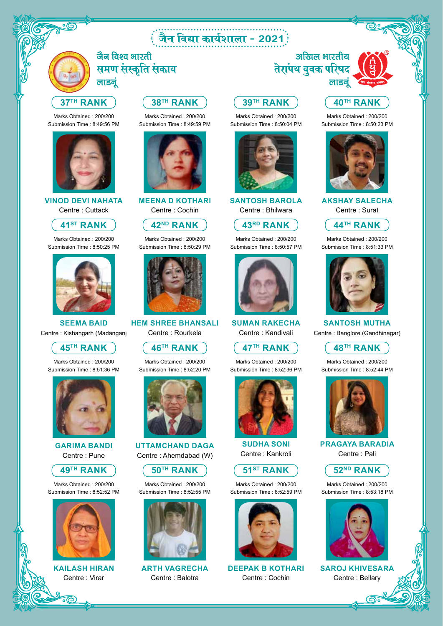### : जैन विद्या कार्यशाला - 2021<sup>:</sup>



जैन विश्व भारती समण संस्कृति संकाय लाडनं

#### **37TH RANK**

Marks Obtained : 200/200 Submission Time : 8:49:56 PM



**VINOD DEVI NAHATA** Centre : Cuttack

#### **41ST RANK**

Marks Obtained : 200/200 Submission Time : 8:50:25 PM



**SEEMA BAID** Centre : Kishangarh (Madanganj



Marks Obtained : 200/200 Submission Time : 8:51:36 PM



**GARIMA BANDI** Centre : Pune



Marks Obtained : 200/200 Submission Time : 8:52:52 PM



**KAILASH HIRAN** Centre : Virar

#### **38TH RANK**

Marks Obtained : 200/200 Submission Time : 8:49:59 PM



**MEENA D KOTHARI** Centre : Cochin

**42ND RANK**

Marks Obtained : 200/200 Submission Time : 8:50:29 PM



**HEM SHREE BHANSALI** Centre : Rourkela

**46TH RANK**

Marks Obtained : 200/200 Submission Time : 8:52:20 PM



**UTTAMCHAND DAGA** Centre : Ahemdabad (W)



Marks Obtained : 200/200 Submission Time : 8:52:55 PM



**ARTH VAGRECHA** Centre : Balotra

#### अखिल भारतीय तेरां<mark>पथ युवक परिष</mark>द लाडन

#### **39TH RANK 40TH RANK**

Marks Obtained : 200/200 Submission Time : 8:50:04 PM



**SANTOSH BAROLA** Centre : Bhilwara

#### **43RD RANK**

Marks Obtained : 200/200 Submission Time : 8:50:57 PM



**SUMAN RAKECHA** Centre : Kandivali

**47TH RANK**

Marks Obtained : 200/200 Submission Time : 8:52:36 PM



**SUDHA SONI** Centre : Kankroli



Marks Obtained : 200/200 Submission Time : 8:52:59 PM



**DEEPAK B KOTHARI** Centre : Cochin



**AKSHAY SALECHA** Centre : Surat



Marks Obtained : 200/200 Submission Time : 8:51:33 PM



**SANTOSH MUTHA** Centre : Banglore (Gandhinagar)

**48TH RANK**

Marks Obtained : 200/200 Submission Time : 8:52:44 PM



**PRAGAYA BARADIA** Centre : Pali



Marks Obtained : 200/200 Submission Time : 8:53:18 PM



**SAROJ KHIVESARA** Centre : Bellary

෬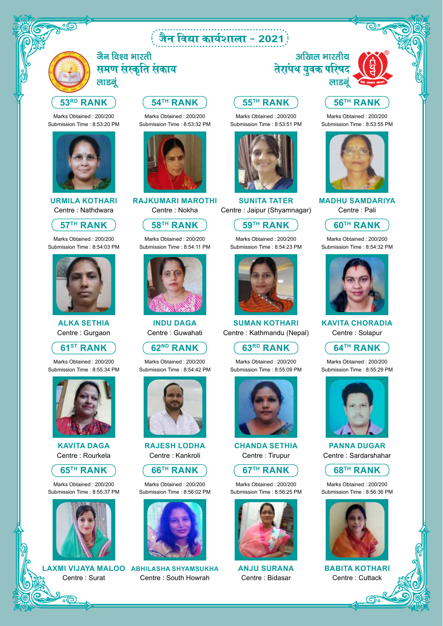### tSu fo|k dk;Z'kkyk & **2021**



जैन विश्व भारती समण संस्कृति संकाय लाडनं

#### **53RD RANK**

Marks Obtained : 200/200 Submission Time : 8:53:20 PM



**URMILA KOTHARI** Centre : Nathdwara

#### **57TH RANK**

Marks Obtained : 200/200 Submission Time : 8:54:03 PM



**ALKA SETHIA**  Centre : Gurgaon

**61ST RANK**

Marks Obtained : 200/200 Submission Time : 8:55:34 PM



**KAVITA DAGA** Centre : Rourkela



Marks Obtained : 200/200 Submission Time : 8:55:37 PM



Centre : Surat

#### **54TH RANK**

Marks Obtained : 200/200 Submission Time : 8:53:32 PM



**RAJKUMARI MAROTHI** Centre : Nokha

#### **58TH RANK**

Marks Obtained : 200/200 Submission Time : 8:54:11 PM



**INDU DAGA** Centre : Guwahati

#### **62ND RANK**

Marks Obtained : 200/200 Submission Time : 8:54:42 PM



**RAJESH LODHA** Centre : Kankroli



Marks Obtained : 200/200 Submission Time : 8:56:02 PM



**LAXMI VIJAYA MALOO ABHILASHA SHYAMSUKHA** Centre : South Howrah

### **55TH RANK**

Marks Obtained : 200/200 Submission Time : 8:53:51 PM



**SUNITA TATER** Centre : Jaipur (Shyamnagar)

#### **59TH RANK**

Marks Obtained : 200/200 Submission Time : 8:54:23 PM



**SUMAN KOTHARI** Centre : Kathmandu (Nepal)

#### **63RD RANK**

Marks Obtained : 200/200 Submission Time : 8:55:09 PM



**CHANDA SETHIA** Centre : Tirupur



Marks Obtained : 200/200 Submission Time : 8:56:25 PM



**ANJU SURANA** Centre : Bidasar



#### **56TH RANK**

Marks Obtained : 200/200 Submission Time : 8:53:55 PM



**MADHU SAMDARIYA** Centre : Pali



Marks Obtained : 200/200 Submission Time : 8:54:32 PM



**KAVITA CHORADIA** Centre : Solapur



Marks Obtained : 200/200 Submission Time : 8:55:29 PM



**PANNA DUGAR** Centre : Sardarshahar



Marks Obtained : 200/200 Submission Time : 8:56:36 PM



**BABITA KOTHARI** Centre : Cuttack

෬

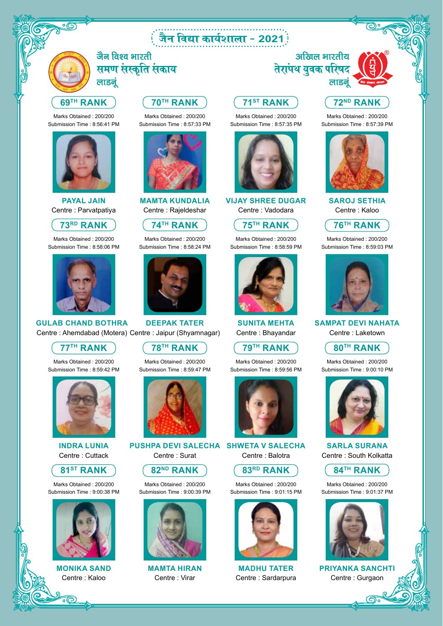### tSu fo|k dk;Z'kkyk & **2021**



जैन विश्व भारती समण संस्कृति संकाय लाडनं

#### **69TH RANK**

Marks Obtained : 200/200 Submission Time : 8:56:41 PM



**PAYAL JAIN** Centre : Parvatpatiya

#### **73RD RANK**

Marks Obtained : 200/200 Submission Time : 8:58:06 PM



#### **GULAB CHAND BOTHRA** Centre : Ahemdabad (Motera) Centre : Jaipur (Shyamnagar)

**77TH RANK**

Marks Obtained : 200/200 Submission Time : 8:59:42 PM



**INDRA LUNIA** Centre : Cuttack



Marks Obtained : 200/200 Submission Time : 9:00:38 PM



**MONIKA SAND** Centre : Kaloo

#### **70TH RANK**

Marks Obtained : 200/200 Submission Time : 8:57:33 PM



**MAMTA KUNDALIA** Centre : Rajeldeshar

**74TH RANK**

Marks Obtained : 200/200 Submission Time : 8:58:24 PM



**DEEPAK TATER**

#### **78TH RANK**

Marks Obtained : 200/200 Submission Time : 8:59:47 PM



**PUSHPA DEVI SALECHA SHWETA V SALECHA** Centre : Surat





### Centre : Virar

### अखिल भारतीय तेरांपथ युवक परिषद

**71ST RANK**

Marks Obtained : 200/200 Submission Time : 8:57:35 PM

**75TH RANK** Marks Obtained : 200/200 Submission Time : 8:58:59 PM

**VIJAY SHREE DUGAR** Centre : Vadodara

**79TH RANK** Marks Obtained : 200/200 Submission Time : 8:59:56 PM

**SUNITA MEHTA** Centre : Bhayandar

**83RD RANK** Marks Obtained : 200/200 Submission Time : 9:01:15 PM

**MADHU TATER** Centre : Sardarpura

Centre : Balotra



#### **72ND RANK**

Marks Obtained : 200/200 Submission Time : 8:57:39 PM



**SAROJ SETHIA**  Centre : Kaloo



Marks Obtained : 200/200 Submission Time : 8:59:03 PM



**SAMPAT DEVI NAHATA** Centre : Laketown



Marks Obtained : 200/200 Submission Time : 9:00:10 PM



**SARLA SURANA**  Centre : South Kolkatta



Marks Obtained : 200/200 Submission Time : 9:01:37 PM



**PRIYANKA SANCHTI** Centre : Gurgaon

෬







Marks Obtained : 200/200 Submission Time : 9:00:39 PM



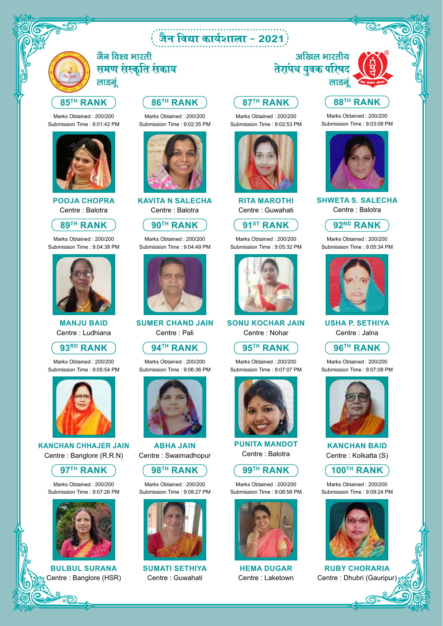### : जैन विद्या कार्यशाला - 2021<sup>:</sup>

**87TH RANK**

Marks Obtained : 200/200 Submission Time : 9:02:53 PM

**91ST RANK** Marks Obtained : 200/200 Submission Time : 9:05:32 PM

**RITA MAROTHI** Centre : Guwahati

**95TH RANK** Marks Obtained : 200/200 Submission Time : 9:07:07 PM

**SONU KOCHAR JAIN** Centre : Nohar

**99TH RANK** Marks Obtained : 200/200 Submission Time : 9:08:58 PM

> **HEMA DUGAR** Centre : Laketown

**PUNITA MANDOT** Centre : Balotra



जैन विश्व भारती समण संस्कृति संकाय लाडनं

#### **85TH RANK**

Marks Obtained : 200/200 Submission Time : 9:01:42 PM



**POOJA CHOPRA** Centre : Balotra

#### **89TH RANK**

Marks Obtained : 200/200 Submission Time : 9:04:38 PM



**MANJU BAID** Centre : Ludhiana



Marks Obtained : 200/200 Submission Time : 9:05:54 PM



**KANCHAN CHHAJER JAIN** Centre : Banglore (R.R.N)



Marks Obtained : 200/200 Submission Time : 9:07:26 PM



**BULBUL SURANA** entre : Banglore (HSR)

#### **86TH RANK**

Marks Obtained : 200/200 Submission Time : 9:02:35 PM



**KAVITA N SALECHA** Centre : Balotra



Marks Obtained : 200/200 Submission Time : 9:04:49 PM



**SUMER CHAND JAIN** Centre : Pali

#### **94TH RANK**

Marks Obtained : 200/200 Submission Time : 9:06:36 PM



**ABHA JAIN** Centre : Swaimadhopur



Marks Obtained : 200/200 Submission Time : 9:08:27 PM



**SUMATI SETHIYA** Centre : Guwahati

#### अखिल भारतीय तेरांपथ युवक परिषद लाडनूं

#### **88TH RANK**

Marks Obtained : 200/200 Submission Time : 9:03:08 PM



**SHWETA S. SALECHA**  Centre : Balotra



Marks Obtained : 200/200 Submission Time : 9:05:34 PM



**USHA P. SETHIYA** Centre : Jalna



Marks Obtained : 200/200 Submission Time : 9:07:08 PM



**KANCHAN BAID** Centre : Kolkatta (S)



Marks Obtained : 200/200 Submission Time : 9:09:24 PM



**RUBY CHORARIA** Centre : Dhubri (Gauripur)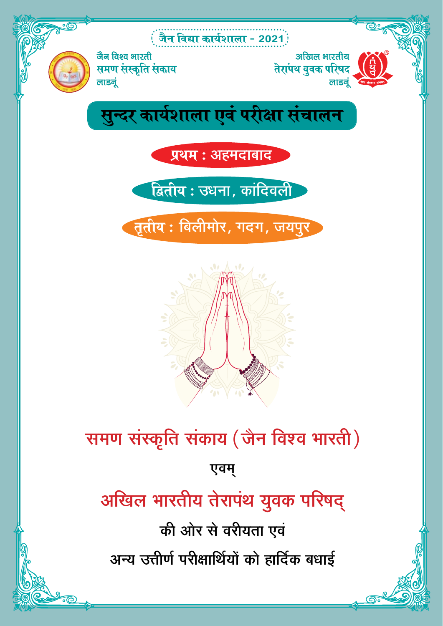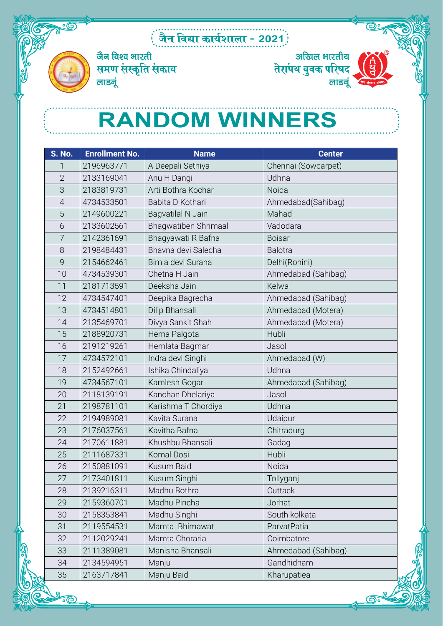### tSu fo|k dk;Z'kkyk & **2021**



जैन विश्व भारती समण संस्कृति संकाय लाडनूं



## **RANDOM WINNERS**

| <b>S. No.</b>  | <b>Enrollment No.</b> | <b>Name</b>          | <b>Center</b>       |
|----------------|-----------------------|----------------------|---------------------|
| 1              | 2196963771            | A Deepali Sethiya    | Chennai (Sowcarpet) |
| $\overline{2}$ | 2133169041            | Anu H Dangi          | Udhna               |
| 3              | 2183819731            | Arti Bothra Kochar   | Noida               |
| $\overline{4}$ | 4734533501            | Babita D Kothari     | Ahmedabad(Sahibag)  |
| 5              | 2149600221            | Bagvatilal N Jain    | Mahad               |
| 6              | 2133602561            | Bhagwatiben Shrimaal | Vadodara            |
| 7              | 2142361691            | Bhagyawati R Bafna   | <b>Boisar</b>       |
| 8              | 2198484431            | Bhavna devi Salecha  | <b>Balotra</b>      |
| 9              | 2154662461            | Bimla devi Surana    | Delhi(Rohini)       |
| 10             | 4734539301            | Chetna H Jain        | Ahmedabad (Sahibag) |
| 11             | 2181713591            | Deeksha Jain         | Kelwa               |
| 12             | 4734547401            | Deepika Bagrecha     | Ahmedabad (Sahibag) |
| 13             | 4734514801            | Dilip Bhansali       | Ahmedabad (Motera)  |
| 14             | 2135469701            | Divya Sankit Shah    | Ahmedabad (Motera)  |
| 15             | 2188920731            | Hema Palgota         | Hubli               |
| 16             | 2191219261            | Hemlata Bagmar       | Jasol               |
| 17             | 4734572101            | Indra devi Singhi    | Ahmedabad (W)       |
| 18             | 2152492661            | Ishika Chindaliya    | Udhna               |
| 19             | 4734567101            | Kamlesh Gogar        | Ahmedabad (Sahibag) |
| 20             | 2118139191            | Kanchan Dhelariya    | Jasol               |
| 21             | 2198781101            | Karishma T Chordiya  | Udhna               |
| 22             | 2194989081            | Kavita Surana        | Udaipur             |
| 23             | 2176037561            | Kavitha Bafna        | Chitradurg          |
| 24             | 2170611881            | Khushbu Bhansali     | Gadag               |
| 25             | 2111687331            | Komal Dosi           | Hubli               |
| 26             | 2150881091            | Kusum Baid           | Noida               |
| 27             | 2173401811            | Kusum Singhi         | Tollyganj           |
| 28             | 2139216311            | Madhu Bothra         | Cuttack             |
| 29             | 2159360701            | Madhu Pincha         | Jorhat              |
| 30             | 2158353841            | Madhu Singhi         | South kolkata       |
| 31             | 2119554531            | Mamta Bhimawat       | ParvatPatia         |
| 32             | 2112029241            | Mamta Choraria       | Coimbatore          |
| 33             | 2111389081            | Manisha Bhansali     | Ahmedabad (Sahibag) |
| 34             | 2134594951            | Manju                | Gandhidham          |
| 35             | 2163717841            | Manju Baid           | Kharupatiea         |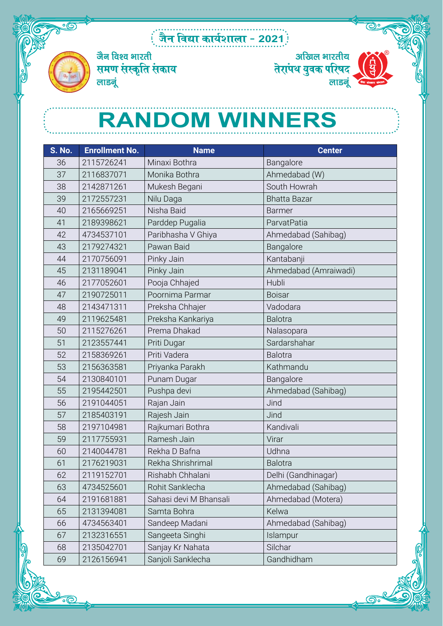### tSu fo|k dk;Z'kkyk & **2021**



जैन विश्व भारती समण संस्कृति संकाय लाडनूं



## **RANDOM WINNERS**

| <b>S. No.</b> | <b>Enrollment No.</b> | <b>Name</b>            | <b>Center</b>         |
|---------------|-----------------------|------------------------|-----------------------|
| 36            | 2115726241            | Minaxi Bothra          | Bangalore             |
| 37            | 2116837071            | Monika Bothra          | Ahmedabad (W)         |
| 38            | 2142871261            | Mukesh Begani          | South Howrah          |
| 39            | 2172557231            | Nilu Daga              | <b>Bhatta Bazar</b>   |
| 40            | 2165669251            | Nisha Baid             | <b>Barmer</b>         |
| 41            | 2189398621            | Parddep Pugalia        | ParvatPatia           |
| 42            | 4734537101            | Paribhasha V Ghiya     | Ahmedabad (Sahibag)   |
| 43            | 2179274321            | Pawan Baid             | Bangalore             |
| 44            | 2170756091            | Pinky Jain             | Kantabanji            |
| 45            | 2131189041            | Pinky Jain             | Ahmedabad (Amraiwadi) |
| 46            | 2177052601            | Pooja Chhajed          | Hubli                 |
| 47            | 2190725011            | Poornima Parmar        | <b>Boisar</b>         |
| 48            | 2143471311            | Preksha Chhajer        | Vadodara              |
| 49            | 2119625481            | Preksha Kankariya      | <b>Balotra</b>        |
| 50            | 2115276261            | Prema Dhakad           | Nalasopara            |
| 51            | 2123557441            | Priti Dugar            | Sardarshahar          |
| 52            | 2158369261            | Priti Vadera           | <b>Balotra</b>        |
| 53            | 2156363581            | Priyanka Parakh        | Kathmandu             |
| 54            | 2130840101            | Punam Dugar            | Bangalore             |
| 55            | 2195442501            | Pushpa devi            | Ahmedabad (Sahibag)   |
| 56            | 2191044051            | Rajan Jain             | Jind                  |
| 57            | 2185403191            | Rajesh Jain            | Jind                  |
| 58            | 2197104981            | Rajkumari Bothra       | Kandivali             |
| 59            | 2117755931            | Ramesh Jain            | Virar                 |
| 60            | 2140044781            | Rekha D Bafna          | Udhna                 |
| 61            | 2176219031            | Rekha Shrishrimal      | <b>Balotra</b>        |
| 62            | 2119152701            | Rishabh Chhalani       | Delhi (Gandhinagar)   |
| 63            | 4734525601            | Rohit Sanklecha        | Ahmedabad (Sahibag)   |
| 64            | 2191681881            | Sahasi devi M Bhansali | Ahmedabad (Motera)    |
| 65            | 2131394081            | Samta Bohra            | Kelwa                 |
| 66            | 4734563401            | Sandeep Madani         | Ahmedabad (Sahibag)   |
| 67            | 2132316551            | Sangeeta Singhi        | Islampur              |
| 68            | 2135042701            | Sanjay Kr Nahata       | Silchar               |
| 69            | 2126156941            | Sanjoli Sanklecha      | Gandhidham            |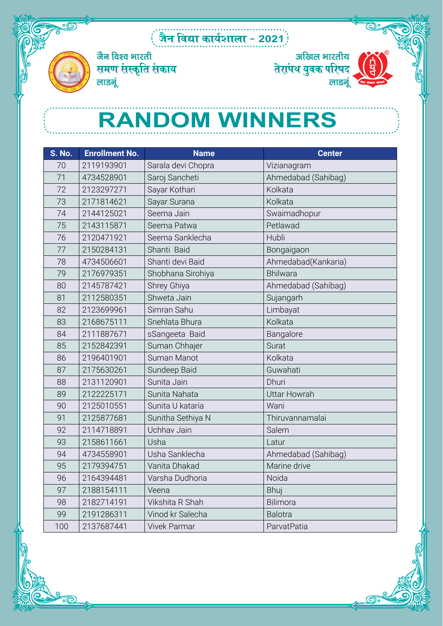### : जैन विद्या कार्यशाला - 2021*:*



जैन विश्व भारती $\,$ समण संस्कृति संकाय लाडनूं



## **RANDOM WINNERS**

| S. No. | <b>Enrollment No.</b> | <b>Name</b>         | <b>Center</b>       |
|--------|-----------------------|---------------------|---------------------|
| 70     | 2119193901            | Sarala devi Chopra  | Vizianagram         |
| 71     | 4734528901            | Saroj Sancheti      | Ahmedabad (Sahibag) |
| 72     | 2123297271            | Sayar Kothari       | Kolkata             |
| 73     | 2171814621            | Sayar Surana        | Kolkata             |
| 74     | 2144125021            | Seema Jain          | Swaimadhopur        |
| 75     | 2143115871            | Seema Patwa         | Petlawad            |
| 76     | 2120471921            | Seema Sanklecha     | Hubli               |
| 77     | 2150284131            | Shanti Baid         | Bongaigaon          |
| 78     | 4734506601            | Shanti devi Baid    | Ahmedabad(Kankaria) |
| 79     | 2176979351            | Shobhana Sirohiya   | Bhilwara            |
| 80     | 2145787421            | Shrey Ghiya         | Ahmedabad (Sahibag) |
| 81     | 2112580351            | Shweta Jain         | Sujangarh           |
| 82     | 2123699961            | Simran Sahu         | Limbayat            |
| 83     | 2168675111            | Snehlata Bhura      | Kolkata             |
| 84     | 2111887671            | sSangeeta Baid      | Bangalore           |
| 85     | 2152842391            | Suman Chhajer       | Surat               |
| 86     | 2196401901            | Suman Manot         | Kolkata             |
| 87     | 2175630261            | Sundeep Baid        | Guwahati            |
| 88     | 2131120901            | Sunita Jain         | Dhuri               |
| 89     | 2122225171            | Sunita Nahata       | <b>Uttar Howrah</b> |
| 90     | 2125010551            | Sunita U kataria    | Wani                |
| 91     | 2125877681            | Sunitha Sethiya N   | Thiruvannamalai     |
| 92     | 2114718891            | Uchhav Jain         | Salem               |
| 93     | 2158611661            | Usha                | Latur               |
| 94     | 4734558901            | Usha Sanklecha      | Ahmedabad (Sahibag) |
| 95     | 2179394751            | Vanita Dhakad       | Marine drive        |
| 96     | 2164394481            | Varsha Dudhoria     | Noida               |
| 97     | 2188154111            | Veena               | Bhuj                |
| 98     | 2182714191            | Vikshita R Shah     | Bilimora            |
| 99     | 2191286311            | Vinod kr Salecha    | <b>Balotra</b>      |
| 100    | 2137687441            | <b>Vivek Parmar</b> | ParvatPatia         |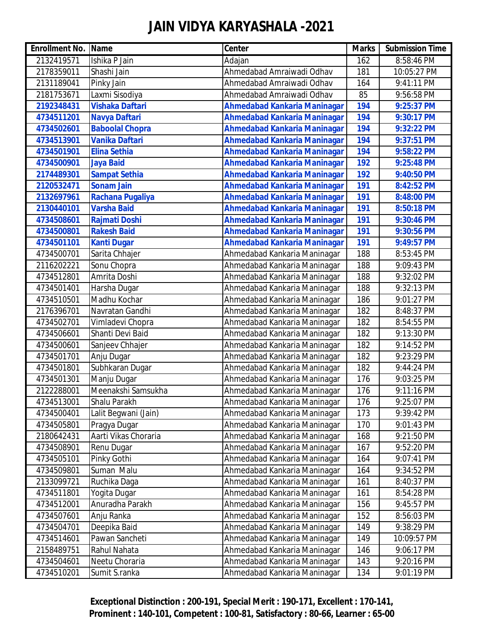| <b>Enrollment No.</b> | Name                   | <b>Center</b>                       | <b>Marks</b> | <b>Submission Time</b> |
|-----------------------|------------------------|-------------------------------------|--------------|------------------------|
| 2132419571            | Ishika P Jain          | Adajan                              | 162          | 8:58:46 PM             |
| 2178359011            | Shashi Jain            | Ahmedabad Amraiwadi Odhav           | 181          | 10:05:27 PM            |
| 2131189041            | Pinky Jain             | Ahmedabad Amraiwadi Odhav           | 164          | 9:41:11 PM             |
| 2181753671            | Laxmi Sisodiya         | Ahmedabad Amraiwadi Odhav           | 85           | 9:56:58 PM             |
| 2192348431            | <b>Vishaka Daftari</b> | <b>Ahmedabad Kankaria Maninagar</b> | 194          | 9:25:37 PM             |
| 4734511201            | <b>Navya Daftari</b>   | <b>Ahmedabad Kankaria Maninagar</b> | 194          | 9:30:17 PM             |
| 4734502601            | <b>Baboolal Chopra</b> | <b>Ahmedabad Kankaria Maninagar</b> | 194          | 9:32:22 PM             |
| 4734513901            | <b>Vanika Daftari</b>  | <b>Ahmedabad Kankaria Maninagar</b> | 194          | 9:37:51 PM             |
| 4734501901            | <b>Elina Sethia</b>    | Ahmedabad Kankaria Maninagar        | 194          | 9:58:22 PM             |
| 4734500901            | <b>Jaya Baid</b>       | <b>Ahmedabad Kankaria Maninagar</b> | 192          | 9:25:48 PM             |
| 2174489301            | <b>Sampat Sethia</b>   | <b>Ahmedabad Kankaria Maninagar</b> | 192          | 9:40:50 PM             |
| 2120532471            | <b>Sonam Jain</b>      | <b>Ahmedabad Kankaria Maninagar</b> | 191          | 8:42:52 PM             |
| 2132697961            | Rachana Pugaliya       | <b>Ahmedabad Kankaria Maninagar</b> | 191          | 8:48:00 PM             |
| 2130440101            | <b>Varsha Baid</b>     | Ahmedabad Kankaria Maninagar        | 191          | 8:50:18 PM             |
| 4734508601            | <b>Rajmati Doshi</b>   | <b>Ahmedabad Kankaria Maninagar</b> | 191          | 9:30:46 PM             |
| 4734500801            | <b>Rakesh Baid</b>     | <b>Ahmedabad Kankaria Maninagar</b> | 191          | 9:30:56 PM             |
| 4734501101            | <b>Kanti Dugar</b>     | <b>Ahmedabad Kankaria Maninagar</b> | 191          | 9:49:57 PM             |
| 4734500701            | Sarita Chhajer         | Ahmedabad Kankaria Maninagar        | 188          | 8:53:45 PM             |
| 2116202221            | Sonu Chopra            | Ahmedabad Kankaria Maninagar        | 188          | 9:09:43 PM             |
| 4734512801            | Amrita Doshi           | Ahmedabad Kankaria Maninagar        | 188          | 9:32:02 PM             |
| 4734501401            | Harsha Dugar           | Ahmedabad Kankaria Maninagar        | 188          | 9:32:13 PM             |
| 4734510501            | Madhu Kochar           | Ahmedabad Kankaria Maninagar        | 186          | 9:01:27 PM             |
| 2176396701            | Navratan Gandhi        | Ahmedabad Kankaria Maninagar        | 182          | 8:48:37 PM             |
| 4734502701            | Vimladevi Chopra       | Ahmedabad Kankaria Maninagar        | 182          | 8:54:55 PM             |
| 4734506601            | Shanti Devi Baid       | Ahmedabad Kankaria Maninagar        | 182          | 9:13:30 PM             |
| 4734500601            | Sanjeev Chhajer        | Ahmedabad Kankaria Maninagar        | 182          | 9:14:52 PM             |
| 4734501701            | Anju Dugar             | Ahmedabad Kankaria Maninagar        | 182          | 9:23:29 PM             |
| 4734501801            | Subhkaran Dugar        | Ahmedabad Kankaria Maninagar        | 182          | 9:44:24 PM             |
| 4734501301            | Manju Dugar            | Ahmedabad Kankaria Maninagar        | 176          | 9:03:25 PM             |
| 2122288001            | Meenakshi Samsukha     | Ahmedabad Kankaria Maninagar        | 176          | 9:11:16 PM             |
| 4734513001            | Shalu Parakh           | Ahmedabad Kankaria Maninagar        | 176          | 9:25:07 PM             |
| 4734500401            | Lalit Begwani (Jain)   | Ahmedabad Kankaria Maninagar        | 173          | 9:39:42 PM             |
| 4734505801            | Pragya Dugar           | Ahmedabad Kankaria Maninagar        | 170          | 9:01:43 PM             |
| 2180642431            | Aarti Vikas Choraria   | Ahmedabad Kankaria Maninagar        | 168          | 9:21:50 PM             |
| 4734508901            | Renu Dugar             | Ahmedabad Kankaria Maninagar        | 167          | 9:52:20 PM             |
| 4734505101            | Pinky Gothi            | Ahmedabad Kankaria Maninagar        | 164          | 9:07:41 PM             |
| 4734509801            | Suman Malu             | Ahmedabad Kankaria Maninagar        | 164          | 9:34:52 PM             |
| 2133099721            | Ruchika Daga           | Ahmedabad Kankaria Maninagar        | 161          | 8:40:37 PM             |
| 4734511801            | Yogita Dugar           | Ahmedabad Kankaria Maninagar        | 161          | 8:54:28 PM             |
| 4734512001            | Anuradha Parakh        | Ahmedabad Kankaria Maninagar        | 156          | 9:45:57 PM             |
| 4734507601            | Anju Ranka             | Ahmedabad Kankaria Maninagar        | 152          | 8:56:03 PM             |
| 4734504701            | Deepika Baid           | Ahmedabad Kankaria Maninagar        | 149          | 9:38:29 PM             |
| 4734514601            | Pawan Sancheti         | Ahmedabad Kankaria Maninagar        | 149          | 10:09:57 PM            |
| 2158489751            | Rahul Nahata           | Ahmedabad Kankaria Maninagar        | 146          | 9:06:17 PM             |
| 4734504601            | Neetu Choraria         | Ahmedabad Kankaria Maninagar        | 143          | 9:20:16 PM             |
| 4734510201            | Sumit S.ranka          | Ahmedabad Kankaria Maninagar        | 134          | 9:01:19 PM             |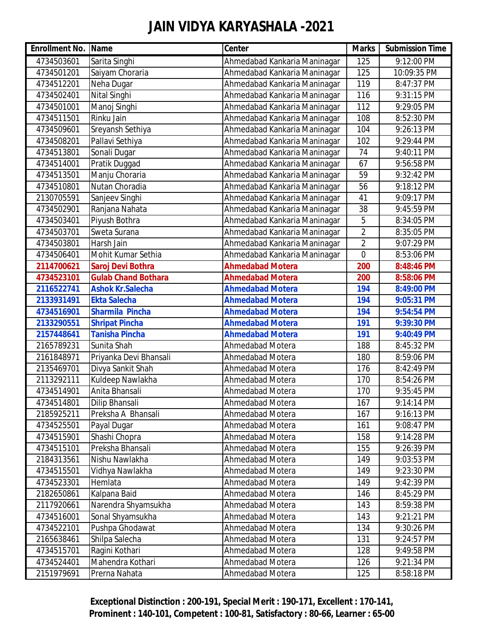| <b>Enrollment No. Name</b> |                            | <b>Center</b>                | <b>Marks</b>   | <b>Submission Time</b> |
|----------------------------|----------------------------|------------------------------|----------------|------------------------|
| 4734503601                 | Sarita Singhi              | Ahmedabad Kankaria Maninagar | 125            | 9:12:00 PM             |
| 4734501201                 | Saiyam Choraria            | Ahmedabad Kankaria Maninagar | 125            | 10:09:35 PM            |
| 4734512201                 | Neha Dugar                 | Ahmedabad Kankaria Maninagar | 119            | 8:47:37 PM             |
| 4734502401                 | Nital Singhi               | Ahmedabad Kankaria Maninagar | 116            | 9:31:15 PM             |
| 4734501001                 | Manoj Singhi               | Ahmedabad Kankaria Maninagar | 112            | 9:29:05 PM             |
| 4734511501                 | Rinku Jain                 | Ahmedabad Kankaria Maninagar | 108            | 8:52:30 PM             |
| 4734509601                 | Sreyansh Sethiya           | Ahmedabad Kankaria Maninagar | 104            | 9:26:13 PM             |
| 4734508201                 | Pallavi Sethiya            | Ahmedabad Kankaria Maninagar | 102            | 9:29:44 PM             |
| 4734513801                 | Sonali Dugar               | Ahmedabad Kankaria Maninagar | 74             | 9:40:11 PM             |
| 4734514001                 | Pratik Duggad              | Ahmedabad Kankaria Maninagar | 67             | 9:56:58 PM             |
| 4734513501                 | Manju Choraria             | Ahmedabad Kankaria Maninagar | 59             | 9:32:42 PM             |
| 4734510801                 | Nutan Choradia             | Ahmedabad Kankaria Maninagar | 56             | 9:18:12 PM             |
| 2130705591                 | Sanjeev Singhi             | Ahmedabad Kankaria Maninagar | 41             | 9:09:17 PM             |
| 4734502901                 | Ranjana Nahata             | Ahmedabad Kankaria Maninagar | 38             | 9:45:59 PM             |
| 4734503401                 | Piyush Bothra              | Ahmedabad Kankaria Maninagar | 5              | 8:34:05 PM             |
| 4734503701                 | Sweta Surana               | Ahmedabad Kankaria Maninagar | $\overline{2}$ | 8:35:05 PM             |
| 4734503801                 | Harsh Jain                 | Ahmedabad Kankaria Maninagar | $\overline{2}$ | 9:07:29 PM             |
| 4734506401                 | Mohit Kumar Sethia         | Ahmedabad Kankaria Maninagar | $\overline{0}$ | 8:53:06 PM             |
| 2114700621                 | Saroj Devi Bothra          | <b>Ahmedabad Motera</b>      | 200            | 8:48:46 PM             |
| 4734523101                 | <b>Gulab Chand Bothara</b> | <b>Ahmedabad Motera</b>      | 200            | 8:58:06 PM             |
| 2116522741                 | <b>Ashok Kr.Salecha</b>    | <b>Ahmedabad Motera</b>      | 194            | 8:49:00 PM             |
| 2133931491                 | <b>Ekta Salecha</b>        | <b>Ahmedabad Motera</b>      | 194            | 9:05:31 PM             |
| 4734516901                 | <b>Sharmila Pincha</b>     | <b>Ahmedabad Motera</b>      | 194            | 9:54:54 PM             |
| 2133290551                 | <b>Shripat Pincha</b>      | <b>Ahmedabad Motera</b>      | 191            | 9:39:30 PM             |
| 2157448641                 | <b>Tanisha Pincha</b>      | <b>Ahmedabad Motera</b>      | 191            | 9:40:49 PM             |
| 2165789231                 | Sunita Shah                | Ahmedabad Motera             | 188            | 8:45:32 PM             |
| 2161848971                 | Priyanka Devi Bhansali     | <b>Ahmedabad Motera</b>      | 180            | 8:59:06 PM             |
| 2135469701                 | Divya Sankit Shah          | <b>Ahmedabad Motera</b>      | 176            | 8:42:49 PM             |
| 2113292111                 | Kuldeep Nawlakha           | <b>Ahmedabad Motera</b>      | 170            | 8:54:26 PM             |
| 4734514901                 | Anita Bhansali             | <b>Ahmedabad Motera</b>      | 170            | 9:35:45 PM             |
| 4734514801                 | Dilip Bhansali             | Ahmedabad Motera             | 167            | 9:14:14 PM             |
| 2185925211                 | Preksha A Bhansali         | Ahmedabad Motera             | 167            | 9:16:13 PM             |
| 4734525501                 | Payal Dugar                | Ahmedabad Motera             | 161            | 9:08:47 PM             |
| 4734515901                 | Shashi Chopra              | Ahmedabad Motera             | 158            | 9:14:28 PM             |
| 4734515101                 | Preksha Bhansali           | Ahmedabad Motera             | 155            | 9:26:39 PM             |
| 2184313561                 | Nishu Nawlakha             | <b>Ahmedabad Motera</b>      | 149            | 9:03:53 PM             |
| 4734515501                 | Vidhya Nawlakha            | <b>Ahmedabad Motera</b>      | 149            | 9:23:30 PM             |
| 4734523301                 | Hemlata                    | Ahmedabad Motera             | 149            | 9:42:39 PM             |
| 2182650861                 | Kalpana Baid               | Ahmedabad Motera             | 146            | 8:45:29 PM             |
| 2117920661                 | Narendra Shyamsukha        | Ahmedabad Motera             | 143            | 8:59:38 PM             |
| 4734516001                 | Sonal Shyamsukha           | Ahmedabad Motera             | 143            | 9:21:21 PM             |
| 4734522101                 | Pushpa Ghodawat            | Ahmedabad Motera             | 134            | 9:30:26 PM             |
| 2165638461                 | Shilpa Salecha             | Ahmedabad Motera             | 131            | 9:24:57 PM             |
| 4734515701                 | Ragini Kothari             | Ahmedabad Motera             | 128            | 9:49:58 PM             |
| 4734524401                 | Mahendra Kothari           | Ahmedabad Motera             | 126            | 9:21:34 PM             |
| 2151979691                 | Prerna Nahata              | Ahmedabad Motera             | 125            | 8:58:18 PM             |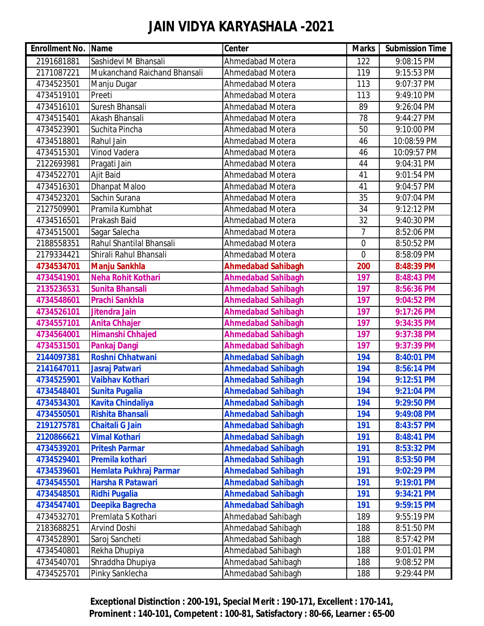| <b>Enrollment No. Name</b> |                              | <b>Center</b>             | <b>Marks</b>   | <b>Submission Time</b> |
|----------------------------|------------------------------|---------------------------|----------------|------------------------|
| 2191681881                 | Sashidevi M Bhansali         | <b>Ahmedabad Motera</b>   | 122            | 9:08:15 PM             |
| 2171087221                 | Mukanchand Raichand Bhansali | <b>Ahmedabad Motera</b>   | 119            | 9:15:53 PM             |
| 4734523501                 | Manju Dugar                  | <b>Ahmedabad Motera</b>   | 113            | 9:07:37 PM             |
| 4734519101                 | Preeti                       | <b>Ahmedabad Motera</b>   | 113            | 9:49:10 PM             |
| 4734516101                 | Suresh Bhansali              | <b>Ahmedabad Motera</b>   | 89             | 9:26:04 PM             |
| 4734515401                 | Akash Bhansali               | <b>Ahmedabad Motera</b>   | 78             | 9:44:27 PM             |
| 4734523901                 | Suchita Pincha               | <b>Ahmedabad Motera</b>   | 50             | 9:10:00 PM             |
| 4734518801                 | Rahul Jain                   | <b>Ahmedabad Motera</b>   | 46             | 10:08:59 PM            |
| 4734515301                 | Vinod Vadera                 | <b>Ahmedabad Motera</b>   | 46             | 10:09:57 PM            |
| 2122693981                 | Pragati Jain                 | <b>Ahmedabad Motera</b>   | 44             | 9:04:31 PM             |
| 4734522701                 | <b>Ajit Baid</b>             | <b>Ahmedabad Motera</b>   | 41             | 9:01:54 PM             |
| 4734516301                 | <b>Dhanpat Maloo</b>         | <b>Ahmedabad Motera</b>   | 41             | 9:04:57 PM             |
| 4734523201                 | Sachin Surana                | <b>Ahmedabad Motera</b>   | 35             | 9:07:04 PM             |
| 2127509901                 | Pramila Kumbhat              | <b>Ahmedabad Motera</b>   | 34             | 9:12:12 PM             |
| 4734516501                 | Prakash Baid                 | <b>Ahmedabad Motera</b>   | 32             | 9:40:30 PM             |
| 4734515001                 | Sagar Salecha                | <b>Ahmedabad Motera</b>   | 7              | 8:52:06 PM             |
| 2188558351                 | Rahul Shantilal Bhansali     | <b>Ahmedabad Motera</b>   | $\overline{0}$ | 8:50:52 PM             |
| 2179334421                 | Shirali Rahul Bhansali       | <b>Ahmedabad Motera</b>   | $\overline{0}$ | 8:58:09 PM             |
| 4734534701                 | <b>Manju Sankhla</b>         | <b>Ahmedabad Sahibagh</b> | 200            | 8:48:39 PM             |
| 4734541901                 | <b>Neha Rohit Kothari</b>    | <b>Ahmedabad Sahibagh</b> | 197            | 8:48:43 PM             |
| 2135236531                 | <b>Sunita Bhansali</b>       | <b>Ahmedabad Sahibagh</b> | 197            | 8:56:36 PM             |
| 4734548601                 | <b>Prachi Sankhla</b>        | <b>Ahmedabad Sahibagh</b> | 197            | 9:04:52 PM             |
| 4734526101                 | Jitendra Jain                | <b>Ahmedabad Sahibagh</b> | 197            | 9:17:26 PM             |
| 4734557101                 | <b>Anita Chhajer</b>         | <b>Ahmedabad Sahibagh</b> | 197            | 9:34:35 PM             |
| 4734564001                 | Himanshi Chhajed             | <b>Ahmedabad Sahibagh</b> | 197            | 9:37:38 PM             |
| 4734531501                 | <b>Pankaj Dangi</b>          | <b>Ahmedabad Sahibagh</b> | 197            | 9:37:39 PM             |
| 2144097381                 | <b>Roshni Chhatwani</b>      | <b>Ahmedabad Sahibagh</b> | 194            | 8:40:01 PM             |
| 2141647011                 | Jasraj Patwari               | <b>Ahmedabad Sahibagh</b> | 194            | 8:56:14 PM             |
| 4734525901                 | <b>Vaibhav Kothari</b>       | <b>Ahmedabad Sahibagh</b> | 194            | 9:12:51 PM             |
| 4734548401                 | <b>Sunita Pugalia</b>        | <b>Ahmedabad Sahibagh</b> | 194            | 9:21:04 PM             |
| 4734534301                 | <b>Kavita Chindaliya</b>     | <b>Ahmedabad Sahibagh</b> | 194            | 9:29:50 PM             |
| 4734550501                 | <b>Rishita Bhansali</b>      | <b>Ahmedabad Sahibagh</b> | 194            | 9:49:08 PM             |
| 2191275781                 | <b>Chaitali G Jain</b>       | <b>Ahmedabad Sahibagh</b> | 191            | 8:43:57 PM             |
| 2120866621                 | <b>Vimal Kothari</b>         | <b>Ahmedabad Sahibagh</b> | 191            | 8:48:41 PM             |
| 4734539201                 | <b>Pritesh Parmar</b>        | <b>Ahmedabad Sahibagh</b> | 191            | 8:53:32 PM             |
| 4734529401                 | Premila kothari              | <b>Ahmedabad Sahibagh</b> | 191            | 8:53:50 PM             |
| 4734539601                 | Hemlata Pukhraj Parmar       | <b>Ahmedabad Sahibagh</b> | 191            | 9:02:29 PM             |
| 4734545501                 | <b>Harsha R Patawari</b>     | <b>Ahmedabad Sahibagh</b> | 191            | 9:19:01 PM             |
| 4734548501                 | <b>Ridhi Pugalia</b>         | <b>Ahmedabad Sahibagh</b> | 191            | 9:34:21 PM             |
| 4734547401                 | Deepika Bagrecha             | <b>Ahmedabad Sahibagh</b> | 191            | 9:59:15 PM             |
| 4734532701                 | Premlata S Kothari           | Ahmedabad Sahibagh        | 189            | 9:55:19 PM             |
| 2183688251                 | <b>Arvind Doshi</b>          | Ahmedabad Sahibagh        | 188            | 8:51:50 PM             |
| 4734528901                 | Saroj Sancheti               | Ahmedabad Sahibagh        | 188            | 8:57:42 PM             |
| 4734540801                 | Rekha Dhupiya                | Ahmedabad Sahibagh        | 188            | 9:01:01 PM             |
| 4734540701                 | Shraddha Dhupiya             | Ahmedabad Sahibagh        | 188            | 9:08:52 PM             |
| 4734525701                 | Pinky Sanklecha              | Ahmedabad Sahibagh        | 188            | 9:29:44 PM             |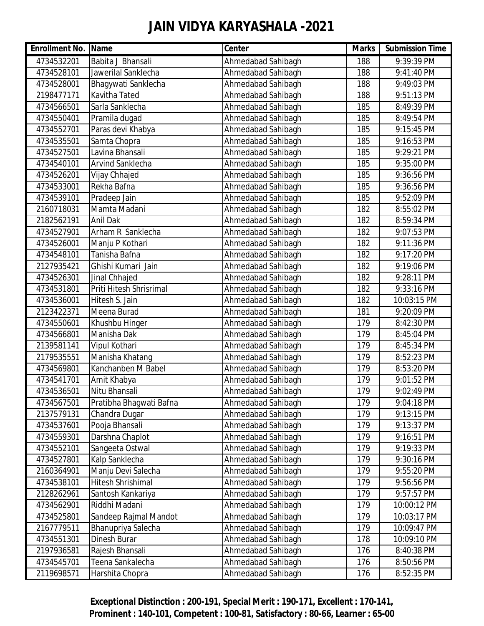| <b>Enrollment No. Name</b> |                          | Center             | <b>Marks</b> | <b>Submission Time</b> |
|----------------------------|--------------------------|--------------------|--------------|------------------------|
| 4734532201                 | Babita J Bhansali        | Ahmedabad Sahibagh | 188          | 9:39:39 PM             |
| 4734528101                 | Jawerilal Sanklecha      | Ahmedabad Sahibagh | 188          | 9:41:40 PM             |
| 4734528001                 | Bhagywati Sanklecha      | Ahmedabad Sahibagh | 188          | 9:49:03 PM             |
| 2198477171                 | <b>Kavitha Tated</b>     | Ahmedabad Sahibagh | 188          | 9:51:13 PM             |
| 4734566501                 | Sarla Sanklecha          | Ahmedabad Sahibagh | 185          | 8:49:39 PM             |
| 4734550401                 | Pramila dugad            | Ahmedabad Sahibagh | 185          | 8:49:54 PM             |
| 4734552701                 | Paras devi Khabya        | Ahmedabad Sahibagh | 185          | 9:15:45 PM             |
| 4734535501                 | Samta Chopra             | Ahmedabad Sahibagh | 185          | 9:16:53 PM             |
| 4734527501                 | Lavina Bhansali          | Ahmedabad Sahibagh | 185          | 9:29:21 PM             |
| 4734540101                 | <b>Arvind Sanklecha</b>  | Ahmedabad Sahibagh | 185          | 9:35:00 PM             |
| 4734526201                 | Vijay Chhajed            | Ahmedabad Sahibagh | 185          | 9:36:56 PM             |
| 4734533001                 | Rekha Bafna              | Ahmedabad Sahibagh | 185          | 9:36:56 PM             |
| 4734539101                 | Pradeep Jain             | Ahmedabad Sahibagh | 185          | 9:52:09 PM             |
| 2160718031                 | Mamta Madani             | Ahmedabad Sahibagh | 182          | 8:55:02 PM             |
| 2182562191                 | <b>Anil Dak</b>          | Ahmedabad Sahibagh | 182          | 8:59:34 PM             |
| 4734527901                 | Arham R Sanklecha        | Ahmedabad Sahibagh | 182          | 9:07:53 PM             |
| 4734526001                 | Manju P Kothari          | Ahmedabad Sahibagh | 182          | 9:11:36 PM             |
| 4734548101                 | Tanisha Bafna            | Ahmedabad Sahibagh | 182          | 9:17:20 PM             |
| 2127935421                 | Ghishi Kumari Jain       | Ahmedabad Sahibagh | 182          | 9:19:06 PM             |
| 4734526301                 | Jinal Chhajed            | Ahmedabad Sahibagh | 182          | 9:28:11 PM             |
| 4734531801                 | Priti Hitesh Shrisrimal  | Ahmedabad Sahibagh | 182          | 9:33:16 PM             |
| 4734536001                 | Hitesh S. Jain           | Ahmedabad Sahibagh | 182          | 10:03:15 PM            |
| 2123422371                 | Meena Burad              | Ahmedabad Sahibagh | 181          | 9:20:09 PM             |
| 4734550601                 | Khushbu Hinger           | Ahmedabad Sahibagh | 179          | 8:42:30 PM             |
| 4734566801                 | Manisha Dak              | Ahmedabad Sahibagh | 179          | 8:45:04 PM             |
| 2139581141                 | Vipul Kothari            | Ahmedabad Sahibagh | 179          | 8:45:34 PM             |
| 2179535551                 | Manisha Khatang          | Ahmedabad Sahibagh | 179          | 8:52:23 PM             |
| 4734569801                 | Kanchanben M Babel       | Ahmedabad Sahibagh | 179          | 8:53:20 PM             |
| 4734541701                 | Amit Khabya              | Ahmedabad Sahibagh | 179          | 9:01:52 PM             |
| 4734536501                 | Nitu Bhansali            | Ahmedabad Sahibagh | 179          | 9:02:49 PM             |
| 4734567501                 | Pratibha Bhagwati Bafna  | Ahmedabad Sahibagh | 179          | 9:04:18 PM             |
| 2137579131                 | Chandra Dugar            | Ahmedabad Sahibagh | 179          | 9:13:15 PM             |
| 4734537601                 | Pooja Bhansali           | Ahmedabad Sahibagh | 179          | 9:13:37 PM             |
| 4734559301                 | Darshna Chaplot          | Ahmedabad Sahibagh | 179          | 9:16:51 PM             |
| 4734552101                 | Sangeeta Ostwal          | Ahmedabad Sahibagh | 179          | 9:19:33 PM             |
| 4734527801                 | Kalp Sanklecha           | Ahmedabad Sahibagh | 179          | 9:30:16 PM             |
| 2160364901                 | Manju Devi Salecha       | Ahmedabad Sahibagh | 179          | 9:55:20 PM             |
| 4734538101                 | <b>Hitesh Shrishimal</b> | Ahmedabad Sahibagh | 179          | 9:56:56 PM             |
| 2128262961                 | Santosh Kankariya        | Ahmedabad Sahibagh | 179          | 9:57:57 PM             |
| 4734562901                 | Riddhi Madani            | Ahmedabad Sahibagh | 179          | 10:00:12 PM            |
| 4734525801                 | Sandeep Rajmal Mandot    | Ahmedabad Sahibagh | 179          | 10:03:17 PM            |
| 2167779511                 | Bhanupriya Salecha       | Ahmedabad Sahibagh | 179          | 10:09:47 PM            |
| 4734551301                 | Dinesh Burar             | Ahmedabad Sahibagh | 178          | 10:09:10 PM            |
| 2197936581                 | Rajesh Bhansali          | Ahmedabad Sahibagh | 176          | 8:40:38 PM             |
| 4734545701                 | Teena Sankalecha         | Ahmedabad Sahibagh | 176          | 8:50:56 PM             |
| 2119698571                 | Harshita Chopra          | Ahmedabad Sahibagh | 176          | 8:52:35 PM             |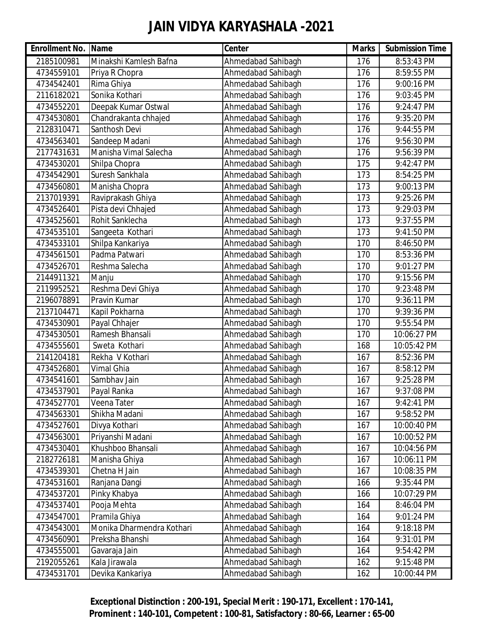| <b>Enrollment No. Name</b> |                           | Center             | <b>Marks</b> | <b>Submission Time</b> |
|----------------------------|---------------------------|--------------------|--------------|------------------------|
| 2185100981                 | Minakshi Kamlesh Bafna    | Ahmedabad Sahibagh | 176          | 8:53:43 PM             |
| 4734559101                 | Priya R Chopra            | Ahmedabad Sahibagh | 176          | 8:59:55 PM             |
| 4734542401                 | Rima Ghiya                | Ahmedabad Sahibagh | 176          | 9:00:16 PM             |
| 2116182021                 | Sonika Kothari            | Ahmedabad Sahibagh | 176          | 9:03:45 PM             |
| 4734552201                 | Deepak Kumar Ostwal       | Ahmedabad Sahibagh | 176          | 9:24:47 PM             |
| 4734530801                 | Chandrakanta chhajed      | Ahmedabad Sahibagh | 176          | 9:35:20 PM             |
| 2128310471                 | Santhosh Devi             | Ahmedabad Sahibagh | 176          | 9:44:55 PM             |
| 4734563401                 | Sandeep Madani            | Ahmedabad Sahibagh | 176          | 9:56:30 PM             |
| 2177431631                 | Manisha Vimal Salecha     | Ahmedabad Sahibagh | 176          | 9:56:39 PM             |
| 4734530201                 | Shilpa Chopra             | Ahmedabad Sahibagh | 175          | 9:42:47 PM             |
| 4734542901                 | Suresh Sankhala           | Ahmedabad Sahibagh | 173          | 8:54:25 PM             |
| 4734560801                 | Manisha Chopra            | Ahmedabad Sahibagh | 173          | 9:00:13 PM             |
| 2137019391                 | Raviprakash Ghiya         | Ahmedabad Sahibagh | 173          | 9:25:26 PM             |
| 4734526401                 | Pista devi Chhajed        | Ahmedabad Sahibagh | 173          | 9:29:03 PM             |
| 4734525601                 | Rohit Sanklecha           | Ahmedabad Sahibagh | 173          | 9:37:55 PM             |
| 4734535101                 | Sangeeta Kothari          | Ahmedabad Sahibagh | 173          | 9:41:50 PM             |
| 4734533101                 | Shilpa Kankariya          | Ahmedabad Sahibagh | 170          | 8:46:50 PM             |
| 4734561501                 | Padma Patwari             | Ahmedabad Sahibagh | 170          | 8:53:36 PM             |
| 4734526701                 | Reshma Salecha            | Ahmedabad Sahibagh | 170          | 9:01:27 PM             |
| 2144911321                 | Manju                     | Ahmedabad Sahibagh | 170          | 9:15:56 PM             |
| 2119952521                 | Reshma Devi Ghiya         | Ahmedabad Sahibagh | 170          | 9:23:48 PM             |
| 2196078891                 | Pravin Kumar              | Ahmedabad Sahibagh | 170          | 9:36:11 PM             |
| 2137104471                 | Kapil Pokharna            | Ahmedabad Sahibagh | 170          | 9:39:36 PM             |
| 4734530901                 | Payal Chhajer             | Ahmedabad Sahibagh | 170          | 9:55:54 PM             |
| 4734530501                 | Ramesh Bhansali           | Ahmedabad Sahibagh | 170          | 10:06:27 PM            |
| 4734555601                 | Sweta Kothari             | Ahmedabad Sahibagh | 168          | 10:05:42 PM            |
| 2141204181                 | Rekha V Kothari           | Ahmedabad Sahibagh | 167          | 8:52:36 PM             |
| 4734526801                 | <b>Vimal Ghia</b>         | Ahmedabad Sahibagh | 167          | 8:58:12 PM             |
| 4734541601                 | Sambhav Jain              | Ahmedabad Sahibagh | 167          | 9:25:28 PM             |
| 4734537901                 | Payal Ranka               | Ahmedabad Sahibagh | 167          | 9:37:08 PM             |
| 4734527701                 | Veena Tater               | Ahmedabad Sahibagh | 167          | 9:42:41 PM             |
| 4734563301                 | Shikha Madani             | Ahmedabad Sahibagh | 167          | 9:58:52 PM             |
| 4734527601                 | Divya Kothari             | Ahmedabad Sahibagh | 167          | 10:00:40 PM            |
| 4734563001                 | Priyanshi Madani          | Ahmedabad Sahibagh | 167          | 10:00:52 PM            |
| 4734530401                 | Khushboo Bhansali         | Ahmedabad Sahibagh | 167          | 10:04:56 PM            |
| 2182726181                 | Manisha Ghiya             | Ahmedabad Sahibagh | 167          | 10:06:11 PM            |
| 4734539301                 | Chetna H Jain             | Ahmedabad Sahibagh | 167          | 10:08:35 PM            |
| 4734531601                 | Ranjana Dangi             | Ahmedabad Sahibagh | 166          | 9:35:44 PM             |
| 4734537201                 | Pinky Khabya              | Ahmedabad Sahibagh | 166          | 10:07:29 PM            |
| 4734537401                 | Pooja Mehta               | Ahmedabad Sahibagh | 164          | 8:46:04 PM             |
| 4734547001                 | Pramila Ghiya             | Ahmedabad Sahibagh | 164          | 9:01:24 PM             |
| 4734543001                 | Monika Dharmendra Kothari | Ahmedabad Sahibagh | 164          | 9:18:18 PM             |
| 4734560901                 | Preksha Bhanshi           | Ahmedabad Sahibagh | 164          | 9:31:01 PM             |
| 4734555001                 | Gavaraja Jain             | Ahmedabad Sahibagh | 164          | 9:54:42 PM             |
| 2192055261                 | Kala Jirawala             | Ahmedabad Sahibagh | 162          | 9:15:48 PM             |
| 4734531701                 | Devika Kankariya          | Ahmedabad Sahibagh | 162          | 10:00:44 PM            |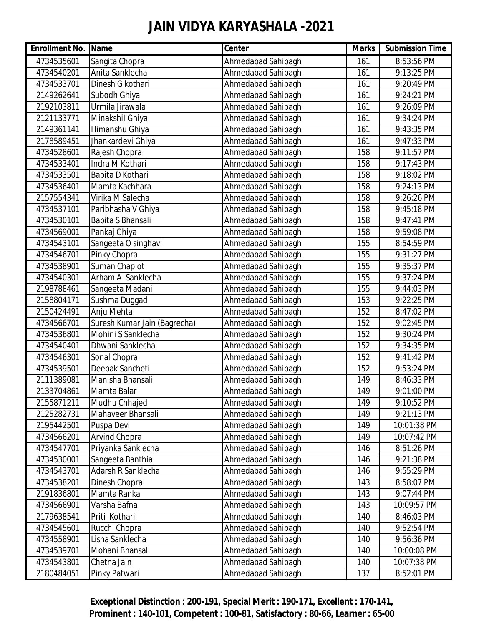| <b>Enrollment No. Name</b> |                              | Center             | <b>Marks</b> | <b>Submission Time</b> |
|----------------------------|------------------------------|--------------------|--------------|------------------------|
| 4734535601                 | Sangita Chopra               | Ahmedabad Sahibagh | 161          | 8:53:56 PM             |
| 4734540201                 | Anita Sanklecha              | Ahmedabad Sahibagh | 161          | 9:13:25 PM             |
| 4734533701                 | Dinesh G kothari             | Ahmedabad Sahibagh | 161          | 9:20:49 PM             |
| 2149262641                 | Subodh Ghiya                 | Ahmedabad Sahibagh | 161          | 9:24:21 PM             |
| 2192103811                 | Urmila Jirawala              | Ahmedabad Sahibagh | 161          | 9:26:09 PM             |
| 2121133771                 | Minakshil Ghiya              | Ahmedabad Sahibagh | 161          | 9:34:24 PM             |
| 2149361141                 | Himanshu Ghiya               | Ahmedabad Sahibagh | 161          | 9:43:35 PM             |
| 2178589451                 | Jhankardevi Ghiya            | Ahmedabad Sahibagh | 161          | 9:47:33 PM             |
| 4734528601                 | Rajesh Chopra                | Ahmedabad Sahibagh | 158          | 9:11:57 PM             |
| 4734533401                 | Indra M Kothari              | Ahmedabad Sahibagh | 158          | 9:17:43 PM             |
| 4734533501                 | Babita D Kothari             | Ahmedabad Sahibagh | 158          | 9:18:02 PM             |
| 4734536401                 | Mamta Kachhara               | Ahmedabad Sahibagh | 158          | 9:24:13 PM             |
| 2157554341                 | Virika M Salecha             | Ahmedabad Sahibagh | 158          | 9:26:26 PM             |
| 4734537101                 | Paribhasha V Ghiya           | Ahmedabad Sahibagh | 158          | 9:45:18 PM             |
| 4734530101                 | Babita S Bhansali            | Ahmedabad Sahibagh | 158          | 9:47:41 PM             |
| 4734569001                 | Pankaj Ghiya                 | Ahmedabad Sahibagh | 158          | 9:59:08 PM             |
| 4734543101                 | Sangeeta O singhavi          | Ahmedabad Sahibagh | 155          | 8:54:59 PM             |
| 4734546701                 | Pinky Chopra                 | Ahmedabad Sahibagh | 155          | 9:31:27 PM             |
| 4734538901                 | Suman Chaplot                | Ahmedabad Sahibagh | 155          | 9:35:37 PM             |
| 4734540301                 | Arham A Sanklecha            | Ahmedabad Sahibagh | 155          | 9:37:24 PM             |
| 2198788461                 | Sangeeta Madani              | Ahmedabad Sahibagh | 155          | 9:44:03 PM             |
| 2158804171                 | Sushma Duggad                | Ahmedabad Sahibagh | 153          | 9:22:25 PM             |
| 2150424491                 | Anju Mehta                   | Ahmedabad Sahibagh | 152          | 8:47:02 PM             |
| 4734566701                 | Suresh Kumar Jain (Bagrecha) | Ahmedabad Sahibagh | 152          | 9:02:45 PM             |
| 4734536801                 | Mohini S Sanklecha           | Ahmedabad Sahibagh | 152          | 9:30:24 PM             |
| 4734540401                 | Dhwani Sanklecha             | Ahmedabad Sahibagh | 152          | 9:34:35 PM             |
| 4734546301                 | Sonal Chopra                 | Ahmedabad Sahibagh | 152          | 9:41:42 PM             |
| 4734539501                 | Deepak Sancheti              | Ahmedabad Sahibagh | 152          | 9:53:24 PM             |
| 2111389081                 | Manisha Bhansali             | Ahmedabad Sahibagh | 149          | 8:46:33 PM             |
| 2133704861                 | Mamta Balar                  | Ahmedabad Sahibagh | 149          | 9:01:00 PM             |
| 2155871211                 | Mudhu Chhajed                | Ahmedabad Sahibagh | 149          | 9:10:52 PM             |
| 2125282731                 | Mahaveer Bhansali            | Ahmedabad Sahibagh | 149          | 9:21:13 PM             |
| 2195442501                 | Puspa Devi                   | Ahmedabad Sahibagh | 149          | 10:01:38 PM            |
| 4734566201                 | <b>Arvind Chopra</b>         | Ahmedabad Sahibagh | 149          | 10:07:42 PM            |
| 4734547701                 | Priyanka Sanklecha           | Ahmedabad Sahibagh | 146          | 8:51:26 PM             |
| 4734530001                 | Sangeeta Banthia             | Ahmedabad Sahibagh | 146          | 9:21:38 PM             |
| 4734543701                 | Adarsh R Sanklecha           | Ahmedabad Sahibagh | 146          | 9:55:29 PM             |
| 4734538201                 | Dinesh Chopra                | Ahmedabad Sahibagh | 143          | 8:58:07 PM             |
| 2191836801                 | Mamta Ranka                  | Ahmedabad Sahibagh | 143          | 9:07:44 PM             |
| 4734566901                 | Varsha Bafna                 | Ahmedabad Sahibagh | 143          | 10:09:57 PM            |
| 2179638541                 | Priti Kothari                | Ahmedabad Sahibagh | 140          | 8:46:03 PM             |
| 4734545601                 | Rucchi Chopra                | Ahmedabad Sahibagh | 140          | 9:52:54 PM             |
| 4734558901                 | Lisha Sanklecha              | Ahmedabad Sahibagh | 140          | 9:56:36 PM             |
| 4734539701                 | Mohani Bhansali              | Ahmedabad Sahibagh | 140          | 10:00:08 PM            |
| 4734543801                 | Chetna Jain                  | Ahmedabad Sahibagh | 140          | 10:07:38 PM            |
| 2180484051                 | Pinky Patwari                | Ahmedabad Sahibagh | 137          | 8:52:01 PM             |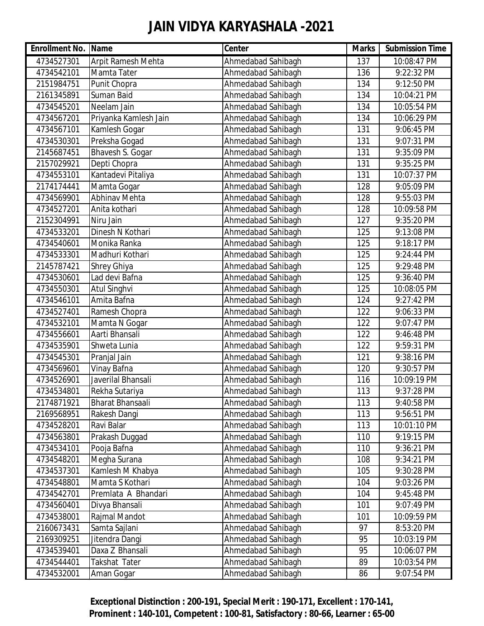| <b>Enrollment No. Name</b> |                           | <b>Center</b>      | <b>Marks</b> | <b>Submission Time</b> |
|----------------------------|---------------------------|--------------------|--------------|------------------------|
| 4734527301                 | <b>Arpit Ramesh Mehta</b> | Ahmedabad Sahibagh | 137          | 10:08:47 PM            |
| 4734542101                 | Mamta Tater               | Ahmedabad Sahibagh | 136          | 9:22:32 PM             |
| 2151984751                 | Punit Chopra              | Ahmedabad Sahibagh | 134          | 9:12:50 PM             |
| 2161345891                 | Suman Baid                | Ahmedabad Sahibagh | 134          | 10:04:21 PM            |
| 4734545201                 | Neelam Jain               | Ahmedabad Sahibagh | 134          | 10:05:54 PM            |
| 4734567201                 | Priyanka Kamlesh Jain     | Ahmedabad Sahibagh | 134          | 10:06:29 PM            |
| 4734567101                 | Kamlesh Gogar             | Ahmedabad Sahibagh | 131          | 9:06:45 PM             |
| 4734530301                 | Preksha Gogad             | Ahmedabad Sahibagh | 131          | 9:07:31 PM             |
| 2145687451                 | Bhavesh S. Gogar          | Ahmedabad Sahibagh | 131          | 9:35:09 PM             |
| 2157029921                 | Depti Chopra              | Ahmedabad Sahibagh | 131          | 9:35:25 PM             |
| 4734553101                 | Kantadevi Pitaliya        | Ahmedabad Sahibagh | 131          | 10:07:37 PM            |
| 2174174441                 | Mamta Gogar               | Ahmedabad Sahibagh | 128          | 9:05:09 PM             |
| 4734569901                 | Abhinav Mehta             | Ahmedabad Sahibagh | 128          | 9:55:03 PM             |
| 4734527201                 | Anita kothari             | Ahmedabad Sahibagh | 128          | 10:09:58 PM            |
| 2152304991                 | Niru Jain                 | Ahmedabad Sahibagh | 127          | 9:35:20 PM             |
| 4734533201                 | Dinesh N Kothari          | Ahmedabad Sahibagh | 125          | 9:13:08 PM             |
| 4734540601                 | Monika Ranka              | Ahmedabad Sahibagh | 125          | 9:18:17 PM             |
| 4734533301                 | Madhuri Kothari           | Ahmedabad Sahibagh | 125          | 9:24:44 PM             |
| 2145787421                 | <b>Shrey Ghiya</b>        | Ahmedabad Sahibagh | 125          | 9:29:48 PM             |
| 4734530601                 | Lad devi Bafna            | Ahmedabad Sahibagh | 125          | 9:36:40 PM             |
| 4734550301                 | Atul Singhvi              | Ahmedabad Sahibagh | 125          | 10:08:05 PM            |
| 4734546101                 | Amita Bafna               | Ahmedabad Sahibagh | 124          | 9:27:42 PM             |
| 4734527401                 | Ramesh Chopra             | Ahmedabad Sahibagh | 122          | 9:06:33 PM             |
| 4734532101                 | Mamta N Gogar             | Ahmedabad Sahibagh | 122          | 9:07:47 PM             |
| 4734556601                 | Aarti Bhansali            | Ahmedabad Sahibagh | 122          | 9:46:48 PM             |
| 4734535901                 | Shweta Lunia              | Ahmedabad Sahibagh | 122          | 9:59:31 PM             |
| 4734545301                 | Pranjal Jain              | Ahmedabad Sahibagh | 121          | 9:38:16 PM             |
| 4734569601                 | Vinay Bafna               | Ahmedabad Sahibagh | 120          | 9:30:57 PM             |
| 4734526901                 | Javerilal Bhansali        | Ahmedabad Sahibagh | 116          | 10:09:19 PM            |
| 4734534801                 | Rekha Sutariya            | Ahmedabad Sahibagh | 113          | 9:37:28 PM             |
| 2174871921                 | <b>Bharat Bhansaali</b>   | Ahmedabad Sahibagh | 113          | 9:40:58 PM             |
| 2169568951                 | Rakesh Dangi              | Ahmedabad Sahibagh | 113          | 9:56:51 PM             |
| 4734528201                 | Ravi Balar                | Ahmedabad Sahibagh | 113          | 10:01:10 PM            |
| 4734563801                 | Prakash Duggad            | Ahmedabad Sahibagh | 110          | 9:19:15 PM             |
| 4734534101                 | Pooja Bafna               | Ahmedabad Sahibagh | 110          | 9:36:21 PM             |
| 4734548201                 | Megha Surana              | Ahmedabad Sahibagh | 108          | 9:34:21 PM             |
| 4734537301                 | Kamlesh M Khabya          | Ahmedabad Sahibagh | 105          | 9:30:28 PM             |
| 4734548801                 | Mamta S Kothari           | Ahmedabad Sahibagh | 104          | 9:03:26 PM             |
| 4734542701                 | Premlata A Bhandari       | Ahmedabad Sahibagh | 104          | 9:45:48 PM             |
| 4734560401                 | Divya Bhansali            | Ahmedabad Sahibagh | 101          | 9:07:49 PM             |
| 4734538001                 | Rajmal Mandot             | Ahmedabad Sahibagh | 101          | 10:09:59 PM            |
| 2160673431                 | Samta Sajlani             | Ahmedabad Sahibagh | 97           | 8:53:20 PM             |
| 2169309251                 | Jitendra Dangi            | Ahmedabad Sahibagh | 95           | 10:03:19 PM            |
| 4734539401                 | Daxa Z Bhansali           | Ahmedabad Sahibagh | 95           | 10:06:07 PM            |
| 4734544401                 | Takshat Tater             | Ahmedabad Sahibagh | 89           | 10:03:54 PM            |
| 4734532001                 | Aman Gogar                | Ahmedabad Sahibagh | 86           | 9:07:54 PM             |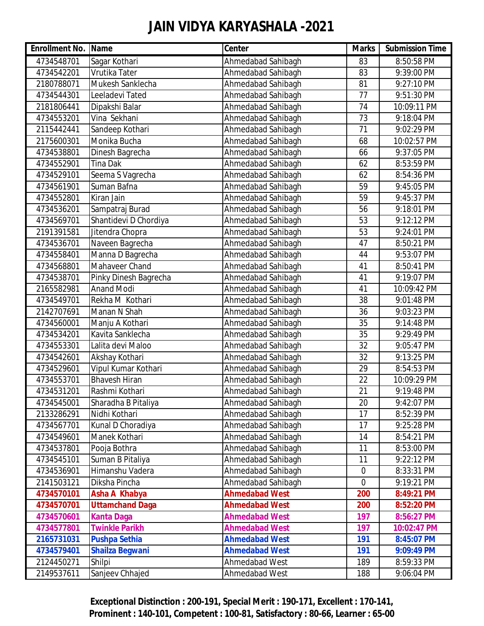| <b>Enrollment No. Name</b> |                        | Center                | <b>Marks</b> | <b>Submission Time</b> |
|----------------------------|------------------------|-----------------------|--------------|------------------------|
| 4734548701                 | Sagar Kothari          | Ahmedabad Sahibagh    | 83           | 8:50:58 PM             |
| 4734542201                 | Vrutika Tater          | Ahmedabad Sahibagh    | 83           | 9:39:00 PM             |
| 2180788071                 | Mukesh Sanklecha       | Ahmedabad Sahibagh    | 81           | 9:27:10 PM             |
| 4734544301                 | Leeladevi Tated        | Ahmedabad Sahibagh    | 77           | 9:51:30 PM             |
| 2181806441                 | Dipakshi Balar         | Ahmedabad Sahibagh    | 74           | 10:09:11 PM            |
| 4734553201                 | Vina Sekhani           | Ahmedabad Sahibagh    | 73           | 9:18:04 PM             |
| 2115442441                 | Sandeep Kothari        | Ahmedabad Sahibagh    | 71           | 9:02:29 PM             |
| 2175600301                 | Monika Bucha           | Ahmedabad Sahibagh    | 68           | 10:02:57 PM            |
| 4734538801                 | Dinesh Bagrecha        | Ahmedabad Sahibagh    | 66           | 9:37:05 PM             |
| 4734552901                 | <b>Tina Dak</b>        | Ahmedabad Sahibagh    | 62           | 8:53:59 PM             |
| 4734529101                 | Seema S Vagrecha       | Ahmedabad Sahibagh    | 62           | 8:54:36 PM             |
| 4734561901                 | Suman Bafna            | Ahmedabad Sahibagh    | 59           | 9:45:05 PM             |
| 4734552801                 | Kiran Jain             | Ahmedabad Sahibagh    | 59           | 9:45:37 PM             |
| 4734536201                 | Sampatraj Burad        | Ahmedabad Sahibagh    | 56           | 9:18:01 PM             |
| 4734569701                 | Shantidevi D Chordiya  | Ahmedabad Sahibagh    | 53           | 9:12:12 PM             |
| 2191391581                 | Jitendra Chopra        | Ahmedabad Sahibagh    | 53           | 9:24:01 PM             |
| 4734536701                 | Naveen Bagrecha        | Ahmedabad Sahibagh    | 47           | 8:50:21 PM             |
| 4734558401                 | Manna D Bagrecha       | Ahmedabad Sahibagh    | 44           | 9:53:07 PM             |
| 4734568801                 | Mahaveer Chand         | Ahmedabad Sahibagh    | 41           | 8:50:41 PM             |
| 4734538701                 | Pinky Dinesh Bagrecha  | Ahmedabad Sahibagh    | 41           | 9:19:07 PM             |
| 2165582981                 | <b>Anand Modi</b>      | Ahmedabad Sahibagh    | 41           | 10:09:42 PM            |
| 4734549701                 | Rekha M Kothari        | Ahmedabad Sahibagh    | 38           | 9:01:48 PM             |
| 2142707691                 | Manan N Shah           | Ahmedabad Sahibagh    | 36           | 9:03:23 PM             |
| 4734560001                 | Manju A Kothari        | Ahmedabad Sahibagh    | 35           | 9:14:48 PM             |
| 4734534201                 | Kavita Sanklecha       | Ahmedabad Sahibagh    | 35           | 9:29:49 PM             |
| 4734553301                 | Lalita devi Maloo      | Ahmedabad Sahibagh    | 32           | 9:05:47 PM             |
| 4734542601                 | Akshay Kothari         | Ahmedabad Sahibagh    | 32           | 9:13:25 PM             |
| 4734529601                 | Vipul Kumar Kothari    | Ahmedabad Sahibagh    | 29           | 8:54:53 PM             |
| 4734553701                 | <b>Bhavesh Hiran</b>   | Ahmedabad Sahibagh    | 22           | 10:09:29 PM            |
| 4734531201                 | Rashmi Kothari         | Ahmedabad Sahibagh    | 21           | 9:19:48 PM             |
| 4734545001                 | Sharadha B Pitaliya    | Ahmedabad Sahibagh    | 20           | 9:42:07 PM             |
| 2133286291                 | Nidhi Kothari          | Ahmedabad Sahibagh    | 17           | 8:52:39 PM             |
| 4734567701                 | Kunal D Choradiya      | Ahmedabad Sahibagh    | 17           | 9:25:28 PM             |
| 4734549601                 | Manek Kothari          | Ahmedabad Sahibagh    | 14           | 8:54:21 PM             |
| 4734537801                 | Pooja Bothra           | Ahmedabad Sahibagh    | 11           | 8:53:00 PM             |
| 4734545101                 | Suman B Pitaliya       | Ahmedabad Sahibagh    | 11           | 9:22:12 PM             |
| 4734536901                 | Himanshu Vadera        | Ahmedabad Sahibagh    | $\mathbf 0$  | 8:33:31 PM             |
| 2141503121                 | Diksha Pincha          | Ahmedabad Sahibagh    | $\mathbf 0$  | 9:19:21 PM             |
| 4734570101                 | Asha A Khabya          | <b>Ahmedabad West</b> | 200          | 8:49:21 PM             |
| 4734570701                 | <b>Uttamchand Daga</b> | <b>Ahmedabad West</b> | 200          | 8:52:20 PM             |
| 4734570601                 | <b>Kanta Daga</b>      | <b>Ahmedabad West</b> | 197          | 8:56:27 PM             |
| 4734577801                 | <b>Twinkle Parikh</b>  | <b>Ahmedabad West</b> | 197          | 10:02:47 PM            |
| 2165731031                 | <b>Pushpa Sethia</b>   | <b>Ahmedabad West</b> | 191          | 8:45:07 PM             |
| 4734579401                 | <b>Shailza Begwani</b> | <b>Ahmedabad West</b> | 191          | 9:09:49 PM             |
| 2124450271                 | Shilpi                 | Ahmedabad West        | 189          | 8:59:33 PM             |
| 2149537611                 | Sanjeev Chhajed        | Ahmedabad West        | 188          | 9:06:04 PM             |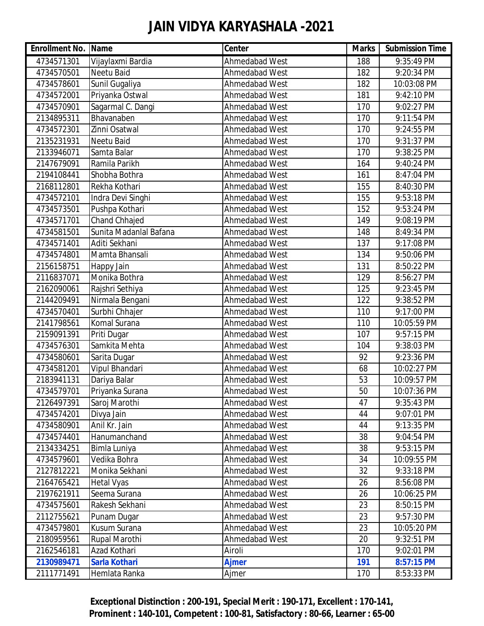| <b>Enrollment No. Name</b> |                        | Center         | <b>Marks</b> | <b>Submission Time</b> |
|----------------------------|------------------------|----------------|--------------|------------------------|
| 4734571301                 | Vijaylaxmi Bardia      | Ahmedabad West | 188          | 9:35:49 PM             |
| 4734570501                 | Neetu Baid             | Ahmedabad West | 182          | 9:20:34 PM             |
| 4734578601                 | Sunil Gugaliya         | Ahmedabad West | 182          | 10:03:08 PM            |
| 4734572001                 | Priyanka Ostwal        | Ahmedabad West | 181          | 9:42:10 PM             |
| 4734570901                 | Sagarmal C. Dangi      | Ahmedabad West | 170          | 9:02:27 PM             |
| 2134895311                 | Bhavanaben             | Ahmedabad West | 170          | 9:11:54 PM             |
| 4734572301                 | Zinni Osatwal          | Ahmedabad West | 170          | 9:24:55 PM             |
| 2135231931                 | Neetu Baid             | Ahmedabad West | 170          | 9:31:37 PM             |
| 2133946071                 | Samta Balar            | Ahmedabad West | 170          | 9:38:25 PM             |
| 2147679091                 | Ramila Parikh          | Ahmedabad West | 164          | 9:40:24 PM             |
| 2194108441                 | Shobha Bothra          | Ahmedabad West | 161          | 8:47:04 PM             |
| 2168112801                 | Rekha Kothari          | Ahmedabad West | 155          | 8:40:30 PM             |
| 4734572101                 | Indra Devi Singhi      | Ahmedabad West | 155          | 9:53:18 PM             |
| 4734573501                 | Pushpa Kothari         | Ahmedabad West | 152          | 9:53:24 PM             |
| 4734571701                 | Chand Chhajed          | Ahmedabad West | 149          | 9:08:19 PM             |
| 4734581501                 | Sunita Madanlal Bafana | Ahmedabad West | 148          | 8:49:34 PM             |
| 4734571401                 | Aditi Sekhani          | Ahmedabad West | 137          | 9:17:08 PM             |
| 4734574801                 | Mamta Bhansali         | Ahmedabad West | 134          | 9:50:06 PM             |
| 2156158751                 | Happy Jain             | Ahmedabad West | 131          | 8:50:22 PM             |
| 2116837071                 | Monika Bothra          | Ahmedabad West | 129          | 8:56:27 PM             |
| 2162090061                 | Rajshri Sethiya        | Ahmedabad West | 125          | 9:23:45 PM             |
| 2144209491                 | Nirmala Bengani        | Ahmedabad West | 122          | 9:38:52 PM             |
| 4734570401                 | Surbhi Chhajer         | Ahmedabad West | 110          | 9:17:00 PM             |
| 2141798561                 | Komal Surana           | Ahmedabad West | 110          | 10:05:59 PM            |
| 2159091391                 | Priti Dugar            | Ahmedabad West | 107          | 9:57:15 PM             |
| 4734576301                 | Samkita Mehta          | Ahmedabad West | 104          | 9:38:03 PM             |
| 4734580601                 | Sarita Dugar           | Ahmedabad West | 92           | 9:23:36 PM             |
| 4734581201                 | Vipul Bhandari         | Ahmedabad West | 68           | 10:02:27 PM            |
| 2183941131                 | Dariya Balar           | Ahmedabad West | 53           | 10:09:57 PM            |
| 4734579701                 | Priyanka Surana        | Ahmedabad West | 50           | 10:07:36 PM            |
| 2126497391                 | Saroj Marothi          | Ahmedabad West | 47           | 9:35:43 PM             |
| 4734574201                 | Divya Jain             | Ahmedabad West | 44           | 9:07:01 PM             |
| 4734580901                 | Anil Kr. Jain          | Ahmedabad West | 44           | 9:13:35 PM             |
| 4734574401                 | Hanumanchand           | Ahmedabad West | 38           | 9:04:54 PM             |
| 2134334251                 | Bimla Luniya           | Ahmedabad West | 38           | 9:53:15 PM             |
| 4734579601                 | Vedika Bohra           | Ahmedabad West | 34           | 10:09:55 PM            |
| 2127812221                 | Monika Sekhani         | Ahmedabad West | 32           | 9:33:18 PM             |
| 2164765421                 | <b>Hetal Vyas</b>      | Ahmedabad West | 26           | 8:56:08 PM             |
| 2197621911                 | Seema Surana           | Ahmedabad West | 26           | 10:06:25 PM            |
| 4734575601                 | Rakesh Sekhani         | Ahmedabad West | 23           | 8:50:15 PM             |
| 2112755621                 | Punam Dugar            | Ahmedabad West | 23           | 9:57:30 PM             |
| 4734579801                 | Kusum Surana           | Ahmedabad West | 23           | 10:05:20 PM            |
| 2180959561                 | Rupal Marothi          | Ahmedabad West | 20           | 9:32:51 PM             |
| 2162546181                 | Azad Kothari           | Airoli         | 170          | 9:02:01 PM             |
| 2130989471                 | <b>Sarla Kothari</b>   | <b>Ajmer</b>   | 191          | 8:57:15 PM             |
| 2111771491                 | Hemlata Ranka          | Ajmer          | 170          | 8:53:33 PM             |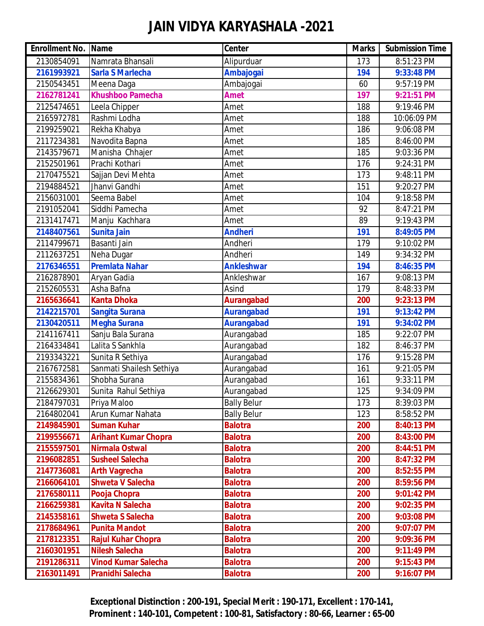| <b>Enrollment No. Name</b> |                             | <b>Center</b>      | <b>Marks</b> | <b>Submission Time</b> |
|----------------------------|-----------------------------|--------------------|--------------|------------------------|
| 2130854091                 | Namrata Bhansali            | Alipurduar         | 173          | 8:51:23 PM             |
| 2161993921                 | <b>Sarla S Marlecha</b>     | <b>Ambajogai</b>   | 194          | 9:33:48 PM             |
| 2150543451                 | Meena Daga                  | Ambajogai          | 60           | 9:57:19 PM             |
| 2162781241                 | <b>Khushboo Pamecha</b>     | <b>Amet</b>        | 197          | 9:21:51 PM             |
| 2125474651                 | Leela Chipper               | Amet               | 188          | 9:19:46 PM             |
| 2165972781                 | Rashmi Lodha                | Amet               | 188          | 10:06:09 PM            |
| 2199259021                 | Rekha Khabya                | Amet               | 186          | 9:06:08 PM             |
| 2117234381                 | Navodita Bapna              | Amet               | 185          | 8:46:00 PM             |
| 2143579671                 | Manisha Chhajer             | Amet               | 185          | 9:03:36 PM             |
| 2152501961                 | Prachi Kothari              | Amet               | 176          | 9:24:31 PM             |
| 2170475521                 | Sajjan Devi Mehta           | Amet               | 173          | 9:48:11 PM             |
| 2194884521                 | Jhanvi Gandhi               | Amet               | 151          | 9:20:27 PM             |
| 2156031001                 | Seema Babel                 | Amet               | 104          | 9:18:58 PM             |
| 2191052041                 | Siddhi Pamecha              | Amet               | 92           | 8:47:21 PM             |
| 2131417471                 | Manju Kachhara              | Amet               | 89           | 9:19:43 PM             |
| 2148407561                 | <b>Sunita Jain</b>          | <b>Andheri</b>     | 191          | 8:49:05 PM             |
| 2114799671                 | Basanti Jain                | Andheri            | 179          | 9:10:02 PM             |
| 2112637251                 | Neha Dugar                  | Andheri            | 149          | 9:34:32 PM             |
| 2176346551                 | <b>Premlata Nahar</b>       | <b>Ankleshwar</b>  | 194          | 8:46:35 PM             |
| 2162878901                 | Aryan Gadia                 | Ankleshwar         | 167          | 9:08:13 PM             |
| 2152605531                 | Asha Bafna                  | Asind              | 179          | 8:48:33 PM             |
| 2165636641                 | <b>Kanta Dhoka</b>          | <b>Aurangabad</b>  | 200          | 9:23:13 PM             |
| 2142215701                 | <b>Sangita Surana</b>       | <b>Aurangabad</b>  | 191          | 9:13:42 PM             |
| 2130420511                 | <b>Megha Surana</b>         | <b>Aurangabad</b>  | 191          | 9:34:02 PM             |
| 2141167411                 | Sanju Bala Surana           | Aurangabad         | 185          | 9:22:07 PM             |
| 2164334841                 | Lalita S Sankhla            | Aurangabad         | 182          | 8:46:37 PM             |
| 2193343221                 | Sunita R Sethiya            | Aurangabad         | 176          | 9:15:28 PM             |
| 2167672581                 | Sanmati Shailesh Sethiya    | Aurangabad         | 161          | 9:21:05 PM             |
| 2155834361                 | Shobha Surana               | Aurangabad         | 161          | 9:33:11 PM             |
| 2126629301                 | Sunita Rahul Sethiya        | Aurangabad         | 125          | 9:34:09 PM             |
| 2184797031                 | Priya Maloo                 | <b>Bally Belur</b> | 173          | 8:39:03 PM             |
| 2164802041                 | Arun Kumar Nahata           | <b>Bally Belur</b> | 123          | 8:58:52 PM             |
| 2149845901                 | <b>Suman Kuhar</b>          | <b>Balotra</b>     | 200          | 8:40:13 PM             |
| 2199556671                 | <b>Arihant Kumar Chopra</b> | <b>Balotra</b>     | 200          | 8:43:00 PM             |
| 2155597501                 | Nirmala Ostwal              | <b>Balotra</b>     | 200          | 8:44:51 PM             |
| 2196082851                 | <b>Susheel Salecha</b>      | <b>Balotra</b>     | 200          | 8:47:32 PM             |
| 2147736081                 | <b>Arth Vagrecha</b>        | <b>Balotra</b>     | 200          | 8:52:55 PM             |
| 2166064101                 | <b>Shweta V Salecha</b>     | <b>Balotra</b>     | 200          | 8:59:56 PM             |
| 2176580111                 | Pooja Chopra                | <b>Balotra</b>     | 200          | 9:01:42 PM             |
| 2166259381                 | <b>Kavita N Salecha</b>     | <b>Balotra</b>     | 200          | 9:02:35 PM             |
| 2145358161                 | <b>Shweta S Salecha</b>     | <b>Balotra</b>     | 200          | 9:03:08 PM             |
| 2178684961                 | <b>Punita Mandot</b>        | <b>Balotra</b>     | 200          | 9:07:07 PM             |
| 2178123351                 | <b>Rajul Kuhar Chopra</b>   | <b>Balotra</b>     | 200          | 9:09:36 PM             |
| 2160301951                 | <b>Nilesh Salecha</b>       | <b>Balotra</b>     | 200          | 9:11:49 PM             |
| 2191286311                 | <b>Vinod Kumar Salecha</b>  | <b>Balotra</b>     | 200          | 9:15:43 PM             |
| 2163011491                 | <b>Pranidhi Salecha</b>     | <b>Balotra</b>     | 200          | 9:16:07 PM             |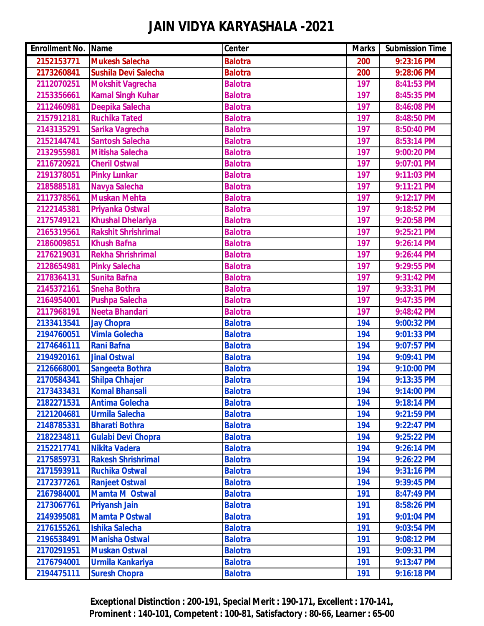| <b>Enrollment No. Name</b> |                            | <b>Center</b>  | <b>Marks</b> | <b>Submission Time</b> |
|----------------------------|----------------------------|----------------|--------------|------------------------|
| 2152153771                 | <b>Mukesh Salecha</b>      | <b>Balotra</b> | 200          | 9:23:16 PM             |
| 2173260841                 | Sushila Devi Salecha       | <b>Balotra</b> | 200          | 9:28:06 PM             |
| 2112070251                 | <b>Mokshit Vagrecha</b>    | <b>Balotra</b> | 197          | 8:41:53 PM             |
| 2153356661                 | <b>Kamal Singh Kuhar</b>   | <b>Balotra</b> | 197          | 8:45:35 PM             |
| 2112460981                 | Deepika Salecha            | <b>Balotra</b> | 197          | 8:46:08 PM             |
| 2157912181                 | <b>Ruchika Tated</b>       | <b>Balotra</b> | 197          | 8:48:50 PM             |
| 2143135291                 | Sarika Vagrecha            | <b>Balotra</b> | 197          | 8:50:40 PM             |
| 2152144741                 | <b>Santosh Salecha</b>     | <b>Balotra</b> | 197          | 8:53:14 PM             |
| 2132955981                 | Mitisha Salecha            | <b>Balotra</b> | 197          | 9:00:20 PM             |
| 2116720921                 | <b>Cheril Ostwal</b>       | <b>Balotra</b> | 197          | 9:07:01 PM             |
| 2191378051                 | <b>Pinky Lunkar</b>        | <b>Balotra</b> | 197          | 9:11:03 PM             |
| 2185885181                 | Navya Salecha              | <b>Balotra</b> | 197          | 9:11:21 PM             |
| 2117378561                 | <b>Muskan Mehta</b>        | <b>Balotra</b> | 197          | 9:12:17 PM             |
| 2122145381                 | Priyanka Ostwal            | <b>Balotra</b> | 197          | 9:18:52 PM             |
| 2175749121                 | <b>Khushal Dhelariya</b>   | <b>Balotra</b> | 197          | 9:20:58 PM             |
| 2165319561                 | <b>Rakshit Shrishrimal</b> | <b>Balotra</b> | 197          | 9:25:21 PM             |
| 2186009851                 | <b>Khush Bafna</b>         | <b>Balotra</b> | 197          | 9:26:14 PM             |
| 2176219031                 | <b>Rekha Shrishrimal</b>   | <b>Balotra</b> | 197          | 9:26:44 PM             |
| 2128654981                 | <b>Pinky Salecha</b>       | <b>Balotra</b> | 197          | 9:29:55 PM             |
| 2178364131                 | <b>Sunita Bafna</b>        | <b>Balotra</b> | 197          | 9:31:42 PM             |
| 2145372161                 | <b>Sneha Bothra</b>        | <b>Balotra</b> | 197          | 9:33:31 PM             |
| 2164954001                 | <b>Pushpa Salecha</b>      | <b>Balotra</b> | 197          | 9:47:35 PM             |
| 2117968191                 | <b>Neeta Bhandari</b>      | <b>Balotra</b> | 197          | 9:48:42 PM             |
| 2133413541                 | <b>Jay Chopra</b>          | <b>Balotra</b> | 194          | 9:00:32 PM             |
| 2194760051                 | <b>Vimla Golecha</b>       | <b>Balotra</b> | 194          | 9:01:33 PM             |
| 2174646111                 | <b>Rani Bafna</b>          | <b>Balotra</b> | 194          | 9:07:57 PM             |
| 2194920161                 | <b>Jinal Ostwal</b>        | <b>Balotra</b> | 194          | 9:09:41 PM             |
| 2126668001                 | <b>Sangeeta Bothra</b>     | <b>Balotra</b> | 194          | 9:10:00 PM             |
| 2170584341                 | <b>Shilpa Chhajer</b>      | <b>Balotra</b> | 194          | 9:13:35 PM             |
| 2173433431                 | <b>Komal Bhansali</b>      | <b>Balotra</b> | 194          | 9:14:00 PM             |
| 2182271531                 | <b>Antima Golecha</b>      | <b>Balotra</b> | 194          | 9:18:14 PM             |
| 2121204681                 | <b>Urmila Salecha</b>      | <b>Balotra</b> | 194          | 9:21:59 PM             |
| 2148785331                 | <b>Bharati Bothra</b>      | <b>Balotra</b> | 194          | 9:22:47 PM             |
| 2182234811                 | <b>Gulabi Devi Chopra</b>  | <b>Balotra</b> | 194          | 9:25:22 PM             |
| 2152217741                 | <b>Nikita Vadera</b>       | <b>Balotra</b> | 194          | 9:26:14 PM             |
| 2175859731                 | <b>Rakesh Shrishrimal</b>  | <b>Balotra</b> | 194          | 9:26:22 PM             |
| 2171593911                 | <b>Ruchika Ostwal</b>      | <b>Balotra</b> | 194          | 9:31:16 PM             |
| 2172377261                 | <b>Ranjeet Ostwal</b>      | <b>Balotra</b> | 194          | 9:39:45 PM             |
| 2167984001                 | <b>Mamta M Ostwal</b>      | <b>Balotra</b> | 191          | 8:47:49 PM             |
| 2173067761                 | <b>Priyansh Jain</b>       | <b>Balotra</b> | 191          | 8:58:26 PM             |
| 2149395081                 | <b>Mamta P Ostwal</b>      | <b>Balotra</b> | 191          | 9:01:04 PM             |
| 2176155261                 | <b>Ishika Salecha</b>      | <b>Balotra</b> | 191          | 9:03:54 PM             |
| 2196538491                 | <b>Manisha Ostwal</b>      | <b>Balotra</b> | 191          | 9:08:12 PM             |
| 2170291951                 | Muskan Ostwal              | <b>Balotra</b> | 191          | 9:09:31 PM             |
| 2176794001                 | <b>Urmila Kankariya</b>    | <b>Balotra</b> | 191          | 9:13:47 PM             |
| 2194475111                 | <b>Suresh Chopra</b>       | <b>Balotra</b> | 191          | 9:16:18 PM             |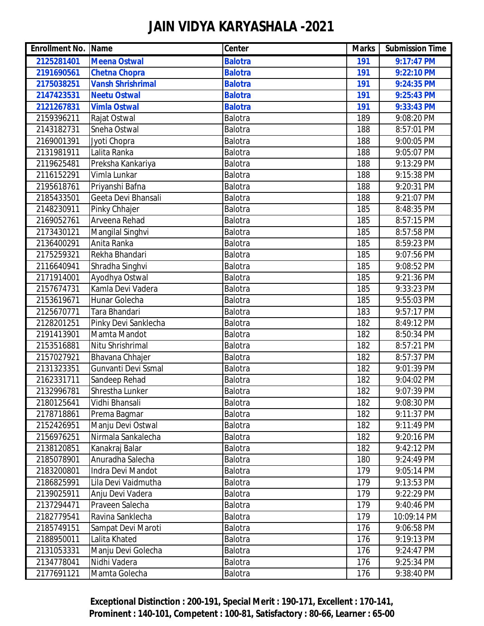| <b>Enrollment No. Name</b> |                          | <b>Center</b>  | <b>Marks</b> | <b>Submission Time</b> |
|----------------------------|--------------------------|----------------|--------------|------------------------|
| 2125281401                 | <b>Meena Ostwal</b>      | <b>Balotra</b> | 191          | 9:17:47 PM             |
| 2191690561                 | <b>Chetna Chopra</b>     | <b>Balotra</b> | 191          | 9:22:10 PM             |
| 2175038251                 | <b>Vansh Shrishrimal</b> | <b>Balotra</b> | 191          | 9:24:35 PM             |
| 2147423531                 | <b>Neetu Ostwal</b>      | <b>Balotra</b> | 191          | 9:25:43 PM             |
| 2121267831                 | <b>Vimla Ostwal</b>      | <b>Balotra</b> | 191          | 9:33:43 PM             |
| 2159396211                 | Rajat Ostwal             | Balotra        | 189          | 9:08:20 PM             |
| 2143182731                 | Sneha Ostwal             | Balotra        | 188          | 8:57:01 PM             |
| 2169001391                 | Jyoti Chopra             | Balotra        | 188          | 9:00:05 PM             |
| 2131981911                 | Lalita Ranka             | Balotra        | 188          | 9:05:07 PM             |
| 2119625481                 | Preksha Kankariya        | Balotra        | 188          | 9:13:29 PM             |
| 2116152291                 | Vimla Lunkar             | Balotra        | 188          | 9:15:38 PM             |
| 2195618761                 | Priyanshi Bafna          | Balotra        | 188          | 9:20:31 PM             |
| 2185433501                 | Geeta Devi Bhansali      | Balotra        | 188          | 9:21:07 PM             |
| 2148230911                 | Pinky Chhajer            | Balotra        | 185          | 8:48:35 PM             |
| 2169052761                 | <b>Arveena Rehad</b>     | Balotra        | 185          | 8:57:15 PM             |
| 2173430121                 | Mangilal Singhvi         | Balotra        | 185          | 8:57:58 PM             |
| 2136400291                 | Anita Ranka              | Balotra        | 185          | 8:59:23 PM             |
| 2175259321                 | Rekha Bhandari           | Balotra        | 185          | 9:07:56 PM             |
| 2116640941                 | Shradha Singhvi          | Balotra        | 185          | 9:08:52 PM             |
| 2171914001                 | Ayodhya Ostwal           | Balotra        | 185          | 9:21:36 PM             |
| 2157674731                 | Kamla Devi Vadera        | Balotra        | 185          | 9:33:23 PM             |
| 2153619671                 | Hunar Golecha            | Balotra        | 185          | 9:55:03 PM             |
| 2125670771                 | Tara Bhandari            | Balotra        | 183          | 9:57:17 PM             |
| 2128201251                 | Pinky Devi Sanklecha     | Balotra        | 182          | 8:49:12 PM             |
| 2191413901                 | Mamta Mandot             | Balotra        | 182          | 8:50:34 PM             |
| 2153516881                 | Nitu Shrishrimal         | Balotra        | 182          | 8:57:21 PM             |
| 2157027921                 | <b>Bhavana Chhajer</b>   | Balotra        | 182          | 8:57:37 PM             |
| 2131323351                 | Gunvanti Devi Ssmal      | Balotra        | 182          | 9:01:39 PM             |
| 2162331711                 | Sandeep Rehad            | Balotra        | 182          | 9:04:02 PM             |
| 2132996781                 | Shrestha Lunker          | Balotra        | 182          | 9:07:39 PM             |
| 2180125641                 | Vidhi Bhansali           | Balotra        | 182          | 9:08:30 PM             |
| 2178718861                 | Prema Bagmar             | Balotra        | 182          | 9:11:37 PM             |
| 2152426951                 | Manju Devi Ostwal        | Balotra        | 182          | 9:11:49 PM             |
| 2156976251                 | Nirmala Sankalecha       | Balotra        | 182          | 9:20:16 PM             |
| 2138120851                 | Kanakraj Balar           | Balotra        | 182          | 9:42:12 PM             |
| 2185078901                 | Anuradha Salecha         | Balotra        | 180          | 9:24:49 PM             |
| 2183200801                 | Indra Devi Mandot        | Balotra        | 179          | 9:05:14 PM             |
| 2186825991                 | Lila Devi Vaidmutha      | Balotra        | 179          | 9:13:53 PM             |
| 2139025911                 | Anju Devi Vadera         | Balotra        | 179          | 9:22:29 PM             |
| 2137294471                 | Praveen Salecha          | Balotra        | 179          | 9:40:46 PM             |
| 2182779541                 | Ravina Sanklecha         | Balotra        | 179          | 10:09:14 PM            |
| 2185749151                 | Sampat Devi Maroti       | Balotra        | 176          | 9:06:58 PM             |
| 2188950011                 | Lalita Khated            | Balotra        | 176          | 9:19:13 PM             |
| 2131053331                 | Manju Devi Golecha       | Balotra        | 176          | 9:24:47 PM             |
| 2134778041                 | Nidhi Vadera             | Balotra        | 176          | 9:25:34 PM             |
| 2177691121                 | Mamta Golecha            | Balotra        | 176          | 9:38:40 PM             |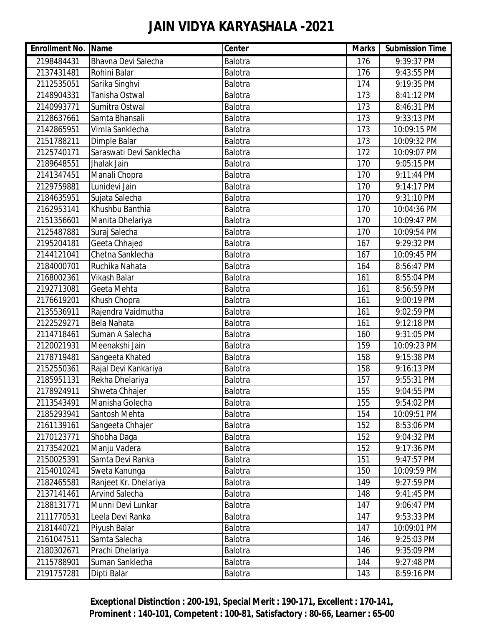| <b>Enrollment No. Name</b> |                          | Center         | <b>Marks</b> | <b>Submission Time</b> |
|----------------------------|--------------------------|----------------|--------------|------------------------|
| 2198484431                 | Bhavna Devi Salecha      | Balotra        | 176          | 9:39:37 PM             |
| 2137431481                 | Rohini Balar             | Balotra        | 176          | 9:43:55 PM             |
| 2112535051                 | Sarika Singhvi           | Balotra        | 174          | 9:19:35 PM             |
| 2148904331                 | Tanisha Ostwal           | Balotra        | 173          | 8:41:12 PM             |
| 2140993771                 | Sumitra Ostwal           | Balotra        | 173          | 8:46:31 PM             |
| 2128637661                 | Samta Bhansali           | Balotra        | 173          | 9:33:13 PM             |
| 2142865951                 | Vimla Sanklecha          | Balotra        | 173          | 10:09:15 PM            |
| 2151788211                 | Dimple Balar             | Balotra        | 173          | 10:09:32 PM            |
| 2125740171                 | Saraswati Devi Sanklecha | Balotra        | 172          | 10:09:07 PM            |
| 2189648551                 | Jhalak Jain              | Balotra        | 170          | 9:05:15 PM             |
| 2141347451                 | Manali Chopra            | Balotra        | 170          | 9:11:44 PM             |
| 2129759881                 | Lunidevi Jain            | Balotra        | 170          | 9:14:17 PM             |
| 2184635951                 | Sujata Salecha           | Balotra        | 170          | 9:31:10 PM             |
| 2162953141                 | Khushbu Banthia          | Balotra        | 170          | 10:04:36 PM            |
| 2151356601                 | Manita Dhelariya         | Balotra        | 170          | 10:09:47 PM            |
| 2125487881                 | Suraj Salecha            | <b>Balotra</b> | 170          | 10:09:54 PM            |
| 2195204181                 | Geeta Chhajed            | Balotra        | 167          | 9:29:32 PM             |
| 2144121041                 | Chetna Sanklecha         | Balotra        | 167          | 10:09:45 PM            |
| 2184000701                 | Ruchika Nahata           | Balotra        | 164          | 8:56:47 PM             |
| 2168002361                 | Vikash Balar             | Balotra        | 161          | 8:55:04 PM             |
| 2192713081                 | Geeta Mehta              | Balotra        | 161          | 8:56:59 PM             |
| 2176619201                 | Khush Chopra             | Balotra        | 161          | 9:00:19 PM             |
| 2135536911                 | Rajendra Vaidmutha       | Balotra        | 161          | 9:02:59 PM             |
| 2122529271                 | Bela Nahata              | Balotra        | 161          | 9:12:18 PM             |
| 2114718461                 | Suman A Salecha          | Balotra        | 160          | 9:31:05 PM             |
| 2120021931                 | Meenakshi Jain           | Balotra        | 159          | 10:09:23 PM            |
| 2178719481                 | Sangeeta Khated          | Balotra        | 158          | 9:15:38 PM             |
| 2152550361                 | Rajal Devi Kankariya     | Balotra        | 158          | 9:16:13 PM             |
| 2185951131                 | Rekha Dhelariya          | Balotra        | 157          | 9:55:31 PM             |
| 2178924911                 | Shweta Chhajer           | Balotra        | 155          | 9:04:55 PM             |
| 2113543491                 | Manisha Golecha          | Balotra        | 155          | 9:54:02 PM             |
| 2185293941                 | Santosh Mehta            | Balotra        | 154          | 10:09:51 PM            |
| 2161139161                 | Sangeeta Chhajer         | Balotra        | 152          | 8:53:06 PM             |
| 2170123771                 | Shobha Daga              | Balotra        | 152          | 9:04:32 PM             |
| 2173542021                 | Manju Vadera             | Balotra        | 152          | 9:17:36 PM             |
| 2150025391                 | Samta Devi Ranka         | Balotra        | 151          | 9:47:57 PM             |
| 2154010241                 | Sweta Kanunga            | Balotra        | 150          | 10:09:59 PM            |
| 2182465581                 | Ranjeet Kr. Dhelariya    | Balotra        | 149          | 9:27:59 PM             |
| 2137141461                 | <b>Arvind Salecha</b>    | Balotra        | 148          | 9:41:45 PM             |
| 2188131771                 | Munni Devi Lunkar        | Balotra        | 147          | 9:06:47 PM             |
| 2111770531                 | Leela Devi Ranka         | Balotra        | 147          | 9:53:33 PM             |
| 2181440721                 | Piyush Balar             | Balotra        | 147          | 10:09:01 PM            |
| 2161047511                 | Samta Salecha            | Balotra        | 146          | 9:25:03 PM             |
| 2180302671                 | Prachi Dhelariya         | Balotra        | 146          | 9:35:09 PM             |
| 2115788901                 | Suman Sanklecha          | Balotra        | 144          | 9:27:48 PM             |
| 2191757281                 | Dipti Balar              | Balotra        | 143          | 8:59:16 PM             |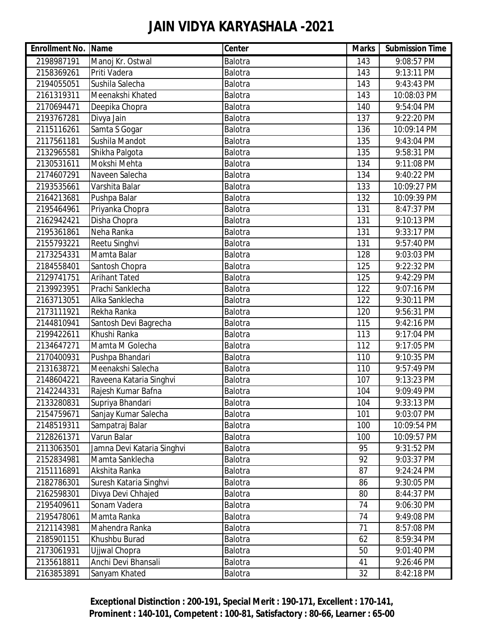| <b>Enrollment No. Name</b> |                            | Center  | <b>Marks</b> | <b>Submission Time</b> |
|----------------------------|----------------------------|---------|--------------|------------------------|
| 2198987191                 | Manoj Kr. Ostwal           | Balotra | 143          | 9:08:57 PM             |
| 2158369261                 | Priti Vadera               | Balotra | 143          | 9:13:11 PM             |
| 2194055051                 | Sushila Salecha            | Balotra | 143          | 9:43:43 PM             |
| 2161319311                 | Meenakshi Khated           | Balotra | 143          | 10:08:03 PM            |
| 2170694471                 | Deepika Chopra             | Balotra | 140          | 9:54:04 PM             |
| 2193767281                 | Divya Jain                 | Balotra | 137          | 9:22:20 PM             |
| 2115116261                 | Samta S Gogar              | Balotra | 136          | 10:09:14 PM            |
| 2117561181                 | Sushila Mandot             | Balotra | 135          | 9:43:04 PM             |
| 2132965581                 | Shikha Palgota             | Balotra | 135          | 9:58:31 PM             |
| 2130531611                 | Mokshi Mehta               | Balotra | 134          | 9:11:08 PM             |
| 2174607291                 | Naveen Salecha             | Balotra | 134          | 9:40:22 PM             |
| 2193535661                 | Varshita Balar             | Balotra | 133          | 10:09:27 PM            |
| 2164213681                 | Pushpa Balar               | Balotra | 132          | 10:09:39 PM            |
| 2195464961                 | Priyanka Chopra            | Balotra | 131          | 8:47:37 PM             |
| 2162942421                 | Disha Chopra               | Balotra | 131          | 9:10:13 PM             |
| 2195361861                 | Neha Ranka                 | Balotra | 131          | 9:33:17 PM             |
| 2155793221                 | Reetu Singhvi              | Balotra | 131          | 9:57:40 PM             |
| 2173254331                 | Mamta Balar                | Balotra | 128          | 9:03:03 PM             |
| 2184558401                 | Santosh Chopra             | Balotra | 125          | 9:22:32 PM             |
| 2129741751                 | <b>Arihant Tated</b>       | Balotra | 125          | 9:42:29 PM             |
| 2139923951                 | Prachi Sanklecha           | Balotra | 122          | 9:07:16 PM             |
| 2163713051                 | Alka Sanklecha             | Balotra | 122          | 9:30:11 PM             |
| 2173111921                 | Rekha Ranka                | Balotra | 120          | 9:56:31 PM             |
| 2144810941                 | Santosh Devi Bagrecha      | Balotra | 115          | 9:42:16 PM             |
| 2199422611                 | Khushi Ranka               | Balotra | 113          | 9:17:04 PM             |
| 2134647271                 | Mamta M Golecha            | Balotra | 112          | 9:17:05 PM             |
| 2170400931                 | Pushpa Bhandari            | Balotra | 110          | 9:10:35 PM             |
| 2131638721                 | Meenakshi Salecha          | Balotra | 110          | 9:57:49 PM             |
| 2148604221                 | Raveena Kataria Singhvi    | Balotra | 107          | 9:13:23 PM             |
| 2142244331                 | Rajesh Kumar Bafna         | Balotra | 104          | 9:09:49 PM             |
| 2133280831                 | Supriya Bhandari           | Balotra | 104          | 9:33:13 PM             |
| 2154759671                 | Sanjay Kumar Salecha       | Balotra | 101          | 9:03:07 PM             |
| 2148519311                 | Sampatraj Balar            | Balotra | 100          | 10:09:54 PM            |
| 2128261371                 | Varun Balar                | Balotra | 100          | 10:09:57 PM            |
| 2113063501                 | Jamna Devi Kataria Singhvi | Balotra | 95           | 9:31:52 PM             |
| 2152834981                 | Mamta Sanklecha            | Balotra | 92           | 9:03:37 PM             |
| 2151116891                 | Akshita Ranka              | Balotra | 87           | 9:24:24 PM             |
| 2182786301                 | Suresh Kataria Singhvi     | Balotra | 86           | 9:30:05 PM             |
| 2162598301                 | Divya Devi Chhajed         | Balotra | 80           | 8:44:37 PM             |
| 2195409611                 | Sonam Vadera               | Balotra | 74           | 9:06:30 PM             |
| 2195478061                 | Mamta Ranka                | Balotra | 74           | 9:49:08 PM             |
| 2121143981                 | Mahendra Ranka             | Balotra | 71           | 8:57:08 PM             |
| 2185901151                 | Khushbu Burad              | Balotra | 62           | 8:59:34 PM             |
| 2173061931                 | Ujjwal Chopra              | Balotra | 50           | 9:01:40 PM             |
| 2135618811                 | Anchi Devi Bhansali        | Balotra | 41           | 9:26:46 PM             |
| 2163853891                 | Sanyam Khated              | Balotra | 32           | 8:42:18 PM             |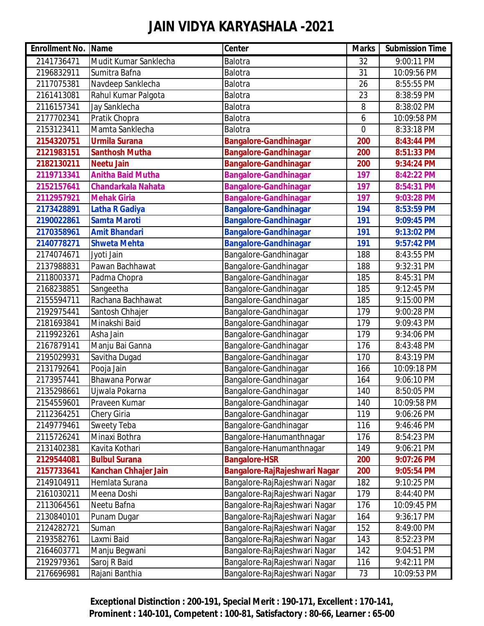| <b>Enrollment No. Name</b> |                             | Center                        | <b>Marks</b> | <b>Submission Time</b> |
|----------------------------|-----------------------------|-------------------------------|--------------|------------------------|
| 2141736471                 | Mudit Kumar Sanklecha       | Balotra                       | 32           | 9:00:11 PM             |
| 2196832911                 | Sumitra Bafna               | Balotra                       | 31           | 10:09:56 PM            |
| 2117075381                 | Navdeep Sanklecha           | Balotra                       | 26           | 8:55:55 PM             |
| 2161413081                 | Rahul Kumar Palgota         | Balotra                       | 23           | 8:38:59 PM             |
| 2116157341                 | Jay Sanklecha               | Balotra                       | 8            | 8:38:02 PM             |
| 2177702341                 | Pratik Chopra               | Balotra                       | 6            | 10:09:58 PM            |
| 2153123411                 | Mamta Sanklecha             | Balotra                       | 0            | 8:33:18 PM             |
| 2154320751                 | <b>Urmila Surana</b>        | <b>Bangalore-Gandhinagar</b>  | 200          | 8:43:44 PM             |
| 2121983151                 | <b>Santhosh Mutha</b>       | <b>Bangalore-Gandhinagar</b>  | 200          | 8:51:33 PM             |
| 2182130211                 | <b>Neetu Jain</b>           | <b>Bangalore-Gandhinagar</b>  | 200          | 9:34:24 PM             |
| 2119713341                 | <b>Anitha Baid Mutha</b>    | <b>Bangalore-Gandhinagar</b>  | 197          | 8:42:22 PM             |
| 2152157641                 | <b>Chandarkala Nahata</b>   | <b>Bangalore-Gandhinagar</b>  | 197          | 8:54:31 PM             |
| 2112957921                 | <b>Mehak Giria</b>          | <b>Bangalore-Gandhinagar</b>  | 197          | 9:03:28 PM             |
| 2173428891                 | <b>Latha R Gadiya</b>       | <b>Bangalore-Gandhinagar</b>  | 194          | 8:53:59 PM             |
| 2190022861                 | <b>Samta Maroti</b>         | <b>Bangalore-Gandhinagar</b>  | 191          | 9:09:45 PM             |
| 2170358961                 | <b>Amit Bhandari</b>        | <b>Bangalore-Gandhinagar</b>  | 191          | 9:13:02 PM             |
| 2140778271                 | <b>Shweta Mehta</b>         | <b>Bangalore-Gandhinagar</b>  | 191          | 9:57:42 PM             |
| 2174074671                 | Jyoti Jain                  | Bangalore-Gandhinagar         | 188          | 8:43:55 PM             |
| 2137988831                 | Pawan Bachhawat             | Bangalore-Gandhinagar         | 188          | 9:32:31 PM             |
| 2118003371                 | Padma Chopra                | Bangalore-Gandhinagar         | 185          | 8:45:31 PM             |
| 2168238851                 | Sangeetha                   | Bangalore-Gandhinagar         | 185          | 9:12:45 PM             |
| 2155594711                 | Rachana Bachhawat           | Bangalore-Gandhinagar         | 185          | 9:15:00 PM             |
| 2192975441                 | Santosh Chhajer             | Bangalore-Gandhinagar         | 179          | 9:00:28 PM             |
| 2181693841                 | Minakshi Baid               | Bangalore-Gandhinagar         | 179          | 9:09:43 PM             |
| 2119923261                 | Asha Jain                   | Bangalore-Gandhinagar         | 179          | 9:34:06 PM             |
| 2167879141                 | Manju Bai Ganna             | Bangalore-Gandhinagar         | 176          | 8:43:48 PM             |
| 2195029931                 | Savitha Dugad               | Bangalore-Gandhinagar         | 170          | 8:43:19 PM             |
| 2131792641                 | Pooja Jain                  | Bangalore-Gandhinagar         | 166          | 10:09:18 PM            |
| 2173957441                 | <b>Bhawana Porwar</b>       | Bangalore-Gandhinagar         | 164          | 9:06:10 PM             |
| 2135298661                 | Ujwala Pokarna              | Bangalore-Gandhinagar         | 140          | 8:50:05 PM             |
| 2154559601                 | Praveen Kumar               | Bangalore-Gandhinagar         | 140          | 10:09:58 PM            |
| 2112364251                 | Chery Giria                 | Bangalore-Gandhinagar         | 119          | 9:06:26 PM             |
| 2149779461                 | <b>Sweety Teba</b>          | Bangalore-Gandhinagar         | 116          | 9:46:46 PM             |
| 2115726241                 | Minaxi Bothra               | Bangalore-Hanumanthnagar      | 176          | 8:54:23 PM             |
| 2131402381                 | Kavita Kothari              | Bangalore-Hanumanthnagar      | 149          | 9:06:21 PM             |
| 2129544081                 | <b>Bulbul Surana</b>        | <b>Bangalore-HSR</b>          | 200          | 9:07:26 PM             |
| 2157733641                 | <b>Kanchan Chhajer Jain</b> | Bangalore-RajRajeshwari Nagar | 200          | 9:05:54 PM             |
| 2149104911                 | Hemlata Surana              | Bangalore-RajRajeshwari Nagar | 182          | 9:10:25 PM             |
| 2161030211                 | Meena Doshi                 | Bangalore-RajRajeshwari Nagar | 179          | 8:44:40 PM             |
| 2113064561                 | Neetu Bafna                 | Bangalore-RajRajeshwari Nagar | 176          | 10:09:45 PM            |
| 2130840101                 | Punam Dugar                 | Bangalore-RajRajeshwari Nagar | 164          | 9:36:17 PM             |
| 2124282721                 | Suman                       | Bangalore-RajRajeshwari Nagar | 152          | 8:49:00 PM             |
| 2193582761                 | Laxmi Baid                  | Bangalore-RajRajeshwari Nagar | 143          | 8:52:23 PM             |
| 2164603771                 | Manju Begwani               | Bangalore-RajRajeshwari Nagar | 142          | 9:04:51 PM             |
| 2192979361                 | Saroj R Baid                | Bangalore-RajRajeshwari Nagar | 116          | 9:42:11 PM             |
| 2176696981                 | Rajani Banthia              | Bangalore-RajRajeshwari Nagar | 73           | 10:09:53 PM            |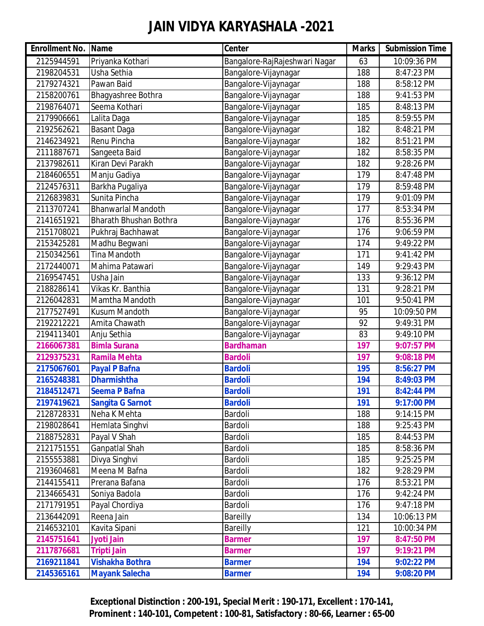| <b>Enrollment No. Name</b> |                               | Center                        | <b>Marks</b> | <b>Submission Time</b> |
|----------------------------|-------------------------------|-------------------------------|--------------|------------------------|
| 2125944591                 | Priyanka Kothari              | Bangalore-RajRajeshwari Nagar | 63           | 10:09:36 PM            |
| 2198204531                 | Usha Sethia                   | Bangalore-Vijaynagar          | 188          | 8:47:23 PM             |
| 2179274321                 | Pawan Baid                    | Bangalore-Vijaynagar          | 188          | 8:58:12 PM             |
| 2158200761                 | Bhagyashree Bothra            | Bangalore-Vijaynagar          | 188          | 9:41:53 PM             |
| 2198764071                 | Seema Kothari                 | Bangalore-Vijaynagar          | 185          | 8:48:13 PM             |
| 2179906661                 | Lalita Daga                   | Bangalore-Vijaynagar          | 185          | 8:59:55 PM             |
| 2192562621                 | Basant Daga                   | Bangalore-Vijaynagar          | 182          | 8:48:21 PM             |
| 2146234921                 | Renu Pincha                   | Bangalore-Vijaynagar          | 182          | 8:51:21 PM             |
| 2111887671                 | Sangeeta Baid                 | Bangalore-Vijaynagar          | 182          | 8:58:35 PM             |
| 2137982611                 | Kiran Devi Parakh             | Bangalore-Vijaynagar          | 182          | 9:28:26 PM             |
| 2184606551                 | Manju Gadiya                  | Bangalore-Vijaynagar          | 179          | 8:47:48 PM             |
| 2124576311                 | Barkha Pugaliya               | Bangalore-Vijaynagar          | 179          | 8:59:48 PM             |
| 2126839831                 | Sunita Pincha                 | Bangalore-Vijaynagar          | 179          | 9:01:09 PM             |
| 2113707241                 | <b>Bhanwarlal Mandoth</b>     | Bangalore-Vijaynagar          | 177          | 8:53:34 PM             |
| 2141651921                 | <b>Bharath Bhushan Bothra</b> | Bangalore-Vijaynagar          | 176          | 8:55:36 PM             |
| 2151708021                 | Pukhraj Bachhawat             | Bangalore-Vijaynagar          | 176          | 9:06:59 PM             |
| 2153425281                 | Madhu Begwani                 | Bangalore-Vijaynagar          | 174          | 9:49:22 PM             |
| 2150342561                 | <b>Tina Mandoth</b>           | Bangalore-Vijaynagar          | 171          | 9:41:42 PM             |
| 2172440071                 | Mahima Patawari               | Bangalore-Vijaynagar          | 149          | 9:29:43 PM             |
| 2169547451                 | Usha Jain                     | Bangalore-Vijaynagar          | 133          | 9:36:12 PM             |
| 2188286141                 | Vikas Kr. Banthia             | Bangalore-Vijaynagar          | 131          | 9:28:21 PM             |
| 2126042831                 | Mamtha Mandoth                | Bangalore-Vijaynagar          | 101          | 9:50:41 PM             |
| 2177527491                 | <b>Kusum Mandoth</b>          | Bangalore-Vijaynagar          | 95           | 10:09:50 PM            |
| 2192212221                 | Amita Chawath                 | Bangalore-Vijaynagar          | 92           | 9:49:31 PM             |
| 2194113401                 | Anju Sethia                   | Bangalore-Vijaynagar          | 83           | 9:49:10 PM             |
| 2166067381                 | <b>Bimla Surana</b>           | <b>Bardhaman</b>              | 197          | 9:07:57 PM             |
| 2129375231                 | <b>Ramila Mehta</b>           | <b>Bardoli</b>                | 197          | 9:08:18 PM             |
| 2175067601                 | <b>Payal P Bafna</b>          | <b>Bardoli</b>                | 195          | 8:56:27 PM             |
| 2165248381                 | <b>Dharmishtha</b>            | <b>Bardoli</b>                | 194          | 8:49:03 PM             |
| 2184512471                 | <b>Seema P Bafna</b>          | <b>Bardoli</b>                | 191          | 8:42:44 PM             |
| 2197419621                 | <b>Sangita G Sarnot</b>       | <b>Bardoli</b>                | 191          | 9:17:00 PM             |
| 2128728331                 | Neha K Mehta                  | Bardoli                       | 188          | 9:14:15 PM             |
| 2198028641                 | Hemlata Singhvi               | Bardoli                       | 188          | 9:25:43 PM             |
| 2188752831                 | Payal V Shah                  | Bardoli                       | 185          | 8:44:53 PM             |
| 2121751551                 | Ganpatlal Shah                | Bardoli                       | 185          | 8:58:36 PM             |
| 2155553881                 | Divya Singhvi                 | Bardoli                       | 185          | 9:25:25 PM             |
| 2193604681                 | Meena M Bafna                 | Bardoli                       | 182          | 9:28:29 PM             |
| 2144155411                 | Prerana Bafana                | Bardoli                       | 176          | 8:53:21 PM             |
| 2134665431                 | Soniya Badola                 | Bardoli                       | 176          | 9:42:24 PM             |
| 2171791951                 | Payal Chordiya                | Bardoli                       | 176          | 9:47:18 PM             |
| 2136442091                 | Reena Jain                    | <b>Bareilly</b>               | 134          | 10:06:13 PM            |
| 2146532101                 | Kavita Sipani                 | Bareilly                      | 121          | 10:00:34 PM            |
| 2145751641                 | <b>Jyoti Jain</b>             | <b>Barmer</b>                 | 197          | 8:47:50 PM             |
| 2117876681                 | <b>Tripti Jain</b>            | <b>Barmer</b>                 | 197          | 9:19:21 PM             |
| 2169211841                 | <b>Vishakha Bothra</b>        | <b>Barmer</b>                 | 194          | 9:02:22 PM             |
| 2145365161                 | <b>Mayank Salecha</b>         | <b>Barmer</b>                 | 194          | 9:08:20 PM             |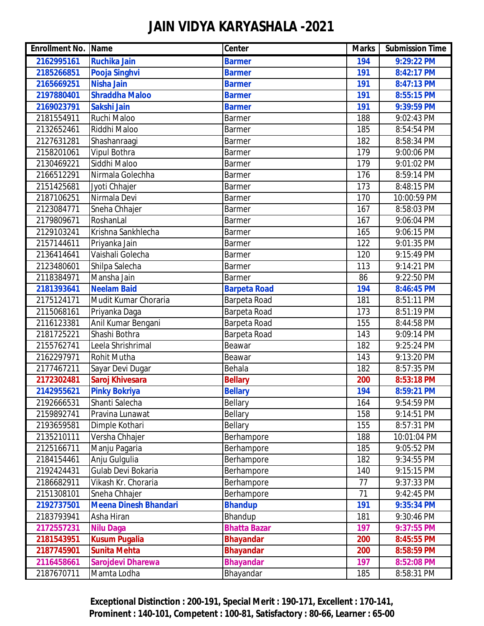| <b>Enrollment No. Name</b> |                              | Center              | <b>Marks</b> | <b>Submission Time</b> |
|----------------------------|------------------------------|---------------------|--------------|------------------------|
| 2162995161                 | <b>Ruchika Jain</b>          | <b>Barmer</b>       | 194          | 9:29:22 PM             |
| 2185266851                 | Pooja Singhvi                | <b>Barmer</b>       | 191          | 8:42:17 PM             |
| 2165669251                 | <b>Nisha Jain</b>            | <b>Barmer</b>       | 191          | 8:47:13 PM             |
| 2197880401                 | <b>Shraddha Maloo</b>        | <b>Barmer</b>       | 191          | 8:55:15 PM             |
| 2169023791                 | Sakshi Jain                  | <b>Barmer</b>       | 191          | 9:39:59 PM             |
| 2181554911                 | Ruchi Maloo                  | <b>Barmer</b>       | 188          | 9:02:43 PM             |
| 2132652461                 | Riddhi Maloo                 | <b>Barmer</b>       | 185          | 8:54:54 PM             |
| 2127631281                 | Shashanraagi                 | <b>Barmer</b>       | 182          | 8:58:34 PM             |
| 2158201061                 | Vipul Bothra                 | <b>Barmer</b>       | 179          | 9:00:06 PM             |
| 2130469221                 | Siddhi Maloo                 | Barmer              | 179          | 9:01:02 PM             |
| 2166512291                 | Nirmala Golechha             | <b>Barmer</b>       | 176          | 8:59:14 PM             |
| 2151425681                 | Jyoti Chhajer                | <b>Barmer</b>       | 173          | 8:48:15 PM             |
| 2187106251                 | Nirmala Devi                 | <b>Barmer</b>       | 170          | 10:00:59 PM            |
| 2123084771                 | Sneha Chhajer                | <b>Barmer</b>       | 167          | 8:58:03 PM             |
| 2179809671                 | RoshanLal                    | <b>Barmer</b>       | 167          | 9:06:04 PM             |
| 2129103241                 | Krishna Sankhlecha           | <b>Barmer</b>       | 165          | 9:06:15 PM             |
| 2157144611                 | Priyanka Jain                | <b>Barmer</b>       | 122          | 9:01:35 PM             |
| 2136414641                 | Vaishali Golecha             | <b>Barmer</b>       | 120          | 9:15:49 PM             |
| 2123480601                 | Shilpa Salecha               | <b>Barmer</b>       | 113          | 9:14:21 PM             |
| 2118384971                 | Mansha Jain                  | <b>Barmer</b>       | 86           | 9:22:50 PM             |
| 2181393641                 | <b>Neelam Baid</b>           | <b>Barpeta Road</b> | 194          | 8:46:45 PM             |
| 2175124171                 | Mudit Kumar Choraria         | Barpeta Road        | 181          | 8:51:11 PM             |
| 2115068161                 | Priyanka Daga                | Barpeta Road        | 173          | 8:51:19 PM             |
| 2116123381                 | Anil Kumar Bengani           | Barpeta Road        | 155          | 8:44:58 PM             |
| 2181725221                 | Shashi Bothra                | Barpeta Road        | 143          | 9:09:14 PM             |
| 2155762741                 | Leela Shrishrimal            | Beawar              | 182          | 9:25:24 PM             |
| 2162297971                 | Rohit Mutha                  | Beawar              | 143          | 9:13:20 PM             |
| 2177467211                 | Sayar Devi Dugar             | Behala              | 182          | 8:57:35 PM             |
| 2172302481                 | Saroj Khivesara              | <b>Bellary</b>      | 200          | 8:53:18 PM             |
| 2142955621                 | <b>Pinky Bokriya</b>         | <b>Bellary</b>      | 194          | 8:59:21 PM             |
| 2192666531                 | Shanti Salecha               | Bellary             | 164          | 9:54:59 PM             |
| 2159892741                 | Pravina Lunawat              | Bellary             | 158          | 9:14:51 PM             |
| 2193659581                 | Dimple Kothari               | Bellary             | 155          | 8:57:31 PM             |
| 2135210111                 | Versha Chhajer               | Berhampore          | 188          | 10:01:04 PM            |
| 2125166711                 | Manju Pagaria                | Berhampore          | 185          | 9:05:52 PM             |
| 2184154461                 | Anju Gulgulia                | Berhampore          | 182          | 9:34:55 PM             |
| 2192424431                 | Gulab Devi Bokaria           | Berhampore          | 140          | 9:15:15 PM             |
| 2186682911                 | Vikash Kr. Choraria          | Berhampore          | 77           | 9:37:33 PM             |
| 2151308101                 | Sneha Chhajer                | Berhampore          | 71           | 9:42:45 PM             |
| 2192737501                 | <b>Meena Dinesh Bhandari</b> | <b>Bhandup</b>      | 191          | 9:35:34 PM             |
| 2183793941                 | Asha Hiran                   | Bhandup             | 181          | 9:30:46 PM             |
| 2172557231                 | <b>Nilu Daga</b>             | <b>Bhatta Bazar</b> | 197          | 9:37:55 PM             |
| 2181543951                 | <b>Kusum Pugalia</b>         | <b>Bhayandar</b>    | 200          | 8:45:55 PM             |
| 2187745901                 | <b>Sunita Mehta</b>          | <b>Bhayandar</b>    | 200          | 8:58:59 PM             |
| 2116458661                 | <b>Sarojdevi Dharewa</b>     | <b>Bhayandar</b>    | 197          | 8:52:08 PM             |
| 2187670711                 | Mamta Lodha                  | Bhayandar           | 185          | 8:58:31 PM             |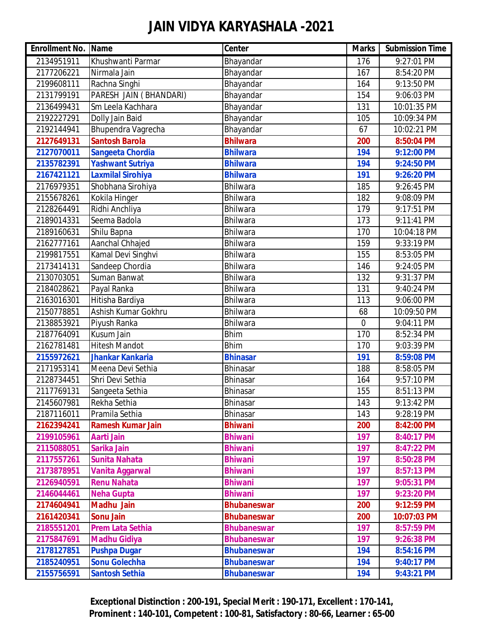| <b>Enrollment No. Name</b> |                          | <b>Center</b>      | <b>Marks</b> | <b>Submission Time</b> |
|----------------------------|--------------------------|--------------------|--------------|------------------------|
| 2134951911                 | Khushwanti Parmar        | Bhayandar          | 176          | 9:27:01 PM             |
| 2177206221                 | Nirmala Jain             | Bhayandar          | 167          | 8:54:20 PM             |
| 2199608111                 | Rachna Singhi            | Bhayandar          | 164          | 9:13:50 PM             |
| 2131799191                 | PARESH JAIN (BHANDARI)   | Bhayandar          | 154          | 9:06:03 PM             |
| 2136499431                 | Sm Leela Kachhara        | Bhayandar          | 131          | 10:01:35 PM            |
| 2192227291                 | Dolly Jain Baid          | Bhayandar          | 105          | 10:09:34 PM            |
| 2192144941                 | Bhupendra Vagrecha       | Bhayandar          | 67           | 10:02:21 PM            |
| 2127649131                 | <b>Santosh Barola</b>    | <b>Bhilwara</b>    | 200          | 8:50:04 PM             |
| 2127070011                 | <b>Sangeeta Chordia</b>  | <b>Bhilwara</b>    | 194          | 9:12:00 PM             |
| 2135782391                 | <b>Yashwant Sutriya</b>  | <b>Bhilwara</b>    | 194          | 9:24:50 PM             |
| 2167421121                 | <b>Laxmilal Sirohiya</b> | <b>Bhilwara</b>    | 191          | 9:26:20 PM             |
| 2176979351                 | Shobhana Sirohiya        | <b>Bhilwara</b>    | 185          | 9:26:45 PM             |
| 2155678261                 | Kokila Hinger            | <b>Bhilwara</b>    | 182          | 9:08:09 PM             |
| 2128264491                 | Ridhi Anchliya           | Bhilwara           | 179          | 9:17:51 PM             |
| 2189014331                 | Seema Badola             | <b>Bhilwara</b>    | 173          | 9:11:41 PM             |
| 2189160631                 | Shilu Bapna              | Bhilwara           | 170          | 10:04:18 PM            |
| 2162777161                 | Aanchal Chhajed          | <b>Bhilwara</b>    | 159          | 9:33:19 PM             |
| 2199817551                 | Kamal Devi Singhvi       | <b>Bhilwara</b>    | 155          | 8:53:05 PM             |
| 2173414131                 | Sandeep Chordia          | Bhilwara           | 146          | 9:24:05 PM             |
| 2130703051                 | Suman Banwat             | Bhilwara           | 132          | 9:31:37 PM             |
| 2184028621                 | Payal Ranka              | <b>Bhilwara</b>    | 131          | 9:40:24 PM             |
| 2163016301                 | Hitisha Bardiya          | <b>Bhilwara</b>    | 113          | 9:06:00 PM             |
| 2150778851                 | Ashish Kumar Gokhru      | Bhilwara           | 68           | 10:09:50 PM            |
| 2138853921                 | Piyush Ranka             | Bhilwara           | $\mathbf 0$  | 9:04:11 PM             |
| 2187764091                 | Kusum Jain               | <b>Bhim</b>        | 170          | 8:52:34 PM             |
| 2162781481                 | <b>Hitesh Mandot</b>     | <b>Bhim</b>        | 170          | 9:03:39 PM             |
| 2155972621                 | <b>Jhankar Kankaria</b>  | <b>Bhinasar</b>    | 191          | 8:59:08 PM             |
| 2171953141                 | Meena Devi Sethia        | <b>Bhinasar</b>    | 188          | 8:58:05 PM             |
| 2128734451                 | Shri Devi Sethia         | Bhinasar           | 164          | 9:57:10 PM             |
| 2117769131                 | Sangeeta Sethia          | <b>Bhinasar</b>    | 155          | 8:51:13 PM             |
| 2145607981                 | Rekha Sethia             | Bhinasar           | 143          | 9:13:42 PM             |
| 2187116011                 | Pramila Sethia           | Bhinasar           | 143          | 9:28:19 PM             |
| 2162394241                 | <b>Ramesh Kumar Jain</b> | <b>Bhiwani</b>     | 200          | 8:42:00 PM             |
| 2199105961                 | Aarti Jain               | <b>Bhiwani</b>     | 197          | 8:40:17 PM             |
| 2115088051                 | Sarika Jain              | <b>Bhiwani</b>     | 197          | 8:47:22 PM             |
| 2117557261                 | <b>Sunita Nahata</b>     | <b>Bhiwani</b>     | 197          | 8:50:28 PM             |
| 2173878951                 | <b>Vanita Aggarwal</b>   | <b>Bhiwani</b>     | 197          | 8:57:13 PM             |
| 2126940591                 | <b>Renu Nahata</b>       | <b>Bhiwani</b>     | 197          | 9:05:31 PM             |
| 2146044461                 | <b>Neha Gupta</b>        | <b>Bhiwani</b>     | 197          | 9:23:20 PM             |
| 2174604941                 | <b>Madhu Jain</b>        | <b>Bhubaneswar</b> | 200          | 9:12:59 PM             |
| 2161420341                 | <b>Sonu Jain</b>         | <b>Bhubaneswar</b> | 200          | 10:07:03 PM            |
| 2185551201                 | <b>Prem Lata Sethia</b>  | <b>Bhubaneswar</b> | 197          | 8:57:59 PM             |
| 2175847691                 | <b>Madhu Gidiya</b>      | <b>Bhubaneswar</b> | 197          | 9:26:38 PM             |
| 2178127851                 | <b>Pushpa Dugar</b>      | <b>Bhubaneswar</b> | 194          | 8:54:16 PM             |
| 2185240951                 | <b>Sonu Golechha</b>     | <b>Bhubaneswar</b> | 194          | 9:40:17 PM             |
| 2155756591                 | <b>Santosh Sethia</b>    | <b>Bhubaneswar</b> | 194          | 9:43:21 PM             |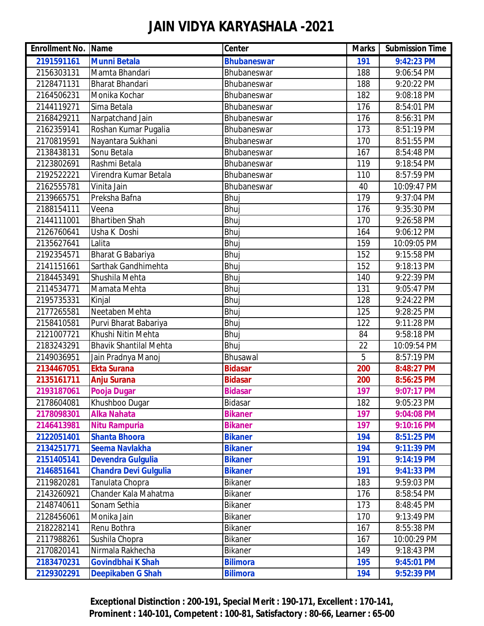| <b>Enrollment No. Name</b> |                               | <b>Center</b>      | <b>Marks</b> | <b>Submission Time</b> |
|----------------------------|-------------------------------|--------------------|--------------|------------------------|
| 2191591161                 | <b>Munni Betala</b>           | <b>Bhubaneswar</b> | 191          | 9:42:23 PM             |
| 2156303131                 | Mamta Bhandari                | Bhubaneswar        | 188          | 9:06:54 PM             |
| 2128471131                 | <b>Bharat Bhandari</b>        | Bhubaneswar        | 188          | 9:20:22 PM             |
| 2164506231                 | Monika Kochar                 | Bhubaneswar        | 182          | 9:08:18 PM             |
| 2144119271                 | Sima Betala                   | Bhubaneswar        | 176          | 8:54:01 PM             |
| 2168429211                 | Narpatchand Jain              | Bhubaneswar        | 176          | 8:56:31 PM             |
| 2162359141                 | Roshan Kumar Pugalia          | Bhubaneswar        | 173          | 8:51:19 PM             |
| 2170819591                 | Nayantara Sukhani             | Bhubaneswar        | 170          | 8:51:55 PM             |
| 2138438131                 | Sonu Betala                   | Bhubaneswar        | 167          | 8:54:48 PM             |
| 2123802691                 | Rashmi Betala                 | Bhubaneswar        | 119          | 9:18:54 PM             |
| 2192522221                 | Virendra Kumar Betala         | Bhubaneswar        | 110          | 8:57:59 PM             |
| 2162555781                 | Vinita Jain                   | Bhubaneswar        | 40           | 10:09:47 PM            |
| 2139665751                 | Preksha Bafna                 | Bhuj               | 179          | 9:37:04 PM             |
| 2188154111                 | Veena                         | Bhuj               | 176          | 9:35:30 PM             |
| 2144111001                 | <b>Bhartiben Shah</b>         | Bhuj               | 170          | 9:26:58 PM             |
| 2126760641                 | Usha K Doshi                  | Bhuj               | 164          | 9:06:12 PM             |
| 2135627641                 | Lalita                        | Bhuj               | 159          | 10:09:05 PM            |
| 2192354571                 | Bharat G Babariya             | Bhuj               | 152          | 9:15:58 PM             |
| 2141151661                 | Sarthak Gandhimehta           | Bhuj               | 152          | 9:18:13 PM             |
| 2184453491                 | Shushila Mehta                | Bhuj               | 140          | 9:22:39 PM             |
| 2114534771                 | Mamata Mehta                  | Bhuj               | 131          | 9:05:47 PM             |
| 2195735331                 | Kinjal                        | Bhuj               | 128          | 9:24:22 PM             |
| 2177265581                 | Neetaben Mehta                | Bhuj               | 125          | 9:28:25 PM             |
| 2158410581                 | Purvi Bharat Babariya         | Bhuj               | 122          | 9:11:28 PM             |
| 2121007721                 | Khushi Nitin Mehta            | Bhuj               | 84           | 9:58:18 PM             |
| 2183243291                 | <b>Bhavik Shantilal Mehta</b> | Bhuj               | 22           | 10:09:54 PM            |
| 2149036951                 | Jain Pradnya Manoj            | Bhusawal           | 5            | 8:57:19 PM             |
| 2134467051                 | <b>Ekta Surana</b>            | <b>Bidasar</b>     | 200          | 8:48:27 PM             |
| 2135161711                 | <b>Anju Surana</b>            | <b>Bidasar</b>     | 200          | 8:56:25 PM             |
| 2193187061                 | Pooja Dugar                   | <b>Bidasar</b>     | 197          | 9:07:17 PM             |
| 2178604081                 | Khushboo Dugar                | Bidasar            | 182          | 9:05:23 PM             |
| 2178098301                 | <b>Alka Nahata</b>            | <b>Bikaner</b>     | 197          | 9:04:08 PM             |
| 2146413981                 | <b>Nitu Rampuria</b>          | <b>Bikaner</b>     | 197          | 9:10:16 PM             |
| 2122051401                 | <b>Shanta Bhoora</b>          | <b>Bikaner</b>     | 194          | 8:51:25 PM             |
| 2134251771                 | <b>Seema Navlakha</b>         | <b>Bikaner</b>     | 194          | 9:11:39 PM             |
| 2151405141                 | <b>Devendra Gulgulia</b>      | <b>Bikaner</b>     | 191          | 9:14:19 PM             |
| 2146851641                 | <b>Chandra Devi Gulgulia</b>  | <b>Bikaner</b>     | 191          | 9:41:33 PM             |
| 2119820281                 | Tanulata Chopra               | Bikaner            | 183          | 9:59:03 PM             |
| 2143260921                 | Chander Kala Mahatma          | Bikaner            | 176          | 8:58:54 PM             |
| 2148740611                 | Sonam Sethia                  | Bikaner            | 173          | 8:48:45 PM             |
| 2128456061                 | Monika Jain                   | Bikaner            | 170          | 9:13:49 PM             |
| 2182282141                 | Renu Bothra                   | Bikaner            | 167          | 8:55:38 PM             |
| 2117988261                 | Sushila Chopra                | Bikaner            | 167          | 10:00:29 PM            |
| 2170820141                 | Nirmala Rakhecha              | Bikaner            | 149          | 9:18:43 PM             |
| 2183470231                 | <b>Govindbhai K Shah</b>      | <b>Bilimora</b>    | 195          | 9:45:01 PM             |
| 2129302291                 | <b>Deepikaben G Shah</b>      | <b>Bilimora</b>    | 194          | 9:52:39 PM             |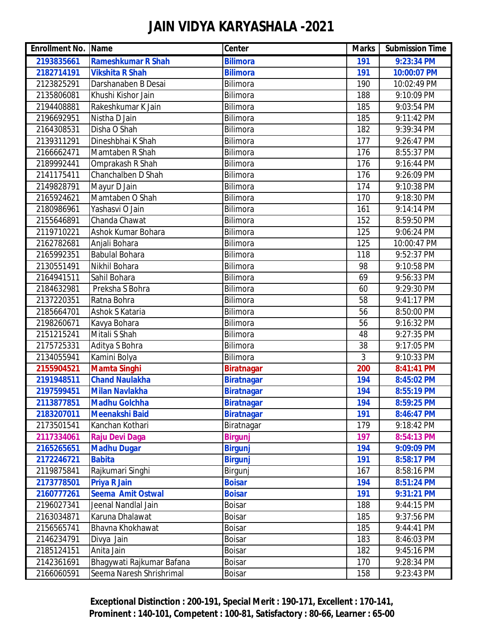| <b>Enrollment No. Name</b> |                           | Center            | <b>Marks</b> | <b>Submission Time</b> |
|----------------------------|---------------------------|-------------------|--------------|------------------------|
| 2193835661                 | <b>Rameshkumar R Shah</b> | <b>Bilimora</b>   | 191          | 9:23:34 PM             |
| 2182714191                 | <b>Vikshita R Shah</b>    | <b>Bilimora</b>   | 191          | 10:00:07 PM            |
| 2123825291                 | Darshanaben B Desai       | Bilimora          | 190          | 10:02:49 PM            |
| 2135806081                 | Khushi Kishor Jain        | Bilimora          | 188          | 9:10:09 PM             |
| 2194408881                 | Rakeshkumar K Jain        | Bilimora          | 185          | 9:03:54 PM             |
| 2196692951                 | Nistha D Jain             | Bilimora          | 185          | 9:11:42 PM             |
| 2164308531                 | Disha O Shah              | Bilimora          | 182          | 9:39:34 PM             |
| 2139311291                 | Dineshbhai K Shah         | Bilimora          | 177          | 9:26:47 PM             |
| 2166662471                 | Mamtaben R Shah           | Bilimora          | 176          | 8:55:37 PM             |
| 2189992441                 | Omprakash R Shah          | Bilimora          | 176          | 9:16:44 PM             |
| 2141175411                 | Chanchalben D Shah        | Bilimora          | 176          | 9:26:09 PM             |
| 2149828791                 | Mayur D Jain              | Bilimora          | 174          | 9:10:38 PM             |
| 2165924621                 | Mamtaben O Shah           | Bilimora          | 170          | 9:18:30 PM             |
| 2180986961                 | Yashasvi O Jain           | Bilimora          | 161          | 9:14:14 PM             |
| 2155646891                 | Chanda Chawat             | Bilimora          | 152          | 8:59:50 PM             |
| 2119710221                 | Ashok Kumar Bohara        | Bilimora          | 125          | 9:06:24 PM             |
| 2162782681                 | Anjali Bohara             | Bilimora          | 125          | 10:00:47 PM            |
| 2165992351                 | <b>Babulal Bohara</b>     | Bilimora          | 118          | 9:52:37 PM             |
| 2130551491                 | Nikhil Bohara             | Bilimora          | 98           | 9:10:58 PM             |
| 2164941511                 | Sahil Bohara              | Bilimora          | 69           | 9:56:33 PM             |
| 2184632981                 | Preksha S Bohra           | Bilimora          | 60           | 9:29:30 PM             |
| 2137220351                 | Ratna Bohra               | Bilimora          | 58           | 9:41:17 PM             |
| 2185664701                 | Ashok S Kataria           | Bilimora          | 56           | 8:50:00 PM             |
| 2198260671                 | Kavya Bohara              | Bilimora          | 56           | 9:16:32 PM             |
| 2151215241                 | Mitali S Shah             | Bilimora          | 48           | 9:27:35 PM             |
| 2175725331                 | Aditya S Bohra            | Bilimora          | 38           | 9:17:05 PM             |
| 2134055941                 | Kamini Bolya              | Bilimora          | 3            | 9:10:33 PM             |
| 2155904521                 | Mamta Singhi              | <b>Biratnagar</b> | 200          | 8:41:41 PM             |
| 2191948511                 | <b>Chand Naulakha</b>     | <b>Biratnagar</b> | 194          | 8:45:02 PM             |
| 2197599451                 | <b>Milan Navlakha</b>     | <b>Biratnagar</b> | 194          | 8:55:19 PM             |
| 2113877851                 | <b>Madhu Golchha</b>      | <b>Biratnagar</b> | 194          | 8:59:25 PM             |
| 2183207011                 | <b>Meenakshi Baid</b>     | <b>Biratnagar</b> | 191          | 8:46:47 PM             |
| 2173501541                 | Kanchan Kothari           | Biratnagar        | 179          | 9:18:42 PM             |
| 2117334061                 | <b>Raju Devi Daga</b>     | <b>Birgunj</b>    | 197          | 8:54:13 PM             |
| 2165265651                 | <b>Madhu Dugar</b>        | <b>Birgunj</b>    | 194          | 9:09:09 PM             |
| 2172246721                 | <b>Babita</b>             | <b>Birgunj</b>    | 191          | 8:58:17 PM             |
| 2119875841                 | Rajkumari Singhi          | Birgunj           | 167          | 8:58:16 PM             |
| 2173778501                 | <b>Priya R Jain</b>       | <b>Boisar</b>     | 194          | 8:51:24 PM             |
| 2160777261                 | <b>Seema Amit Ostwal</b>  | <b>Boisar</b>     | 191          | 9:31:21 PM             |
| 2196027341                 | Jeenal Nandlal Jain       | <b>Boisar</b>     | 188          | 9:44:15 PM             |
| 2163034871                 | Karuna Dhalawat           | <b>Boisar</b>     | 185          | 9:37:56 PM             |
| 2156565741                 | Bhavna Khokhawat          | <b>Boisar</b>     | 185          | 9:44:41 PM             |
| 2146234791                 | Divya Jain                | <b>Boisar</b>     | 183          | 8:46:03 PM             |
| 2185124151                 | Anita Jain                | <b>Boisar</b>     | 182          | 9:45:16 PM             |
| 2142361691                 | Bhagywati Rajkumar Bafana | <b>Boisar</b>     | 170          | 9:28:34 PM             |
| 2166060591                 | Seema Naresh Shrishrimal  | <b>Boisar</b>     | 158          | 9:23:43 PM             |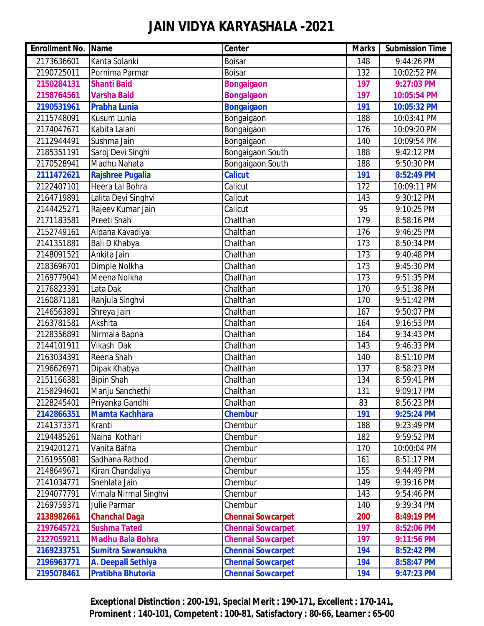| <b>Enrollment No. Name</b> |                           | Center                   | <b>Marks</b> | <b>Submission Time</b> |
|----------------------------|---------------------------|--------------------------|--------------|------------------------|
| 2173636601                 | Kanta Solanki             | <b>Boisar</b>            | 148          | 9:44:26 PM             |
| 2190725011                 | Pornima Parmar            | <b>Boisar</b>            | 132          | 10:02:52 PM            |
| 2150284131                 | <b>Shanti Baid</b>        | <b>Bongaigaon</b>        | 197          | 9:27:03 PM             |
| 2158764561                 | <b>Varsha Baid</b>        | <b>Bongaigaon</b>        | 197          | 10:05:54 PM            |
| 2190531961                 | <b>Prabha Lunia</b>       | <b>Bongaigaon</b>        | 191          | 10:05:32 PM            |
| 2115748091                 | Kusum Lunia               | Bongaigaon               | 188          | 10:03:41 PM            |
| 2174047671                 | Kabita Lalani             | Bongaigaon               | 176          | 10:09:20 PM            |
| 2112944491                 | Sushma Jain               | Bongaigaon               | 140          | 10:09:54 PM            |
| 2185351191                 | Saroj Devi Singhi         | Bongaigaon South         | 188          | 9:42:12 PM             |
| 2170528941                 | Madhu Nahata              | Bongaigaon South         | 188          | 9:50:30 PM             |
| 2111472621                 | <b>Rajshree Pugalia</b>   | <b>Calicut</b>           | 191          | 8:52:49 PM             |
| 2122407101                 | Heera Lal Bohra           | Calicut                  | 172          | 10:09:11 PM            |
| 2164719891                 | Lalita Devi Singhvi       | Calicut                  | 143          | 9:30:12 PM             |
| 2144425271                 | Rajeev Kumar Jain         | Calicut                  | 95           | 9:10:25 PM             |
| 2171183581                 | Preeti Shah               | Chalthan                 | 179          | 8:58:16 PM             |
| 2152749161                 | Alpana Kavadiya           | Chalthan                 | 176          | 9:46:25 PM             |
| 2141351881                 | Bali D Khabya             | Chalthan                 | 173          | 8:50:34 PM             |
| 2148091521                 | Ankita Jain               | Chalthan                 | 173          | 9:40:48 PM             |
| 2183696701                 | Dimple Nolkha             | Chalthan                 | 173          | 9:45:30 PM             |
| 2169779041                 | Meena Nolkha              | Chalthan                 | 173          | 9:51:35 PM             |
| 2176823391                 | Lata Dak                  | Chalthan                 | 170          | 9:51:38 PM             |
| 2160871181                 | Ranjula Singhvi           | Chalthan                 | 170          | 9:51:42 PM             |
| 2146563891                 | Shreya Jain               | Chalthan                 | 167          | 9:50:07 PM             |
| 2163781581                 | Akshita                   | Chalthan                 | 164          | 9:16:53 PM             |
| 2128356891                 | Nirmala Bapna             | Chalthan                 | 164          | 9:34:43 PM             |
| 2144101911                 | Vikash Dak                | Chalthan                 | 143          | 9:46:33 PM             |
| 2163034391                 | Reena Shah                | Chalthan                 | 140          | 8:51:10 PM             |
| 2196626971                 | Dipak Khabya              | Chalthan                 | 137          | 8:58:23 PM             |
| 2151166381                 | <b>Bipin Shah</b>         | Chalthan                 | 134          | 8:59:41 PM             |
| 2158294601                 | Manju Sanchethi           | Chalthan                 | 131          | 9:09:17 PM             |
| 2128245401                 | Priyanka Gandhi           | Chalthan                 | 83           | 8:56:23 PM             |
| 2142866351                 | <b>Mamta Kachhara</b>     | <b>Chembur</b>           | 191          | 9:25:24 PM             |
| 2141373371                 | Kranti                    | Chembur                  | 188          | 9:23:49 PM             |
| 2194485261                 | Naina Kothari             | Chembur                  | 182          | 9:59:52 PM             |
| 2194201271                 | Vanita Bafna              | Chembur                  | 170          | 10:00:04 PM            |
| 2161955081                 | Sadhana Rathod            | Chembur                  | 161          | 8:51:17 PM             |
| 2148649671                 | Kiran Chandaliya          | Chembur                  | 155          | 9:44:49 PM             |
| 2141034771                 | Snehlata Jain             | Chembur                  | 149          | 9:39:16 PM             |
| 2194077791                 | Vimala Nirmal Singhvi     | Chembur                  | 143          | 9:54:46 PM             |
| 2169759371                 | Julie Parmar              | Chembur                  | 140          | 9:39:34 PM             |
| 2138982661                 | <b>Chanchal Daga</b>      | <b>Chennai Sowcarpet</b> | 200          | 8:49:19 PM             |
| 2197645721                 | <b>Sushma Tated</b>       | <b>Chennai Sowcarpet</b> | 197          | 8:52:06 PM             |
| 2127059211                 | <b>Madhu Bala Bohra</b>   | <b>Chennai Sowcarpet</b> | 197          | 9:11:56 PM             |
| 2169233751                 | <b>Sumitra Sawansukha</b> | <b>Chennai Sowcarpet</b> | 194          | 8:52:42 PM             |
| 2196963771                 | A. Deepali Sethiya        | <b>Chennai Sowcarpet</b> | 194          | 8:58:47 PM             |
| 2195078461                 | <b>Pratibha Bhutoria</b>  | <b>Chennai Sowcarpet</b> | 194          | 9:47:23 PM             |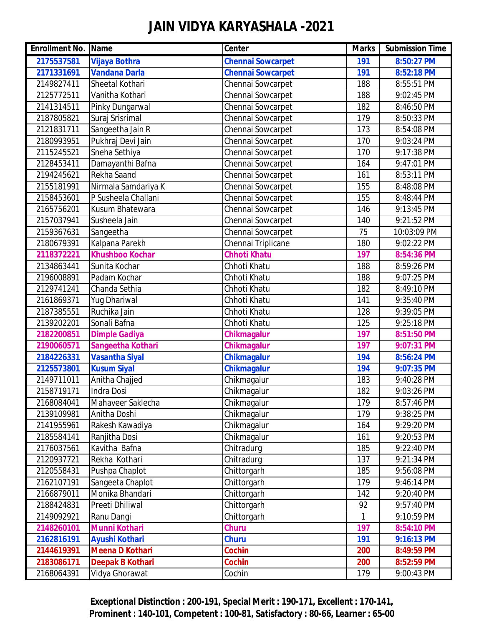| <b>Enrollment No. Name</b> |                         | <b>Center</b>            | <b>Marks</b> | <b>Submission Time</b> |
|----------------------------|-------------------------|--------------------------|--------------|------------------------|
| 2175537581                 | <b>Vijaya Bothra</b>    | <b>Chennai Sowcarpet</b> | 191          | 8:50:27 PM             |
| 2171331691                 | <b>Vandana Darla</b>    | <b>Chennai Sowcarpet</b> | 191          | 8:52:18 PM             |
| 2149827411                 | Sheetal Kothari         | Chennai Sowcarpet        | 188          | 8:55:51 PM             |
| 2125772511                 | Vanitha Kothari         | Chennai Sowcarpet        | 188          | 9:02:45 PM             |
| 2141314511                 | Pinky Dungarwal         | Chennai Sowcarpet        | 182          | 8:46:50 PM             |
| 2187805821                 | Suraj Srisrimal         | Chennai Sowcarpet        | 179          | 8:50:33 PM             |
| 2121831711                 | Sangeetha Jain R        | Chennai Sowcarpet        | 173          | 8:54:08 PM             |
| 2180993951                 | Pukhraj Devi Jain       | Chennai Sowcarpet        | 170          | 9:03:24 PM             |
| 2115245521                 | Sneha Sethiya           | Chennai Sowcarpet        | 170          | 9:17:38 PM             |
| 2128453411                 | Damayanthi Bafna        | Chennai Sowcarpet        | 164          | 9:47:01 PM             |
| 2194245621                 | Rekha Saand             | Chennai Sowcarpet        | 161          | 8:53:11 PM             |
| 2155181991                 | Nirmala Samdariya K     | Chennai Sowcarpet        | 155          | 8:48:08 PM             |
| 2158453601                 | P Susheela Challani     | Chennai Sowcarpet        | 155          | 8:48:44 PM             |
| 2165756201                 | Kusum Bhatewara         | Chennai Sowcarpet        | 146          | 9:13:45 PM             |
| 2157037941                 | Susheela Jain           | Chennai Sowcarpet        | 140          | 9:21:52 PM             |
| 2159367631                 | Sangeetha               | Chennai Sowcarpet        | 75           | 10:03:09 PM            |
| 2180679391                 | Kalpana Parekh          | Chennai Triplicane       | 180          | 9:02:22 PM             |
| 2118372221                 | <b>Khushboo Kochar</b>  | <b>Chhoti Khatu</b>      | 197          | 8:54:36 PM             |
| 2134863441                 | Sunita Kochar           | Chhoti Khatu             | 188          | 8:59:26 PM             |
| 2196008891                 | Padam Kochar            | Chhoti Khatu             | 188          | 9:07:25 PM             |
| 2129741241                 | Chanda Sethia           | Chhoti Khatu             | 182          | 8:49:10 PM             |
| 2161869371                 | <b>Yug Dhariwal</b>     | Chhoti Khatu             | 141          | 9:35:40 PM             |
| 2187385551                 | Ruchika Jain            | Chhoti Khatu             | 128          | 9:39:05 PM             |
| 2139202201                 | Sonali Bafna            | Chhoti Khatu             | 125          | 9:25:18 PM             |
| 2182200851                 | <b>Dimple Gadiya</b>    | <b>Chikmagalur</b>       | 197          | 8:51:50 PM             |
| 2190060571                 | Sangeetha Kothari       | <b>Chikmagalur</b>       | 197          | 9:07:31 PM             |
| 2184226331                 | <b>Vasantha Siyal</b>   | <b>Chikmagalur</b>       | 194          | 8:56:24 PM             |
| 2125573801                 | <b>Kusum Siyal</b>      | <b>Chikmagalur</b>       | 194          | 9:07:35 PM             |
| 2149711011                 | Anitha Chajjed          | Chikmagalur              | 183          | 9:40:28 PM             |
| 2158719171                 | Indra Dosi              | Chikmagalur              | 182          | 9:03:26 PM             |
| 2168084041                 | Mahaveer Saklecha       | Chikmagalur              | 179          | 8:57:46 PM             |
| 2139109981                 | Anitha Doshi            | Chikmagalur              | 179          | 9:38:25 PM             |
| 2141955961                 | Rakesh Kawadiya         | Chikmagalur              | 164          | 9:29:20 PM             |
| 2185584141                 | Ranjitha Dosi           | Chikmagalur              | 161          | 9:20:53 PM             |
| 2176037561                 | Kavitha Bafna           | Chitradurg               | 185          | 9:22:40 PM             |
| 2120937721                 | Rekha Kothari           | Chitradurg               | 137          | 9:21:34 PM             |
| 2120558431                 | Pushpa Chaplot          | Chittorgarh              | 185          | 9:56:08 PM             |
| 2162107191                 | Sangeeta Chaplot        | Chittorgarh              | 179          | 9:46:14 PM             |
| 2166879011                 | Monika Bhandari         | Chittorgarh              | 142          | 9:20:40 PM             |
| 2188424831                 | Preeti Dhiliwal         | Chittorgarh              | 92           | 9:57:40 PM             |
| 2149092921                 | Ranu Dangi              | Chittorgarh              | 1            | 9:10:59 PM             |
| 2148260101                 | <b>Munni Kothari</b>    | <b>Churu</b>             | 197          | 8:54:10 PM             |
| 2162816191                 | <b>Ayushi Kothari</b>   | <b>Churu</b>             | 191          | 9:16:13 PM             |
| 2144619391                 | Meena D Kothari         | <b>Cochin</b>            | 200          | 8:49:59 PM             |
| 2183086171                 | <b>Deepak B Kothari</b> | <b>Cochin</b>            | 200          | 8:52:59 PM             |
| 2168064391                 | Vidya Ghorawat          | Cochin                   | 179          | 9:00:43 PM             |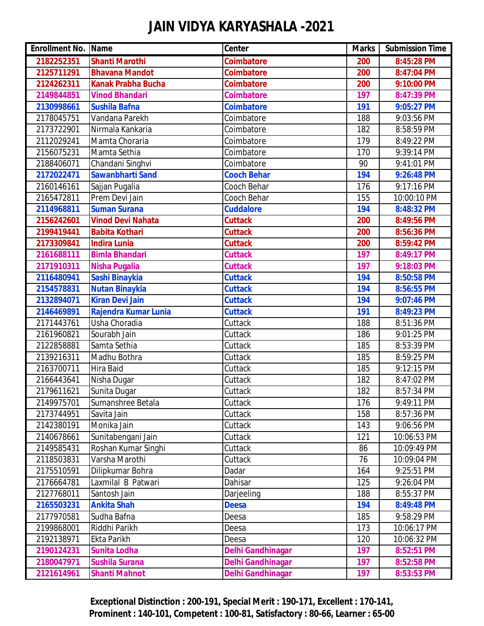| <b>Enrollment No. Name</b> |                           | Center                   | <b>Marks</b> | <b>Submission Time</b> |
|----------------------------|---------------------------|--------------------------|--------------|------------------------|
| 2182252351                 | <b>Shanti Marothi</b>     | <b>Coimbatore</b>        | 200          | 8:45:28 PM             |
| 2125711291                 | <b>Bhavana Mandot</b>     | <b>Coimbatore</b>        | 200          | 8:47:04 PM             |
| 2124262311                 | <b>Kanak Prabha Bucha</b> | <b>Coimbatore</b>        | 200          | 9:10:00 PM             |
| 2149844851                 | <b>Vinod Bhandari</b>     | <b>Coimbatore</b>        | 197          | 8:47:39 PM             |
| 2130998661                 | <b>Sushila Bafna</b>      | <b>Coimbatore</b>        | 191          | 9:05:27 PM             |
| 2178045751                 | Vandana Parekh            | Coimbatore               | 188          | 9:03:56 PM             |
| 2173722901                 | Nirmala Kankaria          | Coimbatore               | 182          | 8:58:59 PM             |
| 2112029241                 | Mamta Choraria            | Coimbatore               | 179          | 8:49:22 PM             |
| 2156075231                 | Mamta Sethia              | Coimbatore               | 170          | 9:39:14 PM             |
| 2188406071                 | Chandani Singhvi          | Coimbatore               | 90           | 9:41:01 PM             |
| 2172022471                 | <b>Sawanbharti Sand</b>   | <b>Cooch Behar</b>       | 194          | 9:26:48 PM             |
| 2160146161                 | Sajjan Pugalia            | Cooch Behar              | 176          | 9:17:16 PM             |
| 2165472811                 | Prem Devi Jain            | Cooch Behar              | 155          | 10:00:10 PM            |
| 2114968811                 | <b>Suman Surana</b>       | <b>Cuddalore</b>         | 194          | 8:48:32 PM             |
| 2156242601                 | <b>Vinod Devi Nahata</b>  | <b>Cuttack</b>           | 200          | 8:49:56 PM             |
| 2199419441                 | <b>Babita Kothari</b>     | <b>Cuttack</b>           | 200          | 8:56:36 PM             |
| 2173309841                 | <b>Indira Lunia</b>       | <b>Cuttack</b>           | 200          | 8:59:42 PM             |
| 2161688111                 | <b>Bimla Bhandari</b>     | <b>Cuttack</b>           | 197          | 8:49:17 PM             |
| 2171910311                 | <b>Nisha Pugalia</b>      | <b>Cuttack</b>           | 197          | 9:18:03 PM             |
| 2116480941                 | Sashi Binaykia            | <b>Cuttack</b>           | 194          | 8:50:58 PM             |
| 2154578831                 | <b>Nutan Binaykia</b>     | <b>Cuttack</b>           | 194          | 8:56:55 PM             |
| 2132894071                 | <b>Kiran Devi Jain</b>    | <b>Cuttack</b>           | 194          | 9:07:46 PM             |
| 2146469891                 | Rajendra Kumar Lunia      | <b>Cuttack</b>           | 191          | 8:49:23 PM             |
| 2171443761                 | Usha Choradia             | Cuttack                  | 188          | 8:51:36 PM             |
| 2161960821                 | Sourabh Jain              | Cuttack                  | 186          | 9:01:25 PM             |
| 2122858881                 | Samta Sethia              | Cuttack                  | 185          | 8:53:39 PM             |
| 2139216311                 | Madhu Bothra              | Cuttack                  | 185          | 8:59:25 PM             |
| 2163700711                 | <b>Hira Baid</b>          | Cuttack                  | 185          | 9:12:15 PM             |
| 2166443641                 | Nisha Dugar               | Cuttack                  | 182          | 8:47:02 PM             |
| 2179611621                 | Sunita Dugar              | Cuttack                  | 182          | 8:57:34 PM             |
| 2149975701                 | Sumanshree Betala         | Cuttack                  | 176          | 9:49:11 PM             |
| 2173744951                 | Savita Jain               | Cuttack                  | 158          | 8:57:36 PM             |
| 2142380191                 | Monika Jain               | Cuttack                  | 143          | 9:06:56 PM             |
| 2140678661                 | Sunitabengani Jain        | Cuttack                  | 121          | 10:06:53 PM            |
| 2149585431                 | Roshan Kumar Singhi       | Cuttack                  | 86           | 10:09:49 PM            |
| 2118503831                 | Varsha Marothi            | Cuttack                  | 76           | 10:09:04 PM            |
| 2175510591                 | Dilipkumar Bohra          | Dadar                    | 164          | 9:25:51 PM             |
| 2176664781                 | Laxmilal B Patwari        | Dahisar                  | 125          | 9:26:04 PM             |
| 2127768011                 | Santosh Jain              | Darjeeling               | 188          | 8:55:37 PM             |
| 2165503231                 | <b>Ankita Shah</b>        | <b>Deesa</b>             | 194          | 8:49:48 PM             |
| 2177970581                 | Sudha Bafna               | Deesa                    | 185          | 9:58:29 PM             |
| 2199868001                 | Riddhi Parikh             | Deesa                    | 173          | 10:06:17 PM            |
| 2192138971                 | Ekta Parikh               | Deesa                    | 120          | 10:06:32 PM            |
| 2190124231                 | <b>Sunita Lodha</b>       | <b>Delhi Gandhinagar</b> | 197          | 8:52:51 PM             |
| 2180047971                 | <b>Sushila Surana</b>     | <b>Delhi Gandhinagar</b> | 197          | 8:52:58 PM             |
| 2121614961                 | <b>Shanti Mahnot</b>      | <b>Delhi Gandhinagar</b> | 197          | 8:53:53 PM             |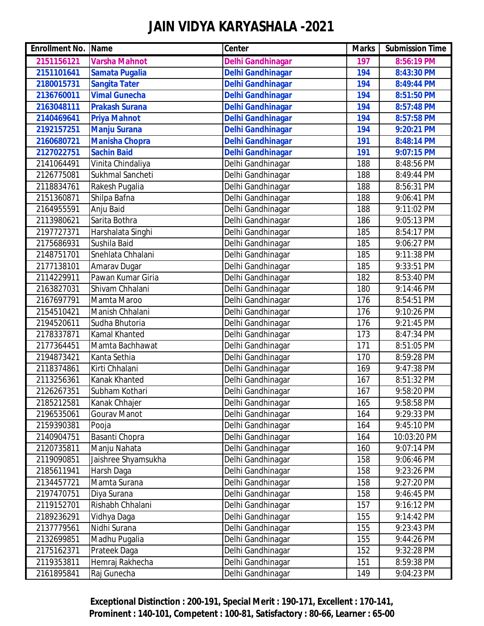| <b>Enrollment No. Name</b> |                       | Center                   | <b>Marks</b> | <b>Submission Time</b> |
|----------------------------|-----------------------|--------------------------|--------------|------------------------|
| 2151156121                 | <b>Varsha Mahnot</b>  | <b>Delhi Gandhinagar</b> | 197          | 8:56:19 PM             |
| 2151101641                 | <b>Samata Pugalia</b> | <b>Delhi Gandhinagar</b> | 194          | 8:43:30 PM             |
| 2180015731                 | <b>Sangita Tater</b>  | <b>Delhi Gandhinagar</b> | 194          | 8:49:44 PM             |
| 2136760011                 | <b>Vimal Gunecha</b>  | <b>Delhi Gandhinagar</b> | 194          | 8:51:50 PM             |
| 2163048111                 | <b>Prakash Surana</b> | <b>Delhi Gandhinagar</b> | 194          | 8:57:48 PM             |
| 2140469641                 | <b>Priya Mahnot</b>   | <b>Delhi Gandhinagar</b> | 194          | 8:57:58 PM             |
| 2192157251                 | <b>Manju Surana</b>   | <b>Delhi Gandhinagar</b> | 194          | 9:20:21 PM             |
| 2160680721                 | <b>Manisha Chopra</b> | <b>Delhi Gandhinagar</b> | 191          | 8:48:14 PM             |
| 2127022751                 | <b>Sachin Baid</b>    | <b>Delhi Gandhinagar</b> | 191          | 9:07:15 PM             |
| 2141064491                 | Vinita Chindaliya     | Delhi Gandhinagar        | 188          | 8:48:56 PM             |
| 2126775081                 | Sukhmal Sancheti      | Delhi Gandhinagar        | 188          | 8:49:44 PM             |
| 2118834761                 | Rakesh Pugalia        | Delhi Gandhinagar        | 188          | 8:56:31 PM             |
| 2151360871                 | Shilpa Bafna          | Delhi Gandhinagar        | 188          | 9:06:41 PM             |
| 2164955591                 | Anju Baid             | Delhi Gandhinagar        | 188          | 9:11:02 PM             |
| 2113980621                 | Sarita Bothra         | Delhi Gandhinagar        | 186          | 9:05:13 PM             |
| 2197727371                 | Harshalata Singhi     | Delhi Gandhinagar        | 185          | 8:54:17 PM             |
| 2175686931                 | Sushila Baid          | Delhi Gandhinagar        | 185          | 9:06:27 PM             |
| 2148751701                 | Snehlata Chhalani     | Delhi Gandhinagar        | 185          | 9:11:38 PM             |
| 2177138101                 | Amarav Dugar          | Delhi Gandhinagar        | 185          | 9:33:51 PM             |
| 2114229911                 | Pawan Kumar Giria     | Delhi Gandhinagar        | 182          | 8:53:40 PM             |
| 2163827031                 | Shivam Chhalani       | Delhi Gandhinagar        | 180          | 9:14:46 PM             |
| 2167697791                 | Mamta Maroo           | Delhi Gandhinagar        | 176          | 8:54:51 PM             |
| 2154510421                 | Manish Chhalani       | Delhi Gandhinagar        | 176          | 9:10:26 PM             |
| 2194520611                 | Sudha Bhutoria        | Delhi Gandhinagar        | 176          | 9:21:45 PM             |
| 2178337871                 | <b>Kamal Khanted</b>  | Delhi Gandhinagar        | 173          | 8:47:34 PM             |
| 2177364451                 | Mamta Bachhawat       | Delhi Gandhinagar        | 171          | 8:51:05 PM             |
| 2194873421                 | Kanta Sethia          | Delhi Gandhinagar        | 170          | 8:59:28 PM             |
| 2118374861                 | Kirti Chhalani        | Delhi Gandhinagar        | 169          | 9:47:38 PM             |
| 2113256361                 | Kanak Khanted         | Delhi Gandhinagar        | 167          | 8:51:32 PM             |
| 2126267351                 | Subham Kothari        | Delhi Gandhinagar        | 167          | 9:58:20 PM             |
| 2185212581                 | Kanak Chhajer         | Delhi Gandhinagar        | 165          | 9:58:58 PM             |
| 2196535061                 | Gourav Manot          | Delhi Gandhinagar        | 164          | 9:29:33 PM             |
| 2159390381                 | Pooja                 | Delhi Gandhinagar        | 164          | 9:45:10 PM             |
| 2140904751                 | Basanti Chopra        | Delhi Gandhinagar        | 164          | 10:03:20 PM            |
| 2120735811                 | Manju Nahata          | Delhi Gandhinagar        | 160          | 9:07:14 PM             |
| 2119090851                 | Jaishree Shyamsukha   | Delhi Gandhinagar        | 158          | 9:06:46 PM             |
| 2185611941                 | Harsh Daga            | Delhi Gandhinagar        | 158          | 9:23:26 PM             |
| 2134457721                 | Mamta Surana          | Delhi Gandhinagar        | 158          | 9:27:20 PM             |
| 2197470751                 | Diya Surana           | Delhi Gandhinagar        | 158          | 9:46:45 PM             |
| 2119152701                 | Rishabh Chhalani      | Delhi Gandhinagar        | 157          | 9:16:12 PM             |
| 2189236291                 | Vidhya Daga           | Delhi Gandhinagar        | 155          | 9:14:42 PM             |
| 2137779561                 | Nidhi Surana          | Delhi Gandhinagar        | 155          | 9:23:43 PM             |
| 2132699851                 | Madhu Pugalia         | Delhi Gandhinagar        | 155          | 9:44:26 PM             |
| 2175162371                 | Prateek Daga          | Delhi Gandhinagar        | 152          | 9:32:28 PM             |
| 2119353811                 | Hemraj Rakhecha       | Delhi Gandhinagar        | 151          | 8:59:38 PM             |
| 2161895841                 | Raj Gunecha           | Delhi Gandhinagar        | 149          | 9:04:23 PM             |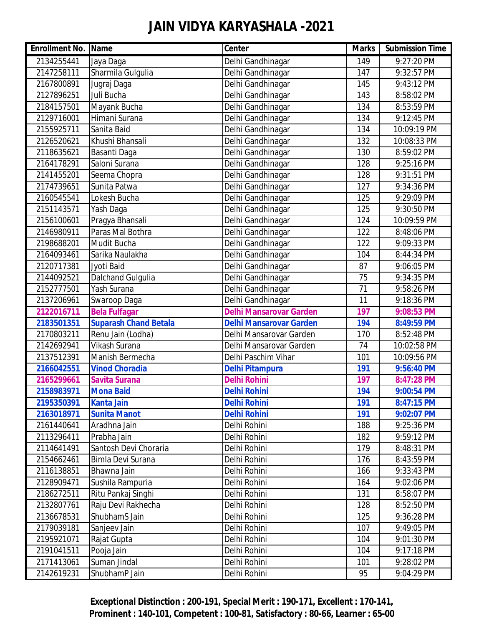| <b>Enrollment No. Name</b> |                              | Center                         | <b>Marks</b>    | <b>Submission Time</b> |
|----------------------------|------------------------------|--------------------------------|-----------------|------------------------|
| 2134255441                 | Jaya Daga                    | Delhi Gandhinagar              | 149             | 9:27:20 PM             |
| 2147258111                 | Sharmila Gulgulia            | Delhi Gandhinagar              | 147             | 9:32:57 PM             |
| 2167800891                 | Jugraj Daga                  | Delhi Gandhinagar              | 145             | 9:43:12 PM             |
| 2127896251                 | Juli Bucha                   | Delhi Gandhinagar              | 143             | 8:58:02 PM             |
| 2184157501                 | Mayank Bucha                 | Delhi Gandhinagar              | 134             | 8:53:59 PM             |
| 2129716001                 | Himani Surana                | Delhi Gandhinagar              | 134             | 9:12:45 PM             |
| 2155925711                 | Sanita Baid                  | Delhi Gandhinagar              | 134             | 10:09:19 PM            |
| 2126520621                 | Khushi Bhansali              | Delhi Gandhinagar              | 132             | 10:08:33 PM            |
| 2118635621                 | Basanti Daga                 | Delhi Gandhinagar              | 130             | 8:59:02 PM             |
| 2164178291                 | Saloni Surana                | Delhi Gandhinagar              | 128             | 9:25:16 PM             |
| 2141455201                 | Seema Chopra                 | Delhi Gandhinagar              | 128             | 9:31:51 PM             |
| 2174739651                 | Sunita Patwa                 | Delhi Gandhinagar              | 127             | 9:34:36 PM             |
| 2160545541                 | Lokesh Bucha                 | Delhi Gandhinagar              | 125             | 9:29:09 PM             |
| 2151143571                 | Yash Daga                    | Delhi Gandhinagar              | 125             | 9:30:50 PM             |
| 2156100601                 | Pragya Bhansali              | Delhi Gandhinagar              | 124             | 10:09:59 PM            |
| 2146980911                 | Paras Mal Bothra             | Delhi Gandhinagar              | 122             | 8:48:06 PM             |
| 2198688201                 | Mudit Bucha                  | Delhi Gandhinagar              | 122             | 9:09:33 PM             |
| 2164093461                 | Sarika Naulakha              | Delhi Gandhinagar              | 104             | 8:44:34 PM             |
| 2120717381                 | Jyoti Baid                   | Delhi Gandhinagar              | 87              | 9:06:05 PM             |
| 2144092521                 | <b>Dalchand Gulgulia</b>     | Delhi Gandhinagar              | 75              | 9:34:35 PM             |
| 2152777501                 | Yash Surana                  | Delhi Gandhinagar              | $\overline{71}$ | 9:58:26 PM             |
| 2137206961                 | Swaroop Daga                 | Delhi Gandhinagar              | 11              | 9:18:36 PM             |
| 2122016711                 | <b>Bela Fulfagar</b>         | <b>Delhi Mansarovar Garden</b> | 197             | 9:08:53 PM             |
| 2183501351                 | <b>Suparash Chand Betala</b> | <b>Delhi Mansarovar Garden</b> | 194             | 8:49:59 PM             |
| 2170803211                 | Renu Jain (Lodha)            | Delhi Mansarovar Garden        | 170             | 8:52:48 PM             |
| 2142692941                 | Vikash Surana                | Delhi Mansarovar Garden        | 74              | 10:02:58 PM            |
| 2137512391                 | Manish Bermecha              | Delhi Paschim Vihar            | 101             | 10:09:56 PM            |
| 2166042551                 | <b>Vinod Choradia</b>        | <b>Delhi Pitampura</b>         | 191             | 9:56:40 PM             |
| 2165299661                 | <b>Savita Surana</b>         | <b>Delhi Rohini</b>            | 197             | 8:47:28 PM             |
| 2158983971                 | <b>Mona Baid</b>             | <b>Delhi Rohini</b>            | 194             | 9:00:54 PM             |
| 2195350391                 | <b>Kanta Jain</b>            | <b>Delhi Rohini</b>            | 191             | 8:47:15 PM             |
| 2163018971                 | <b>Sunita Manot</b>          | <b>Delhi Rohini</b>            | 191             | 9:02:07 PM             |
| 2161440641                 | Aradhna Jain                 | Delhi Rohini                   | 188             | 9:25:36 PM             |
| 2113296411                 | Prabha Jain                  | Delhi Rohini                   | 182             | 9:59:12 PM             |
| 2114641491                 | Santosh Devi Choraria        | Delhi Rohini                   | 179             | 8:48:31 PM             |
| 2154662461                 | Bimla Devi Surana            | Delhi Rohini                   | 176             | 8:43:59 PM             |
| 2116138851                 | Bhawna Jain                  | Delhi Rohini                   | 166             | 9:33:43 PM             |
| 2128909471                 | Sushila Rampuria             | Delhi Rohini                   | 164             | 9:02:06 PM             |
| 2186272511                 | Ritu Pankaj Singhi           | Delhi Rohini                   | 131             | 8:58:07 PM             |
| 2132807761                 | Raju Devi Rakhecha           | Delhi Rohini                   | 128             | 8:52:50 PM             |
| 2136678531                 | ShubhamS Jain                | Delhi Rohini                   | 125             | 9:36:28 PM             |
| 2179039181                 | Sanjeev Jain                 | Delhi Rohini                   | 107             | 9:49:05 PM             |
| 2195921071                 | Rajat Gupta                  | Delhi Rohini                   | 104             | 9:01:30 PM             |
| 2191041511                 | Pooja Jain                   | Delhi Rohini                   | 104             | 9:17:18 PM             |
| 2171413061                 | Suman Jindal                 | Delhi Rohini                   | 101             | 9:28:02 PM             |
| 2142619231                 | ShubhamP Jain                | Delhi Rohini                   | 95              | 9:04:29 PM             |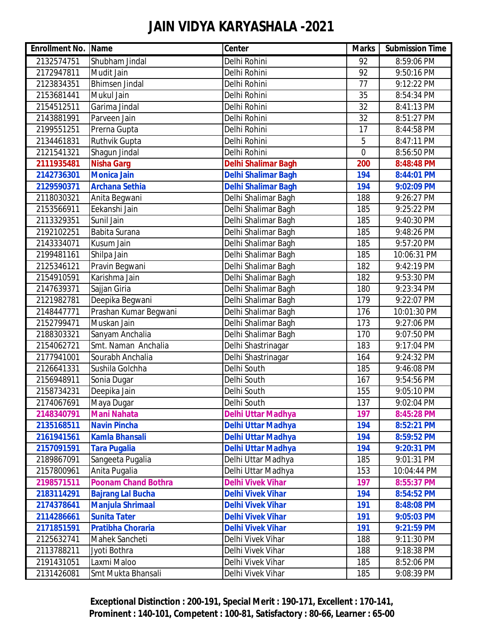| <b>Enrollment No. Name</b> |                            | Center                     | <b>Marks</b> | <b>Submission Time</b> |
|----------------------------|----------------------------|----------------------------|--------------|------------------------|
| 2132574751                 | Shubham Jindal             | Delhi Rohini               | 92           | 8:59:06 PM             |
| 2172947811                 | Mudit Jain                 | Delhi Rohini               | 92           | 9:50:16 PM             |
| 2123834351                 | <b>Bhimsen Jindal</b>      | Delhi Rohini               | 77           | 9:12:22 PM             |
| 2153681441                 | Mukul Jain                 | Delhi Rohini               | 35           | 8:54:34 PM             |
| 2154512511                 | Garima Jindal              | Delhi Rohini               | 32           | 8:41:13 PM             |
| 2143881991                 | Parveen Jain               | Delhi Rohini               | 32           | 8:51:27 PM             |
| 2199551251                 | Prerna Gupta               | Delhi Rohini               | 17           | 8:44:58 PM             |
| 2134461831                 | Ruthvik Gupta              | Delhi Rohini               | 5            | 8:47:11 PM             |
| 2121541321                 | Shagun Jindal              | Delhi Rohini               | 0            | 8:56:50 PM             |
| 2111935481                 | <b>Nisha Garg</b>          | <b>Delhi Shalimar Bagh</b> | 200          | 8:48:48 PM             |
| 2142736301                 | <b>Monica Jain</b>         | <b>Delhi Shalimar Bagh</b> | 194          | 8:44:01 PM             |
| 2129590371                 | <b>Archana Sethia</b>      | <b>Delhi Shalimar Bagh</b> | 194          | 9:02:09 PM             |
| 2118030321                 | Anita Begwani              | Delhi Shalimar Bagh        | 188          | 9:26:27 PM             |
| 2153566911                 | Eekanshi Jain              | Delhi Shalimar Bagh        | 185          | 9:25:22 PM             |
| 2113329351                 | Sunil Jain                 | Delhi Shalimar Bagh        | 185          | 9:40:30 PM             |
| 2192102251                 | Babita Surana              | Delhi Shalimar Bagh        | 185          | 9:48:26 PM             |
| 2143334071                 | Kusum Jain                 | Delhi Shalimar Bagh        | 185          | 9:57:20 PM             |
| 2199481161                 | Shilpa Jain                | Delhi Shalimar Bagh        | 185          | 10:06:31 PM            |
| 2125346121                 | Pravin Begwani             | Delhi Shalimar Bagh        | 182          | 9:42:19 PM             |
| 2154910591                 | Karishma Jain              | Delhi Shalimar Bagh        | 182          | 9:53:30 PM             |
| 2147639371                 | Sajjan Giria               | Delhi Shalimar Bagh        | 180          | 9:23:34 PM             |
| 2121982781                 | Deepika Begwani            | Delhi Shalimar Bagh        | 179          | 9:22:07 PM             |
| 2148447771                 | Prashan Kumar Begwani      | Delhi Shalimar Bagh        | 176          | 10:01:30 PM            |
| 2152799471                 | Muskan Jain                | Delhi Shalimar Bagh        | 173          | 9:27:06 PM             |
| 2188303321                 | Sanyam Anchalia            | Delhi Shalimar Bagh        | 170          | 9:07:50 PM             |
| 2154062721                 | Smt. Naman Anchalia        | Delhi Shastrinagar         | 183          | 9:17:04 PM             |
| 2177941001                 | Sourabh Anchalia           | Delhi Shastrinagar         | 164          | 9:24:32 PM             |
| 2126641331                 | Sushila Golchha            | Delhi South                | 185          | 9:46:08 PM             |
| 2156948911                 | Sonia Dugar                | Delhi South                | 167          | 9:54:56 PM             |
| 2158734231                 | Deepika Jain               | Delhi South                | 155          | 9:05:10 PM             |
| 2174067691                 | Maya Dugar                 | Delhi South                | 137          | 9:02:04 PM             |
| 2148340791                 | <b>Mani Nahata</b>         | <b>Delhi Uttar Madhya</b>  | 197          | 8:45:28 PM             |
| 2135168511                 | <b>Navin Pincha</b>        | <b>Delhi Uttar Madhya</b>  | 194          | 8:52:21 PM             |
| 2161941561                 | <b>Kamla Bhansali</b>      | <b>Delhi Uttar Madhya</b>  | 194          | 8:59:52 PM             |
| 2157091591                 | <b>Tara Pugalia</b>        | <b>Delhi Uttar Madhya</b>  | 194          | 9:20:31 PM             |
| 2189867091                 | Sangeeta Pugalia           | Delhi Uttar Madhya         | 185          | 9:01:31 PM             |
| 2157800961                 | Anita Pugalia              | Delhi Uttar Madhya         | 153          | 10:04:44 PM            |
| 2198571511                 | <b>Poonam Chand Bothra</b> | <b>Delhi Vivek Vihar</b>   | 197          | 8:55:37 PM             |
| 2183114291                 | <b>Bajrang Lal Bucha</b>   | <b>Delhi Vivek Vihar</b>   | 194          | 8:54:52 PM             |
| 2174378641                 | <b>Manjula Shrimaal</b>    | <b>Delhi Vivek Vihar</b>   | 191          | 8:48:08 PM             |
| 2114286661                 | <b>Sunita Tater</b>        | <b>Delhi Vivek Vihar</b>   | 191          | 9:05:03 PM             |
| 2171851591                 | <b>Pratibha Choraria</b>   | <b>Delhi Vivek Vihar</b>   | 191          | 9:21:59 PM             |
| 2125632741                 | Mahek Sancheti             | Delhi Vivek Vihar          | 188          | 9:11:30 PM             |
| 2113788211                 | Jyoti Bothra               | Delhi Vivek Vihar          | 188          | 9:18:38 PM             |
| 2191431051                 | Laxmi Maloo                | Delhi Vivek Vihar          | 185          | 8:52:06 PM             |
| 2131426081                 | Smt Mukta Bhansali         | Delhi Vivek Vihar          | 185          | 9:08:39 PM             |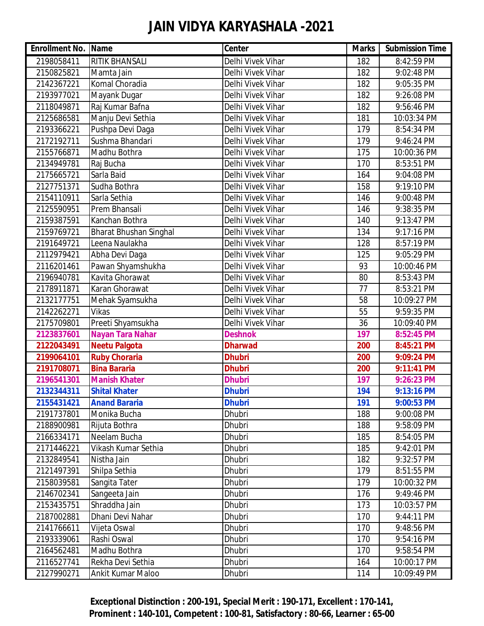| <b>Enrollment No. Name</b> |                               | Center            | <b>Marks</b> | <b>Submission Time</b> |
|----------------------------|-------------------------------|-------------------|--------------|------------------------|
| 2198058411                 | <b>RITIK BHANSALI</b>         | Delhi Vivek Vihar | 182          | 8:42:59 PM             |
| 2150825821                 | Mamta Jain                    | Delhi Vivek Vihar | 182          | 9:02:48 PM             |
| 2142367221                 | Komal Choradia                | Delhi Vivek Vihar | 182          | 9:05:35 PM             |
| 2193977021                 | Mayank Dugar                  | Delhi Vivek Vihar | 182          | 9:26:08 PM             |
| 2118049871                 | Raj Kumar Bafna               | Delhi Vivek Vihar | 182          | 9:56:46 PM             |
| 2125686581                 | Manju Devi Sethia             | Delhi Vivek Vihar | 181          | 10:03:34 PM            |
| 2193366221                 | Pushpa Devi Daga              | Delhi Vivek Vihar | 179          | 8:54:34 PM             |
| 2172192711                 | Sushma Bhandari               | Delhi Vivek Vihar | 179          | 9:46:24 PM             |
| 2155766871                 | Madhu Bothra                  | Delhi Vivek Vihar | 175          | 10:00:36 PM            |
| 2134949781                 | Raj Bucha                     | Delhi Vivek Vihar | 170          | 8:53:51 PM             |
| 2175665721                 | Sarla Baid                    | Delhi Vivek Vihar | 164          | 9:04:08 PM             |
| 2127751371                 | Sudha Bothra                  | Delhi Vivek Vihar | 158          | 9:19:10 PM             |
| 2154110911                 | Sarla Sethia                  | Delhi Vivek Vihar | 146          | 9:00:48 PM             |
| 2125590951                 | Prem Bhansali                 | Delhi Vivek Vihar | 146          | 9:38:35 PM             |
| 2159387591                 | Kanchan Bothra                | Delhi Vivek Vihar | 140          | 9:13:47 PM             |
| 2159769721                 | <b>Bharat Bhushan Singhal</b> | Delhi Vivek Vihar | 134          | 9:17:16 PM             |
| 2191649721                 | Leena Naulakha                | Delhi Vivek Vihar | 128          | 8:57:19 PM             |
| 2112979421                 | Abha Devi Daga                | Delhi Vivek Vihar | 125          | 9:05:29 PM             |
| 2116201461                 | Pawan Shyamshukha             | Delhi Vivek Vihar | 93           | 10:00:46 PM            |
| 2196940781                 | Kavita Ghorawat               | Delhi Vivek Vihar | 80           | 8:53:43 PM             |
| 2178911871                 | Karan Ghorawat                | Delhi Vivek Vihar | 77           | 8:53:21 PM             |
| 2132177751                 | Mehak Syamsukha               | Delhi Vivek Vihar | 58           | 10:09:27 PM            |
| 2142262271                 | <b>Vikas</b>                  | Delhi Vivek Vihar | 55           | 9:59:35 PM             |
| 2175709801                 | Preeti Shyamsukha             | Delhi Vivek Vihar | 36           | 10:09:40 PM            |
| 2123837601                 | <b>Nayan Tara Nahar</b>       | <b>Deshnok</b>    | 197          | 8:52:45 PM             |
| 2122043491                 | <b>Neetu Palgota</b>          | <b>Dharwad</b>    | 200          | 8:45:21 PM             |
| 2199064101                 | <b>Ruby Choraria</b>          | <b>Dhubri</b>     | 200          | 9:09:24 PM             |
| 2191708071                 | <b>Bina Bararia</b>           | <b>Dhubri</b>     | 200          | 9:11:41 PM             |
| 2196541301                 | <b>Manish Khater</b>          | <b>Dhubri</b>     | 197          | 9:26:23 PM             |
| 2132344311                 | <b>Shital Khater</b>          | <b>Dhubri</b>     | 194          | 9:13:16 PM             |
| 2155431421                 | <b>Anand Bararia</b>          | <b>Dhubri</b>     | 191          | 9:00:53 PM             |
| 2191737801                 | Monika Bucha                  | Dhubri            | 188          | 9:00:08 PM             |
| 2188900981                 | Rijuta Bothra                 | Dhubri            | 188          | 9:58:09 PM             |
| 2166334171                 | Neelam Bucha                  | Dhubri            | 185          | 8:54:05 PM             |
| 2171446221                 | Vikash Kumar Sethia           | Dhubri            | 185          | 9:42:01 PM             |
| 2132849541                 | Nistha Jain                   | Dhubri            | 182          | 9:32:57 PM             |
| 2121497391                 | Shilpa Sethia                 | Dhubri            | 179          | 8:51:55 PM             |
| 2158039581                 | Sangita Tater                 | Dhubri            | 179          | 10:00:32 PM            |
| 2146702341                 | Sangeeta Jain                 | Dhubri            | 176          | 9:49:46 PM             |
| 2153435751                 | Shraddha Jain                 | Dhubri            | 173          | 10:03:57 PM            |
| 2187002881                 | Dhani Devi Nahar              | Dhubri            | 170          | 9:44:11 PM             |
| 2141766611                 | Vijeta Oswal                  | Dhubri            | 170          | 9:48:56 PM             |
| 2193339061                 | Rashi Oswal                   | Dhubri            | 170          | 9:54:16 PM             |
| 2164562481                 | Madhu Bothra                  | Dhubri            | 170          | 9:58:54 PM             |
| 2116527741                 | Rekha Devi Sethia             | Dhubri            | 164          | 10:00:17 PM            |
| 2127990271                 | Ankit Kumar Maloo             | Dhubri            | 114          | 10:09:49 PM            |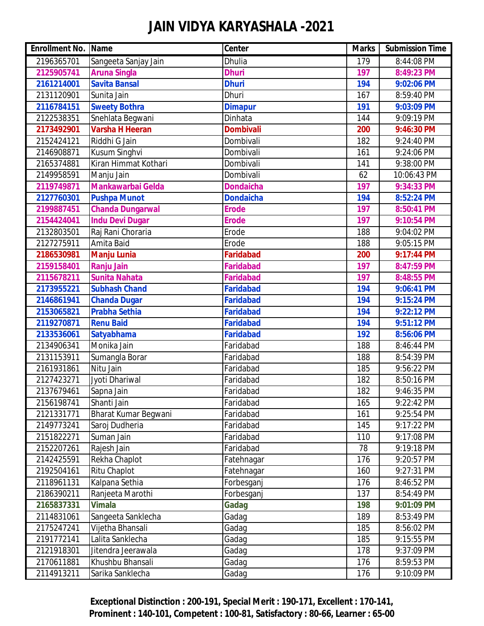| <b>Enrollment No. Name</b> |                             | <b>Center</b>    | <b>Marks</b> | <b>Submission Time</b> |
|----------------------------|-----------------------------|------------------|--------------|------------------------|
| 2196365701                 | Sangeeta Sanjay Jain        | Dhulia           | 179          | 8:44:08 PM             |
| 2125905741                 | <b>Aruna Singla</b>         | <b>Dhuri</b>     | 197          | 8:49:23 PM             |
| 2161214001                 | <b>Savita Bansal</b>        | <b>Dhuri</b>     | 194          | 9:02:06 PM             |
| 2131120901                 | Sunita Jain                 | Dhuri            | 167          | 8:59:40 PM             |
| 2116784151                 | <b>Sweety Bothra</b>        | <b>Dimapur</b>   | 191          | 9:03:09 PM             |
| 2122538351                 | Snehlata Begwani            | <b>Dinhata</b>   | 144          | 9:09:19 PM             |
| 2173492901                 | <b>Varsha H Heeran</b>      | <b>Dombivali</b> | 200          | 9:46:30 PM             |
| 2152424121                 | Riddhi G Jain               | Dombivali        | 182          | 9:24:40 PM             |
| 2146908871                 | Kusum Singhvi               | Dombivali        | 161          | 9:24:06 PM             |
| 2165374881                 | Kiran Himmat Kothari        | Dombivali        | 141          | 9:38:00 PM             |
| 2149958591                 | Manju Jain                  | Dombivali        | 62           | 10:06:43 PM            |
| 2119749871                 | <b>Mankawarbai Gelda</b>    | <b>Dondaicha</b> | 197          | 9:34:33 PM             |
| 2127760301                 | <b>Pushpa Munot</b>         | <b>Dondaicha</b> | 194          | 8:52:24 PM             |
| 2199887451                 | <b>Chanda Dungarwal</b>     | <b>Erode</b>     | 197          | 8:50:41 PM             |
| 2154424041                 | <b>Indu Devi Dugar</b>      | <b>Erode</b>     | 197          | 9:10:54 PM             |
| 2132803501                 | Raj Rani Choraria           | Erode            | 188          | 9:04:02 PM             |
| 2127275911                 | Amita Baid                  | Erode            | 188          | 9:05:15 PM             |
| 2186530981                 | <b>Manju Lunia</b>          | <b>Faridabad</b> | 200          | 9:17:44 PM             |
| 2159158401                 | <b>Ranju Jain</b>           | <b>Faridabad</b> | 197          | 8:47:59 PM             |
| 2115678211                 | <b>Sunita Nahata</b>        | Faridabad        | 197          | 8:48:55 PM             |
| 2173955221                 | <b>Subhash Chand</b>        | <b>Faridabad</b> | 194          | 9:06:41 PM             |
| 2146861941                 | <b>Chanda Dugar</b>         | <b>Faridabad</b> | 194          | 9:15:24 PM             |
| 2153065821                 | <b>Prabha Sethia</b>        | <b>Faridabad</b> | 194          | 9:22:12 PM             |
| 2119270871                 | <b>Renu Baid</b>            | <b>Faridabad</b> | 194          | 9:51:12 PM             |
| 2133536061                 | <b>Satyabhama</b>           | <b>Faridabad</b> | 192          | 8:56:06 PM             |
| 2134906341                 | Monika Jain                 | Faridabad        | 188          | 8:46:44 PM             |
| 2131153911                 | Sumangla Borar              | Faridabad        | 188          | 8:54:39 PM             |
| 2161931861                 | Nitu Jain                   | Faridabad        | 185          | 9:56:22 PM             |
| 2127423271                 | Jyoti Dhariwal              | Faridabad        | 182          | 8:50:16 PM             |
| 2137679461                 | Sapna Jain                  | Faridabad        | 182          | 9:46:35 PM             |
| 2156198741                 | Shanti Jain                 | Faridabad        | 165          | 9:22:42 PM             |
| 2121331771                 | <b>Bharat Kumar Begwani</b> | Faridabad        | 161          | 9:25:54 PM             |
| 2149773241                 | Saroj Dudheria              | Faridabad        | 145          | 9:17:22 PM             |
| 2151822271                 | Suman Jain                  | Faridabad        | 110          | 9:17:08 PM             |
| 2152207261                 | Rajesh Jain                 | Faridabad        | 78           | 9:19:18 PM             |
| 2142425591                 | Rekha Chaplot               | Fatehnagar       | 176          | 9:20:57 PM             |
| 2192504161                 | <b>Ritu Chaplot</b>         | Fatehnagar       | 160          | 9:27:31 PM             |
| 2118961131                 | Kalpana Sethia              | Forbesganj       | 176          | 8:46:52 PM             |
| 2186390211                 | Ranjeeta Marothi            | Forbesganj       | 137          | 8:54:49 PM             |
| 2165837331                 | <b>Vimala</b>               | Gadag            | 198          | 9:01:09 PM             |
| 2114831061                 | Sangeeta Sanklecha          | Gadag            | 189          | 8:53:49 PM             |
| 2175247241                 | Vijetha Bhansali            | Gadag            | 185          | 8:56:02 PM             |
| 2191772141                 | Lalita Sanklecha            | Gadag            | 185          | 9:15:55 PM             |
| 2121918301                 | Jitendra Jeerawala          | Gadag            | 178          | 9:37:09 PM             |
| 2170611881                 | Khushbu Bhansali            | Gadag            | 176          | 8:59:53 PM             |
| 2114913211                 | Sarika Sanklecha            | Gadag            | 176          | 9:10:09 PM             |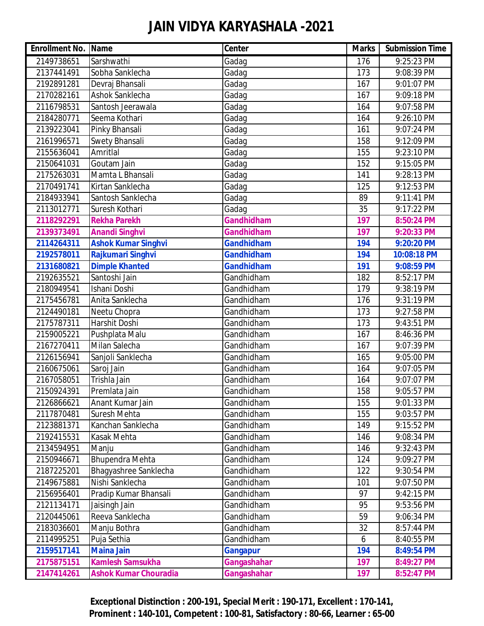| <b>Enrollment No. Name</b> |                              | Center            | <b>Marks</b> | <b>Submission Time</b> |
|----------------------------|------------------------------|-------------------|--------------|------------------------|
| 2149738651                 | Sarshwathi                   | Gadag             | 176          | 9:25:23 PM             |
| 2137441491                 | Sobha Sanklecha              | Gadag             | 173          | 9:08:39 PM             |
| 2192891281                 | Devraj Bhansali              | Gadag             | 167          | 9:01:07 PM             |
| 2170282161                 | Ashok Sanklecha              | Gadag             | 167          | 9:09:18 PM             |
| 2116798531                 | Santosh Jeerawala            | Gadag             | 164          | 9:07:58 PM             |
| 2184280771                 | Seema Kothari                | Gadag             | 164          | 9:26:10 PM             |
| 2139223041                 | Pinky Bhansali               | Gadag             | 161          | 9:07:24 PM             |
| 2161996571                 | <b>Swety Bhansali</b>        | Gadag             | 158          | 9:12:09 PM             |
| 2155636041                 | Amritlal                     | Gadag             | 155          | 9:23:10 PM             |
| 2150641031                 | Goutam Jain                  | Gadag             | 152          | 9:15:05 PM             |
| 2175263031                 | Mamta L Bhansali             | Gadag             | 141          | 9:28:13 PM             |
| 2170491741                 | Kirtan Sanklecha             | Gadag             | 125          | 9:12:53 PM             |
| 2184933941                 | Santosh Sanklecha            | Gadag             | 89           | 9:11:41 PM             |
| 2113012771                 | Suresh Kothari               | Gadag             | 35           | 9:17:22 PM             |
| 2118292291                 | <b>Rekha Parekh</b>          | <b>Gandhidham</b> | 197          | 8:50:24 PM             |
| 2139373491                 | <b>Anandi Singhvi</b>        | Gandhidham        | 197          | 9:20:33 PM             |
| 2114264311                 | <b>Ashok Kumar Singhvi</b>   | <b>Gandhidham</b> | 194          | 9:20:20 PM             |
| 2192578011                 | Rajkumari Singhvi            | <b>Gandhidham</b> | 194          | 10:08:18 PM            |
| 2131680821                 | <b>Dimple Khanted</b>        | <b>Gandhidham</b> | 191          | 9:08:59 PM             |
| 2192635521                 | Santoshi Jain                | Gandhidham        | 182          | 8:52:17 PM             |
| 2180949541                 | Ishani Doshi                 | Gandhidham        | 179          | 9:38:19 PM             |
| 2175456781                 | Anita Sanklecha              | Gandhidham        | 176          | 9:31:19 PM             |
| 2124490181                 | Neetu Chopra                 | Gandhidham        | 173          | 9:27:58 PM             |
| 2175787311                 | Harshit Doshi                | Gandhidham        | 173          | 9:43:51 PM             |
| 2159005221                 | Pushplata Malu               | Gandhidham        | 167          | 8:46:36 PM             |
| 2167270411                 | Milan Salecha                | Gandhidham        | 167          | 9:07:39 PM             |
| 2126156941                 | Sanjoli Sanklecha            | Gandhidham        | 165          | 9:05:00 PM             |
| 2160675061                 | Saroj Jain                   | Gandhidham        | 164          | 9:07:05 PM             |
| 2167058051                 | Trishla Jain                 | Gandhidham        | 164          | 9:07:07 PM             |
| 2150924391                 | Premlata Jain                | Gandhidham        | 158          | 9:05:57 PM             |
| 2126866621                 | Anant Kumar Jain             | Gandhidham        | 155          | 9:01:33 PM             |
| 2117870481                 | <b>Suresh Mehta</b>          | Gandhidham        | 155          | 9:03:57 PM             |
| 2123881371                 | Kanchan Sanklecha            | Gandhidham        | 149          | 9:15:52 PM             |
| 2192415531                 | Kasak Mehta                  | Gandhidham        | 146          | 9:08:34 PM             |
| 2134594951                 | Manju                        | Gandhidham        | 146          | 9:32:43 PM             |
| 2150946671                 | <b>Bhupendra Mehta</b>       | Gandhidham        | 124          | 9:09:27 PM             |
| 2187225201                 | Bhagyashree Sanklecha        | Gandhidham        | 122          | 9:30:54 PM             |
| 2149675881                 | Nishi Sanklecha              | Gandhidham        | 101          | 9:07:50 PM             |
| 2156956401                 | Pradip Kumar Bhansali        | Gandhidham        | 97           | 9:42:15 PM             |
| 2121134171                 | Jaisingh Jain                | Gandhidham        | 95           | 9:53:56 PM             |
| 2120445061                 | Reeva Sanklecha              | Gandhidham        | 59           | 9:06:34 PM             |
| 2183036601                 | Manju Bothra                 | Gandhidham        | 32           | 8:57:44 PM             |
| 2114995251                 | Puja Sethia                  | Gandhidham        | 6            | 8:40:55 PM             |
| 2159517141                 | <b>Maina Jain</b>            | <b>Gangapur</b>   | 194          | 8:49:54 PM             |
| 2175875151                 | <b>Kamlesh Samsukha</b>      | Gangashahar       | 197          | 8:49:27 PM             |
| 2147414261                 | <b>Ashok Kumar Chouradia</b> | Gangashahar       | 197          | 8:52:47 PM             |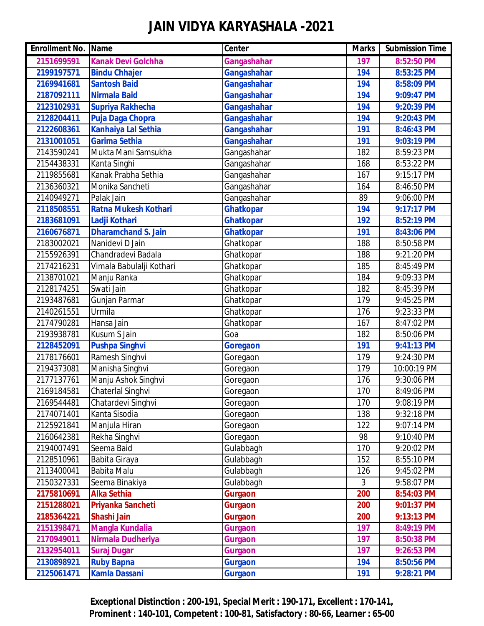| <b>Enrollment No. Name</b> |                             | <b>Center</b>    | <b>Marks</b> | <b>Submission Time</b> |
|----------------------------|-----------------------------|------------------|--------------|------------------------|
| 2151699591                 | <b>Kanak Devi Golchha</b>   | Gangashahar      | 197          | 8:52:50 PM             |
| 2199197571                 | <b>Bindu Chhajer</b>        | Gangashahar      | 194          | 8:53:25 PM             |
| 2169941681                 | <b>Santosh Baid</b>         | Gangashahar      | 194          | 8:58:09 PM             |
| 2187092111                 | <b>Nirmala Baid</b>         | Gangashahar      | 194          | 9:09:47 PM             |
| 2123102931                 | <b>Supriya Rakhecha</b>     | Gangashahar      | 194          | 9:20:39 PM             |
| 2128204411                 | Puja Daga Chopra            | Gangashahar      | 194          | 9:20:43 PM             |
| 2122608361                 | <b>Kanhaiya Lal Sethia</b>  | Gangashahar      | 191          | 8:46:43 PM             |
| 2131001051                 | <b>Garima Sethia</b>        | Gangashahar      | 191          | 9:03:19 PM             |
| 2143590241                 | Mukta Mani Samsukha         | Gangashahar      | 182          | 8:59:23 PM             |
| 2154438331                 | Kanta Singhi                | Gangashahar      | 168          | 8:53:22 PM             |
| 2119855681                 | Kanak Prabha Sethia         | Gangashahar      | 167          | 9:15:17 PM             |
| 2136360321                 | Monika Sancheti             | Gangashahar      | 164          | 8:46:50 PM             |
| 2140949271                 | Palak Jain                  | Gangashahar      | 89           | 9:06:00 PM             |
| 2118508551                 | <b>Ratna Mukesh Kothari</b> | <b>Ghatkopar</b> | 194          | 9:17:17 PM             |
| 2183681091                 | Ladji Kothari               | <b>Ghatkopar</b> | 192          | 8:52:19 PM             |
| 2160676871                 | <b>Dharamchand S. Jain</b>  | Ghatkopar        | 191          | 8:43:06 PM             |
| 2183002021                 | Nanidevi D Jain             | Ghatkopar        | 188          | 8:50:58 PM             |
| 2155926391                 | Chandradevi Badala          | Ghatkopar        | 188          | 9:21:20 PM             |
| 2174216231                 | Vimala Babulalji Kothari    | Ghatkopar        | 185          | 8:45:49 PM             |
| 2138701021                 | Manju Ranka                 | Ghatkopar        | 184          | 9:09:33 PM             |
| 2128174251                 | Swati Jain                  | Ghatkopar        | 182          | 8:45:39 PM             |
| 2193487681                 | Gunjan Parmar               | Ghatkopar        | 179          | 9:45:25 PM             |
| 2140261551                 | Urmila                      | Ghatkopar        | 176          | 9:23:33 PM             |
| 2174790281                 | Hansa Jain                  | Ghatkopar        | 167          | 8:47:02 PM             |
| 2193938781                 | Kusum S Jain                | Goa              | 182          | 8:50:06 PM             |
| 2128452091                 | <b>Pushpa Singhvi</b>       | <b>Goregaon</b>  | 191          | 9:41:13 PM             |
| 2178176601                 | Ramesh Singhvi              | Goregaon         | 179          | 9:24:30 PM             |
| 2194373081                 | Manisha Singhvi             | Goregaon         | 179          | 10:00:19 PM            |
| 2177137761                 | Manju Ashok Singhvi         | Goregaon         | 176          | 9:30:06 PM             |
| 2169184581                 | Chaterlal Singhvi           | Goregaon         | 170          | 8:49:06 PM             |
| 2169544481                 | Chatardevi Singhvi          | Goregaon         | 170          | 9:08:19 PM             |
| 2174071401                 | Kanta Sisodia               | Goregaon         | 138          | 9:32:18 PM             |
| 2125921841                 | Manjula Hiran               | Goregaon         | 122          | 9:07:14 PM             |
| 2160642381                 | Rekha Singhvi               | Goregaon         | 98           | 9:10:40 PM             |
| 2194007491                 | Seema Baid                  | Gulabbagh        | 170          | 9:20:02 PM             |
| 2128510961                 | Babita Giraya               | Gulabbagh        | 152          | 8:55:10 PM             |
| 2113400041                 | Babita Malu                 | Gulabbagh        | 126          | 9:45:02 PM             |
| 2150327331                 | Seema Binakiya              | Gulabbagh        | 3            | 9:58:07 PM             |
| 2175810691                 | <b>Alka Sethia</b>          | <b>Gurgaon</b>   | 200          | 8:54:03 PM             |
| 2151288021                 | Priyanka Sancheti           | <b>Gurgaon</b>   | 200          | 9:01:37 PM             |
| 2185364221                 | Shashi Jain                 | Gurgaon          | 200          | 9:13:13 PM             |
| 2151398471                 | <b>Mangla Kundalia</b>      | <b>Gurgaon</b>   | 197          | 8:49:19 PM             |
| 2170949011                 | Nirmala Dudheriya           | <b>Gurgaon</b>   | 197          | 8:50:38 PM             |
| 2132954011                 | <b>Suraj Dugar</b>          | <b>Gurgaon</b>   | 197          | 9:26:53 PM             |
| 2130898921                 | <b>Ruby Bapna</b>           | <b>Gurgaon</b>   | 194          | 8:50:56 PM             |
| 2125061471                 | <b>Kamla Dassani</b>        | <b>Gurgaon</b>   | 191          | 9:28:21 PM             |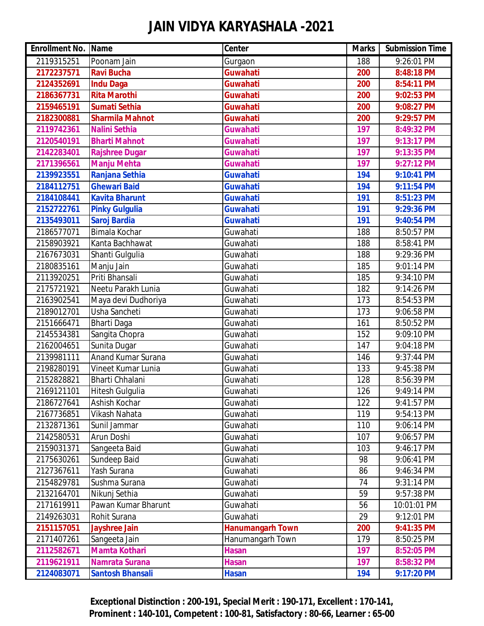| <b>Enrollment No. Name</b> |                         | <b>Center</b>           | <b>Marks</b> | <b>Submission Time</b> |
|----------------------------|-------------------------|-------------------------|--------------|------------------------|
| 2119315251                 | Poonam Jain             | Gurgaon                 | 188          | 9:26:01 PM             |
| 2172237571                 | <b>Ravi Bucha</b>       | <b>Guwahati</b>         | 200          | 8:48:18 PM             |
| 2124352691                 | <b>Indu Daga</b>        | Guwahati                | 200          | 8:54:11 PM             |
| 2186367731                 | <b>Rita Marothi</b>     | Guwahati                | 200          | 9:02:53 PM             |
| 2159465191                 | <b>Sumati Sethia</b>    | <b>Guwahati</b>         | 200          | 9:08:27 PM             |
| 2182300881                 | <b>Sharmila Mahnot</b>  | Guwahati                | 200          | 9:29:57 PM             |
| 2119742361                 | <b>Nalini Sethia</b>    | <b>Guwahati</b>         | 197          | 8:49:32 PM             |
| 2120540191                 | <b>Bharti Mahnot</b>    | <b>Guwahati</b>         | 197          | 9:13:17 PM             |
| 2142283401                 | <b>Rajshree Dugar</b>   | <b>Guwahati</b>         | 197          | 9:13:35 PM             |
| 2171396561                 | <b>Manju Mehta</b>      | <b>Guwahati</b>         | 197          | 9:27:12 PM             |
| 2139923551                 | Ranjana Sethia          | <b>Guwahati</b>         | 194          | 9:10:41 PM             |
| 2184112751                 | <b>Ghewari Baid</b>     | <b>Guwahati</b>         | 194          | 9:11:54 PM             |
| 2184108441                 | <b>Kavita Bharunt</b>   | <b>Guwahati</b>         | 191          | 8:51:23 PM             |
| 2152722761                 | <b>Pinky Gulgulia</b>   | <b>Guwahati</b>         | 191          | 9:29:36 PM             |
| 2135493011                 | <b>Saroj Bardia</b>     | <b>Guwahati</b>         | 191          | 9:40:54 PM             |
| 2186577071                 | Bimala Kochar           | Guwahati                | 188          | 8:50:57 PM             |
| 2158903921                 | Kanta Bachhawat         | Guwahati                | 188          | 8:58:41 PM             |
| 2167673031                 | Shanti Gulgulia         | Guwahati                | 188          | 9:29:36 PM             |
| 2180835161                 | Manju Jain              | Guwahati                | 185          | 9:01:14 PM             |
| 2113920251                 | Priti Bhansali          | Guwahati                | 185          | 9:34:10 PM             |
| 2175721921                 | Neetu Parakh Lunia      | Guwahati                | 182          | 9:14:26 PM             |
| 2163902541                 | Maya devi Dudhoriya     | Guwahati                | 173          | 8:54:53 PM             |
| 2189012701                 | Usha Sancheti           | Guwahati                | 173          | 9:06:58 PM             |
| 2151666471                 | <b>Bharti Daga</b>      | Guwahati                | 161          | 8:50:52 PM             |
| 2145534381                 | Sangita Chopra          | Guwahati                | 152          | 9:09:10 PM             |
| 2162004651                 | Sunita Dugar            | Guwahati                | 147          | 9:04:18 PM             |
| 2139981111                 | Anand Kumar Surana      | Guwahati                | 146          | 9:37:44 PM             |
| 2198280191                 | Vineet Kumar Lunia      | Guwahati                | 133          | 9:45:38 PM             |
| 2152828821                 | Bharti Chhalani         | Guwahati                | 128          | 8:56:39 PM             |
| 2169121101                 | Hitesh Gulgulia         | Guwahati                | 126          | 9:49:14 PM             |
| 2186727641                 | Ashish Kochar           | Guwahati                | 122          | 9:41:57 PM             |
| 2167736851                 | Vikash Nahata           | Guwahati                | 119          | 9:54:13 PM             |
| 2132871361                 | Sunil Jammar            | Guwahati                | 110          | 9:06:14 PM             |
| 2142580531                 | Arun Doshi              | Guwahati                | 107          | 9:06:57 PM             |
| 2159031371                 | Sangeeta Baid           | Guwahati                | 103          | 9:46:17 PM             |
| 2175630261                 | Sundeep Baid            | Guwahati                | 98           | 9:06:41 PM             |
| 2127367611                 | Yash Surana             | Guwahati                | 86           | 9:46:34 PM             |
| 2154829781                 | Sushma Surana           | Guwahati                | 74           | 9:31:14 PM             |
| 2132164701                 | Nikunj Sethia           | Guwahati                | 59           | 9:57:38 PM             |
| 2171619911                 | Pawan Kumar Bharunt     | Guwahati                | 56           | 10:01:01 PM            |
| 2149263031                 | Rohit Surana            | Guwahati                | 29           | 9:12:01 PM             |
| 2151157051                 | <b>Jayshree Jain</b>    | <b>Hanumangarh Town</b> | 200          | 9:41:35 PM             |
| 2171407261                 | Sangeeta Jain           | Hanumangarh Town        | 179          | 8:50:25 PM             |
| 2112582671                 | <b>Mamta Kothari</b>    | <b>Hasan</b>            | 197          | 8:52:05 PM             |
| 2119621911                 | <b>Namrata Surana</b>   | <b>Hasan</b>            | 197          | 8:58:32 PM             |
| 2124083071                 | <b>Santosh Bhansali</b> | <b>Hasan</b>            | 194          | 9:17:20 PM             |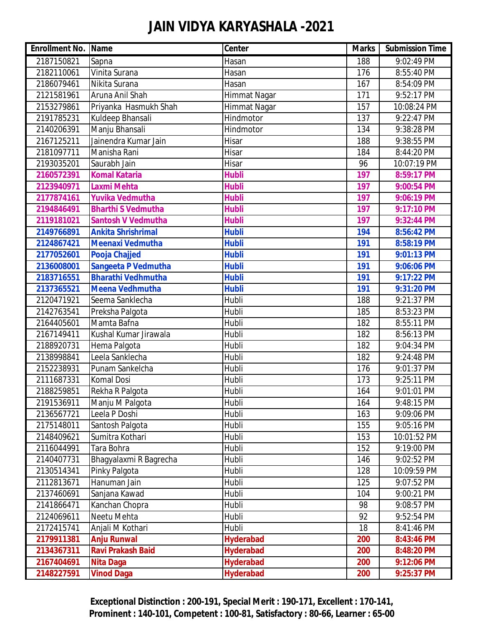| <b>Enrollment No. Name</b> |                           | Center           | <b>Marks</b> | <b>Submission Time</b> |
|----------------------------|---------------------------|------------------|--------------|------------------------|
| 2187150821                 | Sapna                     | Hasan            | 188          | 9:02:49 PM             |
| 2182110061                 | Vinita Surana             | Hasan            | 176          | 8:55:40 PM             |
| 2186079461                 | Nikita Surana             | Hasan            | 167          | 8:54:09 PM             |
| 2121581961                 | Aruna Anil Shah           | Himmat Nagar     | 171          | 9:52:17 PM             |
| 2153279861                 | Priyanka Hasmukh Shah     | Himmat Nagar     | 157          | 10:08:24 PM            |
| 2191785231                 | Kuldeep Bhansali          | Hindmotor        | 137          | 9:22:47 PM             |
| 2140206391                 | Manju Bhansali            | Hindmotor        | 134          | 9:38:28 PM             |
| 2167125211                 | Jainendra Kumar Jain      | Hisar            | 188          | 9:38:55 PM             |
| 2181097711                 | Manisha Rani              | Hisar            | 184          | 8:44:20 PM             |
| 2193035201                 | Saurabh Jain              | Hisar            | 96           | 10:07:19 PM            |
| 2160572391                 | <b>Komal Kataria</b>      | <b>Hubli</b>     | 197          | 8:59:17 PM             |
| 2123940971                 | <b>Laxmi Mehta</b>        | <b>Hubli</b>     | 197          | 9:00:54 PM             |
| 2177874161                 | <b>Yuvika Vedmutha</b>    | <b>Hubli</b>     | 197          | 9:06:19 PM             |
| 2194846491                 | <b>Bharthi S Vedmutha</b> | <b>Hubli</b>     | 197          | 9:17:10 PM             |
| 2119181021                 | <b>Santosh V Vedmutha</b> | <b>Hubli</b>     | 197          | 9:32:44 PM             |
| 2149766891                 | <b>Ankita Shrishrimal</b> | <b>Hubli</b>     | 194          | 8:56:42 PM             |
| 2124867421                 | Meenaxi Vedmutha          | <b>Hubli</b>     | 191          | 8:58:19 PM             |
| 2177052601                 | <b>Pooja Chajjed</b>      | <b>Hubli</b>     | 191          | 9:01:13 PM             |
| 2136008001                 | Sangeeta P Vedmutha       | <b>Hubli</b>     | 191          | 9:06:06 PM             |
| 2183716551                 | <b>Bharathi Vedhmutha</b> | <b>Hubli</b>     | 191          | 9:17:22 PM             |
| 2137365521                 | <b>Meena Vedhmutha</b>    | <b>Hubli</b>     | 191          | 9:31:20 PM             |
| 2120471921                 | Seema Sanklecha           | Hubli            | 188          | 9:21:37 PM             |
| 2142763541                 | Preksha Palgota           | Hubli            | 185          | 8:53:23 PM             |
| 2164405601                 | Mamta Bafna               | Hubli            | 182          | 8:55:11 PM             |
| 2167149411                 | Kushal Kumar Jirawala     | Hubli            | 182          | 8:56:13 PM             |
| 2188920731                 | Hema Palgota              | Hubli            | 182          | 9:04:34 PM             |
| 2138998841                 | Leela Sanklecha           | Hubli            | 182          | 9:24:48 PM             |
| 2152238931                 | Punam Sankelcha           | Hubli            | 176          | 9:01:37 PM             |
| 2111687331                 | Komal Dosi                | Hubli            | 173          | 9:25:11 PM             |
| 2188259851                 | Rekha R Palgota           | Hubli            | 164          | 9:01:01 PM             |
| 2191536911                 | Manju M Palgota           | Hubli            | 164          | 9:48:15 PM             |
| 2136567721                 | Leela P Doshi             | Hubli            | 163          | 9:09:06 PM             |
| 2175148011                 | Santosh Palgota           | Hubli            | 155          | 9:05:16 PM             |
| 2148409621                 | Sumitra Kothari           | Hubli            | 153          | 10:01:52 PM            |
| 2116044991                 | Tara Bohra                | Hubli            | 152          | 9:19:00 PM             |
| 2140407731                 | Bhagyalaxmi R Bagrecha    | Hubli            | 146          | 9:02:52 PM             |
| 2130514341                 | Pinky Palgota             | Hubli            | 128          | 10:09:59 PM            |
| 2112813671                 | Hanuman Jain              | Hubli            | 125          | 9:07:52 PM             |
| 2137460691                 | Sanjana Kawad             | Hubli            | 104          | 9:00:21 PM             |
| 2141866471                 | Kanchan Chopra            | Hubli            | 98           | 9:08:57 PM             |
| 2124069611                 | Neetu Mehta               | Hubli            | 92           | 9:52:54 PM             |
| 2172415741                 | Anjali M Kothari          | Hubli            | 18           | 8:41:46 PM             |
| 2179911381                 | <b>Anju Runwal</b>        | <b>Hyderabad</b> | 200          | 8:43:46 PM             |
| 2134367311                 | <b>Ravi Prakash Baid</b>  | <b>Hyderabad</b> | 200          | 8:48:20 PM             |
| 2167404691                 | <b>Nita Daga</b>          | <b>Hyderabad</b> | 200          | 9:12:06 PM             |
| 2148227591                 | <b>Vinod Daga</b>         | <b>Hyderabad</b> | 200          | 9:25:37 PM             |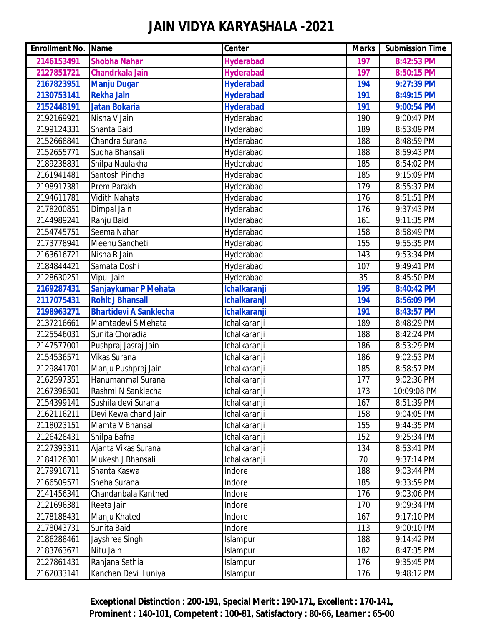| <b>Enrollment No. Name</b> |                               | Center              | <b>Marks</b> | <b>Submission Time</b> |
|----------------------------|-------------------------------|---------------------|--------------|------------------------|
| 2146153491                 | <b>Shobha Nahar</b>           | <b>Hyderabad</b>    | 197          | 8:42:53 PM             |
| 2127851721                 | <b>Chandrkala Jain</b>        | <b>Hyderabad</b>    | 197          | 8:50:15 PM             |
| 2167823951                 | <b>Manju Dugar</b>            | <b>Hyderabad</b>    | 194          | 9:27:39 PM             |
| 2130753141                 | <b>Rekha Jain</b>             | <b>Hyderabad</b>    | 191          | 8:49:15 PM             |
| 2152448191                 | <b>Jatan Bokaria</b>          | <b>Hyderabad</b>    | 191          | 9:00:54 PM             |
| 2192169921                 | Nisha V Jain                  | Hyderabad           | 190          | 9:00:47 PM             |
| 2199124331                 | Shanta Baid                   | Hyderabad           | 189          | 8:53:09 PM             |
| 2152668841                 | Chandra Surana                | Hyderabad           | 188          | 8:48:59 PM             |
| 2152655771                 | Sudha Bhansali                | Hyderabad           | 188          | 8:59:43 PM             |
| 2189238831                 | Shilpa Naulakha               | Hyderabad           | 185          | 8:54:02 PM             |
| 2161941481                 | Santosh Pincha                | Hyderabad           | 185          | 9:15:09 PM             |
| 2198917381                 | Prem Parakh                   | Hyderabad           | 179          | 8:55:37 PM             |
| 2194611781                 | <b>Vidith Nahata</b>          | Hyderabad           | 176          | 8:51:51 PM             |
| 2178200851                 | Dimpal Jain                   | Hyderabad           | 176          | 9:37:43 PM             |
| 2144989241                 | Ranju Baid                    | Hyderabad           | 161          | 9:11:35 PM             |
| 2154745751                 | Seema Nahar                   | Hyderabad           | 158          | 8:58:49 PM             |
| 2173778941                 | Meenu Sancheti                | Hyderabad           | 155          | 9:55:35 PM             |
| 2163616721                 | Nisha R Jain                  | Hyderabad           | 143          | 9:53:34 PM             |
| 2184844421                 | Samata Doshi                  | Hyderabad           | 107          | 9:49:41 PM             |
| 2128630251                 | <b>Vipul Jain</b>             | Hyderabad           | 35           | 8:45:50 PM             |
| 2169287431                 | Sanjaykumar P Mehata          | <b>Ichalkaranji</b> | <b>195</b>   | 8:40:42 PM             |
| 2117075431                 | <b>Rohit J Bhansali</b>       | <b>Ichalkaranji</b> | 194          | 8:56:09 PM             |
| 2198963271                 | <b>Bhartidevi A Sanklecha</b> | <b>Ichalkaranji</b> | 191          | 8:43:57 PM             |
| 2137216661                 | Mamtadevi S Mehata            | Ichalkaranji        | 189          | 8:48:29 PM             |
| 2125546031                 | Sunita Choradia               | Ichalkaranji        | 188          | 8:42:24 PM             |
| 2147577001                 | Pushpraj Jasraj Jain          | <b>Ichalkaranji</b> | 186          | 8:53:29 PM             |
| 2154536571                 | Vikas Surana                  | Ichalkaranji        | 186          | 9:02:53 PM             |
| 2129841701                 | Manju Pushpraj Jain           | Ichalkaranji        | 185          | 8:58:57 PM             |
| 2162597351                 | Hanumanmal Surana             | Ichalkaranji        | 177          | 9:02:36 PM             |
| 2167396501                 | Rashmi N Sanklecha            | Ichalkaranji        | 173          | 10:09:08 PM            |
| 2154399141                 | Sushila devi Surana           | Ichalkaranji        | 167          | 8:51:39 PM             |
| 2162116211                 | Devi Kewalchand Jain          | Ichalkaranji        | 158          | 9:04:05 PM             |
| 2118023151                 | Mamta V Bhansali              | Ichalkaranji        | 155          | 9:44:35 PM             |
| 2126428431                 | Shilpa Bafna                  | Ichalkaranji        | 152          | 9:25:34 PM             |
| 2127393311                 | Ajanta Vikas Surana           | Ichalkaranji        | 134          | 8:53:41 PM             |
| 2184126301                 | Mukesh J Bhansali             | Ichalkaranji        | 70           | 9:37:14 PM             |
| 2179916711                 | Shanta Kaswa                  | Indore              | 188          | 9:03:44 PM             |
| 2166509571                 | Sneha Surana                  | Indore              | 185          | 9:33:59 PM             |
| 2141456341                 | Chandanbala Kanthed           | Indore              | 176          | 9:03:06 PM             |
| 2121696381                 | Reeta Jain                    | Indore              | 170          | 9:09:34 PM             |
| 2178188431                 | Manju Khated                  | Indore              | 167          | 9:17:10 PM             |
| 2178043731                 | Sunita Baid                   | Indore              | 113          | 9:00:10 PM             |
| 2186288461                 | Jayshree Singhi               | Islampur            | 188          | 9:14:42 PM             |
| 2183763671                 | Nitu Jain                     | Islampur            | 182          | 8:47:35 PM             |
| 2127861431                 | Ranjana Sethia                | Islampur            | 176          | 9:35:45 PM             |
| 2162033141                 | Kanchan Devi Luniya           | Islampur            | 176          | 9:48:12 PM             |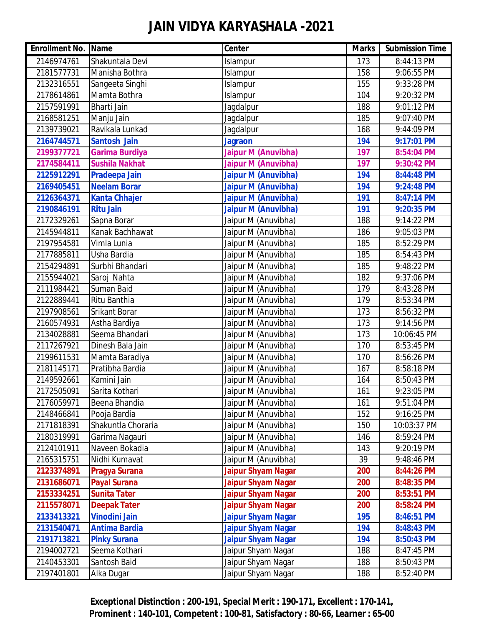| <b>Enrollment No. Name</b> |                       | Center                     | <b>Marks</b> | <b>Submission Time</b> |
|----------------------------|-----------------------|----------------------------|--------------|------------------------|
| 2146974761                 | Shakuntala Devi       | Islampur                   | 173          | 8:44:13 PM             |
| 2181577731                 | Manisha Bothra        | Islampur                   | 158          | 9:06:55 PM             |
| 2132316551                 | Sangeeta Singhi       | Islampur                   | 155          | 9:33:28 PM             |
| 2178614861                 | Mamta Bothra          | Islampur                   | 104          | 9:20:32 PM             |
| 2157591991                 | Bharti Jain           | Jagdalpur                  | 188          | 9:01:12 PM             |
| 2168581251                 | Manju Jain            | Jagdalpur                  | 185          | 9:07:40 PM             |
| 2139739021                 | Ravikala Lunkad       | Jagdalpur                  | 168          | 9:44:09 PM             |
| 2164744571                 | <b>Santosh Jain</b>   | <b>Jagraon</b>             | 194          | 9:17:01 PM             |
| 2199377721                 | <b>Garima Burdiya</b> | Jaipur M (Anuvibha)        | 197          | 8:54:04 PM             |
| 2174584411                 | <b>Sushila Nakhat</b> | <b>Jaipur M (Anuvibha)</b> | 197          | 9:30:42 PM             |
| 2125912291                 | Pradeepa Jain         | <b>Jaipur M (Anuvibha)</b> | 194          | 8:44:48 PM             |
| 2169405451                 | <b>Neelam Borar</b>   | <b>Jaipur M (Anuvibha)</b> | 194          | 9:24:48 PM             |
| 2126364371                 | <b>Kanta Chhajer</b>  | <b>Jaipur M (Anuvibha)</b> | 191          | 8:47:14 PM             |
| 2190846191                 | <b>Ritu Jain</b>      | <b>Jaipur M (Anuvibha)</b> | 191          | 9:20:35 PM             |
| 2172329261                 | Sapna Borar           | Jaipur M (Anuvibha)        | 188          | 9:14:22 PM             |
| 2145944811                 | Kanak Bachhawat       | Jaipur M (Anuvibha)        | 186          | 9:05:03 PM             |
| 2197954581                 | Vimla Lunia           | Jaipur M (Anuvibha)        | 185          | 8:52:29 PM             |
| 2177885811                 | Usha Bardia           | Jaipur M (Anuvibha)        | 185          | 8:54:43 PM             |
| 2154294891                 | Surbhi Bhandari       | Jaipur M (Anuvibha)        | 185          | 9:48:22 PM             |
| 2155944021                 | Saroj Nahta           | Jaipur M (Anuvibha)        | 182          | 9:37:06 PM             |
| 2111984421                 | Suman Baid            | Jaipur M (Anuvibha)        | 179          | 8:43:28 PM             |
| 2122889441                 | Ritu Banthia          | Jaipur M (Anuvibha)        | 179          | 8:53:34 PM             |
| 2197908561                 | <b>Srikant Borar</b>  | Jaipur M (Anuvibha)        | 173          | 8:56:32 PM             |
| 2160574931                 | Astha Bardiya         | Jaipur M (Anuvibha)        | 173          | 9:14:56 PM             |
| 2134028881                 | Seema Bhandari        | Jaipur M (Anuvibha)        | 173          | 10:06:45 PM            |
| 2117267921                 | Dinesh Bala Jain      | Jaipur M (Anuvibha)        | 170          | 8:53:45 PM             |
| 2199611531                 | Mamta Baradiya        | Jaipur M (Anuvibha)        | 170          | 8:56:26 PM             |
| 2181145171                 | Pratibha Bardia       | Jaipur M (Anuvibha)        | 167          | 8:58:18 PM             |
| 2149592661                 | Kamini Jain           | Jaipur M (Anuvibha)        | 164          | 8:50:43 PM             |
| 2172505091                 | Sarita Kothari        | Jaipur M (Anuvibha)        | 161          | 9:23:05 PM             |
| 2176059971                 | Beena Bhandia         | Jaipur M (Anuvibha)        | 161          | 9:51:04 PM             |
| 2148466841                 | Pooja Bardia          | Jaipur M (Anuvibha)        | 152          | 9:16:25 PM             |
| 2171818391                 | Shakuntla Choraria    | Jaipur M (Anuvibha)        | 150          | 10:03:37 PM            |
| 2180319991                 | Garima Nagauri        | Jaipur M (Anuvibha)        | 146          | 8:59:24 PM             |
| 2124101911                 | Naveen Bokadia        | Jaipur M (Anuvibha)        | 143          | 9:20:19 PM             |
| 2165315751                 | Nidhi Kumavat         | Jaipur M (Anuvibha)        | 39           | 9:48:46 PM             |
| 2123374891                 | Pragya Surana         | <b>Jaipur Shyam Nagar</b>  | 200          | 8:44:26 PM             |
| 2131686071                 | <b>Payal Surana</b>   | <b>Jaipur Shyam Nagar</b>  | 200          | 8:48:35 PM             |
| 2153334251                 | <b>Sunita Tater</b>   | <b>Jaipur Shyam Nagar</b>  | 200          | 8:53:51 PM             |
| 2115578071                 | <b>Deepak Tater</b>   | <b>Jaipur Shyam Nagar</b>  | 200          | 8:58:24 PM             |
| 2133413321                 | <b>Vinodini Jain</b>  | <b>Jaipur Shyam Nagar</b>  | 195          | 8:46:51 PM             |
| 2131540471                 | <b>Antima Bardia</b>  | <b>Jaipur Shyam Nagar</b>  | 194          | 8:48:43 PM             |
| 2191713821                 | <b>Pinky Surana</b>   | <b>Jaipur Shyam Nagar</b>  | 194          | 8:50:43 PM             |
| 2194002721                 | Seema Kothari         | Jaipur Shyam Nagar         | 188          | 8:47:45 PM             |
| 2140453301                 | Santosh Baid          | Jaipur Shyam Nagar         | 188          | 8:50:43 PM             |
| 2197401801                 | Alka Dugar            | Jaipur Shyam Nagar         | 188          | 8:52:40 PM             |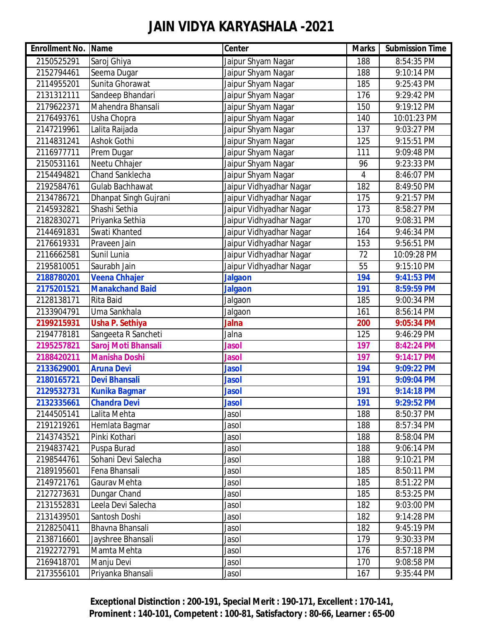| <b>Enrollment No. Name</b> |                        | Center                  | <b>Marks</b> | <b>Submission Time</b> |
|----------------------------|------------------------|-------------------------|--------------|------------------------|
| 2150525291                 | Saroj Ghiya            | Jaipur Shyam Nagar      | 188          | 8:54:35 PM             |
| 2152794461                 | Seema Dugar            | Jaipur Shyam Nagar      | 188          | 9:10:14 PM             |
| 2114955201                 | Sunita Ghorawat        | Jaipur Shyam Nagar      | 185          | 9:25:43 PM             |
| 2131312111                 | Sandeep Bhandari       | Jaipur Shyam Nagar      | 176          | 9:29:42 PM             |
| 2179622371                 | Mahendra Bhansali      | Jaipur Shyam Nagar      | 150          | 9:19:12 PM             |
| 2176493761                 | Usha Chopra            | Jaipur Shyam Nagar      | 140          | 10:01:23 PM            |
| 2147219961                 | Lalita Raijada         | Jaipur Shyam Nagar      | 137          | 9:03:27 PM             |
| 2114831241                 | <b>Ashok Gothi</b>     | Jaipur Shyam Nagar      | 125          | 9:15:51 PM             |
| 2116977711                 | Prem Dugar             | Jaipur Shyam Nagar      | 111          | 9:09:48 PM             |
| 2150531161                 | Neetu Chhajer          | Jaipur Shyam Nagar      | 96           | 9:23:33 PM             |
| 2154494821                 | Chand Sanklecha        | Jaipur Shyam Nagar      | 4            | 8:46:07 PM             |
| 2192584761                 | Gulab Bachhawat        | Jaipur Vidhyadhar Nagar | 182          | 8:49:50 PM             |
| 2134786721                 | Dhanpat Singh Gujrani  | Jaipur Vidhyadhar Nagar | 175          | 9:21:57 PM             |
| 2145932821                 | Shashi Sethia          | Jaipur Vidhyadhar Nagar | 173          | 8:58:27 PM             |
| 2182830271                 | Priyanka Sethia        | Jaipur Vidhyadhar Nagar | 170          | 9:08:31 PM             |
| 2144691831                 | Swati Khanted          | Jaipur Vidhyadhar Nagar | 164          | 9:46:34 PM             |
| 2176619331                 | Praveen Jain           | Jaipur Vidhyadhar Nagar | 153          | 9:56:51 PM             |
| 2116662581                 | Sunil Lunia            | Jaipur Vidhyadhar Nagar | 72           | 10:09:28 PM            |
| 2195810051                 | Saurabh Jain           | Jaipur Vidhyadhar Nagar | 55           | 9:15:10 PM             |
| 2188780201                 | Veena Chhajer          | <b>Jalgaon</b>          | 194          | 9:41:53 PM             |
| 2175201521                 | <b>Manakchand Baid</b> | <b>Jalgaon</b>          | 191          | 8:59:59 PM             |
| 2128138171                 | <b>Rita Baid</b>       | Jalgaon                 | 185          | 9:00:34 PM             |
| 2133904791                 | Uma Sankhala           | Jalgaon                 | 161          | 8:56:14 PM             |
| 2199215931                 | <b>Usha P. Sethiya</b> | <b>Jalna</b>            | 200          | 9:05:34 PM             |
| 2194778181                 | Sangeeta R Sancheti    | Jalna                   | 125          | 9:46:29 PM             |
| 2195257821                 | Saroj Moti Bhansali    | <b>Jasol</b>            | 197          | 8:42:24 PM             |
| 2188420211                 | <b>Manisha Doshi</b>   | <b>Jasol</b>            | 197          | 9:14:17 PM             |
| 2133629001                 | <b>Aruna Devi</b>      | <b>Jasol</b>            | 194          | 9:09:22 PM             |
| 2180165721                 | <b>Devi Bhansali</b>   | <b>Jasol</b>            | 191          | 9:09:04 PM             |
| 2129532731                 | <b>Kunika Bagmar</b>   | <b>Jasol</b>            | 191          | 9:14:18 PM             |
| 2132335661                 | <b>Chandra Devi</b>    | <b>Jasol</b>            | 191          | 9:29:52 PM             |
| 2144505141                 | Lalita Mehta           | Jasol                   | 188          | 8:50:37 PM             |
| 2191219261                 | Hemlata Bagmar         | Jasol                   | 188          | 8:57:34 PM             |
| 2143743521                 | Pinki Kothari          | Jasol                   | 188          | 8:58:04 PM             |
| 2194837421                 | Puspa Burad            | Jasol                   | 188          | 9:06:14 PM             |
| 2198544761                 | Sohani Devi Salecha    | Jasol                   | 188          | 9:10:21 PM             |
| 2189195601                 | Fena Bhansali          | Jasol                   | 185          | 8:50:11 PM             |
| 2149721761                 | Gaurav Mehta           | Jasol                   | 185          | 8:51:22 PM             |
| 2127273631                 | Dungar Chand           | Jasol                   | 185          | 8:53:25 PM             |
| 2131552831                 | Leela Devi Salecha     | Jasol                   | 182          | 9:03:00 PM             |
| 2131439501                 | Santosh Doshi          | Jasol                   | 182          | 9:14:28 PM             |
| 2128250411                 | Bhavna Bhansali        | Jasol                   | 182          | 9:45:19 PM             |
| 2138716601                 | Jayshree Bhansali      | Jasol                   | 179          | 9:30:33 PM             |
| 2192272791                 | Mamta Mehta            | Jasol                   | 176          | 8:57:18 PM             |
| 2169418701                 | Manju Devi             | Jasol                   | 170          | 9:08:58 PM             |
| 2173556101                 | Priyanka Bhansali      | Jasol                   | 167          | 9:35:44 PM             |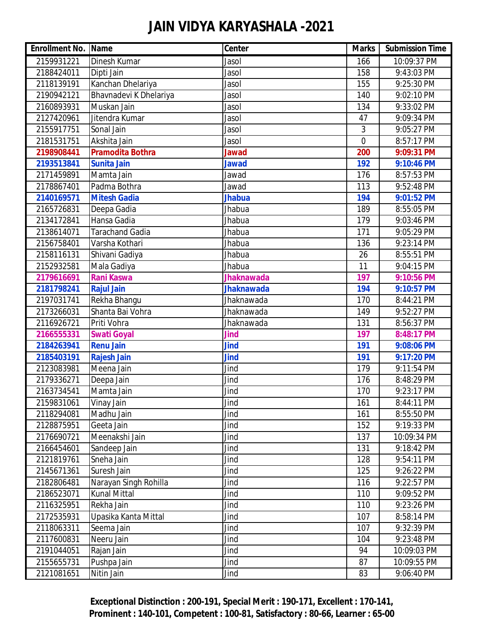| <b>Enrollment No. Name</b> |                         | Center            | <b>Marks</b>   | <b>Submission Time</b> |
|----------------------------|-------------------------|-------------------|----------------|------------------------|
| 2159931221                 | Dinesh Kumar            | Jasol             | 166            | 10:09:37 PM            |
| 2188424011                 | Dipti Jain              | Jasol             | 158            | 9:43:03 PM             |
| 2118139191                 | Kanchan Dhelariya       | Jasol             | 155            | 9:25:30 PM             |
| 2190942121                 | Bhavnadevi K Dhelariya  | Jasol             | 140            | 9:02:10 PM             |
| 2160893931                 | Muskan Jain             | Jasol             | 134            | 9:33:02 PM             |
| 2127420961                 | Jitendra Kumar          | Jasol             | 47             | 9:09:34 PM             |
| 2155917751                 | Sonal Jain              | Jasol             | 3              | 9:05:27 PM             |
| 2181531751                 | Akshita Jain            | Jasol             | $\overline{0}$ | 8:57:17 PM             |
| 2198908441                 | <b>Pramodita Bothra</b> | <b>Jawad</b>      | 200            | 9:09:31 PM             |
| 2193513841                 | <b>Sunita Jain</b>      | <b>Jawad</b>      | 192            | 9:10:46 PM             |
| 2171459891                 | Mamta Jain              | Jawad             | 176            | 8:57:53 PM             |
| 2178867401                 | Padma Bothra            | Jawad             | 113            | 9:52:48 PM             |
| 2140169571                 | <b>Mitesh Gadia</b>     | <b>Jhabua</b>     | 194            | 9:01:52 PM             |
| 2165726831                 | Deepa Gadia             | Jhabua            | 189            | 8:55:05 PM             |
| 2134172841                 | Hansa Gadia             | Jhabua            | 179            | 9:03:46 PM             |
| 2138614071                 | Tarachand Gadia         | <b>Jhabua</b>     | 171            | 9:05:29 PM             |
| 2156758401                 | Varsha Kothari          | Jhabua            | 136            | 9:23:14 PM             |
| 2158116131                 | Shivani Gadiya          | Jhabua            | 26             | 8:55:51 PM             |
| 2152932581                 | Mala Gadiya             | Jhabua            | 11             | 9:04:15 PM             |
| 2179616691                 | <b>Rani Kaswa</b>       | <b>Jhaknawada</b> | 197            | 9:10:56 PM             |
| 2181798241                 | <b>Rajul Jain</b>       | <b>Jhaknawada</b> | 194            | 9:10:57 PM             |
| 2197031741                 | Rekha Bhangu            | Jhaknawada        | 170            | 8:44:21 PM             |
| 2173266031                 | Shanta Bai Vohra        | Jhaknawada        | 149            | 9:52:27 PM             |
| 2116926721                 | Priti Vohra             | Jhaknawada        | 131            | 8:56:37 PM             |
| 2166555331                 | <b>Swati Goyal</b>      | Jind              | 197            | 8:48:17 PM             |
| 2184263941                 | <b>Renu Jain</b>        | <b>Jind</b>       | 191            | 9:08:06 PM             |
| 2185403191                 | <b>Rajesh Jain</b>      | <b>Jind</b>       | 191            | 9:17:20 PM             |
| 2123083981                 | Meena Jain              | Jind              | 179            | 9:11:54 PM             |
| 2179336271                 | Deepa Jain              | Jind              | 176            | 8:48:29 PM             |
| 2163734541                 | Mamta Jain              | Jind              | 170            | 9:23:17 PM             |
| 2159831061                 | Vinay Jain              | Jind              | 161            | 8:44:11 PM             |
| 2118294081                 | Madhu Jain              | Jind              | 161            | 8:55:50 PM             |
| 2128875951                 | Geeta Jain              | Jind              | 152            | 9:19:33 PM             |
| 2176690721                 | Meenakshi Jain          | Jind              | 137            | 10:09:34 PM            |
| 2166454601                 | Sandeep Jain            | Jind              | 131            | 9:18:42 PM             |
| 2121819761                 | Sneha Jain              | Jind              | 128            | 9:54:11 PM             |
| 2145671361                 | Suresh Jain             | Jind              | 125            | 9:26:22 PM             |
| 2182806481                 | Narayan Singh Rohilla   | Jind              | 116            | 9:22:57 PM             |
| 2186523071                 | <b>Kunal Mittal</b>     | Jind              | 110            | 9:09:52 PM             |
| 2116325951                 | Rekha Jain              | Jind              | 110            | 9:23:26 PM             |
| 2172535931                 | Upasika Kanta Mittal    | Jind              | 107            | 8:58:14 PM             |
| 2118063311                 | Seema Jain              | Jind              | 107            | 9:32:39 PM             |
| 2117600831                 | Neeru Jain              | Jind              | 104            | 9:23:48 PM             |
| 2191044051                 | Rajan Jain              | Jind              | 94             | 10:09:03 PM            |
| 2155655731                 | Pushpa Jain             | Jind              | 87             | 10:09:55 PM            |
| 2121081651                 | Nitin Jain              | Jind              | 83             | 9:06:40 PM             |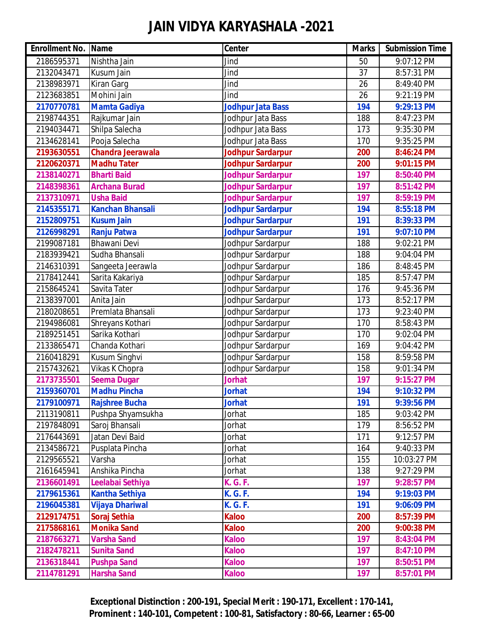| <b>Enrollment No. Name</b> |                          | Center                   | <b>Marks</b> | <b>Submission Time</b> |
|----------------------------|--------------------------|--------------------------|--------------|------------------------|
| 2186595371                 | Nishtha Jain             | Jind                     | 50           | 9:07:12 PM             |
| 2132043471                 | Kusum Jain               | Jind                     | 37           | 8:57:31 PM             |
| 2138983971                 | <b>Kiran Garg</b>        | Jind                     | 26           | 8:49:40 PM             |
| 2123683851                 | Mohini Jain              | Jind                     | 26           | 9:21:19 PM             |
| 2170770781                 | <b>Mamta Gadiya</b>      | <b>Jodhpur Jata Bass</b> | 194          | 9:29:13 PM             |
| 2198744351                 | Rajkumar Jain            | Jodhpur Jata Bass        | 188          | 8:47:23 PM             |
| 2194034471                 | Shilpa Salecha           | Jodhpur Jata Bass        | 173          | 9:35:30 PM             |
| 2134628141                 | Pooja Salecha            | Jodhpur Jata Bass        | 170          | 9:35:25 PM             |
| 2193630551                 | <b>Chandra Jeerawala</b> | Jodhpur Sardarpur        | 200          | 8:46:24 PM             |
| 2120620371                 | <b>Madhu Tater</b>       | <b>Jodhpur Sardarpur</b> | 200          | 9:01:15 PM             |
| 2138140271                 | <b>Bharti Baid</b>       | Jodhpur Sardarpur        | 197          | 8:50:40 PM             |
| 2148398361                 | <b>Archana Burad</b>     | <b>Jodhpur Sardarpur</b> | 197          | 8:51:42 PM             |
| 2137310971                 | <b>Usha Baid</b>         | <b>Jodhpur Sardarpur</b> | 197          | 8:59:19 PM             |
| 2145355171                 | <b>Kanchan Bhansali</b>  | Jodhpur Sardarpur        | 194          | 8:55:18 PM             |
| 2152809751                 | <b>Kusum Jain</b>        | Jodhpur Sardarpur        | 191          | 8:39:33 PM             |
| 2126998291                 | <b>Ranju Patwa</b>       | Jodhpur Sardarpur        | 191          | 9:07:10 PM             |
| 2199087181                 | <b>Bhawani Devi</b>      | Jodhpur Sardarpur        | 188          | 9:02:21 PM             |
| 2183939421                 | Sudha Bhansali           | Jodhpur Sardarpur        | 188          | 9:04:04 PM             |
| 2146310391                 | Sangeeta Jeerawla        | Jodhpur Sardarpur        | 186          | 8:48:45 PM             |
| 2178412441                 | Sarita Kakariya          | Jodhpur Sardarpur        | 185          | 8:57:47 PM             |
| 2158645241                 | Savita Tater             | Jodhpur Sardarpur        | 176          | 9:45:36 PM             |
| 2138397001                 | Anita Jain               | Jodhpur Sardarpur        | 173          | 8:52:17 PM             |
| 2180208651                 | Premlata Bhansali        | Jodhpur Sardarpur        | 173          | 9:23:40 PM             |
| 2194986081                 | Shreyans Kothari         | Jodhpur Sardarpur        | 170          | 8:58:43 PM             |
| 2189251451                 | Sarika Kothari           | Jodhpur Sardarpur        | 170          | 9:02:04 PM             |
| 2133865471                 | Chanda Kothari           | Jodhpur Sardarpur        | 169          | 9:04:42 PM             |
| 2160418291                 | Kusum Singhvi            | Jodhpur Sardarpur        | 158          | 8:59:58 PM             |
| 2157432621                 | Vikas K Chopra           | Jodhpur Sardarpur        | 158          | 9:01:34 PM             |
| 2173735501                 | <b>Seema Dugar</b>       | <b>Jorhat</b>            | 197          | 9:15:27 PM             |
| 2159360701                 | <b>Madhu Pincha</b>      | <b>Jorhat</b>            | 194          | 9:10:32 PM             |
| 2179100971                 | <b>Rajshree Bucha</b>    | <b>Jorhat</b>            | 191          | 9:39:56 PM             |
| 2113190811                 | Pushpa Shyamsukha        | Jorhat                   | 185          | 9:03:42 PM             |
| 2197848091                 | Saroj Bhansali           | Jorhat                   | 179          | 8:56:52 PM             |
| 2176443691                 | Jatan Devi Baid          | Jorhat                   | 171          | 9:12:57 PM             |
| 2134586721                 | Pusplata Pincha          | Jorhat                   | 164          | 9:40:33 PM             |
| 2129565521                 | Varsha                   | Jorhat                   | 155          | 10:03:27 PM            |
| 2161645941                 | Anshika Pincha           | Jorhat                   | 138          | 9:27:29 PM             |
| 2136601491                 | Leelabai Sethiya         | <b>K. G. F.</b>          | 197          | 9:28:57 PM             |
| 2179615361                 | <b>Kantha Sethiya</b>    | <b>K. G. F.</b>          | 194          | 9:19:03 PM             |
| 2196045381                 | <b>Vijaya Dhariwal</b>   | <b>K. G. F.</b>          | 191          | 9:06:09 PM             |
| 2129174751                 | Soraj Sethia             | <b>Kaloo</b>             | 200          | 8:57:39 PM             |
| 2175868161                 | <b>Monika Sand</b>       | <b>Kaloo</b>             | 200          | 9:00:38 PM             |
| 2187663271                 | <b>Varsha Sand</b>       | <b>Kaloo</b>             | 197          | 8:43:04 PM             |
| 2182478211                 | <b>Sunita Sand</b>       | <b>Kaloo</b>             | 197          | 8:47:10 PM             |
| 2136318441                 | <b>Pushpa Sand</b>       | <b>Kaloo</b>             | 197          | 8:50:51 PM             |
| 2114781291                 | <b>Harsha Sand</b>       | <b>Kaloo</b>             | 197          | 8:57:01 PM             |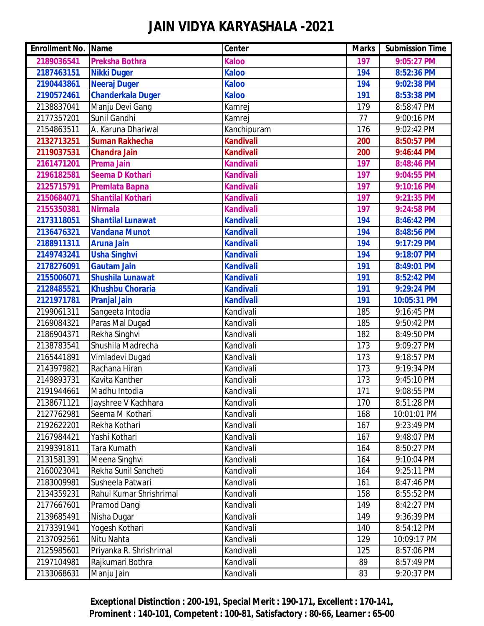| <b>Enrollment No. Name</b> |                          | <b>Center</b>    | <b>Marks</b> | <b>Submission Time</b> |
|----------------------------|--------------------------|------------------|--------------|------------------------|
| 2189036541                 | <b>Preksha Bothra</b>    | <b>Kaloo</b>     | 197          | 9:05:27 PM             |
| 2187463151                 | <b>Nikki Duger</b>       | <b>Kaloo</b>     | 194          | 8:52:36 PM             |
| 2190443861                 | <b>Neeraj Duger</b>      | <b>Kaloo</b>     | 194          | 9:02:38 PM             |
| 2190572461                 | <b>Chanderkala Duger</b> | <b>Kaloo</b>     | 191          | 8:53:38 PM             |
| 2138837041                 | Manju Devi Gang          | Kamrej           | 179          | 8:58:47 PM             |
| 2177357201                 | Sunil Gandhi             | Kamrej           | 77           | 9:00:16 PM             |
| 2154863511                 | A. Karuna Dhariwal       | Kanchipuram      | 176          | 9:02:42 PM             |
| 2132713251                 | <b>Suman Rakhecha</b>    | <b>Kandivali</b> | 200          | 8:50:57 PM             |
| 2119037531                 | <b>Chandra Jain</b>      | <b>Kandivali</b> | 200          | 9:46:44 PM             |
| 2161471201                 | <b>Prema Jain</b>        | <b>Kandivali</b> | 197          | 8:48:46 PM             |
| 2196182581                 | <b>Seema D Kothari</b>   | <b>Kandivali</b> | 197          | 9:04:55 PM             |
| 2125715791                 | <b>Premlata Bapna</b>    | <b>Kandivali</b> | 197          | 9:10:16 PM             |
| 2150684071                 | <b>Shantilal Kothari</b> | <b>Kandivali</b> | 197          | 9:21:35 PM             |
| 2155350381                 | <b>Nirmala</b>           | <b>Kandivali</b> | 197          | 9:24:58 PM             |
| 2173118051                 | <b>Shantilal Lunawat</b> | <b>Kandivali</b> | 194          | 8:46:42 PM             |
| 2136476321                 | <b>Vandana Munot</b>     | <b>Kandivali</b> | 194          | 8:48:56 PM             |
| 2188911311                 | <b>Aruna Jain</b>        | <b>Kandivali</b> | 194          | 9:17:29 PM             |
| 2149743241                 | <b>Usha Singhvi</b>      | <b>Kandivali</b> | 194          | 9:18:07 PM             |
| 2178276091                 | <b>Gautam Jain</b>       | <b>Kandivali</b> | 191          | 8:49:01 PM             |
| 2155006071                 | <b>Shushila Lunawat</b>  | <b>Kandivali</b> | 191          | 8:52:42 PM             |
| 2128485521                 | <b>Khushbu Choraria</b>  | <b>Kandivali</b> | 191          | 9:29:24 PM             |
| 2121971781                 | <b>Pranjal Jain</b>      | <b>Kandivali</b> | 191          | 10:05:31 PM            |
| 2199061311                 | Sangeeta Intodia         | Kandivali        | 185          | 9:16:45 PM             |
| 2169084321                 | Paras Mal Dugad          | Kandivali        | 185          | 9:50:42 PM             |
| 2186904371                 | Rekha Singhvi            | Kandivali        | 182          | 8:49:50 PM             |
| 2138783541                 | Shushila Madrecha        | Kandivali        | 173          | 9:09:27 PM             |
| 2165441891                 | Vimladevi Dugad          | Kandivali        | 173          | 9:18:57 PM             |
| 2143979821                 | Rachana Hiran            | Kandivali        | 173          | 9:19:34 PM             |
| 2149893731                 | Kavita Kanther           | Kandivali        | 173          | 9:45:10 PM             |
| 2191944661                 | Madhu Intodia            | Kandivali        | 171          | 9:08:55 PM             |
| 2138671121                 | Jayshree V Kachhara      | Kandivali        | 170          | 8:51:28 PM             |
| 2127762981                 | Seema M Kothari          | Kandivali        | 168          | 10:01:01 PM            |
| 2192622201                 | Rekha Kothari            | Kandivali        | 167          | 9:23:49 PM             |
| 2167984421                 | Yashi Kothari            | Kandivali        | 167          | 9:48:07 PM             |
| 2199391811                 | Tara Kumath              | Kandivali        | 164          | 8:50:27 PM             |
| 2131581391                 | Meena Singhvi            | Kandivali        | 164          | 9:10:04 PM             |
| 2160023041                 | Rekha Sunil Sancheti     | Kandivali        | 164          | 9:25:11 PM             |
| 2183009981                 | Susheela Patwari         | Kandivali        | 161          | 8:47:46 PM             |
| 2134359231                 | Rahul Kumar Shrishrimal  | Kandivali        | 158          | 8:55:52 PM             |
| 2177667601                 | Pramod Dangi             | Kandivali        | 149          | 8:42:27 PM             |
| 2139685491                 | Nisha Dugar              | Kandivali        | 149          | 9:36:39 PM             |
| 2173391941                 | Yogesh Kothari           | Kandivali        | 140          | 8:54:12 PM             |
| 2137092561                 | Nitu Nahta               | Kandivali        | 129          | 10:09:17 PM            |
| 2125985601                 | Priyanka R. Shrishrimal  | Kandivali        | 125          | 8:57:06 PM             |
| 2197104981                 | Rajkumari Bothra         | Kandivali        | 89           | 8:57:49 PM             |
| 2133068631                 | Manju Jain               | Kandivali        | 83           | 9:20:37 PM             |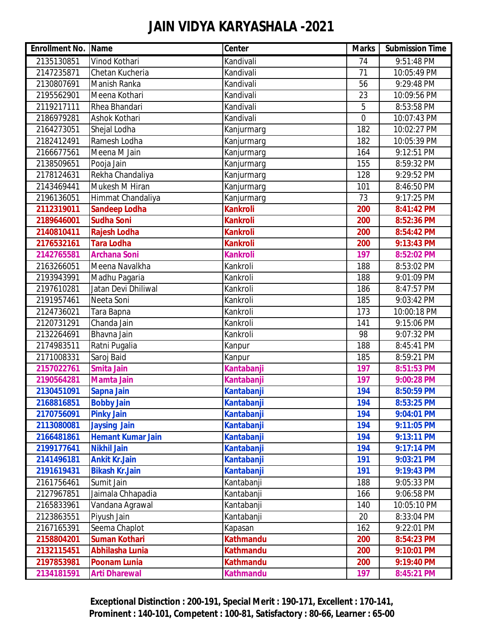| <b>Enrollment No. Name</b> |                          | <b>Center</b>     | <b>Marks</b>   | <b>Submission Time</b> |
|----------------------------|--------------------------|-------------------|----------------|------------------------|
| 2135130851                 | Vinod Kothari            | Kandivali         | 74             | 9:51:48 PM             |
| 2147235871                 | Chetan Kucheria          | Kandivali         | 71             | 10:05:49 PM            |
| 2130807691                 | Manish Ranka             | Kandivali         | 56             | 9:29:48 PM             |
| 2195562901                 | Meena Kothari            | Kandivali         | 23             | 10:09:56 PM            |
| 2119217111                 | Rhea Bhandari            | Kandivali         | 5              | 8:53:58 PM             |
| 2186979281                 | Ashok Kothari            | Kandivali         | $\overline{0}$ | 10:07:43 PM            |
| 2164273051                 | Shejal Lodha             | Kanjurmarg        | 182            | 10:02:27 PM            |
| 2182412491                 | Ramesh Lodha             | Kanjurmarg        | 182            | 10:05:39 PM            |
| 2166677561                 | Meena M Jain             | Kanjurmarg        | 164            | 9:12:51 PM             |
| 2138509651                 | Pooja Jain               | Kanjurmarg        | 155            | 8:59:32 PM             |
| 2178124631                 | Rekha Chandaliya         | Kanjurmarg        | 128            | 9:29:52 PM             |
| 2143469441                 | Mukesh M Hiran           | Kanjurmarg        | 101            | 8:46:50 PM             |
| 2196136051                 | Himmat Chandaliya        | Kanjurmarg        | 73             | 9:17:25 PM             |
| 2112319011                 | <b>Sandeep Lodha</b>     | <b>Kankroli</b>   | 200            | 8:41:42 PM             |
| 2189646001                 | <b>Sudha Soni</b>        | <b>Kankroli</b>   | 200            | 8:52:36 PM             |
| 2140810411                 | Rajesh Lodha             | <b>Kankroli</b>   | 200            | 8:54:42 PM             |
| 2176532161                 | <b>Tara Lodha</b>        | <b>Kankroli</b>   | 200            | 9:13:43 PM             |
| 2142765581                 | <b>Archana Soni</b>      | <b>Kankroli</b>   | 197            | 8:52:02 PM             |
| 2163266051                 | Meena Navalkha           | Kankroli          | 188            | 8:53:02 PM             |
| 2193943991                 | Madhu Pagaria            | Kankroli          | 188            | 9:01:09 PM             |
| 2197610281                 | Jatan Devi Dhiliwal      | Kankroli          | 186            | 8:47:57 PM             |
| 2191957461                 | Neeta Soni               | Kankroli          | 185            | 9:03:42 PM             |
| 2124736021                 | Tara Bapna               | Kankroli          | 173            | 10:00:18 PM            |
| 2120731291                 | Chanda Jain              | Kankroli          | 141            | 9:15:06 PM             |
| 2132264691                 | Bhavna Jain              | Kankroli          | 98             | 9:07:32 PM             |
| 2174983511                 | Ratni Pugalia            | Kanpur            | 188            | 8:45:41 PM             |
| 2171008331                 | Saroj Baid               | Kanpur            | 185            | 8:59:21 PM             |
| 2157022761                 | <b>Smita Jain</b>        | Kantabanji        | 197            | 8:51:53 PM             |
| 2190564281                 | <b>Mamta Jain</b>        | Kantabanji        | 197            | 9:00:28 PM             |
| 2130451091                 | Sapna Jain               | Kantabanji        | 194            | 8:50:59 PM             |
| 2168816851                 | <b>Bobby Jain</b>        | <b>Kantabanji</b> | 194            | 8:53:25 PM             |
| 2170756091                 | <b>Pinky Jain</b>        | Kantabanji        | 194            | 9:04:01 PM             |
| 2113080081                 | <b>Jaysing Jain</b>      | Kantabanji        | 194            | 9:11:05 PM             |
| 2166481861                 | <b>Hemant Kumar Jain</b> | Kantabanji        | 194            | 9:13:11 PM             |
| 2199177641                 | <b>Nikhil Jain</b>       | Kantabanji        | 194            | 9:17:14 PM             |
| 2141496181                 | <b>Ankit Kr.Jain</b>     | Kantabanji        | 191            | 9:03:21 PM             |
| 2191619431                 | <b>Bikash Kr.Jain</b>    | Kantabanji        | 191            | 9:19:43 PM             |
| 2161756461                 | Sumit Jain               | Kantabanji        | 188            | 9:05:33 PM             |
| 2127967851                 | Jaimala Chhapadia        | Kantabanji        | 166            | 9:06:58 PM             |
| 2165833961                 | Vandana Agrawal          | Kantabanji        | 140            | 10:05:10 PM            |
| 2123863551                 | Piyush Jain              | Kantabanji        | 20             | 8:33:04 PM             |
| 2167165391                 | Seema Chaplot            | Kapasan           | 162            | 9:22:01 PM             |
| 2158804201                 | <b>Suman Kothari</b>     | <b>Kathmandu</b>  | 200            | 8:54:23 PM             |
| 2132115451                 | Abhilasha Lunia          | <b>Kathmandu</b>  | 200            | 9:10:01 PM             |
| 2197853981                 | <b>Poonam Lunia</b>      | <b>Kathmandu</b>  | 200            | 9:19:40 PM             |
| 2134181591                 | <b>Arti Dharewal</b>     | <b>Kathmandu</b>  | 197            | 8:45:21 PM             |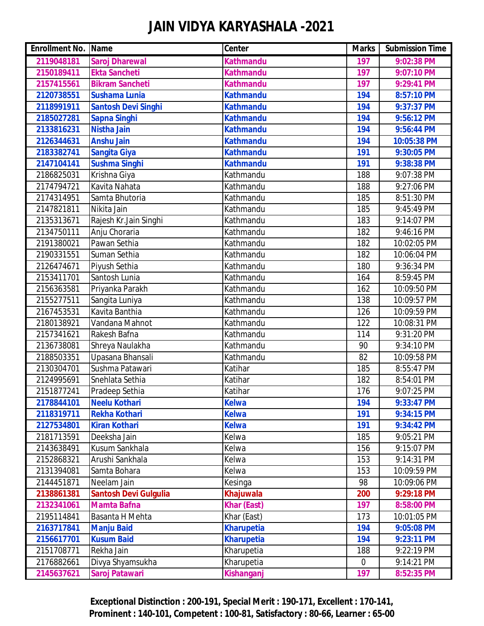| <b>Enrollment No. Name</b> |                              | <b>Center</b>      | <b>Marks</b> | <b>Submission Time</b> |
|----------------------------|------------------------------|--------------------|--------------|------------------------|
| 2119048181                 | <b>Saroj Dharewal</b>        | <b>Kathmandu</b>   | 197          | 9:02:38 PM             |
| 2150189411                 | <b>Ekta Sancheti</b>         | <b>Kathmandu</b>   | 197          | 9:07:10 PM             |
| 2157415561                 | <b>Bikram Sancheti</b>       | <b>Kathmandu</b>   | 197          | 9:29:41 PM             |
| 2120738551                 | <b>Sushama Lunia</b>         | <b>Kathmandu</b>   | 194          | 8:57:10 PM             |
| 2118991911                 | <b>Santosh Devi Singhi</b>   | <b>Kathmandu</b>   | 194          | 9:37:37 PM             |
| 2185027281                 | <b>Sapna Singhi</b>          | <b>Kathmandu</b>   | 194          | 9:56:12 PM             |
| 2133816231                 | <b>Nistha Jain</b>           | <b>Kathmandu</b>   | 194          | 9:56:44 PM             |
| 2126344631                 | <b>Anshu Jain</b>            | <b>Kathmandu</b>   | 194          | 10:05:38 PM            |
| 2183382741                 | <b>Sangita Giya</b>          | <b>Kathmandu</b>   | 191          | 9:30:05 PM             |
| 2147104141                 | <b>Sushma Singhi</b>         | <b>Kathmandu</b>   | 191          | 9:38:38 PM             |
| 2186825031                 | Krishna Giya                 | Kathmandu          | 188          | 9:07:38 PM             |
| 2174794721                 | Kavita Nahata                | Kathmandu          | 188          | 9:27:06 PM             |
| 2174314951                 | Samta Bhutoria               | Kathmandu          | 185          | 8:51:30 PM             |
| 2147821811                 | Nikita Jain                  | Kathmandu          | 185          | 9:45:49 PM             |
| 2135313671                 | Rajesh Kr.Jain Singhi        | Kathmandu          | 183          | 9:14:07 PM             |
| 2134750111                 | Anju Choraria                | Kathmandu          | 182          | 9:46:16 PM             |
| 2191380021                 | Pawan Sethia                 | Kathmandu          | 182          | 10:02:05 PM            |
| 2190331551                 | Suman Sethia                 | Kathmandu          | 182          | 10:06:04 PM            |
| 2126474671                 | Piyush Sethia                | Kathmandu          | 180          | 9:36:34 PM             |
| 2153411701                 | Santosh Lunia                | Kathmandu          | 164          | 8:59:45 PM             |
| 2156363581                 | Priyanka Parakh              | Kathmandu          | 162          | 10:09:50 PM            |
| 2155277511                 | Sangita Luniya               | Kathmandu          | 138          | 10:09:57 PM            |
| 2167453531                 | Kavita Banthia               | Kathmandu          | 126          | 10:09:59 PM            |
| 2180138921                 | Vandana Mahnot               | Kathmandu          | 122          | 10:08:31 PM            |
| 2157341621                 | Rakesh Bafna                 | Kathmandu          | 114          | 9:31:20 PM             |
| 2136738081                 | Shreya Naulakha              | Kathmandu          | 90           | 9:34:10 PM             |
| 2188503351                 | Upasana Bhansali             | Kathmandu          | 82           | 10:09:58 PM            |
| 2130304701                 | Sushma Patawari              | Katihar            | 185          | 8:55:47 PM             |
| 2124995691                 | Snehlata Sethia              | Katihar            | 182          | 8:54:01 PM             |
| 2151877241                 | Pradeep Sethia               | Katihar            | 176          | 9:07:25 PM             |
| 2178844101                 | <b>Neelu Kothari</b>         | <b>Kelwa</b>       | 194          | 9:33:47 PM             |
| 2118319711                 | <b>Rekha Kothari</b>         | <b>Kelwa</b>       | 191          | 9:34:15 PM             |
| 2127534801                 | <b>Kiran Kothari</b>         | <b>Kelwa</b>       | 191          | 9:34:42 PM             |
| 2181713591                 | Deeksha Jain                 | Kelwa              | 185          | 9:05:21 PM             |
| 2143638491                 | Kusum Sankhala               | Kelwa              | 156          | 9:15:07 PM             |
| 2152868321                 | Arushi Sankhala              | Kelwa              | 153          | 9:14:31 PM             |
| 2131394081                 | Samta Bohara                 | Kelwa              | 153          | 10:09:59 PM            |
| 2144451871                 | Neelam Jain                  | Kesinga            | 98           | 10:09:06 PM            |
| 2138861381                 | <b>Santosh Devi Gulgulia</b> | <b>Khajuwala</b>   | 200          | 9:29:18 PM             |
| 2132341061                 | <b>Mamta Bafna</b>           | <b>Khar (East)</b> | 197          | 8:58:00 PM             |
| 2195114841                 | Basanta H Mehta              | Khar (East)        | 173          | 10:01:05 PM            |
| 2163717841                 | <b>Manju Baid</b>            | <b>Kharupetia</b>  | 194          | 9:05:08 PM             |
| 2156617701                 | <b>Kusum Baid</b>            | <b>Kharupetia</b>  | 194          | 9:23:11 PM             |
| 2151708771                 | Rekha Jain                   | Kharupetia         | 188          | 9:22:19 PM             |
| 2176882661                 | Divya Shyamsukha             | Kharupetia         | $\mathbf 0$  | 9:14:21 PM             |
| 2145637621                 | Saroj Patawari               | <b>Kishanganj</b>  | 197          | 8:52:35 PM             |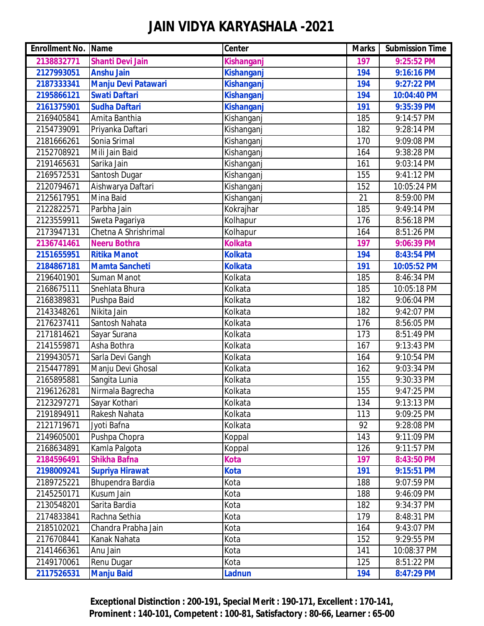| <b>Enrollment No. Name</b> |                            | Center            | <b>Marks</b> | <b>Submission Time</b> |
|----------------------------|----------------------------|-------------------|--------------|------------------------|
| 2138832771                 | <b>Shanti Devi Jain</b>    | Kishanganj        | 197          | 9:25:52 PM             |
| 2127993051                 | <b>Anshu Jain</b>          | Kishanganj        | 194          | 9:16:16 PM             |
| 2187333341                 | <b>Manju Devi Patawari</b> | <b>Kishanganj</b> | 194          | 9:27:22 PM             |
| 2195866121                 | <b>Swati Daftari</b>       | <b>Kishanganj</b> | 194          | 10:04:40 PM            |
| 2161375901                 | <b>Sudha Daftari</b>       | <b>Kishanganj</b> | 191          | 9:35:39 PM             |
| 2169405841                 | Amita Banthia              | Kishanganj        | 185          | 9:14:57 PM             |
| 2154739091                 | Priyanka Daftari           | Kishanganj        | 182          | 9:28:14 PM             |
| 2181666261                 | Sonia Srimal               | Kishanganj        | 170          | 9:09:08 PM             |
| 2152708921                 | Mili Jain Baid             | Kishanganj        | 164          | 9:38:28 PM             |
| 2191465631                 | Sarika Jain                | Kishanganj        | 161          | 9:03:14 PM             |
| 2169572531                 | Santosh Dugar              | Kishanganj        | 155          | 9:41:12 PM             |
| 2120794671                 | Aishwarya Daftari          | Kishanganj        | 152          | 10:05:24 PM            |
| 2125617951                 | Mina Baid                  | Kishanganj        | 21           | 8:59:00 PM             |
| 2122822571                 | Parbha Jain                | Kokrajhar         | 185          | 9:49:14 PM             |
| 2123559911                 | Sweta Pagariya             | Kolhapur          | 176          | 8:56:18 PM             |
| 2173947131                 | Chetna A Shrishrimal       | Kolhapur          | 164          | 8:51:26 PM             |
| 2136741461                 | <b>Neeru Bothra</b>        | <b>Kolkata</b>    | 197          | 9:06:39 PM             |
| 2151655951                 | <b>Ritika Manot</b>        | <b>Kolkata</b>    | 194          | 8:43:54 PM             |
| 2184867181                 | <b>Mamta Sancheti</b>      | <b>Kolkata</b>    | 191          | 10:05:52 PM            |
| 2196401901                 | <b>Suman Manot</b>         | Kolkata           | 185          | 8:46:34 PM             |
| 2168675111                 | Snehlata Bhura             | Kolkata           | 185          | 10:05:18 PM            |
| 2168389831                 | Pushpa Baid                | Kolkata           | 182          | 9:06:04 PM             |
| 2143348261                 | Nikita Jain                | Kolkata           | 182          | 9:42:07 PM             |
| 2176237411                 | Santosh Nahata             | Kolkata           | 176          | 8:56:05 PM             |
| 2171814621                 | Sayar Surana               | Kolkata           | 173          | 8:51:49 PM             |
| 2141559871                 | Asha Bothra                | Kolkata           | 167          | 9:13:43 PM             |
| 2199430571                 | Sarla Devi Gangh           | Kolkata           | 164          | 9:10:54 PM             |
| 2154477891                 | Manju Devi Ghosal          | Kolkata           | 162          | 9:03:34 PM             |
| 2165895881                 | Sangita Lunia              | Kolkata           | 155          | 9:30:33 PM             |
| 2196126281                 | Nirmala Bagrecha           | Kolkata           | 155          | 9:47:25 PM             |
| 2123297271                 | Sayar Kothari              | Kolkata           | 134          | 9:13:13 PM             |
| 2191894911                 | Rakesh Nahata              | Kolkata           | 113          | 9:09:25 PM             |
| 2121719671                 | Jyoti Bafna                | Kolkata           | 92           | 9:28:08 PM             |
| 2149605001                 | Pushpa Chopra              | Koppal            | 143          | 9:11:09 PM             |
| 2168634891                 | Kamla Palgota              | Koppal            | 126          | 9:11:57 PM             |
| 2184596491                 | <b>Shikha Bafna</b>        | <b>Kota</b>       | 197          | 8:43:50 PM             |
| 2198009241                 | <b>Supriya Hirawat</b>     | <b>Kota</b>       | 191          | 9:15:51 PM             |
| 2189725221                 | Bhupendra Bardia           | Kota              | 188          | 9:07:59 PM             |
| 2145250171                 | Kusum Jain                 | Kota              | 188          | 9:46:09 PM             |
| 2130548201                 | Sarita Bardia              | Kota              | 182          | 9:34:37 PM             |
| 2174833841                 | Rachna Sethia              | Kota              | 179          | 8:48:31 PM             |
| 2185102021                 | Chandra Prabha Jain        | Kota              | 164          | 9:43:07 PM             |
| 2176708441                 | Kanak Nahata               | Kota              | 152          | 9:29:55 PM             |
| 2141466361                 | Anu Jain                   | Kota              | 141          | 10:08:37 PM            |
| 2149170061                 | Renu Dugar                 | Kota              | 125          | 8:51:22 PM             |
| 2117526531                 | <b>Manju Baid</b>          | Ladnun            | 194          | 8:47:29 PM             |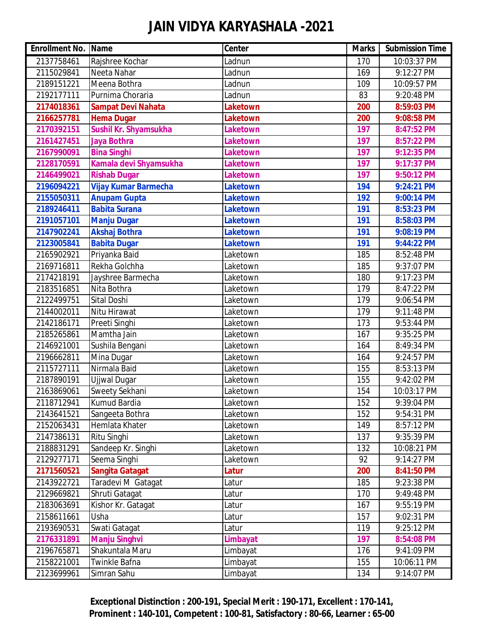| <b>Enrollment No. Name</b> |                             | <b>Center</b>   | <b>Marks</b> | <b>Submission Time</b> |
|----------------------------|-----------------------------|-----------------|--------------|------------------------|
| 2137758461                 | Rajshree Kochar             | Ladnun          | 170          | 10:03:37 PM            |
| 2115029841                 | Neeta Nahar                 | Ladnun          | 169          | 9:12:27 PM             |
| 2189151221                 | Meena Bothra                | Ladnun          | 109          | 10:09:57 PM            |
| 2192177111                 | Purnima Choraria            | Ladnun          | 83           | 9:20:48 PM             |
| 2174018361                 | <b>Sampat Devi Nahata</b>   | Laketown        | 200          | 8:59:03 PM             |
| 2166257781                 | <b>Hema Dugar</b>           | <b>Laketown</b> | 200          | 9:08:58 PM             |
| 2170392151                 | Sushil Kr. Shyamsukha       | <b>Laketown</b> | 197          | 8:47:52 PM             |
| 2161427451                 | <b>Jaya Bothra</b>          | <b>Laketown</b> | 197          | 8:57:22 PM             |
| 2167990091                 | <b>Bina Singhi</b>          | <b>Laketown</b> | 197          | 9:12:35 PM             |
| 2128170591                 | Kamala devi Shyamsukha      | <b>Laketown</b> | 197          | 9:17:37 PM             |
| 2146499021                 | <b>Rishab Dugar</b>         | Laketown        | 197          | 9:50:12 PM             |
| 2196094221                 | <b>Vijay Kumar Barmecha</b> | Laketown        | 194          | 9:24:21 PM             |
| 2155050311                 | <b>Anupam Gupta</b>         | <b>Laketown</b> | 192          | 9:00:14 PM             |
| 2189246411                 | <b>Babita Surana</b>        | <b>Laketown</b> | 191          | 8:53:23 PM             |
| 2191057101                 | <b>Manju Dugar</b>          | <b>Laketown</b> | 191          | 8:58:03 PM             |
| 2147902241                 | <b>Akshaj Bothra</b>        | <b>Laketown</b> | 191          | 9:08:19 PM             |
| 2123005841                 | <b>Babita Dugar</b>         | Laketown        | 191          | 9:44:22 PM             |
| 2165902921                 | Priyanka Baid               | Laketown        | 185          | 8:52:48 PM             |
| 2169716811                 | Rekha Golchha               | Laketown        | 185          | 9:37:07 PM             |
| 2174218191                 | Jayshree Barmecha           | Laketown        | 180          | 9:17:23 PM             |
| 2183516851                 | Nita Bothra                 | Laketown        | 179          | 8:47:22 PM             |
| 2122499751                 | <b>Sital Doshi</b>          | Laketown        | 179          | 9:06:54 PM             |
| 2144002011                 | Nitu Hirawat                | Laketown        | 179          | 9:11:48 PM             |
| 2142186171                 | Preeti Singhi               | Laketown        | 173          | 9:53:44 PM             |
| 2185265861                 | Mamtha Jain                 | Laketown        | 167          | 9:35:25 PM             |
| 2146921001                 | Sushila Bengani             | Laketown        | 164          | 8:49:34 PM             |
| 2196662811                 | Mina Dugar                  | Laketown        | 164          | 9:24:57 PM             |
| 2115727111                 | Nirmala Baid                | Laketown        | 155          | 8:53:13 PM             |
| 2187890191                 | Ujjwal Dugar                | Laketown        | 155          | 9:42:02 PM             |
| 2163869061                 | Sweety Sekhani              | Laketown        | 154          | 10:03:17 PM            |
| 2118712941                 | <b>Kumud Bardia</b>         | Laketown        | 152          | 9:39:04 PM             |
| 2143641521                 | Sangeeta Bothra             | Laketown        | 152          | 9:54:31 PM             |
| 2152063431                 | Hemlata Khater              | Laketown        | 149          | 8:57:12 PM             |
| 2147386131                 | Ritu Singhi                 | Laketown        | 137          | 9:35:39 PM             |
| 2188831291                 | Sandeep Kr. Singhi          | Laketown        | 132          | 10:08:21 PM            |
| 2129277171                 | Seema Singhi                | Laketown        | 92           | 9:14:27 PM             |
| 2171560521                 | <b>Sangita Gatagat</b>      | Latur           | 200          | 8:41:50 PM             |
| 2143922721                 | Taradevi M Gatagat          | Latur           | 185          | 9:23:38 PM             |
| 2129669821                 | Shruti Gatagat              | Latur           | 170          | 9:49:48 PM             |
| 2183063691                 | Kishor Kr. Gatagat          | Latur           | 167          | 9:55:19 PM             |
| 2158611661                 | Usha                        | Latur           | 157          | 9:02:31 PM             |
| 2193690531                 | Swati Gatagat               | Latur           | 119          | 9:25:12 PM             |
| 2176331891                 | <b>Manju Singhvi</b>        | Limbayat        | 197          | 8:54:08 PM             |
| 2196765871                 | Shakuntala Maru             | Limbayat        | 176          | 9:41:09 PM             |
| 2158221001                 | Twinkle Bafna               | Limbayat        | 155          | 10:06:11 PM            |
| 2123699961                 | Simran Sahu                 | Limbayat        | 134          | 9:14:07 PM             |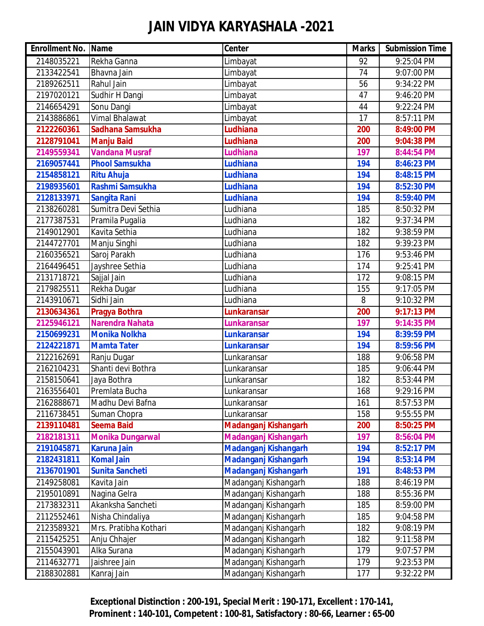| <b>Enrollment No. Name</b> |                         | <b>Center</b>               | <b>Marks</b> | <b>Submission Time</b> |
|----------------------------|-------------------------|-----------------------------|--------------|------------------------|
| 2148035221                 | Rekha Ganna             | Limbayat                    | 92           | 9:25:04 PM             |
| 2133422541                 | Bhavna Jain             | Limbayat                    | 74           | 9:07:00 PM             |
| 2189262511                 | Rahul Jain              | Limbayat                    | 56           | 9:34:22 PM             |
| 2197020121                 | Sudhir H Dangi          | Limbayat                    | 47           | 9:46:20 PM             |
| 2146654291                 | Sonu Dangi              | Limbayat                    | 44           | 9:22:24 PM             |
| 2143886861                 | Vimal Bhalawat          | Limbayat                    | 17           | 8:57:11 PM             |
| 2122260361                 | Sadhana Samsukha        | <b>Ludhiana</b>             | 200          | 8:49:00 PM             |
| 2128791041                 | <b>Manju Baid</b>       | Ludhiana                    | 200          | 9:04:38 PM             |
| 2149559341                 | <b>Vandana Musraf</b>   | <b>Ludhiana</b>             | 197          | 8:44:54 PM             |
| 2169057441                 | <b>Phool Samsukha</b>   | <b>Ludhiana</b>             | 194          | 8:46:23 PM             |
| 2154858121                 | <b>Ritu Ahuja</b>       | Ludhiana                    | 194          | 8:48:15 PM             |
| 2198935601                 | Rashmi Samsukha         | <b>Ludhiana</b>             | 194          | 8:52:30 PM             |
| 2128133971                 | <b>Sangita Rani</b>     | <b>Ludhiana</b>             | 194          | 8:59:40 PM             |
| 2138260281                 | Sumitra Devi Sethia     | Ludhiana                    | 185          | 8:50:32 PM             |
| 2177387531                 | Pramila Pugalia         | Ludhiana                    | 182          | 9:37:34 PM             |
| 2149012901                 | Kavita Sethia           | Ludhiana                    | 182          | 9:38:59 PM             |
| 2144727701                 | Manju Singhi            | Ludhiana                    | 182          | 9:39:23 PM             |
| 2160356521                 | Saroj Parakh            | Ludhiana                    | 176          | 9:53:46 PM             |
| 2164496451                 | Jayshree Sethia         | Ludhiana                    | 174          | 9:25:41 PM             |
| 2131718721                 | Sajjal Jain             | Ludhiana                    | 172          | 9:08:15 PM             |
| 2179825511                 | Rekha Dugar             | Ludhiana                    | 155          | 9:17:05 PM             |
| 2143910671                 | Sidhi Jain              | Ludhiana                    | 8            | 9:10:32 PM             |
| 2130634361                 | <b>Pragya Bothra</b>    | <b>Lunkaransar</b>          | 200          | 9:17:13 PM             |
| 2125946121                 | <b>Narendra Nahata</b>  | <b>Lunkaransar</b>          | 197          | 9:14:35 PM             |
| 2150699231                 | <b>Monika Nolkha</b>    | <b>Lunkaransar</b>          | 194          | 8:39:59 PM             |
| 2124221871                 | <b>Mamta Tater</b>      | <b>Lunkaransar</b>          | 194          | 8:59:56 PM             |
| 2122162691                 | Ranju Dugar             | Lunkaransar                 | 188          | 9:06:58 PM             |
| 2162104231                 | Shanti devi Bothra      | Lunkaransar                 | 185          | 9:06:44 PM             |
| 2158150641                 | Jaya Bothra             | Lunkaransar                 | 182          | 8:53:44 PM             |
| 2163556401                 | Premlata Bucha          | Lunkaransar                 | 168          | 9:29:16 PM             |
| 2162888671                 | Madhu Devi Bafna        | Lunkaransar                 | 161          | 8:57:53 PM             |
| 2116738451                 | Suman Chopra            | Lunkaransar                 | 158          | 9:55:55 PM             |
| 2139110481                 | <b>Seema Baid</b>       | <b>Madanganj Kishangarh</b> | 200          | 8:50:25 PM             |
| 2182181311                 | <b>Monika Dungarwal</b> | <b>Madanganj Kishangarh</b> | 197          | 8:56:04 PM             |
| 2191045871                 | <b>Karuna Jain</b>      | <b>Madanganj Kishangarh</b> | 194          | 8:52:17 PM             |
| 2182431811                 | <b>Komal Jain</b>       | <b>Madanganj Kishangarh</b> | 194          | 8:53:14 PM             |
| 2136701901                 | <b>Sunita Sancheti</b>  | Madanganj Kishangarh        | 191          | 8:48:53 PM             |
| 2149258081                 | Kavita Jain             | Madanganj Kishangarh        | 188          | 8:46:19 PM             |
| 2195010891                 | Nagina Gelra            | Madanganj Kishangarh        | 188          | 8:55:36 PM             |
| 2173832311                 | Akanksha Sancheti       | Madanganj Kishangarh        | 185          | 8:59:00 PM             |
| 2112552461                 | Nisha Chindaliya        | Madanganj Kishangarh        | 185          | 9:04:58 PM             |
| 2123589321                 | Mrs. Pratibha Kothari   | Madanganj Kishangarh        | 182          | 9:08:19 PM             |
| 2115425251                 | Anju Chhajer            | Madanganj Kishangarh        | 182          | 9:11:58 PM             |
| 2155043901                 | Alka Surana             | Madanganj Kishangarh        | 179          | 9:07:57 PM             |
| 2114632771                 | Jaishree Jain           | Madanganj Kishangarh        | 179          | 9:23:53 PM             |
| 2188302881                 | Kanraj Jain             | Madanganj Kishangarh        | 177          | 9:32:22 PM             |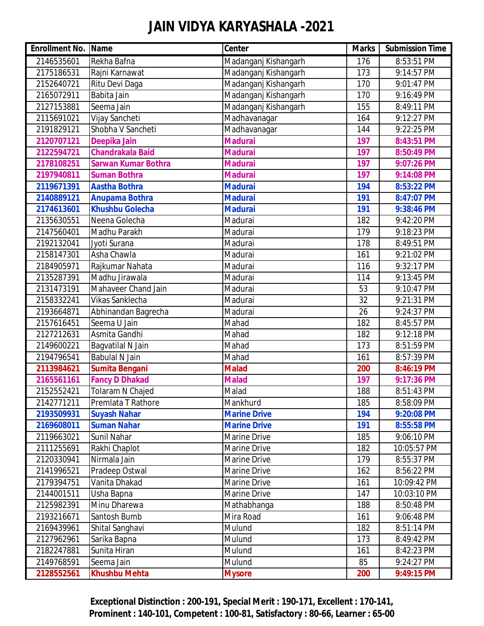| <b>Enrollment No. Name</b> |                            | Center               | <b>Marks</b> | <b>Submission Time</b> |
|----------------------------|----------------------------|----------------------|--------------|------------------------|
| 2146535601                 | Rekha Bafna                | Madanganj Kishangarh | 176          | 8:53:51 PM             |
| 2175186531                 | Rajni Karnawat             | Madanganj Kishangarh | 173          | 9:14:57 PM             |
| 2152640721                 | Ritu Devi Daga             | Madanganj Kishangarh | 170          | 9:01:47 PM             |
| 2165072911                 | Babita Jain                | Madanganj Kishangarh | 170          | 9:16:49 PM             |
| 2127153881                 | Seema Jain                 | Madanganj Kishangarh | 155          | 8:49:11 PM             |
| 2115691021                 | Vijay Sancheti             | Madhavanagar         | 164          | 9:12:27 PM             |
| 2191829121                 | Shobha V Sancheti          | Madhavanagar         | 144          | 9:22:25 PM             |
| 2120707121                 | Deepika Jain               | <b>Madurai</b>       | 197          | 8:43:51 PM             |
| 2122594721                 | <b>Chandrakala Baid</b>    | <b>Madurai</b>       | 197          | 8:50:49 PM             |
| 2178108251                 | <b>Sarwan Kumar Bothra</b> | <b>Madurai</b>       | 197          | 9:07:26 PM             |
| 2197940811                 | <b>Suman Bothra</b>        | <b>Madurai</b>       | 197          | 9:14:08 PM             |
| 2119671391                 | <b>Aastha Bothra</b>       | <b>Madurai</b>       | 194          | 8:53:22 PM             |
| 2140889121                 | <b>Anupama Bothra</b>      | <b>Madurai</b>       | 191          | 8:47:07 PM             |
| 2174613601                 | <b>Khushbu Golecha</b>     | <b>Madurai</b>       | 191          | 9:38:46 PM             |
| 2135630551                 | Neena Golecha              | Madurai              | 182          | 9:42:20 PM             |
| 2147560401                 | Madhu Parakh               | Madurai              | 179          | 9:18:23 PM             |
| 2192132041                 | Jyoti Surana               | Madurai              | 178          | 8:49:51 PM             |
| 2158147301                 | Asha Chawla                | Madurai              | 161          | 9:21:02 PM             |
| 2184905971                 | Rajkumar Nahata            | Madurai              | 116          | 9:32:17 PM             |
| 2135287391                 | Madhu Jirawala             | Madurai              | 114          | 9:13:45 PM             |
| 2131473191                 | Mahaveer Chand Jain        | Madurai              | 53           | 9:10:47 PM             |
| 2158332241                 | Vikas Sanklecha            | Madurai              | 32           | 9:21:31 PM             |
| 2193664871                 | Abhinandan Bagrecha        | Madurai              | 26           | 9:24:37 PM             |
| 2157616451                 | Seema U Jain               | Mahad                | 182          | 8:45:57 PM             |
| 2127212631                 | Asmita Gandhi              | Mahad                | 182          | 9:12:18 PM             |
| 2149600221                 | Bagvatilal N Jain          | Mahad                | 173          | 8:51:59 PM             |
| 2194796541                 | <b>Babulal N Jain</b>      | Mahad                | 161          | 8:57:39 PM             |
| 2113984621                 | <b>Sumita Bengani</b>      | <b>Malad</b>         | 200          | 8:46:19 PM             |
| 2165561161                 | <b>Fancy D Dhakad</b>      | <b>Malad</b>         | 197          | 9:17:36 PM             |
| 2152552421                 | Tolaram N Chajed           | Malad                | 188          | 8:51:43 PM             |
| 2142771211                 | Premlata T Rathore         | Mankhurd             | 185          | 8:58:09 PM             |
| 2193509931                 | <b>Suyash Nahar</b>        | <b>Marine Drive</b>  | 194          | 9:20:08 PM             |
| 2169608011                 | <b>Suman Nahar</b>         | <b>Marine Drive</b>  | 191          | 8:55:58 PM             |
| 2119663021                 | Sunil Nahar                | Marine Drive         | 185          | 9:06:10 PM             |
| 2111255691                 | Rakhi Chaplot              | Marine Drive         | 182          | 10:05:57 PM            |
| 2120330941                 | Nirmala Jain               | Marine Drive         | 179          | 8:55:37 PM             |
| 2141996521                 | Pradeep Ostwal             | Marine Drive         | 162          | 8:56:22 PM             |
| 2179394751                 | Vanita Dhakad              | Marine Drive         | 161          | 10:09:42 PM            |
| 2144001511                 | Usha Bapna                 | Marine Drive         | 147          | 10:03:10 PM            |
| 2125982391                 | Minu Dharewa               | Mathabhanga          | 188          | 8:50:48 PM             |
| 2193216671                 | Santosh Bumb               | Mira Road            | 161          | 9:06:48 PM             |
| 2169439961                 | Shital Sanghavi            | Mulund               | 182          | 8:51:14 PM             |
| 2127962961                 | Sarika Bapna               | Mulund               | 173          | 8:49:42 PM             |
| 2182247881                 | Sunita Hiran               | Mulund               | 161          | 8:42:23 PM             |
| 2149768591                 | Seema Jain                 | Mulund               | 85           | 9:24:27 PM             |
| 2128552561                 | <b>Khushbu Mehta</b>       | <b>Mysore</b>        | 200          | 9:49:15 PM             |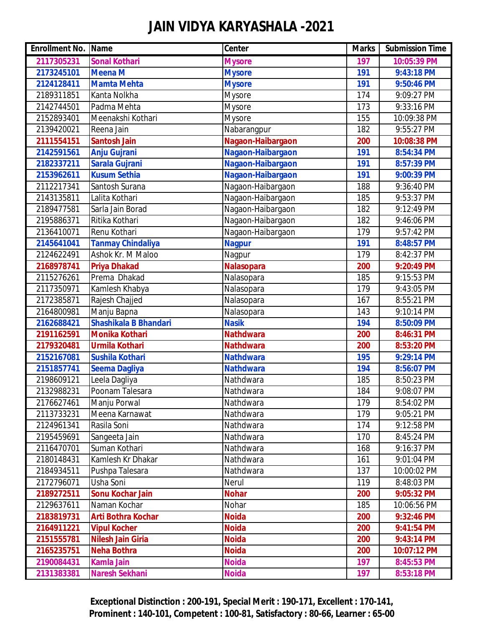| <b>Enrollment No. Name</b> |                              | Center            | <b>Marks</b> | <b>Submission Time</b> |
|----------------------------|------------------------------|-------------------|--------------|------------------------|
| 2117305231                 | <b>Sonal Kothari</b>         | <b>Mysore</b>     | 197          | 10:05:39 PM            |
| 2173245101                 | <b>Meena M</b>               | <b>Mysore</b>     | 191          | 9:43:18 PM             |
| 2124128411                 | <b>Mamta Mehta</b>           | <b>Mysore</b>     | 191          | 9:50:46 PM             |
| 2189311851                 | Kanta Nolkha                 | <b>Mysore</b>     | 174          | 9:09:27 PM             |
| 2142744501                 | Padma Mehta                  | <b>Mysore</b>     | 173          | 9:33:16 PM             |
| 2152893401                 | Meenakshi Kothari            | <b>Mysore</b>     | 155          | 10:09:38 PM            |
| 2139420021                 | Reena Jain                   | Nabarangpur       | 182          | 9:55:27 PM             |
| 2111554151                 | <b>Santosh Jain</b>          | Nagaon-Haibargaon | 200          | 10:08:38 PM            |
| 2142591561                 | <b>Anju Gujrani</b>          | Nagaon-Haibargaon | 191          | 8:54:34 PM             |
| 2182337211                 | <b>Sarala Gujrani</b>        | Nagaon-Haibargaon | 191          | 8:57:39 PM             |
| 2153962611                 | <b>Kusum Sethia</b>          | Nagaon-Haibargaon | 191          | 9:00:39 PM             |
| 2112217341                 | Santosh Surana               | Nagaon-Haibargaon | 188          | 9:36:40 PM             |
| 2143135811                 | Lalita Kothari               | Nagaon-Haibargaon | 185          | 9:53:37 PM             |
| 2189477581                 | Sarla Jain Borad             | Nagaon-Haibargaon | 182          | 9:12:49 PM             |
| 2195886371                 | Ritika Kothari               | Nagaon-Haibargaon | 182          | 9:46:06 PM             |
| 2136410071                 | Renu Kothari                 | Nagaon-Haibargaon | 179          | 9:57:42 PM             |
| 2145641041                 | <b>Tanmay Chindaliya</b>     | <b>Nagpur</b>     | 191          | 8:48:57 PM             |
| 2124622491                 | Ashok Kr. M Maloo            | Nagpur            | 179          | 8:42:37 PM             |
| 2168978741                 | <b>Priya Dhakad</b>          | Nalasopara        | 200          | 9:20:49 PM             |
| 2115276261                 | Prema Dhakad                 | Nalasopara        | 185          | 9:15:53 PM             |
| 2117350971                 | Kamlesh Khabya               | Nalasopara        | 179          | 9:43:05 PM             |
| 2172385871                 | Rajesh Chajjed               | Nalasopara        | 167          | 8:55:21 PM             |
| 2164800981                 | Manju Bapna                  | Nalasopara        | 143          | 9:10:14 PM             |
| 2162688421                 | <b>Shashikala B Bhandari</b> | <b>Nasik</b>      | 194          | 8:50:09 PM             |
| 2191162591                 | Monika Kothari               | <b>Nathdwara</b>  | 200          | 8:46:31 PM             |
| 2179320481                 | <b>Urmila Kothari</b>        | <b>Nathdwara</b>  | 200          | 8:53:20 PM             |
| 2152167081                 | <b>Sushila Kothari</b>       | <b>Nathdwara</b>  | 195          | 9:29:14 PM             |
| 2151857741                 | <b>Seema Dagliya</b>         | <b>Nathdwara</b>  | 194          | 8:56:07 PM             |
| 2198609121                 | Leela Dagliya                | Nathdwara         | 185          | 8:50:23 PM             |
| 2132988231                 | Poonam Talesara              | Nathdwara         | 184          | 9:08:07 PM             |
| 2176627461                 | Manju Porwal                 | Nathdwara         | 179          | 8:54:02 PM             |
| 2113733231                 | Meena Karnawat               | Nathdwara         | 179          | 9:05:21 PM             |
| 2124961341                 | Rasila Soni                  | Nathdwara         | 174          | 9:12:58 PM             |
| 2195459691                 | Sangeeta Jain                | Nathdwara         | 170          | 8:45:24 PM             |
| 2116470701                 | Suman Kothari                | Nathdwara         | 168          | 9:16:37 PM             |
| 2180148431                 | Kamlesh Kr Dhakar            | Nathdwara         | 161          | 9:01:04 PM             |
| 2184934511                 | Pushpa Talesara              | Nathdwara         | 137          | 10:00:02 PM            |
| 2172796071                 | Usha Soni                    | Nerul             | 119          | 8:48:03 PM             |
| 2189272511                 | <b>Sonu Kochar Jain</b>      | <b>Nohar</b>      | 200          | 9:05:32 PM             |
| 2129637611                 | Naman Kochar                 | Nohar             | 185          | 10:06:56 PM            |
| 2183819731                 | Arti Bothra Kochar           | <b>Noida</b>      | 200          | 9:32:46 PM             |
| 2164911221                 | <b>Vipul Kocher</b>          | <b>Noida</b>      | 200          | 9:41:54 PM             |
| 2151555781                 | <b>Nilesh Jain Giria</b>     | <b>Noida</b>      | 200          | 9:43:14 PM             |
| 2165235751                 | <b>Neha Bothra</b>           | <b>Noida</b>      | 200          | 10:07:12 PM            |
| 2190084431                 | <b>Kamla Jain</b>            | <b>Noida</b>      | 197          | 8:45:53 PM             |
| 2131383381                 | Naresh Sekhani               | <b>Noida</b>      | 197          | 8:53:18 PM             |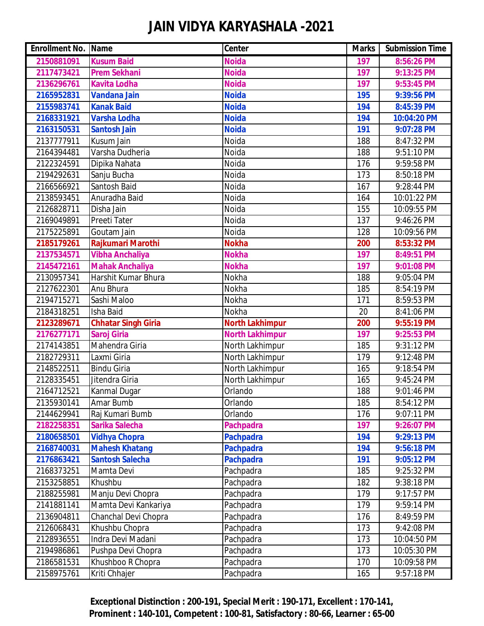| <b>Enrollment No. Name</b> |                            | Center                 | <b>Marks</b> | <b>Submission Time</b> |
|----------------------------|----------------------------|------------------------|--------------|------------------------|
| 2150881091                 | <b>Kusum Baid</b>          | <b>Noida</b>           | 197          | 8:56:26 PM             |
| 2117473421                 | <b>Prem Sekhani</b>        | <b>Noida</b>           | 197          | 9:13:25 PM             |
| 2136296761                 | <b>Kavita Lodha</b>        | <b>Noida</b>           | 197          | 9:53:45 PM             |
| 2165952831                 | <b>Vandana Jain</b>        | <b>Noida</b>           | 195          | 9:39:56 PM             |
| 2155983741                 | <b>Kanak Baid</b>          | <b>Noida</b>           | 194          | 8:45:39 PM             |
| 2168331921                 | <b>Varsha Lodha</b>        | <b>Noida</b>           | 194          | 10:04:20 PM            |
| 2163150531                 | <b>Santosh Jain</b>        | <b>Noida</b>           | 191          | 9:07:28 PM             |
| 2137777911                 | Kusum Jain                 | Noida                  | 188          | 8:47:32 PM             |
| 2164394481                 | Varsha Dudheria            | Noida                  | 188          | 9:51:10 PM             |
| 2122324591                 | Dipika Nahata              | Noida                  | 176          | 9:59:58 PM             |
| 2194292631                 | Sanju Bucha                | Noida                  | 173          | 8:50:18 PM             |
| 2166566921                 | Santosh Baid               | Noida                  | 167          | 9:28:44 PM             |
| 2138593451                 | Anuradha Baid              | Noida                  | 164          | 10:01:22 PM            |
| 2126828711                 | Disha Jain                 | Noida                  | 155          | 10:09:55 PM            |
| 2169049891                 | Preeti Tater               | Noida                  | 137          | 9:46:26 PM             |
| 2175225891                 | Goutam Jain                | Noida                  | 128          | 10:09:56 PM            |
| 2185179261                 | Rajkumari Marothi          | <b>Nokha</b>           | 200          | 8:53:32 PM             |
| 2137534571                 | <b>Vibha Anchaliya</b>     | <b>Nokha</b>           | 197          | 8:49:51 PM             |
| 2145472161                 | <b>Mahak Anchaliya</b>     | <b>Nokha</b>           | 197          | 9:01:08 PM             |
| 2130957341                 | Harshit Kumar Bhura        | Nokha                  | 188          | 9:05:04 PM             |
| 2127622301                 | Anu Bhura                  | Nokha                  | 185          | 8:54:19 PM             |
| 2194715271                 | Sashi Maloo                | Nokha                  | 171          | 8:59:53 PM             |
| 2184318251                 | Isha Baid                  | Nokha                  | 20           | 8:41:06 PM             |
| 2123289671                 | <b>Chhatar Singh Giria</b> | <b>North Lakhimpur</b> | 200          | 9:55:19 PM             |
| 2176277171                 | <b>Saroj Giria</b>         | <b>North Lakhimpur</b> | 197          | 9:25:53 PM             |
| 2174143851                 | Mahendra Giria             | North Lakhimpur        | 185          | 9:31:12 PM             |
| 2182729311                 | Laxmi Giria                | North Lakhimpur        | 179          | 9:12:48 PM             |
| 2148522511                 | <b>Bindu Giria</b>         | North Lakhimpur        | 165          | 9:18:54 PM             |
| 2128335451                 | Jitendra Giria             | North Lakhimpur        | 165          | 9:45:24 PM             |
| 2164712521                 | Kanmal Dugar               | Orlando                | 188          | 9:01:46 PM             |
| 2135930141                 | Amar Bumb                  | Orlando                | 185          | 8:54:12 PM             |
| 2144629941                 | Raj Kumari Bumb            | Orlando                | 176          | 9:07:11 PM             |
| 2182258351                 | Sarika Salecha             | <b>Pachpadra</b>       | 197          | 9:26:07 PM             |
| 2180658501                 | <b>Vidhya Chopra</b>       | <b>Pachpadra</b>       | 194          | 9:29:13 PM             |
| 2168740031                 | <b>Mahesh Khatang</b>      | <b>Pachpadra</b>       | 194          | 9:56:18 PM             |
| 2176863421                 | <b>Santosh Salecha</b>     | <b>Pachpadra</b>       | 191          | 9:05:12 PM             |
| 2168373251                 | Mamta Devi                 | Pachpadra              | 185          | 9:25:32 PM             |
| 2153258851                 | Khushbu                    | Pachpadra              | 182          | 9:38:18 PM             |
| 2188255981                 | Manju Devi Chopra          | Pachpadra              | 179          | 9:17:57 PM             |
| 2141881141                 | Mamta Devi Kankariya       | Pachpadra              | 179          | 9:59:14 PM             |
| 2136904811                 | Chanchal Devi Chopra       | Pachpadra              | 176          | 8:49:59 PM             |
| 2126068431                 | Khushbu Chopra             | Pachpadra              | 173          | 9:42:08 PM             |
| 2128936551                 | Indra Devi Madani          | Pachpadra              | 173          | 10:04:50 PM            |
| 2194986861                 | Pushpa Devi Chopra         | Pachpadra              | 173          | 10:05:30 PM            |
| 2186581531                 | Khushboo R Chopra          | Pachpadra              | 170          | 10:09:58 PM            |
| 2158975761                 | Kriti Chhajer              | Pachpadra              | 165          | 9:57:18 PM             |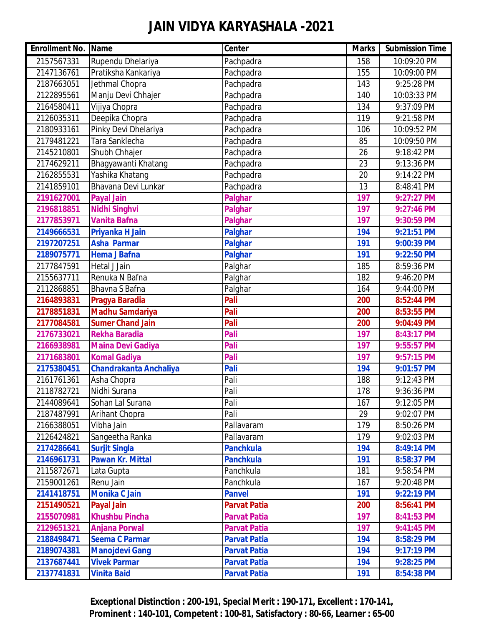| <b>Enrollment No. Name</b> |                               | <b>Center</b>       | <b>Marks</b>     | <b>Submission Time</b> |
|----------------------------|-------------------------------|---------------------|------------------|------------------------|
| 2157567331                 | Rupendu Dhelariya             | Pachpadra           | 158              | 10:09:20 PM            |
| 2147136761                 | Pratiksha Kankariya           | Pachpadra           | 155              | 10:09:00 PM            |
| 2187663051                 | Jethmal Chopra                | Pachpadra           | 143              | 9:25:28 PM             |
| 2122895561                 | Manju Devi Chhajer            | Pachpadra           | 140              | 10:03:33 PM            |
| 2164580411                 | Vijiya Chopra                 | Pachpadra           | 134              | 9:37:09 PM             |
| 2126035311                 | Deepika Chopra                | Pachpadra           | $\overline{1}19$ | 9:21:58 PM             |
| 2180933161                 | Pinky Devi Dhelariya          | Pachpadra           | 106              | 10:09:52 PM            |
| 2179481221                 | Tara Sanklecha                | Pachpadra           | 85               | 10:09:50 PM            |
| 2145210801                 | Shubh Chhajer                 | Pachpadra           | 26               | 9:18:42 PM             |
| 2174629211                 | Bhagyawanti Khatang           | Pachpadra           | 23               | 9:13:36 PM             |
| 2162855531                 | Yashika Khatang               | Pachpadra           | 20               | 9:14:22 PM             |
| 2141859101                 | Bhavana Devi Lunkar           | Pachpadra           | 13               | 8:48:41 PM             |
| 2191627001                 | <b>Payal Jain</b>             | <b>Palghar</b>      | 197              | 9:27:27 PM             |
| 2196818851                 | <b>Nidhi Singhvi</b>          | <b>Palghar</b>      | 197              | 9:27:46 PM             |
| 2177853971                 | <b>Vanita Bafna</b>           | <b>Palghar</b>      | 197              | 9:30:59 PM             |
| 2149666531                 | Priyanka H Jain               | <b>Palghar</b>      | 194              | 9:21:51 PM             |
| 2197207251                 | <b>Asha Parmar</b>            | <b>Palghar</b>      | 191              | 9:00:39 PM             |
| 2189075771                 | <b>Hema J Bafna</b>           | <b>Palghar</b>      | 191              | 9:22:50 PM             |
| 2177847591                 | Hetal J Jain                  | Palghar             | 185              | 8:59:36 PM             |
| 2155637711                 | Renuka N Bafna                | Palghar             | 182              | 9:46:20 PM             |
| 2112868851                 | Bhavna S Bafna                | Palghar             | 164              | 9:44:00 PM             |
| 2164893831                 | Pragya Baradia                | Pali                | 200              | 8:52:44 PM             |
| 2178851831                 | <b>Madhu Samdariya</b>        | Pali                | 200              | 8:53:55 PM             |
| 2177084581                 | <b>Sumer Chand Jain</b>       | Pali                | 200              | 9:04:49 PM             |
| 2176733021                 | <b>Rekha Baradia</b>          | Pali                | 197              | 8:43:17 PM             |
| 2166938981                 | <b>Maina Devi Gadiya</b>      | Pali                | 197              | 9:55:57 PM             |
| 2171683801                 | <b>Komal Gadiya</b>           | Pali                | 197              | 9:57:15 PM             |
| 2175380451                 | <b>Chandrakanta Anchaliya</b> | Pali                | 194              | 9:01:57 PM             |
| 2161761361                 | Asha Chopra                   | Pali                | 188              | 9:12:43 PM             |
| 2118782721                 | Nidhi Surana                  | Pali                | 178              | 9:36:36 PM             |
| 2144089641                 | Sohan Lal Surana              | Pali                | 167              | 9:12:05 PM             |
| 2187487991                 | Arihant Chopra                | Pali                | 29               | 9:02:07 PM             |
| 2166388051                 | Vibha Jain                    | Pallavaram          | 179              | 8:50:26 PM             |
| 2126424821                 | Sangeetha Ranka               | Pallavaram          | 179              | 9:02:03 PM             |
| 2174286641                 | <b>Surjit Singla</b>          | <b>Panchkula</b>    | 194              | 8:49:14 PM             |
| 2146961731                 | <b>Pawan Kr. Mittal</b>       | <b>Panchkula</b>    | 191              | 8:58:37 PM             |
| 2115872671                 | Lata Gupta                    | Panchkula           | 181              | 9:58:54 PM             |
| 2159001261                 | Renu Jain                     | Panchkula           | 167              | 9:20:48 PM             |
| 2141418751                 | <b>Monika C Jain</b>          | <b>Panvel</b>       | 191              | 9:22:19 PM             |
| 2151490521                 | <b>Payal Jain</b>             | <b>Parvat Patia</b> | 200              | 8:56:41 PM             |
| 2155070981                 | <b>Khushbu Pincha</b>         | <b>Parvat Patia</b> | 197              | 8:41:53 PM             |
| 2129651321                 | <b>Anjana Porwal</b>          | <b>Parvat Patia</b> | 197              | 9:41:45 PM             |
| 2188498471                 | <b>Seema C Parmar</b>         | <b>Parvat Patia</b> | 194              | 8:58:29 PM             |
| 2189074381                 | <b>Manojdevi Gang</b>         | <b>Parvat Patia</b> | 194              | 9:17:19 PM             |
| 2137687441                 | <b>Vivek Parmar</b>           | <b>Parvat Patia</b> | 194              | 9:28:25 PM             |
| 2137741831                 | <b>Vinita Baid</b>            | <b>Parvat Patia</b> | 191              | 8:54:38 PM             |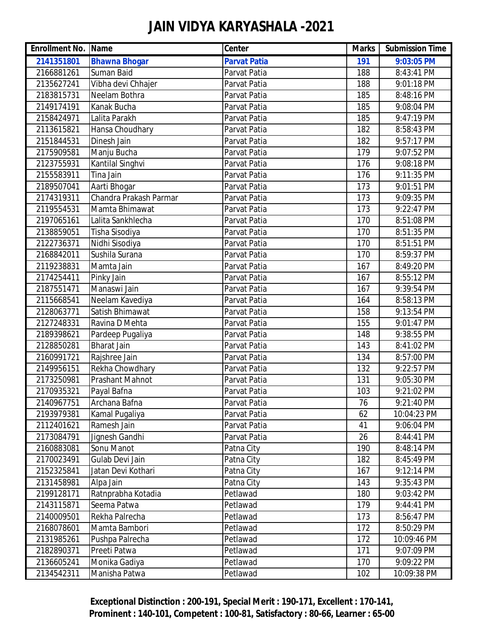| <b>Enrollment No. Name</b> |                        | <b>Center</b>       | <b>Marks</b> | <b>Submission Time</b> |
|----------------------------|------------------------|---------------------|--------------|------------------------|
| 2141351801                 | <b>Bhawna Bhogar</b>   | <b>Parvat Patia</b> | 191          | 9:03:05 PM             |
| 2166881261                 | Suman Baid             | Parvat Patia        | 188          | 8:43:41 PM             |
| 2135627241                 | Vibha devi Chhajer     | Parvat Patia        | 188          | 9:01:18 PM             |
| 2183815731                 | Neelam Bothra          | Parvat Patia        | 185          | 8:48:16 PM             |
| 2149174191                 | Kanak Bucha            | Parvat Patia        | 185          | 9:08:04 PM             |
| 2158424971                 | Lalita Parakh          | Parvat Patia        | 185          | 9:47:19 PM             |
| 2113615821                 | Hansa Choudhary        | Parvat Patia        | 182          | 8:58:43 PM             |
| 2151844531                 | Dinesh Jain            | Parvat Patia        | 182          | 9:57:17 PM             |
| 2175909581                 | Manju Bucha            | Parvat Patia        | 179          | 9:07:52 PM             |
| 2123755931                 | Kantilal Singhvi       | Parvat Patia        | 176          | 9:08:18 PM             |
| 2155583911                 | Tina Jain              | Parvat Patia        | 176          | 9:11:35 PM             |
| 2189507041                 | Aarti Bhogar           | Parvat Patia        | 173          | 9:01:51 PM             |
| 2174319311                 | Chandra Prakash Parmar | Parvat Patia        | 173          | 9:09:35 PM             |
| 2119554531                 | Mamta Bhimawat         | Parvat Patia        | 173          | 9:22:47 PM             |
| 2197065161                 | Lalita Sankhlecha      | Parvat Patia        | 170          | 8:51:08 PM             |
| 2138859051                 | Tisha Sisodiya         | Parvat Patia        | 170          | 8:51:35 PM             |
| 2122736371                 | Nidhi Sisodiya         | Parvat Patia        | 170          | 8:51:51 PM             |
| 2168842011                 | Sushila Surana         | Parvat Patia        | 170          | 8:59:37 PM             |
| 2119238831                 | Mamta Jain             | Parvat Patia        | 167          | 8:49:20 PM             |
| 2174254411                 | Pinky Jain             | Parvat Patia        | 167          | 8:55:12 PM             |
| 2187551471                 | Manaswi Jain           | Parvat Patia        | 167          | 9:39:54 PM             |
| 2115668541                 | Neelam Kavediya        | Parvat Patia        | 164          | 8:58:13 PM             |
| 2128063771                 | Satish Bhimawat        | Parvat Patia        | 158          | 9:13:54 PM             |
| 2127248331                 | Ravina D Mehta         | Parvat Patia        | 155          | 9:01:47 PM             |
| 2189398621                 | Pardeep Pugaliya       | Parvat Patia        | 148          | 9:38:55 PM             |
| 2128850281                 | <b>Bharat Jain</b>     | Parvat Patia        | 143          | 8:41:02 PM             |
| 2160991721                 | Rajshree Jain          | Parvat Patia        | 134          | 8:57:00 PM             |
| 2149956151                 | Rekha Chowdhary        | Parvat Patia        | 132          | 9:22:57 PM             |
| 2173250981                 | Prashant Mahnot        | Parvat Patia        | 131          | 9:05:30 PM             |
| 2170935321                 | Payal Bafna            | Parvat Patia        | 103          | 9:21:02 PM             |
| 2140967751                 | Archana Bafna          | Parvat Patia        | 76           | 9:21:40 PM             |
| 2193979381                 | Kamal Pugaliya         | Parvat Patia        | 62           | 10:04:23 PM            |
| 2112401621                 | Ramesh Jain            | Parvat Patia        | 41           | 9:06:04 PM             |
| 2173084791                 | Jignesh Gandhi         | Parvat Patia        | 26           | 8:44:41 PM             |
| 2160883081                 | Sonu Manot             | Patna City          | 190          | 8:48:14 PM             |
| 2170023491                 | Gulab Devi Jain        | Patna City          | 182          | 8:45:49 PM             |
| 2152325841                 | Jatan Devi Kothari     | Patna City          | 167          | 9:12:14 PM             |
| 2131458981                 | Alpa Jain              | Patna City          | 143          | 9:35:43 PM             |
| 2199128171                 | Ratnprabha Kotadia     | Petlawad            | 180          | 9:03:42 PM             |
| 2143115871                 | Seema Patwa            | Petlawad            | 179          | 9:44:41 PM             |
| 2140009501                 | Rekha Palrecha         | Petlawad            | 173          | 8:56:47 PM             |
| 2168078601                 | Mamta Bambori          | Petlawad            | 172          | 8:50:29 PM             |
| 2131985261                 | Pushpa Palrecha        | Petlawad            | 172          | 10:09:46 PM            |
| 2182890371                 | Preeti Patwa           | Petlawad            | 171          | 9:07:09 PM             |
| 2136605241                 | Monika Gadiya          | Petlawad            | 170          | 9:09:22 PM             |
| 2134542311                 | Manisha Patwa          | Petlawad            | 102          | 10:09:38 PM            |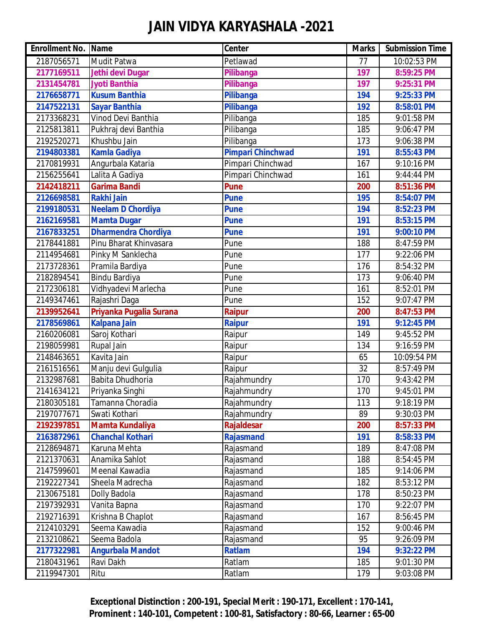| <b>Enrollment No. Name</b> |                            | <b>Center</b>            | <b>Marks</b> | <b>Submission Time</b> |
|----------------------------|----------------------------|--------------------------|--------------|------------------------|
| 2187056571                 | Mudit Patwa                | Petlawad                 | 77           | 10:02:53 PM            |
| 2177169511                 | Jethi devi Dugar           | Pilibanga                | 197          | 8:59:25 PM             |
| 2131454781                 | <b>Jyoti Banthia</b>       | Pilibanga                | 197          | 9:25:31 PM             |
| 2176658771                 | <b>Kusum Banthia</b>       | Pilibanga                | 194          | 9:25:33 PM             |
| 2147522131                 | <b>Sayar Banthia</b>       | Pilibanga                | 192          | 8:58:01 PM             |
| 2173368231                 | Vinod Devi Banthia         | Pilibanga                | 185          | 9:01:58 PM             |
| 2125813811                 | Pukhraj devi Banthia       | Pilibanga                | 185          | 9:06:47 PM             |
| 2192520271                 | Khushbu Jain               | Pilibanga                | 173          | 9:06:38 PM             |
| 2194803381                 | <b>Kamla Gadiya</b>        | <b>Pimpari Chinchwad</b> | 191          | 8:55:43 PM             |
| 2170819931                 | Angurbala Kataria          | Pimpari Chinchwad        | 167          | 9:10:16 PM             |
| 2156255641                 | Lalita A Gadiya            | Pimpari Chinchwad        | 161          | 9:44:44 PM             |
| 2142418211                 | <b>Garima Bandi</b>        | <b>Pune</b>              | 200          | 8:51:36 PM             |
| 2126698581                 | <b>Rakhi Jain</b>          | <b>Pune</b>              | 195          | 8:54:07 PM             |
| 2199180531                 | <b>Neelam D Chordiya</b>   | <b>Pune</b>              | 194          | 8:52:23 PM             |
| 2162169581                 | <b>Mamta Dugar</b>         | <b>Pune</b>              | 191          | 8:53:15 PM             |
| 2167833251                 | <b>Dharmendra Chordiya</b> | <b>Pune</b>              | 191          | 9:00:10 PM             |
| 2178441881                 | Pinu Bharat Khinvasara     | Pune                     | 188          | 8:47:59 PM             |
| 2114954681                 | Pinky M Sanklecha          | Pune                     | 177          | 9:22:06 PM             |
| 2173728361                 | Pramila Bardiya            | Pune                     | 176          | 8:54:32 PM             |
| 2182894541                 | Bindu Bardiya              | Pune                     | 173          | 9:06:40 PM             |
| 2172306181                 | Vidhyadevi Marlecha        | Pune                     | 161          | 8:52:01 PM             |
| 2149347461                 | Rajashri Daga              | Pune                     | 152          | 9:07:47 PM             |
| 2139952641                 | Priyanka Pugalia Surana    | <b>Raipur</b>            | 200          | 8:47:53 PM             |
| 2178569861                 | <b>Kalpana Jain</b>        | <b>Raipur</b>            | 191          | 9:12:45 PM             |
| 2160206081                 | Saroj Kothari              | Raipur                   | 149          | 9:45:52 PM             |
| 2198059981                 | Rupal Jain                 | Raipur                   | 134          | 9:16:59 PM             |
| 2148463651                 | Kavita Jain                | Raipur                   | 65           | 10:09:54 PM            |
| 2161516561                 | Manju devi Gulgulia        | Raipur                   | 32           | 8:57:49 PM             |
| 2132987681                 | <b>Babita Dhudhoria</b>    | Rajahmundry              | 170          | 9:43:42 PM             |
| 2141634121                 | Priyanka Singhi            | Rajahmundry              | 170          | 9:45:01 PM             |
| 2180305181                 | Tamanna Choradia           | Rajahmundry              | 113          | 9:18:19 PM             |
| 2197077671                 | Swati Kothari              | Rajahmundry              | 89           | 9:30:03 PM             |
| 2192397851                 | <b>Mamta Kundaliya</b>     | <b>Rajaldesar</b>        | 200          | 8:57:33 PM             |
| 2163872961                 | <b>Chanchal Kothari</b>    | <b>Rajasmand</b>         | 191          | 8:58:33 PM             |
| 2128694871                 | Karuna Mehta               | Rajasmand                | 189          | 8:47:08 PM             |
| 2121370631                 | Anamika Sahlot             | Rajasmand                | 188          | 8:54:45 PM             |
| 2147599601                 | Meenal Kawadia             | Rajasmand                | 185          | 9:14:06 PM             |
| 2192227341                 | Sheela Madrecha            | Rajasmand                | 182          | 8:53:12 PM             |
| 2130675181                 | Dolly Badola               | Rajasmand                | 178          | 8:50:23 PM             |
| 2197392931                 | Vanita Bapna               | Rajasmand                | 170          | 9:22:07 PM             |
| 2192716391                 | Krishna B Chaplot          | Rajasmand                | 167          | 8:56:45 PM             |
| 2124103291                 | Seema Kawadia              | Rajasmand                | 152          | 9:00:46 PM             |
| 2132108621                 | Seema Badola               | Rajasmand                | 95           | 9:26:09 PM             |
| 2177322981                 | <b>Angurbala Mandot</b>    | <b>Ratlam</b>            | 194          | 9:32:22 PM             |
| 2180431961                 | Ravi Dakh                  | Ratlam                   | 185          | 9:01:30 PM             |
| 2119947301                 | Ritu                       | Ratlam                   | 179          | 9:03:08 PM             |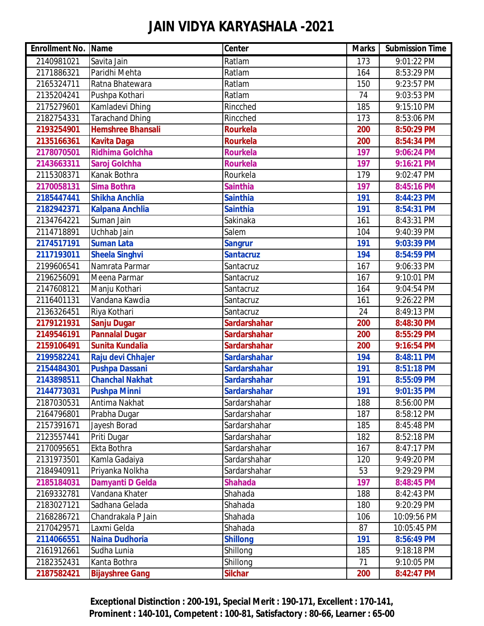| <b>Enrollment No. Name</b> |                          | <b>Center</b>       | <b>Marks</b>     | <b>Submission Time</b> |
|----------------------------|--------------------------|---------------------|------------------|------------------------|
| 2140981021                 | Savita Jain              | Ratlam              | 173              | 9:01:22 PM             |
| 2171886321                 | Paridhi Mehta            | Ratlam              | 164              | 8:53:29 PM             |
| 2165324711                 | Ratna Bhatewara          | Ratlam              | 150              | 9:23:57 PM             |
| 2135204241                 | Pushpa Kothari           | Ratlam              | 74               | 9:03:53 PM             |
| 2175279601                 | Kamladevi Dhing          | Rincched            | 185              | 9:15:10 PM             |
| 2182754331                 | Tarachand Dhing          | Rincched            | 173              | 8:53:06 PM             |
| 2193254901                 | <b>Hemshree Bhansali</b> | <b>Rourkela</b>     | 200              | 8:50:29 PM             |
| 2135166361                 | <b>Kavita Daga</b>       | <b>Rourkela</b>     | 200              | 8:54:34 PM             |
| 2178070501                 | Ridhima Golchha          | <b>Rourkela</b>     | 197              | 9:06:24 PM             |
| 2143663311                 | Saroj Golchha            | <b>Rourkela</b>     | 197              | 9:16:21 PM             |
| 2115308371                 | Kanak Bothra             | Rourkela            | $\overline{179}$ | 9:02:47 PM             |
| 2170058131                 | <b>Sima Bothra</b>       | <b>Sainthia</b>     | 197              | 8:45:16 PM             |
| 2185447441                 | <b>Shikha Anchlia</b>    | <b>Sainthia</b>     | 191              | 8:44:23 PM             |
| 2182942371                 | <b>Kalpana Anchlia</b>   | <b>Sainthia</b>     | 191              | 8:54:31 PM             |
| 2134764221                 | Suman Jain               | Sakinaka            | 161              | 8:43:31 PM             |
| 2114718891                 | Uchhab Jain              | Salem               | 104              | 9:40:39 PM             |
| 2174517191                 | <b>Suman Lata</b>        | <b>Sangrur</b>      | 191              | 9:03:39 PM             |
| 2117193011                 | <b>Sheela Singhvi</b>    | <b>Santacruz</b>    | 194              | 8:54:59 PM             |
| 2199606541                 | Namrata Parmar           | Santacruz           | 167              | 9:06:33 PM             |
| 2196256091                 | Meena Parmar             | Santacruz           | 167              | 9:10:01 PM             |
| 2147608121                 | Manju Kothari            | Santacruz           | 164              | 9:04:54 PM             |
| 2116401131                 | Vandana Kawdia           | Santacruz           | 161              | 9:26:22 PM             |
| 2136326451                 | Riya Kothari             | Santacruz           | 24               | 8:49:13 PM             |
| 2179121931                 | <b>Sanju Dugar</b>       | <b>Sardarshahar</b> | 200              | 8:48:30 PM             |
| 2149546191                 | <b>Pannalal Dugar</b>    | <b>Sardarshahar</b> | 200              | 8:55:29 PM             |
| 2159106491                 | <b>Sunita Kundalia</b>   | <b>Sardarshahar</b> | 200              | 9:16:54 PM             |
| 2199582241                 | Raju devi Chhajer        | <b>Sardarshahar</b> | 194              | 8:48:11 PM             |
| 2154484301                 | <b>Pushpa Dassani</b>    | <b>Sardarshahar</b> | 191              | 8:51:18 PM             |
| 2143898511                 | <b>Chanchal Nakhat</b>   | <b>Sardarshahar</b> | 191              | 8:55:09 PM             |
| 2144773031                 | <b>Pushpa Minni</b>      | <b>Sardarshahar</b> | 191              | 9:01:35 PM             |
| 2187030531                 | Antima Nakhat            | Sardarshahar        | 188              | 8:56:00 PM             |
| 2164796801                 | Prabha Dugar             | Sardarshahar        | 187              | 8:58:12 PM             |
| 2157391671                 | Jayesh Borad             | Sardarshahar        | 185              | 8:45:48 PM             |
| 2123557441                 | Priti Dugar              | Sardarshahar        | 182              | 8:52:18 PM             |
| 2170095651                 | Ekta Bothra              | Sardarshahar        | 167              | 8:47:17 PM             |
| 2131973501                 | Kamla Gadaiya            | Sardarshahar        | 120              | 9:49:20 PM             |
| 2184940911                 | Priyanka Nolkha          | Sardarshahar        | 53               | 9:29:29 PM             |
| 2185184031                 | Damyanti D Gelda         | <b>Shahada</b>      | 197              | 8:48:45 PM             |
| 2169332781                 | Vandana Khater           | Shahada             | 188              | 8:42:43 PM             |
| 2183027121                 | Sadhana Gelada           | Shahada             | 180              | 9:20:29 PM             |
| 2168286721                 | Chandrakala P Jain       | Shahada             | 106              | 10:09:56 PM            |
| 2170429571                 | Laxmi Gelda              | Shahada             | 87               | 10:05:45 PM            |
| 2114066551                 | <b>Naina Dudhoria</b>    | <b>Shillong</b>     | 191              | 8:56:49 PM             |
| 2161912661                 | Sudha Lunia              | Shillong            | 185              | 9:18:18 PM             |
| 2182352431                 | Kanta Bothra             | Shillong            | 71               | 9:10:05 PM             |
| 2187582421                 | <b>Bijayshree Gang</b>   | <b>Silchar</b>      | 200              | 8:42:47 PM             |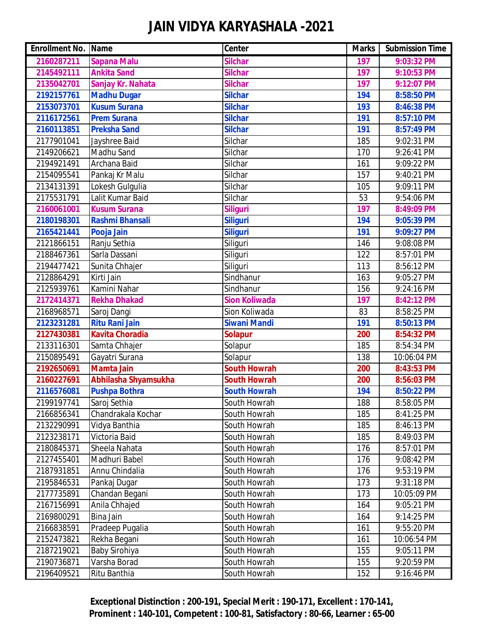| <b>Enrollment No. Name</b> |                        | Center               | <b>Marks</b> | <b>Submission Time</b> |
|----------------------------|------------------------|----------------------|--------------|------------------------|
| 2160287211                 | <b>Sapana Malu</b>     | <b>Silchar</b>       | 197          | 9:03:32 PM             |
| 2145492111                 | <b>Ankita Sand</b>     | <b>Silchar</b>       | 197          | 9:10:53 PM             |
| 2135042701                 | Sanjay Kr. Nahata      | <b>Silchar</b>       | 197          | 9:12:07 PM             |
| 2192157761                 | <b>Madhu Dugar</b>     | <b>Silchar</b>       | 194          | 8:58:50 PM             |
| 2153073701                 | <b>Kusum Surana</b>    | <b>Silchar</b>       | 193          | 8:46:38 PM             |
| 2116172561                 | <b>Prem Surana</b>     | <b>Silchar</b>       | 191          | 8:57:10 PM             |
| 2160113851                 | <b>Preksha Sand</b>    | <b>Silchar</b>       | 191          | 8:57:49 PM             |
| 2177901041                 | Jayshree Baid          | Silchar              | 185          | 9:02:31 PM             |
| 2149206621                 | Madhu Sand             | Silchar              | 170          | 9:26:41 PM             |
| 2194921491                 | Archana Baid           | Silchar              | 161          | 9:09:22 PM             |
| 2154095541                 | Pankaj Kr Malu         | Silchar              | 157          | 9:40:21 PM             |
| 2134131391                 | Lokesh Gulgulia        | Silchar              | 105          | 9:09:11 PM             |
| 2175531791                 | Lalit Kumar Baid       | Silchar              | 53           | 9:54:06 PM             |
| 2160061001                 | <b>Kusum Surana</b>    | <b>Siliguri</b>      | 197          | 8:49:09 PM             |
| 2180198301                 | Rashmi Bhansali        | <b>Siliguri</b>      | 194          | 9:05:39 PM             |
| 2165421441                 | Pooja Jain             | <b>Siliguri</b>      | 191          | 9:09:27 PM             |
| 2121866151                 | Ranju Sethia           | Siliguri             | 146          | 9:08:08 PM             |
| 2188467361                 | Sarla Dassani          | Siliguri             | 122          | 8:57:01 PM             |
| 2194477421                 | Sunita Chhajer         | Siliguri             | 113          | 8:56:12 PM             |
| 2128864291                 | Kirti Jain             | Sindhanur            | 163          | 9:05:27 PM             |
| 2125939761                 | Kamini Nahar           | Sindhanur            | 156          | 9:24:16 PM             |
| 2172414371                 | <b>Rekha Dhakad</b>    | <b>Sion Koliwada</b> | 197          | 8:42:12 PM             |
| 2168968571                 | Saroj Dangi            | Sion Koliwada        | 83           | 8:58:25 PM             |
| 2123231281                 | <b>Ritu Rani Jain</b>  | <b>Siwani Mandi</b>  | 191          | 8:50:13 PM             |
| 2127430381                 | <b>Kavita Choradia</b> | <b>Solapur</b>       | 200          | 8:54:32 PM             |
| 2133116301                 | Samta Chhajer          | Solapur              | 185          | 8:54:34 PM             |
| 2150895491                 | Gayatri Surana         | Solapur              | 138          | 10:06:04 PM            |
| 2192650691                 | <b>Mamta Jain</b>      | <b>South Howrah</b>  | 200          | 8:43:53 PM             |
| 2160227691                 | Abhilasha Shyamsukha   | South Howrah         | 200          | 8:56:03 PM             |
| 2116576081                 | <b>Pushpa Bothra</b>   | <b>South Howrah</b>  | 194          | 8:50:22 PM             |
| 2199197741                 | Saroj Sethia           | South Howrah         | 188          | 8:58:05 PM             |
| 2166856341                 | Chandrakala Kochar     | South Howrah         | 185          | 8:41:25 PM             |
| 2132290991                 | Vidya Banthia          | South Howrah         | 185          | 8:46:13 PM             |
| 2123238171                 | Victoria Baid          | South Howrah         | 185          | 8:49:03 PM             |
| 2180845371                 | Sheela Nahata          | South Howrah         | 176          | 8:57:01 PM             |
| 2127455401                 | Madhuri Babel          | South Howrah         | 176          | 9:08:42 PM             |
| 2187931851                 | Annu Chindalia         | South Howrah         | 176          | 9:53:19 PM             |
| 2195846531                 | Pankaj Dugar           | South Howrah         | 173          | 9:31:18 PM             |
| 2177735891                 | Chandan Begani         | South Howrah         | 173          | 10:05:09 PM            |
| 2167156991                 | Anila Chhajed          | South Howrah         | 164          | 9:05:21 PM             |
| 2169800291                 | Bina Jain              | South Howrah         | 164          | 9:14:25 PM             |
| 2166838591                 | Pradeep Pugalia        | South Howrah         | 161          | 9:55:20 PM             |
| 2152473821                 | Rekha Begani           | South Howrah         | 161          | 10:06:54 PM            |
| 2187219021                 | Baby Sirohiya          | South Howrah         | 155          | 9:05:11 PM             |
| 2190736871                 | Varsha Borad           | South Howrah         | 155          | 9:20:59 PM             |
| 2196409521                 | Ritu Banthia           | South Howrah         | 152          | 9:16:46 PM             |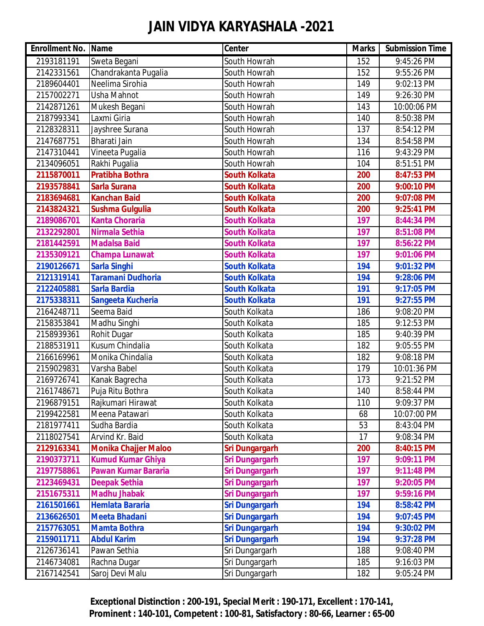| <b>Enrollment No. Name</b> |                             | <b>Center</b>         | <b>Marks</b> | <b>Submission Time</b> |
|----------------------------|-----------------------------|-----------------------|--------------|------------------------|
| 2193181191                 | Sweta Begani                | South Howrah          | 152          | 9:45:26 PM             |
| 2142331561                 | Chandrakanta Pugalia        | South Howrah          | 152          | 9:55:26 PM             |
| 2189604401                 | Neelima Sirohia             | South Howrah          | 149          | 9:02:13 PM             |
| 2157002271                 | Usha Mahnot                 | South Howrah          | 149          | 9:26:30 PM             |
| 2142871261                 | Mukesh Begani               | South Howrah          | 143          | 10:00:06 PM            |
| 2187993341                 | Laxmi Giria                 | South Howrah          | 140          | 8:50:38 PM             |
| 2128328311                 | Jayshree Surana             | South Howrah          | 137          | 8:54:12 PM             |
| 2147687751                 | Bharati Jain                | South Howrah          | 134          | 8:54:58 PM             |
| 2147310441                 | Vineeta Pugalia             | South Howrah          | 116          | 9:43:29 PM             |
| 2134096051                 | Rakhi Pugalia               | South Howrah          | 104          | 8:51:51 PM             |
| 2115870011                 | <b>Pratibha Bothra</b>      | <b>South Kolkata</b>  | 200          | 8:47:53 PM             |
| 2193578841                 | <b>Sarla Surana</b>         | <b>South Kolkata</b>  | 200          | 9:00:10 PM             |
| 2183694681                 | <b>Kanchan Baid</b>         | <b>South Kolkata</b>  | 200          | 9:07:08 PM             |
| 2143824321                 | <b>Sushma Gulgulia</b>      | <b>South Kolkata</b>  | 200          | 9:25:41 PM             |
| 2189086701                 | <b>Kanta Choraria</b>       | <b>South Kolkata</b>  | 197          | 8:44:34 PM             |
| 2132292801                 | Nirmala Sethia              | <b>South Kolkata</b>  | 197          | 8:51:08 PM             |
| 2181442591                 | <b>Madalsa Baid</b>         | <b>South Kolkata</b>  | 197          | 8:56:22 PM             |
| 2135309121                 | <b>Champa Lunawat</b>       | <b>South Kolkata</b>  | 197          | 9:01:06 PM             |
| 2190126671                 | <b>Sarla Singhi</b>         | <b>South Kolkata</b>  | 194          | 9:01:32 PM             |
| 2121319141                 | <b>Taramani Dudhoria</b>    | <b>South Kolkata</b>  | 194          | 9:28:06 PM             |
| 2122405881                 | <b>Sarla Bardia</b>         | <b>South Kolkata</b>  | 191          | 9:17:05 PM             |
| 2175338311                 | Sangeeta Kucheria           | <b>South Kolkata</b>  | 191          | 9:27:55 PM             |
| 2164248711                 | Seema Baid                  | South Kolkata         | 186          | 9:08:20 PM             |
| 2158353841                 | Madhu Singhi                | South Kolkata         | 185          | 9:12:53 PM             |
| 2158939361                 | Rohit Dugar                 | South Kolkata         | 185          | 9:40:39 PM             |
| 2188531911                 | Kusum Chindalia             | South Kolkata         | 182          | 9:05:55 PM             |
| 2166169961                 | Monika Chindalia            | South Kolkata         | 182          | 9:08:18 PM             |
| 2159029831                 | Varsha Babel                | South Kolkata         | 179          | 10:01:36 PM            |
| 2169726741                 | Kanak Bagrecha              | South Kolkata         | 173          | 9:21:52 PM             |
| 2161748671                 | Puja Ritu Bothra            | South Kolkata         | 140          | 8:58:44 PM             |
| 2196879151                 | Rajkumari Hirawat           | South Kolkata         | 110          | 9:09:37 PM             |
| 2199422581                 | Meena Patawari              | South Kolkata         | 68           | 10:07:00 PM            |
| 2181977411                 | Sudha Bardia                | South Kolkata         | 53           | 8:43:04 PM             |
| 2118027541                 | Arvind Kr. Baid             | South Kolkata         | 17           | 9:08:34 PM             |
| 2129163341                 | <b>Monika Chajjer Maloo</b> | <b>Sri Dungargarh</b> | 200          | 8:40:15 PM             |
| 2190373711                 | <b>Kumud Kumar Ghiya</b>    | <b>Sri Dungargarh</b> | 197          | 9:09:11 PM             |
| 2197758861                 | Pawan Kumar Bararia         | Sri Dungargarh        | 197          | 9:11:48 PM             |
| 2123469431                 | <b>Deepak Sethia</b>        | <b>Sri Dungargarh</b> | 197          | 9:20:05 PM             |
| 2151675311                 | <b>Madhu Jhabak</b>         | <b>Sri Dungargarh</b> | 197          | 9:59:16 PM             |
| 2161501661                 | <b>Hemlata Bararia</b>      | <b>Sri Dungargarh</b> | 194          | 8:58:42 PM             |
| 2136626501                 | <b>Meeta Bhadani</b>        | <b>Sri Dungargarh</b> | 194          | 9:07:45 PM             |
| 2157763051                 | <b>Mamta Bothra</b>         | <b>Sri Dungargarh</b> | 194          | 9:30:02 PM             |
| 2159011711                 | <b>Abdul Karim</b>          | <b>Sri Dungargarh</b> | 194          | 9:37:28 PM             |
| 2126736141                 | Pawan Sethia                | Sri Dungargarh        | 188          | 9:08:40 PM             |
| 2146734081                 | Rachna Dugar                | Sri Dungargarh        | 185          | 9:16:03 PM             |
| 2167142541                 | Saroj Devi Malu             | Sri Dungargarh        | 182          | 9:05:24 PM             |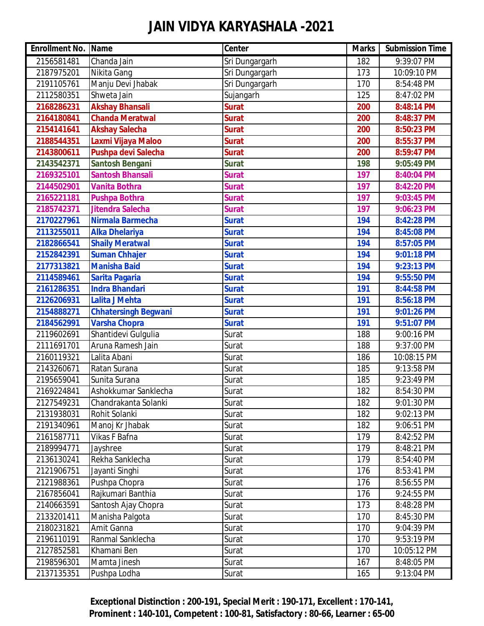| <b>Enrollment No. Name</b> |                             | <b>Center</b>  | <b>Marks</b> | <b>Submission Time</b> |
|----------------------------|-----------------------------|----------------|--------------|------------------------|
| 2156581481                 | Chanda Jain                 | Sri Dungargarh | 182          | 9:39:07 PM             |
| 2187975201                 | Nikita Gang                 | Sri Dungargarh | 173          | 10:09:10 PM            |
| 2191105761                 | Manju Devi Jhabak           | Sri Dungargarh | 170          | 8:54:48 PM             |
| 2112580351                 | Shweta Jain                 | Sujangarh      | 125          | 8:47:02 PM             |
| 2168286231                 | <b>Akshay Bhansali</b>      | <b>Surat</b>   | 200          | 8:48:14 PM             |
| 2164180841                 | <b>Chanda Meratwal</b>      | <b>Surat</b>   | 200          | 8:48:37 PM             |
| 2154141641                 | <b>Akshay Salecha</b>       | <b>Surat</b>   | 200          | 8:50:23 PM             |
| 2188544351                 | Laxmi Vijaya Maloo          | <b>Surat</b>   | 200          | 8:55:37 PM             |
| 2143800611                 | Pushpa devi Salecha         | <b>Surat</b>   | 200          | 8:59:47 PM             |
| 2143542371                 | <b>Santosh Bengani</b>      | <b>Surat</b>   | 198          | 9:05:49 PM             |
| 2169325101                 | <b>Santosh Bhansali</b>     | <b>Surat</b>   | 197          | 8:40:04 PM             |
| 2144502901                 | <b>Vanita Bothra</b>        | <b>Surat</b>   | 197          | 8:42:20 PM             |
| 2165221181                 | <b>Pushpa Bothra</b>        | <b>Surat</b>   | 197          | 9:03:45 PM             |
| 2185742371                 | <b>Jitendra Salecha</b>     | <b>Surat</b>   | 197          | 9:06:23 PM             |
| 2170227961                 | Nirmala Barmecha            | <b>Surat</b>   | 194          | 8:42:28 PM             |
| 2113255011                 | <b>Alka Dhelariya</b>       | <b>Surat</b>   | 194          | 8:45:08 PM             |
| 2182866541                 | <b>Shaily Meratwal</b>      | <b>Surat</b>   | 194          | 8:57:05 PM             |
| 2152842391                 | <b>Suman Chhajer</b>        | <b>Surat</b>   | 194          | 9:01:18 PM             |
| 2177313821                 | <b>Manisha Baid</b>         | <b>Surat</b>   | 194          | 9:23:13 PM             |
| 2114589461                 | <b>Sarita Pagaria</b>       | <b>Surat</b>   | 194          | 9:55:50 PM             |
| 2161286351                 | <b>Indra Bhandari</b>       | <b>Surat</b>   | 191          | 8:44:58 PM             |
| 2126206931                 | <b>Lalita J Mehta</b>       | <b>Surat</b>   | 191          | 8:56:18 PM             |
| 2154888271                 | <b>Chhatersingh Begwani</b> | <b>Surat</b>   | 191          | 9:01:26 PM             |
| 2184562991                 | <b>Varsha Chopra</b>        | <b>Surat</b>   | 191          | 9:51:07 PM             |
| 2119602691                 | Shantidevi Gulgulia         | Surat          | 188          | 9:00:16 PM             |
| 2111691701                 | Aruna Ramesh Jain           | Surat          | 188          | 9:37:00 PM             |
| 2160119321                 | Lalita Abani                | Surat          | 186          | 10:08:15 PM            |
| 2143260671                 | Ratan Surana                | Surat          | 185          | 9:13:58 PM             |
| 2195659041                 | Sunita Surana               | Surat          | 185          | 9:23:49 PM             |
| 2169224841                 | Ashokkumar Sanklecha        | Surat          | 182          | 8:54:30 PM             |
| 2127549231                 | Chandrakanta Solanki        | Surat          | 182          | 9:01:30 PM             |
| 2131938031                 | Rohit Solanki               | Surat          | 182          | 9:02:13 PM             |
| 2191340961                 | Manoj Kr Jhabak             | Surat          | 182          | 9:06:51 PM             |
| 2161587711                 | Vikas F Bafna               | Surat          | 179          | 8:42:52 PM             |
| 2189994771                 | Jayshree                    | Surat          | 179          | 8:48:21 PM             |
| 2136130241                 | Rekha Sanklecha             | Surat          | 179          | 8:54:40 PM             |
| 2121906751                 | Jayanti Singhi              | Surat          | 176          | 8:53:41 PM             |
| 2121988361                 | Pushpa Chopra               | Surat          | 176          | 8:56:55 PM             |
| 2167856041                 | Rajkumari Banthia           | Surat          | 176          | 9:24:55 PM             |
| 2140663591                 | Santosh Ajay Chopra         | Surat          | 173          | 8:48:28 PM             |
| 2133201411                 | Manisha Palgota             | Surat          | 170          | 8:45:30 PM             |
| 2180231821                 | Amit Ganna                  | Surat          | 170          | 9:04:39 PM             |
| 2196110191                 | Ranmal Sanklecha            | Surat          | 170          | 9:53:19 PM             |
| 2127852581                 | Khamani Ben                 | Surat          | 170          | 10:05:12 PM            |
| 2198596301                 | Mamta Jinesh                | Surat          | 167          | 8:48:05 PM             |
| 2137135351                 | Pushpa Lodha                | Surat          | 165          | 9:13:04 PM             |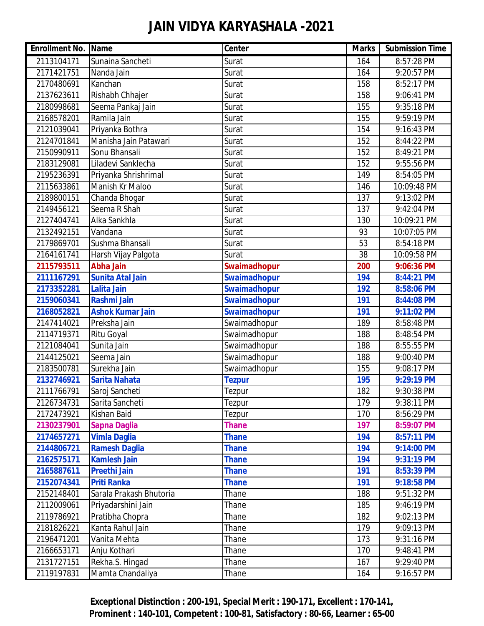| <b>Enrollment No. Name</b> |                         | Center              | <b>Marks</b>      | <b>Submission Time</b> |
|----------------------------|-------------------------|---------------------|-------------------|------------------------|
| 2113104171                 | Sunaina Sancheti        | Surat               | 164               | 8:57:28 PM             |
| 2171421751                 | Nanda Jain              | Surat               | 164               | 9:20:57 PM             |
| 2170480691                 | Kanchan                 | Surat               | 158               | 8:52:17 PM             |
| 2137623611                 | Rishabh Chhajer         | Surat               | 158               | 9:06:41 PM             |
| 2180998681                 | Seema Pankaj Jain       | Surat               | 155               | 9:35:18 PM             |
| 2168578201                 | Ramila Jain             | Surat               | 155               | 9:59:19 PM             |
| 2121039041                 | Priyanka Bothra         | Surat               | 154               | 9:16:43 PM             |
| 2124701841                 | Manisha Jain Patawari   | Surat               | 152               | 8:44:22 PM             |
| 2150990911                 | Sonu Bhansali           | Surat               | 152               | 8:49:21 PM             |
| 2183129081                 | Liladevi Sanklecha      | Surat               | 152               | 9:55:56 PM             |
| 2195236391                 | Priyanka Shrishrimal    | Surat               | $\overline{1}$ 49 | 8:54:05 PM             |
| 2115633861                 | Manish Kr Maloo         | Surat               | 146               | 10:09:48 PM            |
| 2189800151                 | Chanda Bhogar           | Surat               | 137               | 9:13:02 PM             |
| 2149456121                 | Seema R Shah            | Surat               | 137               | 9:42:04 PM             |
| 2127404741                 | Alka Sankhla            | Surat               | 130               | 10:09:21 PM            |
| 2132492151                 | Vandana                 | Surat               | 93                | 10:07:05 PM            |
| 2179869701                 | Sushma Bhansali         | Surat               | 53                | 8:54:18 PM             |
| 2164161741                 | Harsh Vijay Palgota     | Surat               | 38                | 10:09:58 PM            |
| 2115793511                 | <b>Abha Jain</b>        | <b>Swaimadhopur</b> | 200               | 9:06:36 PM             |
| 2111167291                 | <b>Sunita Atal Jain</b> | <b>Swaimadhopur</b> | 194               | 8:44:21 PM             |
| 2173352281                 | <b>Lalita Jain</b>      | <b>Swaimadhopur</b> | 192               | 8:58:06 PM             |
| 2159060341                 | <b>Rashmi Jain</b>      | <b>Swaimadhopur</b> | 191               | 8:44:08 PM             |
| 2168052821                 | <b>Ashok Kumar Jain</b> | <b>Swaimadhopur</b> | 191               | 9:11:02 PM             |
| 2147414021                 | Preksha Jain            | Swaimadhopur        | 189               | 8:58:48 PM             |
| 2114719371                 | Ritu Goyal              | Swaimadhopur        | 188               | 8:48:54 PM             |
| 2121084041                 | Sunita Jain             | Swaimadhopur        | 188               | 8:55:55 PM             |
| 2144125021                 | Seema Jain              | Swaimadhopur        | 188               | 9:00:40 PM             |
| 2183500781                 | Surekha Jain            | Swaimadhopur        | 155               | 9:08:17 PM             |
| 2132746921                 | <b>Sarita Nahata</b>    | <b>Tezpur</b>       | 195               | 9:29:19 PM             |
| 2111766791                 | Saroj Sancheti          | Tezpur              | 182               | 9:30:38 PM             |
| 2126734731                 | Sarita Sancheti         | Tezpur              | 179               | 9:38:11 PM             |
| 2172473921                 | Kishan Baid             | Tezpur              | 170               | 8:56:29 PM             |
| 2130237901                 | <b>Sapna Daglia</b>     | <b>Thane</b>        | 197               | 8:59:07 PM             |
| 2174657271                 | <b>Vimla Daglia</b>     | <b>Thane</b>        | 194               | 8:57:11 PM             |
| 2144806721                 | <b>Ramesh Daglia</b>    | <b>Thane</b>        | 194               | 9:14:00 PM             |
| 2162575171                 | <b>Kamlesh Jain</b>     | <b>Thane</b>        | 194               | 9:31:19 PM             |
| 2165887611                 | <b>Preethi Jain</b>     | <b>Thane</b>        | 191               | 8:53:39 PM             |
| 2152074341                 | <b>Priti Ranka</b>      | <b>Thane</b>        | 191               | 9:18:58 PM             |
| 2152148401                 | Sarala Prakash Bhutoria | Thane               | 188               | 9:51:32 PM             |
| 2112009061                 | Priyadarshini Jain      | Thane               | 185               | 9:46:19 PM             |
| 2119786921                 | Pratibha Chopra         | Thane               | 182               | 9:02:13 PM             |
| 2181826221                 | Kanta Rahul Jain        | Thane               | 179               | 9:09:13 PM             |
| 2196471201                 | Vanita Mehta            | Thane               | 173               | 9:31:16 PM             |
| 2166653171                 | Anju Kothari            | Thane               | 170               | 9:48:41 PM             |
| 2131727151                 | Rekha.S. Hingad         | Thane               | 167               | 9:29:40 PM             |
| 2119197831                 | Mamta Chandaliya        | Thane               | 164               | 9:16:57 PM             |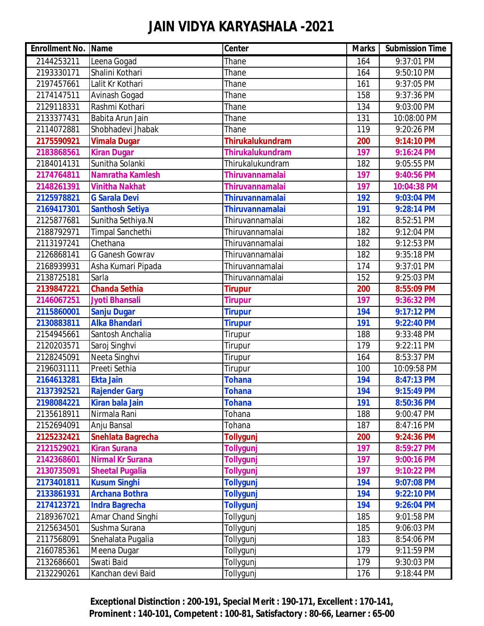| <b>Enrollment No. Name</b> |                         | Center                  | <b>Marks</b> | <b>Submission Time</b> |
|----------------------------|-------------------------|-------------------------|--------------|------------------------|
| 2144253211                 | Leena Gogad             | Thane                   | 164          | 9:37:01 PM             |
| 2193330171                 | Shalini Kothari         | Thane                   | 164          | 9:50:10 PM             |
| 2197457661                 | Lalit Kr Kothari        | Thane                   | 161          | 9:37:05 PM             |
| 2174147511                 | Avinash Gogad           | Thane                   | 158          | 9:37:36 PM             |
| 2129118331                 | Rashmi Kothari          | Thane                   | 134          | 9:03:00 PM             |
| 2133377431                 | Babita Arun Jain        | Thane                   | 131          | 10:08:00 PM            |
| 2114072881                 | Shobhadevi Jhabak       | Thane                   | 119          | 9:20:26 PM             |
| 2175590921                 | <b>Vimala Dugar</b>     | <b>Thirukalukundram</b> | 200          | 9:14:10 PM             |
| 2183868561                 | <b>Kiran Dugar</b>      | <b>Thirukalukundram</b> | 197          | 9:16:24 PM             |
| 2184014131                 | Sunitha Solanki         | Thirukalukundram        | 182          | 9:05:55 PM             |
| 2174764811                 | <b>Namratha Kamlesh</b> | <b>Thiruvannamalai</b>  | 197          | 9:40:56 PM             |
| 2148261391                 | <b>Vinitha Nakhat</b>   | <b>Thiruvannamalai</b>  | 197          | 10:04:38 PM            |
| 2125978821                 | <b>G Sarala Devi</b>    | Thiruvannamalai         | 192          | 9:03:04 PM             |
| 2169417301                 | <b>Santhosh Setiya</b>  | <b>Thiruvannamalai</b>  | 191          | 9:28:14 PM             |
| 2125877681                 | Sunitha Sethiya.N       | Thiruvannamalai         | 182          | 8:52:51 PM             |
| 2188792971                 | Timpal Sanchethi        | Thiruvannamalai         | 182          | 9:12:04 PM             |
| 2113197241                 | Chethana                | Thiruvannamalai         | 182          | 9:12:53 PM             |
| 2126868141                 | G Ganesh Gowrav         | Thiruvannamalai         | 182          | 9:35:18 PM             |
| 2168939931                 | Asha Kumari Pipada      | Thiruvannamalai         | 174          | 9:37:01 PM             |
| 2138725181                 | Sarla                   | Thiruvannamalai         | 152          | 9:25:03 PM             |
| 2139847221                 | <b>Chanda Sethia</b>    | <b>Tirupur</b>          | 200          | 8:55:09 PM             |
| 2146067251                 | Jyoti Bhansali          | <b>Tirupur</b>          | 197          | 9:36:32 PM             |
| 2115860001                 | <b>Sanju Dugar</b>      | <b>Tirupur</b>          | 194          | 9:17:12 PM             |
| 2130883811                 | <b>Alka Bhandari</b>    | <b>Tirupur</b>          | 191          | 9:22:40 PM             |
| 2154945661                 | Santosh Anchalia        | Tirupur                 | 188          | 9:33:48 PM             |
| 2120203571                 | Saroj Singhvi           | Tirupur                 | 179          | 9:22:11 PM             |
| 2128245091                 | Neeta Singhvi           | Tirupur                 | 164          | 8:53:37 PM             |
| 2196031111                 | Preeti Sethia           | Tirupur                 | 100          | 10:09:58 PM            |
| 2164613281                 | <b>Ekta Jain</b>        | <b>Tohana</b>           | 194          | 8:47:13 PM             |
| 2137392521                 | <b>Rajender Garg</b>    | <b>Tohana</b>           | 194          | 9:15:49 PM             |
| 2198084221                 | <b>Kiran bala Jain</b>  | <b>Tohana</b>           | 191          | 8:50:36 PM             |
| 2135618911                 | Nirmala Rani            | Tohana                  | 188          | 9:00:47 PM             |
| 2152694091                 | Anju Bansal             | Tohana                  | 187          | 8:47:16 PM             |
| 2125232421                 | Snehlata Bagrecha       | <b>Tollygunj</b>        | 200          | 9:24:36 PM             |
| 2121529021                 | <b>Kiran Surana</b>     | <b>Tollygunj</b>        | 197          | 8:59:27 PM             |
| 2142368601                 | <b>Nirmal Kr Surana</b> | <b>Tollygunj</b>        | 197          | 9:00:16 PM             |
| 2130735091                 | <b>Sheetal Pugalia</b>  | <b>Tollygunj</b>        | 197          | 9:10:22 PM             |
| 2173401811                 | <b>Kusum Singhi</b>     | <b>Tollygunj</b>        | 194          | 9:07:08 PM             |
| 2133861931                 | <b>Archana Bothra</b>   | <b>Tollygunj</b>        | 194          | 9:22:10 PM             |
| 2174123721                 | <b>Indra Bagrecha</b>   | <b>Tollygunj</b>        | 194          | 9:26:04 PM             |
| 2189367021                 | Amar Chand Singhi       | Tollygunj               | 185          | 9:01:58 PM             |
| 2125634501                 | Sushma Surana           | Tollygunj               | 185          | 9:06:03 PM             |
| 2117568091                 | Snehalata Pugalia       | Tollygunj               | 183          | 8:54:06 PM             |
| 2160785361                 | Meena Dugar             | Tollygunj               | 179          | 9:11:59 PM             |
| 2132686601                 | Swati Baid              | Tollygunj               | 179          | 9:30:03 PM             |
| 2132290261                 | Kanchan devi Baid       | Tollygunj               | 176          | 9:18:44 PM             |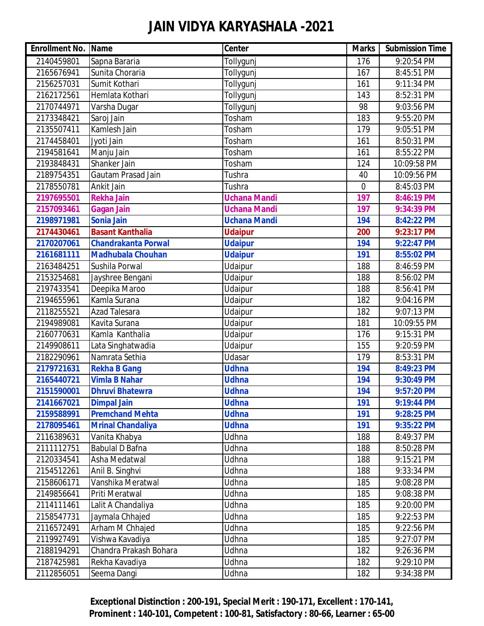| <b>Enrollment No. Name</b> |                            | Center              | <b>Marks</b>   | <b>Submission Time</b> |
|----------------------------|----------------------------|---------------------|----------------|------------------------|
| 2140459801                 | Sapna Bararia              | Tollygunj           | 176            | 9:20:54 PM             |
| 2165676941                 | Sunita Choraria            | Tollygunj           | 167            | 8:45:51 PM             |
| 2156257031                 | Sumit Kothari              | Tollygunj           | 161            | 9:11:34 PM             |
| 2162172561                 | Hemlata Kothari            | Tollygunj           | 143            | 8:52:31 PM             |
| 2170744971                 | Varsha Dugar               | Tollygunj           | 98             | 9:03:56 PM             |
| 2173348421                 | Saroj Jain                 | Tosham              | 183            | 9:55:20 PM             |
| 2135507411                 | Kamlesh Jain               | Tosham              | 179            | 9:05:51 PM             |
| 2174458401                 | Jyoti Jain                 | Tosham              | 161            | 8:50:31 PM             |
| 2194581641                 | Manju Jain                 | Tosham              | 161            | 8:55:22 PM             |
| 2193848431                 | Shanker Jain               | Tosham              | 124            | 10:09:58 PM            |
| 2189754351                 | Gautam Prasad Jain         | Tushra              | 40             | 10:09:56 PM            |
| 2178550781                 | Ankit Jain                 | Tushra              | $\overline{0}$ | 8:45:03 PM             |
| 2197695501                 | <b>Rekha Jain</b>          | <b>Uchana Mandi</b> | 197            | 8:46:19 PM             |
| 2157093461                 | <b>Gagan Jain</b>          | <b>Uchana Mandi</b> | 197            | 9:34:39 PM             |
| 2198971981                 | <b>Sonia Jain</b>          | <b>Uchana Mandi</b> | 194            | 8:42:22 PM             |
| 2174430461                 | <b>Basant Kanthalia</b>    | <b>Udaipur</b>      | 200            | 9:23:17 PM             |
| 2170207061                 | <b>Chandrakanta Porwal</b> | <b>Udaipur</b>      | 194            | 9:22:47 PM             |
| 2161681111                 | <b>Madhubala Chouhan</b>   | <b>Udaipur</b>      | 191            | 8:55:02 PM             |
| 2163484251                 | Sushila Porwal             | Udaipur             | 188            | 8:46:59 PM             |
| 2153254681                 | Jayshree Bengani           | Udaipur             | 188            | 8:56:02 PM             |
| 2197433541                 | Deepika Maroo              | Udaipur             | 188            | 8:56:41 PM             |
| 2194655961                 | Kamla Surana               | Udaipur             | 182            | 9:04:16 PM             |
| 2118255521                 | <b>Azad Talesara</b>       | Udaipur             | 182            | 9:07:13 PM             |
| 2194989081                 | Kavita Surana              | Udaipur             | 181            | 10:09:55 PM            |
| 2160770631                 | Kamla Kanthalia            | Udaipur             | 176            | 9:15:31 PM             |
| 2149908611                 | Lata Singhatwadia          | Udaipur             | 155            | 9:20:59 PM             |
| 2182290961                 | Namrata Sethia             | Udasar              | 179            | 8:53:31 PM             |
| 2179721631                 | <b>Rekha B Gang</b>        | <b>Udhna</b>        | 194            | 8:49:23 PM             |
| 2165440721                 | <b>Vimla B Nahar</b>       | <b>Udhna</b>        | 194            | 9:30:49 PM             |
| 2151590001                 | <b>Dhruvi Bhatewra</b>     | <b>Udhna</b>        | 194            | 9:57:20 PM             |
| 2141667021                 | <b>Dimpal Jain</b>         | <b>Udhna</b>        | 191            | 9:19:44 PM             |
| 2159588991                 | <b>Premchand Mehta</b>     | <b>Udhna</b>        | 191            | 9:28:25 PM             |
| 2178095461                 | <b>Mrinal Chandaliya</b>   | <b>Udhna</b>        | 191            | 9:35:22 PM             |
| 2116389631                 | Vanita Khabya              | Udhna               | 188            | 8:49:37 PM             |
| 2111112751                 | Babulal D Bafna            | Udhna               | 188            | 8:50:28 PM             |
| 2120334541                 | Asha Medatwal              | Udhna               | 188            | 9:15:21 PM             |
| 2154512261                 | Anil B. Singhvi            | Udhna               | 188            | 9:33:34 PM             |
| 2158606171                 | Vanshika Meratwal          | Udhna               | 185            | 9:08:28 PM             |
| 2149856641                 | Priti Meratwal             | Udhna               | 185            | 9:08:38 PM             |
| 2114111461                 | Lalit A Chandaliya         | Udhna               | 185            | 9:20:00 PM             |
| 2158547731                 | Jaymala Chhajed            | Udhna               | 185            | 9:22:53 PM             |
| 2116572491                 | Arham M Chhajed            | Udhna               | 185            | 9:22:56 PM             |
| 2119927491                 | Vishwa Kavadiya            | Udhna               | 185            | 9:27:07 PM             |
| 2188194291                 | Chandra Prakash Bohara     | Udhna               | 182            | 9:26:36 PM             |
| 2187425981                 | Rekha Kavadiya             | Udhna               | 182            | 9:29:10 PM             |
| 2112856051                 | Seema Dangi                | Udhna               | 182            | 9:34:38 PM             |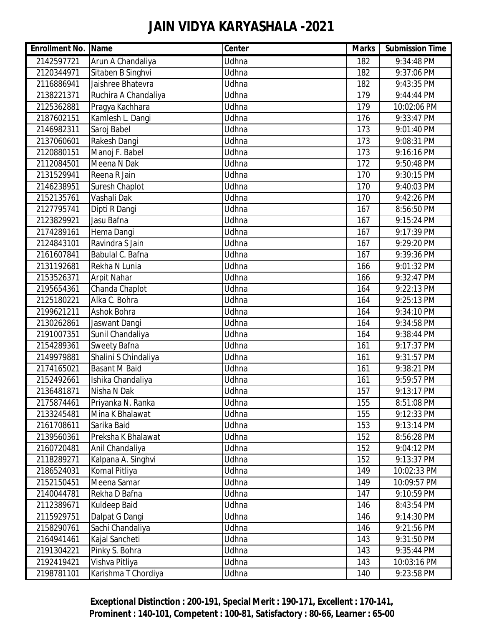| <b>Enrollment No. Name</b> |                      | Center       | <b>Marks</b> | <b>Submission Time</b> |
|----------------------------|----------------------|--------------|--------------|------------------------|
| 2142597721                 | Arun A Chandaliya    | Udhna        | 182          | 9:34:48 PM             |
| 2120344971                 | Sitaben B Singhvi    | Udhna        | 182          | 9:37:06 PM             |
| 2116886941                 | Jaishree Bhatevra    | Udhna        | 182          | 9:43:35 PM             |
| 2138221371                 | Ruchira A Chandaliya | Udhna        | 179          | 9:44:44 PM             |
| 2125362881                 | Pragya Kachhara      | Udhna        | 179          | 10:02:06 PM            |
| 2187602151                 | Kamlesh L. Dangi     | <b>Udhna</b> | 176          | 9:33:47 PM             |
| 2146982311                 | Saroj Babel          | Udhna        | 173          | 9:01:40 PM             |
| 2137060601                 | Rakesh Dangi         | Udhna        | 173          | 9:08:31 PM             |
| 2120880151                 | Manoj F. Babel       | Udhna        | 173          | 9:16:16 PM             |
| 2112084501                 | Meena N Dak          | Udhna        | 172          | 9:50:48 PM             |
| 2131529941                 | Reena R Jain         | <b>Udhna</b> | 170          | 9:30:15 PM             |
| 2146238951                 | Suresh Chaplot       | Udhna        | 170          | 9:40:03 PM             |
| 2152135761                 | Vashali Dak          | Udhna        | 170          | 9:42:26 PM             |
| 2127795741                 | Dipti R Dangi        | Udhna        | 167          | 8:56:50 PM             |
| 2123829921                 | Jasu Bafna           | Udhna        | 167          | 9:15:24 PM             |
| 2174289161                 | Hema Dangi           | <b>Udhna</b> | 167          | 9:17:39 PM             |
| 2124843101                 | Ravindra S Jain      | Udhna        | 167          | 9:29:20 PM             |
| 2161607841                 | Babulal C. Bafna     | Udhna        | 167          | 9:39:36 PM             |
| 2131192681                 | Rekha N Lunia        | Udhna        | 166          | 9:01:32 PM             |
| 2153526371                 | <b>Arpit Nahar</b>   | Udhna        | 166          | 9:32:47 PM             |
| 2195654361                 | Chanda Chaplot       | <b>Udhna</b> | 164          | 9:22:13 PM             |
| 2125180221                 | Alka C. Bohra        | Udhna        | 164          | 9:25:13 PM             |
| 2199621211                 | Ashok Bohra          | Udhna        | 164          | 9:34:10 PM             |
| 2130262861                 | Jaswant Dangi        | Udhna        | 164          | 9:34:58 PM             |
| 2191007351                 | Sunil Chandaliya     | Udhna        | 164          | 9:38:44 PM             |
| 2154289361                 | Sweety Bafna         | <b>Udhna</b> | 161          | 9:17:37 PM             |
| 2149979881                 | Shalini S Chindaliya | Udhna        | 161          | 9:31:57 PM             |
| 2174165021                 | <b>Basant M Baid</b> | Udhna        | 161          | 9:38:21 PM             |
| 2152492661                 | Ishika Chandaliya    | Udhna        | 161          | 9:59:57 PM             |
| 2136481871                 | Nisha N Dak          | Udhna        | 157          | 9:13:17 PM             |
| 2175874461                 | Priyanka N. Ranka    | Udhna        | 155          | 8:51:08 PM             |
| 2133245481                 | Mina K Bhalawat      | Udhna        | 155          | 9:12:33 PM             |
| 2161708611                 | Sarika Baid          | Udhna        | 153          | 9:13:14 PM             |
| 2139560361                 | Preksha K Bhalawat   | Udhna        | 152          | 8:56:28 PM             |
| 2160720481                 | Anil Chandaliya      | Udhna        | 152          | 9:04:12 PM             |
| 2118289271                 | Kalpana A. Singhvi   | Udhna        | 152          | 9:13:37 PM             |
| 2186524031                 | Komal Pitliya        | Udhna        | 149          | 10:02:33 PM            |
| 2152150451                 | Meena Samar          | Udhna        | 149          | 10:09:57 PM            |
| 2140044781                 | Rekha D Bafna        | Udhna        | 147          | 9:10:59 PM             |
| 2112389671                 | Kuldeep Baid         | Udhna        | 146          | 8:43:54 PM             |
| 2115929751                 | Dalpat G Dangi       | Udhna        | 146          | 9:14:30 PM             |
| 2158290761                 | Sachi Chandaliya     | Udhna        | 146          | 9:21:56 PM             |
| 2164941461                 | Kajal Sancheti       | Udhna        | 143          | 9:31:50 PM             |
| 2191304221                 | Pinky S. Bohra       | Udhna        | 143          | 9:35:44 PM             |
| 2192419421                 | Vishva Pitliya       | Udhna        | 143          | 10:03:16 PM            |
| 2198781101                 | Karishma T Chordiya  | Udhna        | 140          | 9:23:58 PM             |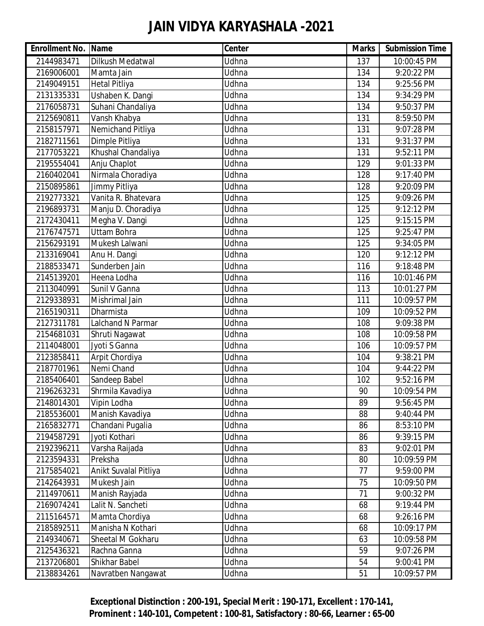| <b>Enrollment No. Name</b> |                       | Center | <b>Marks</b> | <b>Submission Time</b> |
|----------------------------|-----------------------|--------|--------------|------------------------|
| 2144983471                 | Dilkush Medatwal      | Udhna  | 137          | 10:00:45 PM            |
| 2169006001                 | Mamta Jain            | Udhna  | 134          | 9:20:22 PM             |
| 2149049151                 | <b>Hetal Pitliya</b>  | Udhna  | 134          | 9:25:56 PM             |
| 2131335331                 | Ushaben K. Dangi      | Udhna  | 134          | 9:34:29 PM             |
| 2176058731                 | Suhani Chandaliya     | Udhna  | 134          | 9:50:37 PM             |
| 2125690811                 | Vansh Khabya          | Udhna  | 131          | 8:59:50 PM             |
| 2158157971                 | Nemichand Pitliya     | Udhna  | 131          | 9:07:28 PM             |
| 2182711561                 | Dimple Pitliya        | Udhna  | 131          | 9:31:37 PM             |
| 2177053221                 | Khushal Chandaliya    | Udhna  | 131          | 9:52:11 PM             |
| 2195554041                 | Anju Chaplot          | Udhna  | 129          | 9:01:33 PM             |
| 2160402041                 | Nirmala Choradiya     | Udhna  | 128          | 9:17:40 PM             |
| 2150895861                 | Jimmy Pitliya         | Udhna  | 128          | 9:20:09 PM             |
| 2192773321                 | Vanita R. Bhatevara   | Udhna  | 125          | 9:09:26 PM             |
| 2196893731                 | Manju D. Choradiya    | Udhna  | 125          | 9:12:12 PM             |
| 2172430411                 | Megha V. Dangi        | Udhna  | 125          | 9:15:15 PM             |
| 2176747571                 | <b>Uttam Bohra</b>    | Udhna  | 125          | 9:25:47 PM             |
| 2156293191                 | Mukesh Lalwani        | Udhna  | 125          | 9:34:05 PM             |
| 2133169041                 | Anu H. Dangi          | Udhna  | 120          | 9:12:12 PM             |
| 2188533471                 | Sunderben Jain        | Udhna  | 116          | 9:18:48 PM             |
| 2145139201                 | Heena Lodha           | Udhna  | 116          | 10:01:46 PM            |
| 2113040991                 | Sunil V Ganna         | Udhna  | 113          | 10:01:27 PM            |
| 2129338931                 | Mishrimal Jain        | Udhna  | 111          | 10:09:57 PM            |
| 2165190311                 | Dharmista             | Udhna  | 109          | 10:09:52 PM            |
| 2127311781                 | Lalchand N Parmar     | Udhna  | 108          | 9:09:38 PM             |
| 2154681031                 | Shruti Nagawat        | Udhna  | 108          | 10:09:58 PM            |
| 2114048001                 | Jyoti S Ganna         | Udhna  | 106          | 10:09:57 PM            |
| 2123858411                 | Arpit Chordiya        | Udhna  | 104          | 9:38:21 PM             |
| 2187701961                 | Nemi Chand            | Udhna  | 104          | 9:44:22 PM             |
| 2185406401                 | Sandeep Babel         | Udhna  | 102          | 9:52:16 PM             |
| 2196263231                 | Shrmila Kavadiya      | Udhna  | 90           | 10:09:54 PM            |
| 2148014301                 | Vipin Lodha           | Udhna  | 89           | 9:56:45 PM             |
| 2185536001                 | Manish Kavadiya       | Udhna  | 88           | 9:40:44 PM             |
| 2165832771                 | Chandani Pugalia      | Udhna  | 86           | 8:53:10 PM             |
| 2194587291                 | Jyoti Kothari         | Udhna  | 86           | 9:39:15 PM             |
| 2192396211                 | Varsha Raijada        | Udhna  | 83           | 9:02:01 PM             |
| 2123594331                 | Preksha               | Udhna  | 80           | 10:09:59 PM            |
| 2175854021                 | Anikt Suvalal Pitliya | Udhna  | 77           | 9:59:00 PM             |
| 2142643931                 | Mukesh Jain           | Udhna  | 75           | 10:09:50 PM            |
| 2114970611                 | Manish Rayjada        | Udhna  | 71           | 9:00:32 PM             |
| 2169074241                 | Lalit N. Sancheti     | Udhna  | 68           | 9:19:44 PM             |
| 2115164571                 | Mamta Chordiya        | Udhna  | 68           | 9:26:16 PM             |
| 2185892511                 | Manisha N Kothari     | Udhna  | 68           | 10:09:17 PM            |
| 2149340671                 | Sheetal M Gokharu     | Udhna  | 63           | 10:09:58 PM            |
| 2125436321                 | Rachna Ganna          | Udhna  | 59           | 9:07:26 PM             |
| 2137206801                 | Shikhar Babel         | Udhna  | 54           | 9:00:41 PM             |
| 2138834261                 | Navratben Nangawat    | Udhna  | 51           | 10:09:57 PM            |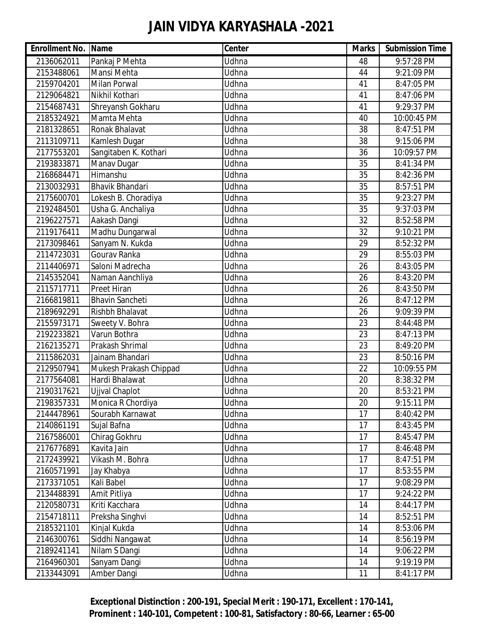| <b>Enrollment No. Name</b> |                        | Center | <b>Marks</b>    | <b>Submission Time</b> |
|----------------------------|------------------------|--------|-----------------|------------------------|
| 2136062011                 | Pankaj P Mehta         | Udhna  | 48              | 9:57:28 PM             |
| 2153488061                 | Mansi Mehta            | Udhna  | 44              | 9:21:09 PM             |
| 2159704201                 | <b>Milan Porwal</b>    | Udhna  | 41              | 8:47:05 PM             |
| 2129064821                 | Nikhil Kothari         | Udhna  | 41              | 8:47:06 PM             |
| 2154687431                 | Shreyansh Gokharu      | Udhna  | 41              | 9:29:37 PM             |
| 2185324921                 | Mamta Mehta            | Udhna  | 40              | 10:00:45 PM            |
| 2181328651                 | Ronak Bhalavat         | Udhna  | 38              | 8:47:51 PM             |
| 2113109711                 | Kamlesh Dugar          | Udhna  | 38              | 9:15:06 PM             |
| 2177553201                 | Sangitaben K. Kothari  | Udhna  | 36              | 10:09:57 PM            |
| 2193833871                 | Manav Dugar            | Udhna  | 35              | 8:41:34 PM             |
| 2168684471                 | Himanshu               | Udhna  | $\overline{35}$ | 8:42:36 PM             |
| 2130032931                 | <b>Bhavik Bhandari</b> | Udhna  | 35              | 8:57:51 PM             |
| 2175600701                 | Lokesh B. Choradiya    | Udhna  | 35              | 9:23:27 PM             |
| 2192484501                 | Usha G. Anchaliya      | Udhna  | 35              | 9:37:03 PM             |
| 2196227571                 | Aakash Dangi           | Udhna  | 32              | 8:52:58 PM             |
| 2119176411                 | Madhu Dungarwal        | Udhna  | 32              | 9:10:21 PM             |
| 2173098461                 | Sanyam N. Kukda        | Udhna  | 29              | 8:52:32 PM             |
| 2114723031                 | Gourav Ranka           | Udhna  | 29              | 8:55:03 PM             |
| 2114406971                 | Saloni Madrecha        | Udhna  | 26              | 8:43:05 PM             |
| 2145352041                 | Naman Aanchliya        | Udhna  | 26              | 8:43:20 PM             |
| 2115717711                 | <b>Preet Hiran</b>     | Udhna  | 26              | 8:43:50 PM             |
| 2166819811                 | <b>Bhavin Sancheti</b> | Udhna  | 26              | 8:47:12 PM             |
| 2189692291                 | Rishbh Bhalavat        | Udhna  | 26              | 9:09:39 PM             |
| 2155973171                 | Sweety V. Bohra        | Udhna  | 23              | 8:44:48 PM             |
| 2192233821                 | Varun Bothra           | Udhna  | 23              | 8:47:13 PM             |
| 2162135271                 | Prakash Shrimal        | Udhna  | 23              | 8:49:20 PM             |
| 2115862031                 | Jainam Bhandari        | Udhna  | 23              | 8:50:16 PM             |
| 2129507941                 | Mukesh Prakash Chippad | Udhna  | 22              | 10:09:55 PM            |
| 2177564081                 | Hardi Bhalawat         | Udhna  | 20              | 8:38:32 PM             |
| 2190317621                 | Ujjval Chaplot         | Udhna  | 20              | 8:53:21 PM             |
| 2198357331                 | Monica R Chordiya      | Udhna  | 20              | 9:15:11 PM             |
| 2144478961                 | Sourabh Karnawat       | Udhna  | 17              | 8:40:42 PM             |
| 2140861191                 | Sujal Bafna            | Udhna  | 17              | 8:43:45 PM             |
| 2167586001                 | Chirag Gokhru          | Udhna  | 17              | 8:45:47 PM             |
| 2176776891                 | Kavita Jain            | Udhna  | 17              | 8:46:48 PM             |
| 2172439921                 | Vikash M. Bohra        | Udhna  | 17              | 8:47:51 PM             |
| 2160571991                 | Jay Khabya             | Udhna  | 17              | 8:53:55 PM             |
| 2173371051                 | Kali Babel             | Udhna  | 17              | 9:08:29 PM             |
| 2134488391                 | Amit Pitliya           | Udhna  | 17              | 9:24:22 PM             |
| 2120580731                 | Kriti Kacchara         | Udhna  | 14              | 8:44:17 PM             |
| 2154718111                 | Preksha Singhvi        | Udhna  | 14              | 8:52:51 PM             |
| 2185321101                 | Kinjal Kukda           | Udhna  | 14              | 8:53:06 PM             |
| 2146300761                 | Siddhi Nangawat        | Udhna  | 14              | 8:56:19 PM             |
| 2189241141                 | Nilam S Dangi          | Udhna  | 14              | 9:06:22 PM             |
| 2164960301                 | Sanyam Dangi           | Udhna  | 14              | 9:19:19 PM             |
| 2133443091                 | Amber Dangi            | Udhna  | 11              | 8:41:17 PM             |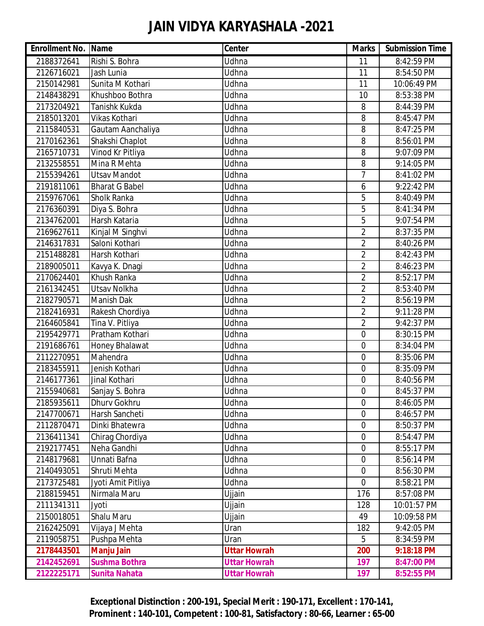| <b>Enrollment No. Name</b> |                       | Center              | <b>Marks</b>   | <b>Submission Time</b> |
|----------------------------|-----------------------|---------------------|----------------|------------------------|
| 2188372641                 | Rishi S. Bohra        | Udhna               | 11             | 8:42:59 PM             |
| 2126716021                 | Jash Lunia            | Udhna               | 11             | 8:54:50 PM             |
| 2150142981                 | Sunita M Kothari      | Udhna               | 11             | 10:06:49 PM            |
| 2148438291                 | Khushboo Bothra       | Udhna               | 10             | 8:53:38 PM             |
| 2173204921                 | Tanishk Kukda         | Udhna               | 8              | 8:44:39 PM             |
| 2185013201                 | Vikas Kothari         | Udhna               | 8              | 8:45:47 PM             |
| 2115840531                 | Gautam Aanchaliya     | Udhna               | 8              | 8:47:25 PM             |
| 2170162361                 | Shakshi Chaplot       | Udhna               | 8              | 8:56:01 PM             |
| 2165710731                 | Vinod Kr Pitliya      | <b>Udhna</b>        | 8              | 9:07:09 PM             |
| 2132558551                 | Mina R Mehta          | Udhna               | 8              | 9:14:05 PM             |
| 2155394261                 | <b>Utsav Mandot</b>   | Udhna               | $\overline{7}$ | 8:41:02 PM             |
| 2191811061                 | <b>Bharat G Babel</b> | <b>Udhna</b>        | 6              | 9:22:42 PM             |
| 2159767061                 | Sholk Ranka           | Udhna               | 5              | 8:40:49 PM             |
| 2176360391                 | Diya S. Bohra         | Udhna               | 5              | 8:41:34 PM             |
| 2134762001                 | Harsh Kataria         | Udhna               | 5              | 9:07:54 PM             |
| 2169627611                 | Kinjal M Singhvi      | Udhna               | $\overline{2}$ | 8:37:35 PM             |
| 2146317831                 | Saloni Kothari        | Udhna               | $\overline{2}$ | 8:40:26 PM             |
| 2151488281                 | Harsh Kothari         | Udhna               | $\overline{2}$ | 8:42:43 PM             |
| 2189005011                 | Kavya K. Dnagi        | <b>Udhna</b>        | $\overline{2}$ | 8:46:23 PM             |
| 2170624401                 | Khush Ranka           | Udhna               | $\overline{2}$ | 8:52:17 PM             |
| 2161342451                 | Utsav Nolkha          | Udhna               | $\overline{2}$ | 8:53:40 PM             |
| 2182790571                 | Manish Dak            | Udhna               | $\overline{2}$ | 8:56:19 PM             |
| 2182416931                 | Rakesh Chordiya       | Udhna               | $\overline{2}$ | 9:11:28 PM             |
| 2164605841                 | Tina V. Pitliya       | <b>Udhna</b>        | $\overline{2}$ | 9:42:37 PM             |
| 2195429771                 | Pratham Kothari       | Udhna               | $\overline{0}$ | 8:30:15 PM             |
| 2191686761                 | Honey Bhalawat        | Udhna               | $\overline{0}$ | 8:34:04 PM             |
| 2112270951                 | Mahendra              | <b>Udhna</b>        | 0              | 8:35:06 PM             |
| 2183455911                 | Jenish Kothari        | Udhna               | 0              | 8:35:09 PM             |
| 2146177361                 | Jinal Kothari         | Udhna               | 0              | 8:40:56 PM             |
| 2155940681                 | Sanjay S. Bohra       | Udhna               | $\mathbf 0$    | 8:45:37 PM             |
| 2185935611                 | <b>Dhurv Gokhru</b>   | Udhna               | $\mathbf 0$    | 8:46:05 PM             |
| 2147700671                 | Harsh Sancheti        | Udhna               | $\overline{0}$ | 8:46:57 PM             |
| 2112870471                 | Dinki Bhatewra        | Udhna               | $\overline{0}$ | 8:50:37 PM             |
| 2136411341                 | Chirag Chordiya       | Udhna               | $\mathbf 0$    | 8:54:47 PM             |
| 2192177451                 | Neha Gandhi           | Udhna               | $\mathbf 0$    | 8:55:17 PM             |
| 2148179681                 | Unnati Bafna          | Udhna               | $\mathbf 0$    | 8:56:14 PM             |
| 2140493051                 | Shruti Mehta          | Udhna               | 0              | 8:56:30 PM             |
| 2173725481                 | Jyoti Amit Pitliya    | Udhna               | $\overline{0}$ | 8:58:21 PM             |
| 2188159451                 | Nirmala Maru          | Ujjain              | 176            | 8:57:08 PM             |
| 2111341311                 | Jyoti                 | Ujjain              | 128            | 10:01:57 PM            |
| 2150018051                 | <b>Shalu Maru</b>     | Ujjain              | 49             | 10:09:58 PM            |
| 2162425091                 | Vijaya J Mehta        | Uran                | 182            | 9:42:05 PM             |
| 2119058751                 | Pushpa Mehta          | Uran                | 5              | 8:34:59 PM             |
| 2178443501                 | <b>Manju Jain</b>     | <b>Uttar Howrah</b> | 200            | 9:18:18 PM             |
| 2142452691                 | <b>Sushma Bothra</b>  | <b>Uttar Howrah</b> | 197            | 8:47:00 PM             |
| 2122225171                 | <b>Sunita Nahata</b>  | <b>Uttar Howrah</b> | 197            | 8:52:55 PM             |

**Exceptional Distinction : 200-191, Special Merit : 190-171, Excellent : 170-141, Prominent : 140-101, Competent : 100-81, Satisfactory : 80-66, Learner : 65-00**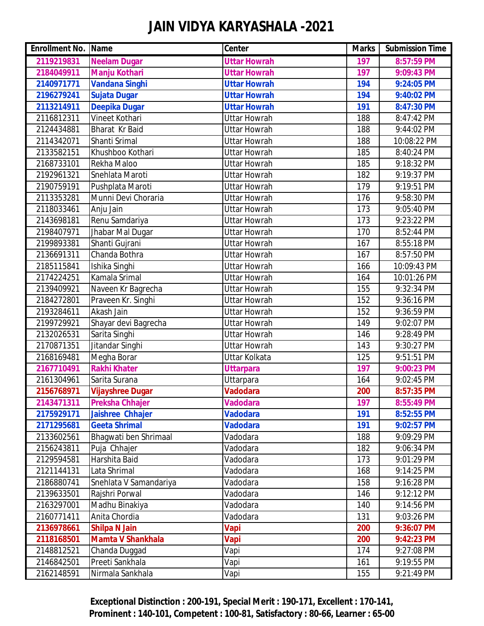| <b>Enrollment No. Name</b> |                          | <b>Center</b>       | <b>Marks</b> | <b>Submission Time</b> |
|----------------------------|--------------------------|---------------------|--------------|------------------------|
| 2119219831                 | <b>Neelam Dugar</b>      | <b>Uttar Howrah</b> | 197          | 8:57:59 PM             |
| 2184049911                 | <b>Manju Kothari</b>     | <b>Uttar Howrah</b> | 197          | 9:09:43 PM             |
| 2140971771                 | <b>Vandana Singhi</b>    | <b>Uttar Howrah</b> | 194          | 9:24:05 PM             |
| 2196279241                 | Sujata Dugar             | <b>Uttar Howrah</b> | 194          | 9:40:02 PM             |
| 2113214911                 | <b>Deepika Dugar</b>     | <b>Uttar Howrah</b> | 191          | 8:47:30 PM             |
| 2116812311                 | Vineet Kothari           | <b>Uttar Howrah</b> | 188          | 8:47:42 PM             |
| 2124434881                 | <b>Bharat</b> Kr Baid    | <b>Uttar Howrah</b> | 188          | 9:44:02 PM             |
| 2114342071                 | Shanti Srimal            | <b>Uttar Howrah</b> | 188          | 10:08:22 PM            |
| 2133582151                 | Khushboo Kothari         | <b>Uttar Howrah</b> | 185          | 8:40:24 PM             |
| 2168733101                 | Rekha Maloo              | <b>Uttar Howrah</b> | 185          | 9:18:32 PM             |
| 2192961321                 | Snehlata Maroti          | <b>Uttar Howrah</b> | 182          | 9:19:37 PM             |
| 2190759191                 | Pushplata Maroti         | <b>Uttar Howrah</b> | 179          | 9:19:51 PM             |
| 2113353281                 | Munni Devi Choraria      | <b>Uttar Howrah</b> | 176          | 9:58:30 PM             |
| 2118033461                 | Anju Jain                | <b>Uttar Howrah</b> | 173          | 9:05:40 PM             |
| 2143698181                 | Renu Samdariya           | <b>Uttar Howrah</b> | 173          | 9:23:22 PM             |
| 2198407971                 | Jhabar Mal Dugar         | <b>Uttar Howrah</b> | 170          | 8:52:44 PM             |
| 2199893381                 | Shanti Gujrani           | <b>Uttar Howrah</b> | 167          | 8:55:18 PM             |
| 2136691311                 | Chanda Bothra            | <b>Uttar Howrah</b> | 167          | 8:57:50 PM             |
| 2185115841                 | Ishika Singhi            | <b>Uttar Howrah</b> | 166          | 10:09:43 PM            |
| 2174224251                 | Kamala Srimal            | <b>Uttar Howrah</b> | 164          | 10:01:26 PM            |
| 2139409921                 | Naveen Kr Bagrecha       | <b>Uttar Howrah</b> | 155          | 9:32:34 PM             |
| 2184272801                 | Praveen Kr. Singhi       | <b>Uttar Howrah</b> | 152          | 9:36:16 PM             |
| 2193284611                 | Akash Jain               | <b>Uttar Howrah</b> | 152          | 9:36:59 PM             |
| 2199729921                 | Shayar devi Bagrecha     | <b>Uttar Howrah</b> | 149          | 9:02:07 PM             |
| 2132026531                 | Sarita Singhi            | <b>Uttar Howrah</b> | 146          | 9:28:49 PM             |
| 2170871351                 | Jitandar Singhi          | <b>Uttar Howrah</b> | 143          | 9:30:27 PM             |
| 2168169481                 | Megha Borar              | Uttar Kolkata       | 125          | 9:51:51 PM             |
| 2167710491                 | <b>Rakhi Khater</b>      | <b>Uttarpara</b>    | 197          | 9:00:23 PM             |
| 2161304961                 | Sarita Surana            | Uttarpara           | 164          | 9:02:45 PM             |
| 2156768971                 | <b>Vijayshree Dugar</b>  | <b>Vadodara</b>     | 200          | 8:57:35 PM             |
| 2143471311                 | <b>Preksha Chhajer</b>   | <b>Vadodara</b>     | 197          | 8:55:49 PM             |
| 2175929171                 | Jaishree Chhajer         | <b>Vadodara</b>     | 191          | 8:52:55 PM             |
| 2171295681                 | <b>Geeta Shrimal</b>     | <b>Vadodara</b>     | 191          | 9:02:57 PM             |
| 2133602561                 | Bhagwati ben Shrimaal    | Vadodara            | 188          | 9:09:29 PM             |
| 2156243811                 | Puja Chhajer             | Vadodara            | 182          | 9:06:34 PM             |
| 2129594581                 | Harshita Baid            | Vadodara            | 173          | 9:01:29 PM             |
| 2121144131                 | Lata Shrimal             | Vadodara            | 168          | 9:14:25 PM             |
| 2186880741                 | Snehlata V Samandariya   | Vadodara            | 158          | 9:16:28 PM             |
| 2139633501                 | Rajshri Porwal           | Vadodara            | 146          | 9:12:12 PM             |
| 2163297001                 | Madhu Binakiya           | Vadodara            | 140          | 9:14:56 PM             |
| 2160771411                 | Anita Chordia            | Vadodara            | 131          | 9:03:26 PM             |
| 2136978661                 | <b>Shilpa N Jain</b>     | <b>Vapi</b>         | 200          | 9:36:07 PM             |
| 2118168501                 | <b>Mamta V Shankhala</b> | Vapi                | 200          | 9:42:23 PM             |
| 2148812521                 | Chanda Duggad            | Vapi                | 174          | 9:27:08 PM             |
| 2146842501                 | Preeti Sankhala          | Vapi                | 161          | 9:19:55 PM             |
| 2162148591                 | Nirmala Sankhala         | Vapi                | 155          | 9:21:49 PM             |

**Exceptional Distinction : 200-191, Special Merit : 190-171, Excellent : 170-141, Prominent : 140-101, Competent : 100-81, Satisfactory : 80-66, Learner : 65-00**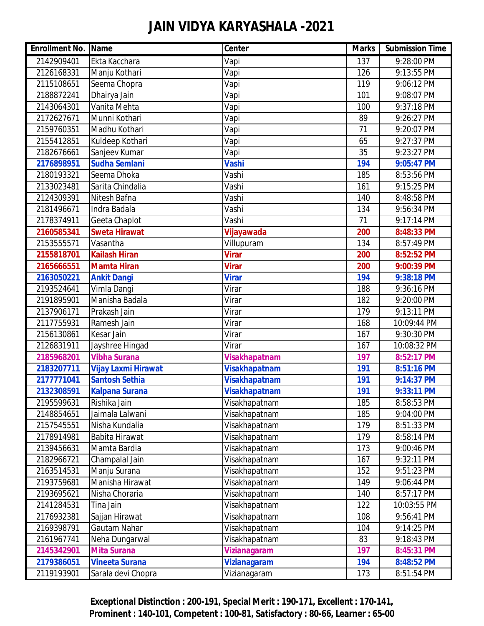| <b>Enrollment No. Name</b> |                            | <b>Center</b>        | <b>Marks</b> | <b>Submission Time</b> |
|----------------------------|----------------------------|----------------------|--------------|------------------------|
| 2142909401                 | Ekta Kacchara              | Vapi                 | 137          | 9:28:00 PM             |
| 2126168331                 | Manju Kothari              | Vapi                 | 126          | 9:13:55 PM             |
| 2115108651                 | Seema Chopra               | Vapi                 | 119          | 9:06:12 PM             |
| 2188872241                 | Dhairya Jain               | Vapi                 | 101          | 9:08:07 PM             |
| 2143064301                 | Vanita Mehta               | Vapi                 | 100          | 9:37:18 PM             |
| 2172627671                 | Munni Kothari              | Vapi                 | 89           | 9:26:27 PM             |
| 2159760351                 | Madhu Kothari              | Vapi                 | 71           | 9:20:07 PM             |
| 2155412851                 | Kuldeep Kothari            | Vapi                 | 65           | 9:27:37 PM             |
| 2182676661                 | Sanjeev Kumar              | Vapi                 | 35           | 9:23:27 PM             |
| 2176898951                 | <b>Sudha Semlani</b>       | <b>Vashi</b>         | 194          | 9:05:47 PM             |
| 2180193321                 | Seema Dhoka                | Vashi                | 185          | 8:53:56 PM             |
| 2133023481                 | Sarita Chindalia           | Vashi                | 161          | 9:15:25 PM             |
| 2124309391                 | Nitesh Bafna               | Vashi                | 140          | 8:48:58 PM             |
| 2181496671                 | Indra Badala               | Vashi                | 134          | 9:56:34 PM             |
| 2178374911                 | Geeta Chaplot              | Vashi                | 71           | $9:17:14 \text{ PM}$   |
| 2160585341                 | <b>Sweta Hirawat</b>       | Vijayawada           | 200          | 8:48:33 PM             |
| 2153555571                 | Vasantha                   | Villupuram           | 134          | 8:57:49 PM             |
| 2155818701                 | <b>Kailash Hiran</b>       | <b>Virar</b>         | 200          | 8:52:52 PM             |
| 2165666551                 | <b>Mamta Hiran</b>         | <b>Virar</b>         | 200          | 9:00:39 PM             |
| 2163050221                 | <b>Ankit Dangi</b>         | <b>Virar</b>         | 194          | 9:38:18 PM             |
| 2193524641                 | Vimla Dangi                | Virar                | 188          | 9:36:16 PM             |
| 2191895901                 | Manisha Badala             | Virar                | 182          | 9:20:00 PM             |
| 2137906171                 | Prakash Jain               | Virar                | 179          | 9:13:11 PM             |
| 2117755931                 | Ramesh Jain                | Virar                | 168          | 10:09:44 PM            |
| 2156130861                 | <b>Kesar Jain</b>          | Virar                | 167          | 9:30:30 PM             |
| 2126831911                 | Jayshree Hingad            | Virar                | 167          | 10:08:32 PM            |
| 2185968201                 | <b>Vibha Surana</b>        | <b>Visakhapatnam</b> | 197          | 8:52:17 PM             |
| 2183207711                 | <b>Vijay Laxmi Hirawat</b> | <b>Visakhapatnam</b> | 191          | 8:51:16 PM             |
| 2177771041                 | <b>Santosh Sethia</b>      | <b>Visakhapatnam</b> | 191          | 9:14:37 PM             |
| 2132308591                 | <b>Kalpana Surana</b>      | <b>Visakhapatnam</b> | 191          | 9:33:11 PM             |
| 2195599631                 | Rishika Jain               | Visakhapatnam        | 185          | 8:58:53 PM             |
| 2148854651                 | Jaimala Lalwani            | Visakhapatnam        | 185          | 9:04:00 PM             |
| 2157545551                 | Nisha Kundalia             | Visakhapatnam        | 179          | 8:51:33 PM             |
| 2178914981                 | Babita Hirawat             | Visakhapatnam        | 179          | 8:58:14 PM             |
| 2139456631                 | Mamta Bardia               | Visakhapatnam        | 173          | 9:00:46 PM             |
| 2182966721                 | Champalal Jain             | Visakhapatnam        | 167          | 9:32:11 PM             |
| 2163514531                 | Manju Surana               | Visakhapatnam        | 152          | 9:51:23 PM             |
| 2193759681                 | Manisha Hirawat            | Visakhapatnam        | 149          | 9:06:44 PM             |
| 2193695621                 | Nisha Choraria             | Visakhapatnam        | 140          | 8:57:17 PM             |
| 2141284531                 | Tina Jain                  | Visakhapatnam        | 122          | 10:03:55 PM            |
| 2176932381                 | Sajjan Hirawat             | Visakhapatnam        | 108          | 9:56:41 PM             |
| 2169398791                 | Gautam Nahar               | Visakhapatnam        | 104          | 9:14:25 PM             |
| 2161967741                 | Neha Dungarwal             | Visakhapatnam        | 83           | 9:18:43 PM             |
| 2145342901                 | <b>Mita Surana</b>         | <b>Vizianagaram</b>  | 197          | 8:45:31 PM             |
| 2179386051                 | <b>Vineeta Surana</b>      | <b>Vizianagaram</b>  | 194          | 8:48:52 PM             |
| 2119193901                 | Sarala devi Chopra         | Vizianagaram         | 173          | 8:51:54 PM             |

**Exceptional Distinction : 200-191, Special Merit : 190-171, Excellent : 170-141, Prominent : 140-101, Competent : 100-81, Satisfactory : 80-66, Learner : 65-00**